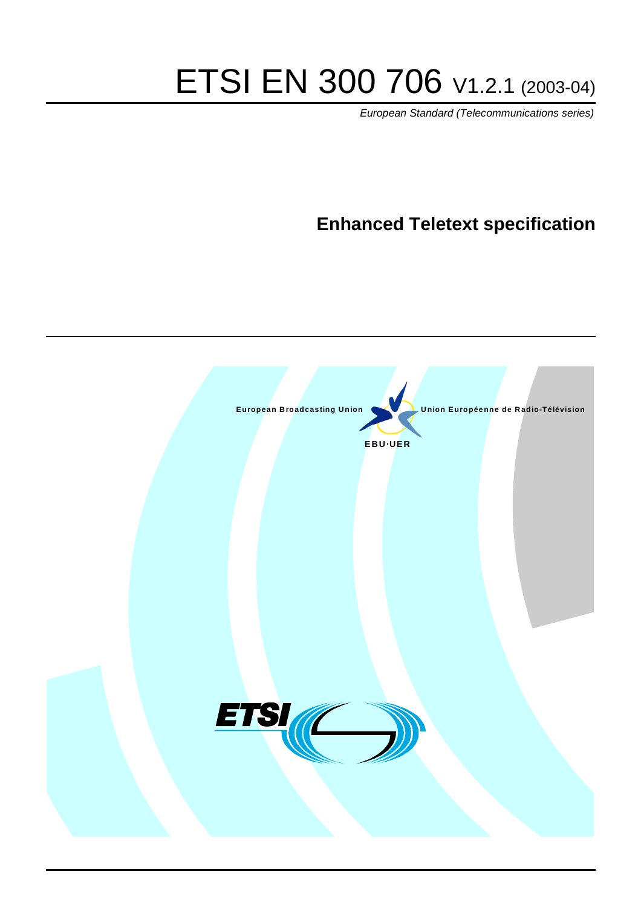# ETSI EN 300 706 V1.2.1 (2003-04)

European Standard (Telecommunications series)

# **Enhanced Teletext specification**

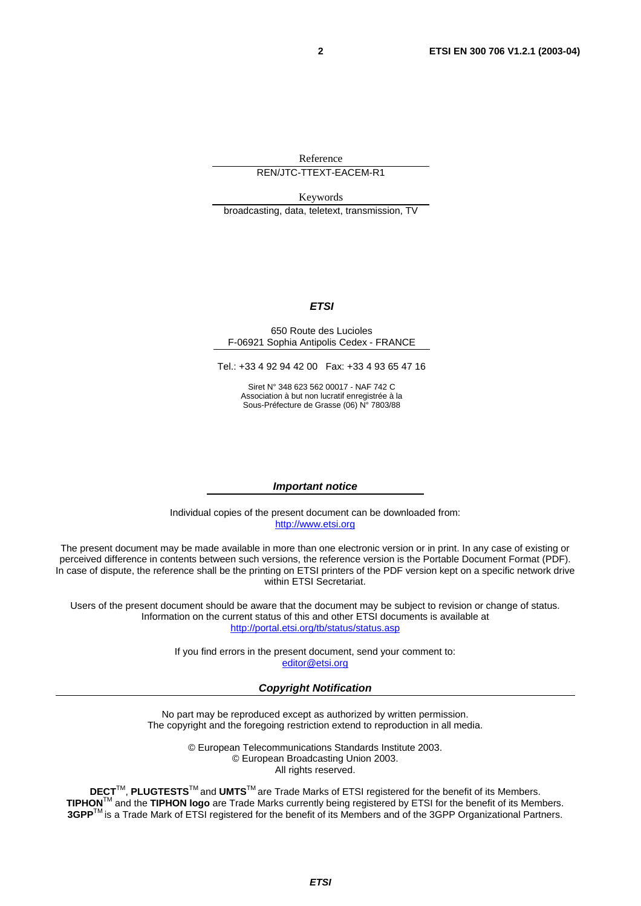Reference

#### REN/JTC-TTEXT-EACEM-R1

Keywords

broadcasting, data, teletext, transmission, TV

#### **ETSI**

#### 650 Route des Lucioles F-06921 Sophia Antipolis Cedex - FRANCE

Tel.: +33 4 92 94 42 00 Fax: +33 4 93 65 47 16

Siret N° 348 623 562 00017 - NAF 742 C Association à but non lucratif enregistrée à la Sous-Préfecture de Grasse (06) N° 7803/88

#### **Important notice**

Individual copies of the present document can be downloaded from: [http://www.etsi.org](http://www.etsi.org/)

The present document may be made available in more than one electronic version or in print. In any case of existing or perceived difference in contents between such versions, the reference version is the Portable Document Format (PDF). In case of dispute, the reference shall be the printing on ETSI printers of the PDF version kept on a specific network drive within ETSI Secretariat.

Users of the present document should be aware that the document may be subject to revision or change of status. Information on the current status of this and other ETSI documents is available at <http://portal.etsi.org/tb/status/status.asp>

> If you find errors in the present document, send your comment to: [editor@etsi.org](mailto:editor@etsi.org)

#### **Copyright Notification**

No part may be reproduced except as authorized by written permission. The copyright and the foregoing restriction extend to reproduction in all media.

> © European Telecommunications Standards Institute 2003. © European Broadcasting Union 2003. All rights reserved.

**DECT**TM, **PLUGTESTS**TM and **UMTS**TM are Trade Marks of ETSI registered for the benefit of its Members. **TIPHON**TM and the **TIPHON logo** are Trade Marks currently being registered by ETSI for the benefit of its Members. **3GPP**TM is a Trade Mark of ETSI registered for the benefit of its Members and of the 3GPP Organizational Partners.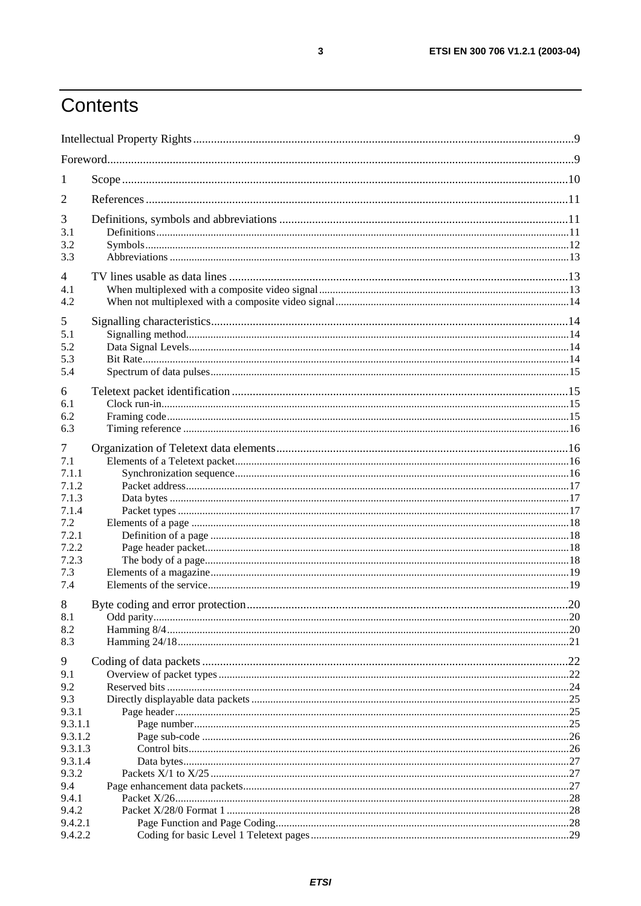# Contents

| 1                                                            |  |
|--------------------------------------------------------------|--|
| 2                                                            |  |
| 3<br>3.1<br>3.2<br>3.3                                       |  |
| 4<br>4.1<br>4.2                                              |  |
| 5<br>5.1<br>5.2<br>5.3<br>5.4                                |  |
| 6<br>6.1<br>6.2<br>6.3                                       |  |
| 7<br>7.1<br>7.1.1<br>7.1.2<br>7.1.3<br>7.1.4<br>7.2<br>7.2.1 |  |
| 7.2.2<br>7.2.3<br>7.3<br>7.4                                 |  |
| 8<br>8.1<br>8.2<br>8.3                                       |  |
| 9<br>9.1<br>9.2<br>9.3<br>9.3.1                              |  |
| 9.3.1.1<br>9.3.1.2<br>9.3.1.3<br>9.3.1.4<br>9.3.2            |  |
| 9.4<br>9.4.1<br>9.4.2<br>9.4.2.1<br>9.4.2.2                  |  |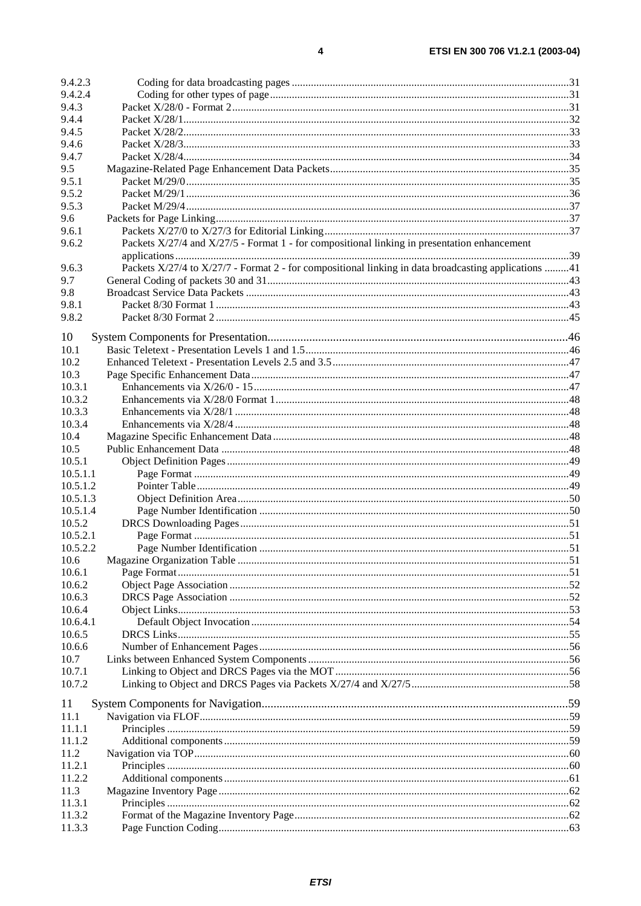| 9.4.2.3            |                                                                                                      |  |
|--------------------|------------------------------------------------------------------------------------------------------|--|
| 9.4.2.4            |                                                                                                      |  |
| 9.4.3              |                                                                                                      |  |
| 9.4.4              |                                                                                                      |  |
| 9.4.5              |                                                                                                      |  |
| 9.4.6              |                                                                                                      |  |
| 9.4.7              |                                                                                                      |  |
| 9.5                |                                                                                                      |  |
| 9.5.1              |                                                                                                      |  |
| 9.5.2              |                                                                                                      |  |
| 9.5.3              |                                                                                                      |  |
| 9.6                |                                                                                                      |  |
| 9.6.1              |                                                                                                      |  |
| 9.6.2              | Packets X/27/4 and X/27/5 - Format 1 - for compositional linking in presentation enhancement         |  |
| 9.6.3              | Packets X/27/4 to X/27/7 - Format 2 - for compositional linking in data broadcasting applications 41 |  |
| 9.7                |                                                                                                      |  |
| 9.8                |                                                                                                      |  |
| 9.8.1              |                                                                                                      |  |
| 9.8.2              |                                                                                                      |  |
|                    |                                                                                                      |  |
| 10                 |                                                                                                      |  |
| 10.1               |                                                                                                      |  |
| 10.2               |                                                                                                      |  |
| 10.3               |                                                                                                      |  |
| 10.3.1             |                                                                                                      |  |
| 10.3.2             |                                                                                                      |  |
| 10.3.3             |                                                                                                      |  |
| 10.3.4             |                                                                                                      |  |
| 10.4               |                                                                                                      |  |
| 10.5               |                                                                                                      |  |
| 10.5.1             |                                                                                                      |  |
| 10.5.1.1           |                                                                                                      |  |
| 10.5.1.2           |                                                                                                      |  |
| 10.5.1.3           |                                                                                                      |  |
| 10.5.1.4           |                                                                                                      |  |
| 10.5.2<br>10.5.2.1 |                                                                                                      |  |
| 10.5.2.2           |                                                                                                      |  |
| 10.6               |                                                                                                      |  |
| 10.6.1             |                                                                                                      |  |
| 10.6.2             |                                                                                                      |  |
| 10.6.3             |                                                                                                      |  |
| 10.6.4             |                                                                                                      |  |
| 10.6.4.1           |                                                                                                      |  |
| 10.6.5             |                                                                                                      |  |
| 10.6.6             |                                                                                                      |  |
| 10.7               |                                                                                                      |  |
| 10.7.1             |                                                                                                      |  |
| 10.7.2             |                                                                                                      |  |
|                    |                                                                                                      |  |
| 11                 |                                                                                                      |  |
| 11.1               |                                                                                                      |  |
| 11.1.1             |                                                                                                      |  |
| 11.1.2             |                                                                                                      |  |
| 11.2               |                                                                                                      |  |
| 11.2.1<br>11.2.2   |                                                                                                      |  |
| 11.3               |                                                                                                      |  |
| 11.3.1             |                                                                                                      |  |
| 11.3.2             |                                                                                                      |  |
| 11.3.3             |                                                                                                      |  |
|                    |                                                                                                      |  |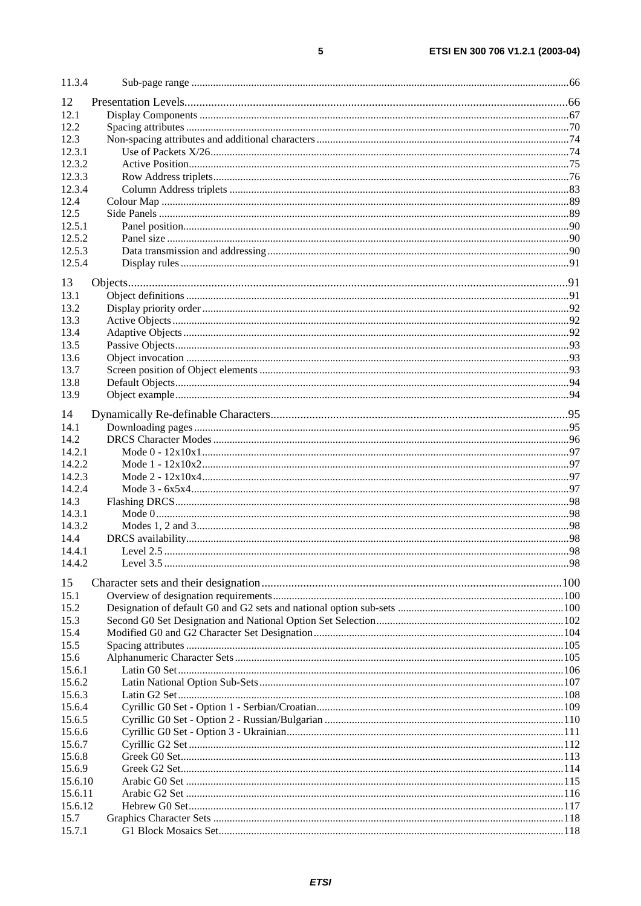| 11.3.4  |  |
|---------|--|
| 12      |  |
| 12.1    |  |
| 12.2    |  |
| 12.3    |  |
| 12.3.1  |  |
| 12.3.2  |  |
| 12.3.3  |  |
| 12.3.4  |  |
| 12.4    |  |
| 12.5    |  |
| 12.5.1  |  |
| 12.5.2  |  |
| 12.5.3  |  |
| 12.5.4  |  |
| 13      |  |
| 13.1    |  |
| 13.2    |  |
| 13.3    |  |
| 13.4    |  |
| 13.5    |  |
| 13.6    |  |
| 13.7    |  |
| 13.8    |  |
| 13.9    |  |
| 14      |  |
| 14.1    |  |
| 14.2    |  |
| 14.2.1  |  |
| 14.2.2  |  |
| 14.2.3  |  |
| 14.2.4  |  |
| 14.3    |  |
| 14.3.1  |  |
| 14.3.2  |  |
| 14.4    |  |
| 14.4.1  |  |
| 14.4.2  |  |
| 15      |  |
| 15.1    |  |
| 15.2    |  |
| 15.3    |  |
| 15.4    |  |
| 15.5    |  |
| 15.6    |  |
| 15.6.1  |  |
| 15.6.2  |  |
| 15.6.3  |  |
| 15.6.4  |  |
| 15.6.5  |  |
| 15.6.6  |  |
| 15.6.7  |  |
| 15.6.8  |  |
| 15.6.9  |  |
| 15.6.10 |  |
| 15.6.11 |  |
| 15.6.12 |  |
| 15.7    |  |
| 15.7.1  |  |
|         |  |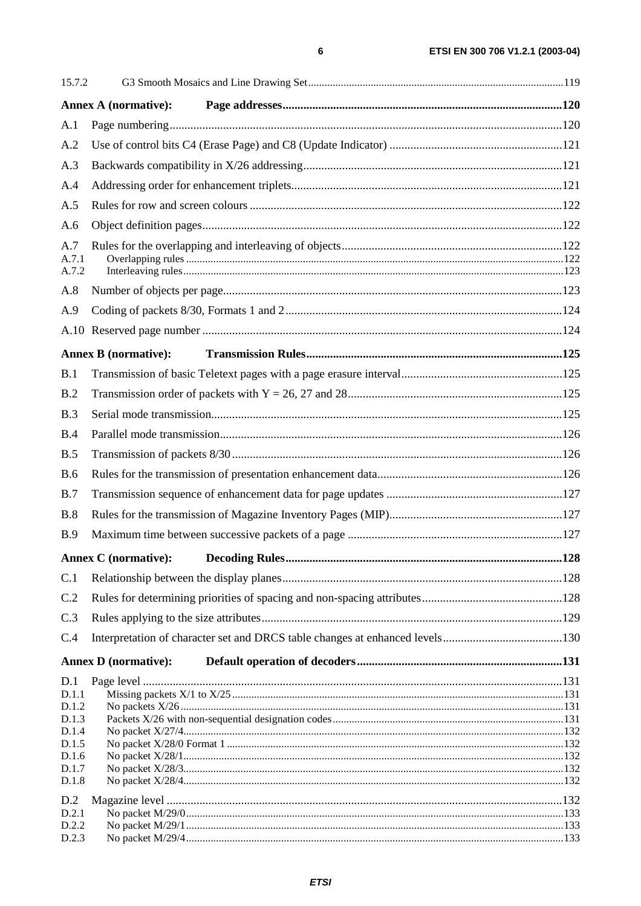| 15.7.2                                                                      |                             |  |
|-----------------------------------------------------------------------------|-----------------------------|--|
|                                                                             | <b>Annex A (normative):</b> |  |
| A.1                                                                         |                             |  |
| A.2                                                                         |                             |  |
| A.3                                                                         |                             |  |
| A.4                                                                         |                             |  |
| A.5                                                                         |                             |  |
| A.6                                                                         |                             |  |
| A.7<br>A.7.1<br>A.7.2                                                       |                             |  |
| A.8                                                                         |                             |  |
| A.9                                                                         |                             |  |
|                                                                             |                             |  |
|                                                                             | <b>Annex B</b> (normative): |  |
| B.1                                                                         |                             |  |
| B.2                                                                         |                             |  |
| B.3                                                                         |                             |  |
| B.4                                                                         |                             |  |
| B.5                                                                         |                             |  |
| <b>B.6</b>                                                                  |                             |  |
| B.7                                                                         |                             |  |
| B.8                                                                         |                             |  |
| <b>B.9</b>                                                                  |                             |  |
|                                                                             |                             |  |
| C.1                                                                         |                             |  |
| C.2                                                                         |                             |  |
| C.3                                                                         |                             |  |
| C.4                                                                         |                             |  |
|                                                                             | <b>Annex D</b> (normative): |  |
| D.1<br>D.1.1<br>D.1.2<br>D.1.3<br>D.1.4<br>D.1.5<br>D.1.6<br>D.1.7<br>D.1.8 |                             |  |
| D.2<br>D.2.1                                                                |                             |  |

 $D.2.2$ 

 $D.2.3$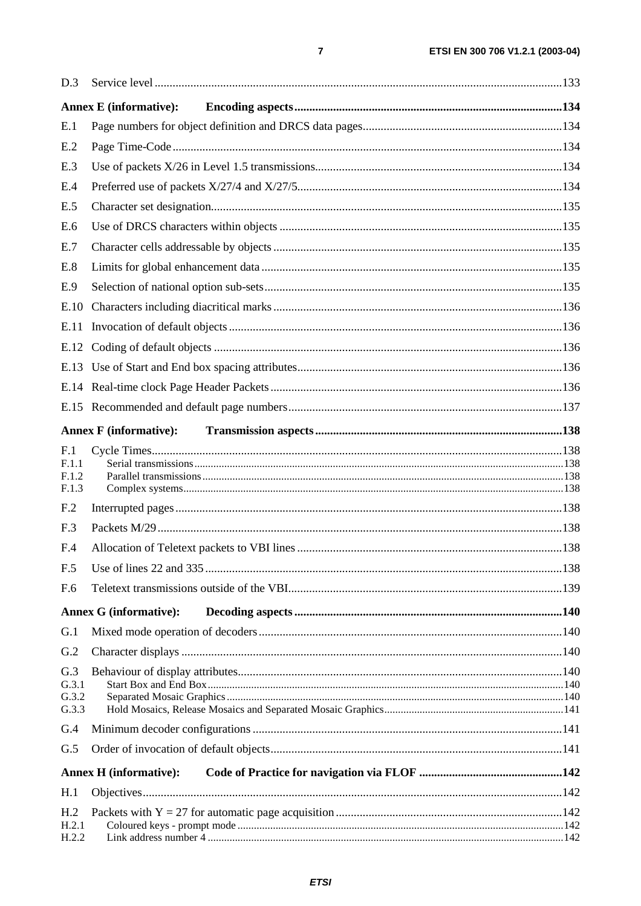| D.3             |                               |  |  |  |  |  |  |
|-----------------|-------------------------------|--|--|--|--|--|--|
|                 | <b>Annex E</b> (informative): |  |  |  |  |  |  |
| E.1             |                               |  |  |  |  |  |  |
| E.2             |                               |  |  |  |  |  |  |
| E.3             |                               |  |  |  |  |  |  |
| E.4             |                               |  |  |  |  |  |  |
| E.5             |                               |  |  |  |  |  |  |
| E.6             |                               |  |  |  |  |  |  |
| E.7             |                               |  |  |  |  |  |  |
| E.8             |                               |  |  |  |  |  |  |
| E.9             |                               |  |  |  |  |  |  |
| E.10            |                               |  |  |  |  |  |  |
| E.11            |                               |  |  |  |  |  |  |
|                 |                               |  |  |  |  |  |  |
|                 |                               |  |  |  |  |  |  |
|                 |                               |  |  |  |  |  |  |
|                 |                               |  |  |  |  |  |  |
|                 | <b>Annex F</b> (informative): |  |  |  |  |  |  |
| F.1             |                               |  |  |  |  |  |  |
| F.1.1<br>F.1.2  |                               |  |  |  |  |  |  |
| F.1.3           |                               |  |  |  |  |  |  |
| F <sub>.2</sub> |                               |  |  |  |  |  |  |
| F.3             |                               |  |  |  |  |  |  |
| F.4             |                               |  |  |  |  |  |  |
| F.5             |                               |  |  |  |  |  |  |
| F.6             |                               |  |  |  |  |  |  |
|                 | <b>Annex G (informative):</b> |  |  |  |  |  |  |
| G.1             |                               |  |  |  |  |  |  |
| G.2             |                               |  |  |  |  |  |  |
| G.3             |                               |  |  |  |  |  |  |
| G.3.1<br>G.3.2  |                               |  |  |  |  |  |  |
| G.3.3           |                               |  |  |  |  |  |  |
| G.4             |                               |  |  |  |  |  |  |
| G.5             |                               |  |  |  |  |  |  |
|                 | <b>Annex H</b> (informative): |  |  |  |  |  |  |
| H.1             |                               |  |  |  |  |  |  |
| H <sub>.2</sub> |                               |  |  |  |  |  |  |
| H.2.1<br>H.2.2  |                               |  |  |  |  |  |  |
|                 |                               |  |  |  |  |  |  |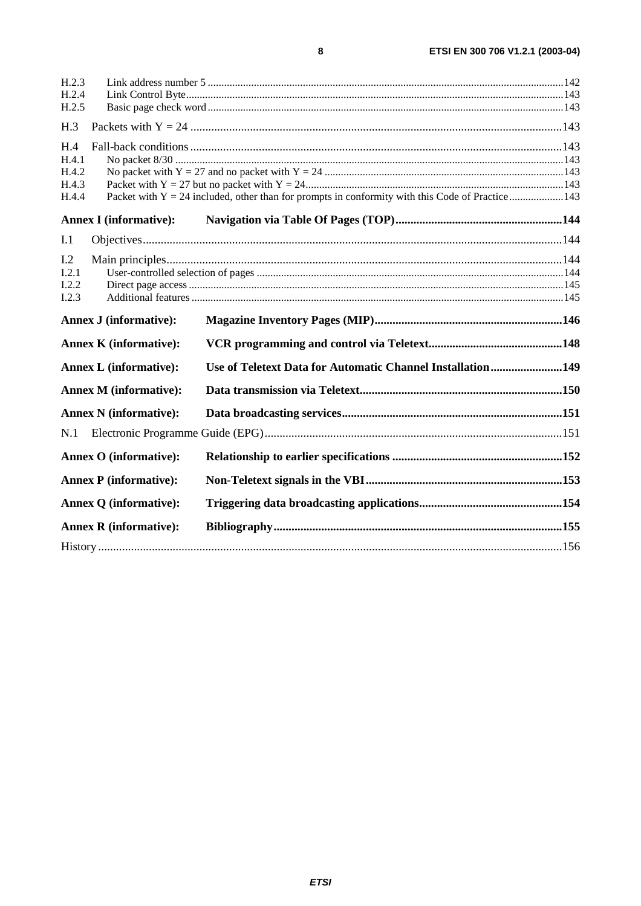| H.2.4<br>H.2.5<br>H.3<br>H.4<br>H.4.1<br>H.4.2<br>H.4.3<br>Packet with $Y = 24$ included, other than for prompts in conformity with this Code of Practice143<br>H.4.4<br><b>Annex I</b> (informative):<br>I.1<br>1.2<br>I.2.1<br>I.2.2<br>I.2.3<br><b>Annex J (informative):</b> |
|----------------------------------------------------------------------------------------------------------------------------------------------------------------------------------------------------------------------------------------------------------------------------------|
|                                                                                                                                                                                                                                                                                  |
|                                                                                                                                                                                                                                                                                  |
|                                                                                                                                                                                                                                                                                  |
|                                                                                                                                                                                                                                                                                  |
|                                                                                                                                                                                                                                                                                  |
|                                                                                                                                                                                                                                                                                  |
|                                                                                                                                                                                                                                                                                  |
|                                                                                                                                                                                                                                                                                  |
|                                                                                                                                                                                                                                                                                  |
|                                                                                                                                                                                                                                                                                  |
|                                                                                                                                                                                                                                                                                  |
|                                                                                                                                                                                                                                                                                  |
|                                                                                                                                                                                                                                                                                  |
|                                                                                                                                                                                                                                                                                  |
| <b>Annex K</b> (informative):                                                                                                                                                                                                                                                    |
| Use of Teletext Data for Automatic Channel Installation149<br><b>Annex L</b> (informative):                                                                                                                                                                                      |
| <b>Annex M (informative):</b>                                                                                                                                                                                                                                                    |
| <b>Annex N</b> (informative):                                                                                                                                                                                                                                                    |
| N.1                                                                                                                                                                                                                                                                              |
| <b>Annex O</b> (informative):                                                                                                                                                                                                                                                    |
| <b>Annex P</b> (informative):                                                                                                                                                                                                                                                    |
| <b>Annex Q</b> (informative):                                                                                                                                                                                                                                                    |
|                                                                                                                                                                                                                                                                                  |
| <b>Annex R</b> (informative):                                                                                                                                                                                                                                                    |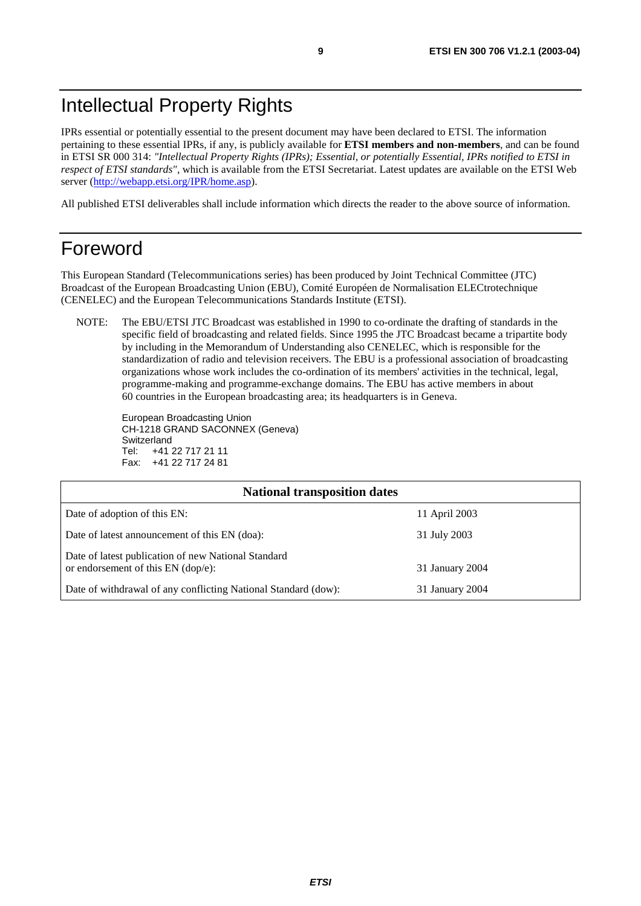# Intellectual Property Rights

IPRs essential or potentially essential to the present document may have been declared to ETSI. The information pertaining to these essential IPRs, if any, is publicly available for **ETSI members and non-members**, and can be found in ETSI SR 000 314: *"Intellectual Property Rights (IPRs); Essential, or potentially Essential, IPRs notified to ETSI in respect of ETSI standards"*, which is available from the ETSI Secretariat. Latest updates are available on the ETSI Web server ([http://webapp.etsi.org/IPR/home.asp\)](http://webapp.etsi.org/IPR/home.asp).

All published ETSI deliverables shall include information which directs the reader to the above source of information.

# Foreword

This European Standard (Telecommunications series) has been produced by Joint Technical Committee (JTC) Broadcast of the European Broadcasting Union (EBU), Comité Européen de Normalisation ELECtrotechnique (CENELEC) and the European Telecommunications Standards Institute (ETSI).

NOTE: The EBU/ETSI JTC Broadcast was established in 1990 to co-ordinate the drafting of standards in the specific field of broadcasting and related fields. Since 1995 the JTC Broadcast became a tripartite body by including in the Memorandum of Understanding also CENELEC, which is responsible for the standardization of radio and television receivers. The EBU is a professional association of broadcasting organizations whose work includes the co-ordination of its members' activities in the technical, legal, programme-making and programme-exchange domains. The EBU has active members in about 60 countries in the European broadcasting area; its headquarters is in Geneva.

European Broadcasting Union CH-1218 GRAND SACONNEX (Geneva) Switzerland Tel: +41 22 717 21 11 Fax: +41 22 717 24 81

| <b>National transposition dates</b>                                                       |                 |  |  |  |
|-------------------------------------------------------------------------------------------|-----------------|--|--|--|
| Date of adoption of this EN:                                                              | 11 April 2003   |  |  |  |
| Date of latest announcement of this EN (doa):                                             | 31 July 2003    |  |  |  |
| Date of latest publication of new National Standard<br>or endorsement of this EN (dop/e): | 31 January 2004 |  |  |  |
| Date of withdrawal of any conflicting National Standard (dow):                            | 31 January 2004 |  |  |  |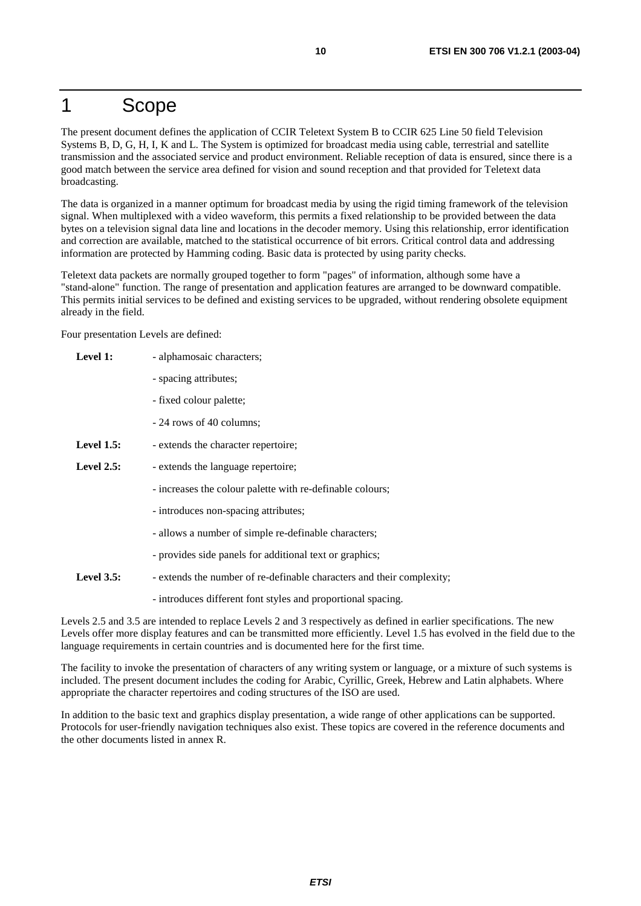### 1 Scope

The present document defines the application of CCIR Teletext System B to CCIR 625 Line 50 field Television Systems B, D, G, H, I, K and L. The System is optimized for broadcast media using cable, terrestrial and satellite transmission and the associated service and product environment. Reliable reception of data is ensured, since there is a good match between the service area defined for vision and sound reception and that provided for Teletext data broadcasting.

The data is organized in a manner optimum for broadcast media by using the rigid timing framework of the television signal. When multiplexed with a video waveform, this permits a fixed relationship to be provided between the data bytes on a television signal data line and locations in the decoder memory. Using this relationship, error identification and correction are available, matched to the statistical occurrence of bit errors. Critical control data and addressing information are protected by Hamming coding. Basic data is protected by using parity checks.

Teletext data packets are normally grouped together to form "pages" of information, although some have a "stand-alone" function. The range of presentation and application features are arranged to be downward compatible. This permits initial services to be defined and existing services to be upgraded, without rendering obsolete equipment already in the field.

Four presentation Levels are defined:

| Level 1:      | - alphamosaic characters;                                             |
|---------------|-----------------------------------------------------------------------|
|               | - spacing attributes;                                                 |
|               | - fixed colour palette;                                               |
|               | - 24 rows of 40 columns;                                              |
| Level $1.5$ : | - extends the character repertoire;                                   |
| Level $2.5$ : | - extends the language repertoire;                                    |
|               | - increases the colour palette with re-definable colours;             |
|               | - introduces non-spacing attributes;                                  |
|               | - allows a number of simple re-definable characters;                  |
|               | - provides side panels for additional text or graphics;               |
| Level $3.5$ : | - extends the number of re-definable characters and their complexity; |
|               | - introduces different font styles and proportional spacing.          |

Levels 2.5 and 3.5 are intended to replace Levels 2 and 3 respectively as defined in earlier specifications. The new Levels offer more display features and can be transmitted more efficiently. Level 1.5 has evolved in the field due to the language requirements in certain countries and is documented here for the first time.

The facility to invoke the presentation of characters of any writing system or language, or a mixture of such systems is included. The present document includes the coding for Arabic, Cyrillic, Greek, Hebrew and Latin alphabets. Where appropriate the character repertoires and coding structures of the ISO are used.

In addition to the basic text and graphics display presentation, a wide range of other applications can be supported. Protocols for user-friendly navigation techniques also exist. These topics are covered in the reference documents and the other documents listed in annex R.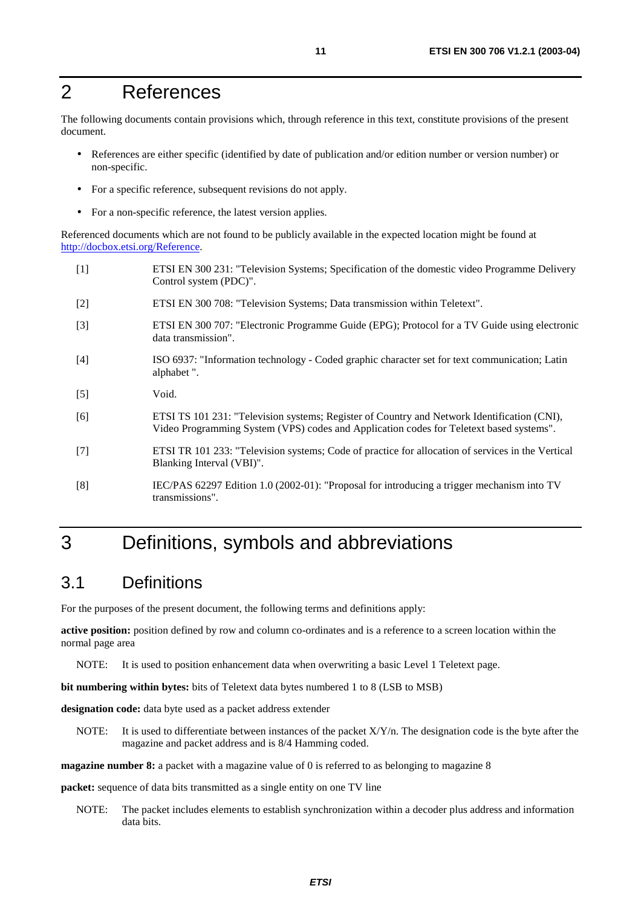# 2 References

The following documents contain provisions which, through reference in this text, constitute provisions of the present document.

- References are either specific (identified by date of publication and/or edition number or version number) or non-specific.
- For a specific reference, subsequent revisions do not apply.
- For a non-specific reference, the latest version applies.

Referenced documents which are not found to be publicly available in the expected location might be found at <http://docbox.etsi.org/Reference>.

- [1] ETSI EN 300 231: "Television Systems; Specification of the domestic video Programme Delivery Control system (PDC)".
- [2] ETSI EN 300 708: "Television Systems; Data transmission within Teletext".
- [3] ETSI EN 300 707: "Electronic Programme Guide (EPG); Protocol for a TV Guide using electronic data transmission".
- [4] ISO 6937: "Information technology Coded graphic character set for text communication; Latin alphabet ".
- [5] Void.
- [6] ETSI TS 101 231: "Television systems; Register of Country and Network Identification (CNI), Video Programming System (VPS) codes and Application codes for Teletext based systems".
- [7] ETSI TR 101 233: "Television systems; Code of practice for allocation of services in the Vertical Blanking Interval (VBI)".
- [8] IEC/PAS 62297 Edition 1.0 (2002-01): "Proposal for introducing a trigger mechanism into TV transmissions".

# 3 Definitions, symbols and abbreviations

### 3.1 Definitions

For the purposes of the present document, the following terms and definitions apply:

**active position:** position defined by row and column co-ordinates and is a reference to a screen location within the normal page area

NOTE: It is used to position enhancement data when overwriting a basic Level 1 Teletext page.

**bit numbering within bytes:** bits of Teletext data bytes numbered 1 to 8 (LSB to MSB)

designation code: data byte used as a packet address extender

NOTE: It is used to differentiate between instances of the packet  $X/Y/n$ . The designation code is the byte after the magazine and packet address and is 8/4 Hamming coded.

**magazine number 8:** a packet with a magazine value of 0 is referred to as belonging to magazine 8

**packet:** sequence of data bits transmitted as a single entity on one TV line

NOTE: The packet includes elements to establish synchronization within a decoder plus address and information data bits.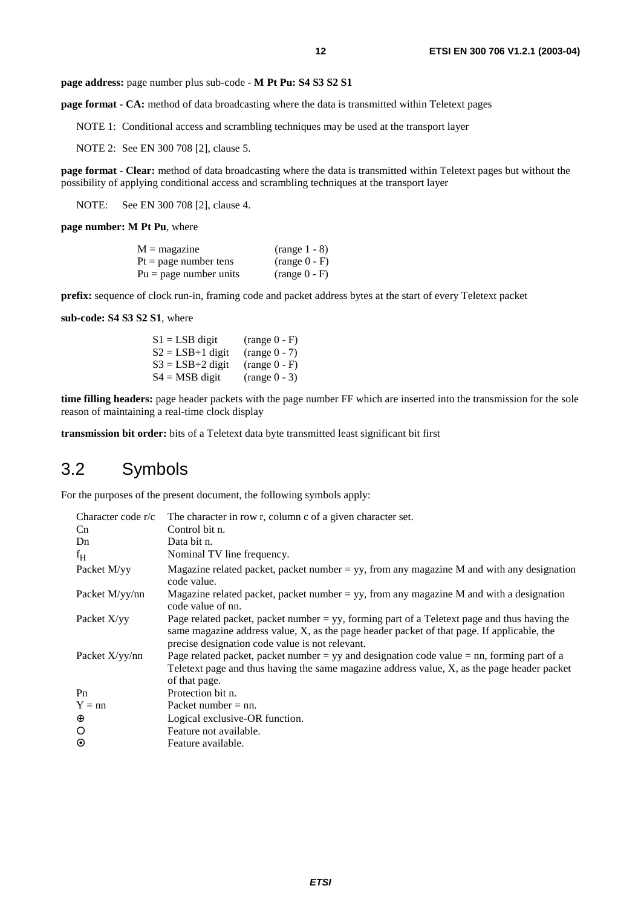**page address:** page number plus sub-code - **M Pt Pu: S4 S3 S2 S1** 

**page format - CA:** method of data broadcasting where the data is transmitted within Teletext pages

NOTE 1: Conditional access and scrambling techniques may be used at the transport layer

NOTE 2: See EN 300 708 [2], clause 5.

**page format - Clear:** method of data broadcasting where the data is transmitted within Teletext pages but without the possibility of applying conditional access and scrambling techniques at the transport layer

NOTE: See EN 300 708 [2], clause 4.

**page number: M Pt Pu**, where

| $M =$ magazine           | $(range 1 - 8)$ |
|--------------------------|-----------------|
| $Pt = page$ number tens  | $(range(0 - F)$ |
| $Pu = page$ number units | $(range 0 - F)$ |

**prefix:** sequence of clock run-in, framing code and packet address bytes at the start of every Teletext packet

**sub-code: S4 S3 S2 S1**, where

 $S1 = LSB$  digit (range 0 - F)  $S2 = LSB+1$  digit (range 0 - 7)  $S3 = LSB + 2$  digit (range 0 - F)  $S4 = MSB$  digit (range 0 - 3)

**time filling headers:** page header packets with the page number FF which are inserted into the transmission for the sole reason of maintaining a real-time clock display

**transmission bit order:** bits of a Teletext data byte transmitted least significant bit first

### 3.2 Symbols

For the purposes of the present document, the following symbols apply:

| Character code r/c    | The character in row r, column c of a given character set.                                                                                                                                                                                       |
|-----------------------|--------------------------------------------------------------------------------------------------------------------------------------------------------------------------------------------------------------------------------------------------|
| Cn                    | Control bit n.                                                                                                                                                                                                                                   |
| Dn                    | Data bit n.                                                                                                                                                                                                                                      |
| $f_{\rm H}$           | Nominal TV line frequency.                                                                                                                                                                                                                       |
| Packet M/yy           | Magazine related packet, packet number = $yy$ , from any magazine M and with any designation<br>code value.                                                                                                                                      |
| Packet M/yy/nn        | Magazine related packet, packet number = $yy$ , from any magazine M and with a designation<br>code value of nn.                                                                                                                                  |
| Packet X/yy           | Page related packet, packet number = $yy$ , forming part of a Teletext page and thus having the<br>same magazine address value, X, as the page header packet of that page. If applicable, the<br>precise designation code value is not relevant. |
| Packet $X\frac{y}{m}$ | Page related packet, packet number = $yy$ and designation code value = nn, forming part of a<br>Teletext page and thus having the same magazine address value, X, as the page header packet<br>of that page.                                     |
| P <sub>n</sub>        | Protection bit n.                                                                                                                                                                                                                                |
| $Y = nn$              | Packet number $=$ nn.                                                                                                                                                                                                                            |
| $\oplus$              | Logical exclusive-OR function.                                                                                                                                                                                                                   |
| $\circ$               | Feature not available.                                                                                                                                                                                                                           |
| $\odot$               | Feature available.                                                                                                                                                                                                                               |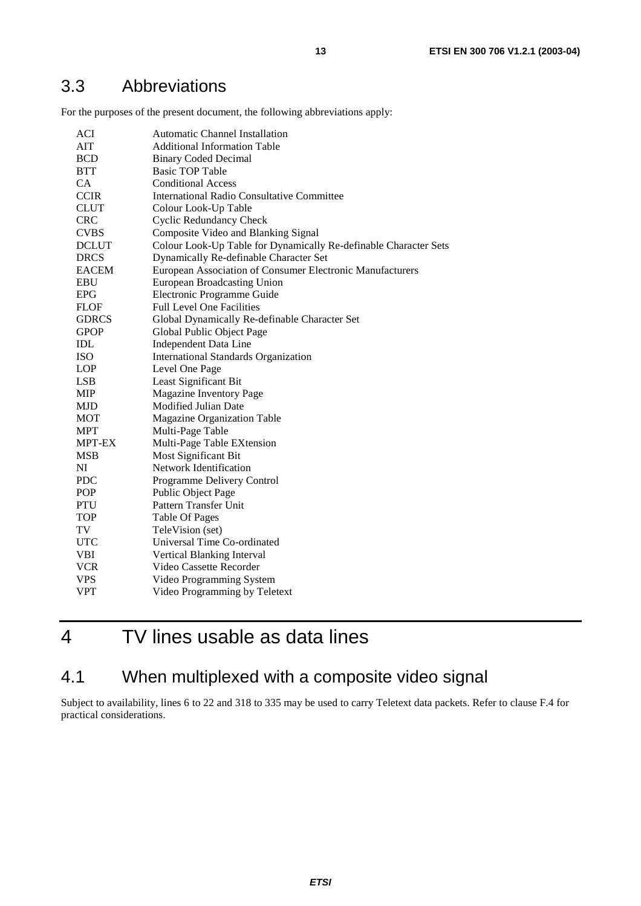### 3.3 Abbreviations

For the purposes of the present document, the following abbreviations apply:

| <b>ACI</b>    | <b>Automatic Channel Installation</b>                            |
|---------------|------------------------------------------------------------------|
| <b>AIT</b>    | <b>Additional Information Table</b>                              |
| <b>BCD</b>    | <b>Binary Coded Decimal</b>                                      |
| <b>BTT</b>    | <b>Basic TOP Table</b>                                           |
| <b>CA</b>     | <b>Conditional Access</b>                                        |
| <b>CCIR</b>   | International Radio Consultative Committee                       |
| <b>CLUT</b>   | Colour Look-Up Table                                             |
| <b>CRC</b>    | <b>Cyclic Redundancy Check</b>                                   |
| <b>CVBS</b>   | Composite Video and Blanking Signal                              |
| <b>DCLUT</b>  | Colour Look-Up Table for Dynamically Re-definable Character Sets |
| <b>DRCS</b>   | Dynamically Re-definable Character Set                           |
| <b>EACEM</b>  | European Association of Consumer Electronic Manufacturers        |
| <b>EBU</b>    | <b>European Broadcasting Union</b>                               |
| <b>EPG</b>    | Electronic Programme Guide                                       |
| <b>FLOF</b>   | <b>Full Level One Facilities</b>                                 |
| <b>GDRCS</b>  | Global Dynamically Re-definable Character Set                    |
| <b>GPOP</b>   | Global Public Object Page                                        |
| <b>IDL</b>    | <b>Independent Data Line</b>                                     |
| <b>ISO</b>    | <b>International Standards Organization</b>                      |
| <b>LOP</b>    | Level One Page                                                   |
| LSB           | Least Significant Bit                                            |
| <b>MIP</b>    | <b>Magazine Inventory Page</b>                                   |
| <b>MJD</b>    | Modified Julian Date                                             |
| <b>MOT</b>    | <b>Magazine Organization Table</b>                               |
| <b>MPT</b>    | Multi-Page Table                                                 |
| <b>MPT-EX</b> | Multi-Page Table EXtension                                       |
| <b>MSB</b>    | Most Significant Bit                                             |
| NI            | Network Identification                                           |
| <b>PDC</b>    | Programme Delivery Control                                       |
| <b>POP</b>    | Public Object Page                                               |
| <b>PTU</b>    | Pattern Transfer Unit                                            |
| <b>TOP</b>    | <b>Table Of Pages</b>                                            |
| TV            | TeleVision (set)                                                 |
| <b>UTC</b>    | Universal Time Co-ordinated                                      |
| <b>VBI</b>    | Vertical Blanking Interval                                       |
| <b>VCR</b>    | Video Cassette Recorder                                          |
| <b>VPS</b>    | Video Programming System                                         |
| <b>VPT</b>    | Video Programming by Teletext                                    |

# 4 TV lines usable as data lines

# 4.1 When multiplexed with a composite video signal

Subject to availability, lines 6 to 22 and 318 to 335 may be used to carry Teletext data packets. Refer to clause F.4 for practical considerations.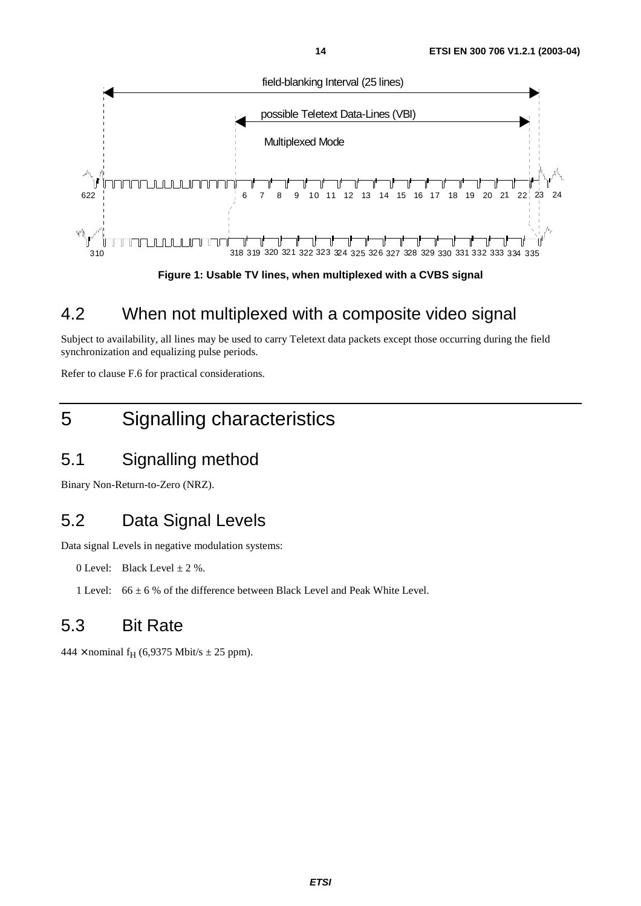

**Figure 1: Usable TV lines, when multiplexed with a CVBS signal** 

### 4.2 When not multiplexed with a composite video signal

Subject to availability, all lines may be used to carry Teletext data packets except those occurring during the field synchronization and equalizing pulse periods.

Refer to clause F.6 for practical considerations.

# 5 Signalling characteristics

# 5.1 Signalling method

Binary Non-Return-to-Zero (NRZ).

# 5.2 Data Signal Levels

Data signal Levels in negative modulation systems:

0 Level: Black Level  $\pm$  2 %.

1 Level:  $66 \pm 6$  % of the difference between Black Level and Peak White Level.

# 5.3 Bit Rate

 $444 \times$  nominal f<sub>H</sub> (6,9375 Mbit/s  $\pm$  25 ppm).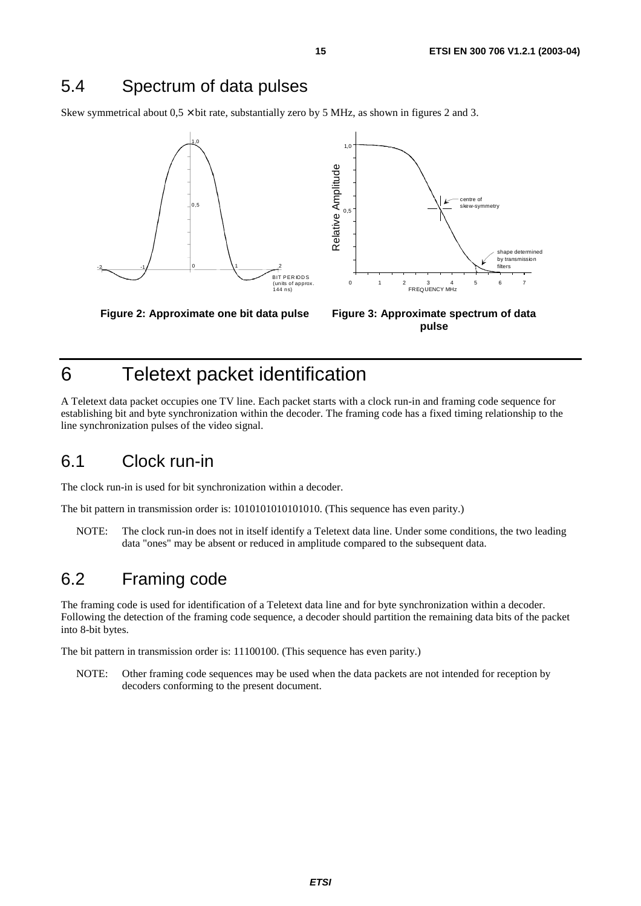### 5.4 Spectrum of data pulses

Skew symmetrical about  $0.5 \times$  bit rate, substantially zero by 5 MHz, as shown in figures 2 and 3.



**Figure 2: Approximate one bit data pulse Figure 3: Approximate spectrum of data pulse** 

# 6 Teletext packet identification

A Teletext data packet occupies one TV line. Each packet starts with a clock run-in and framing code sequence for establishing bit and byte synchronization within the decoder. The framing code has a fixed timing relationship to the line synchronization pulses of the video signal.

### 6.1 Clock run-in

The clock run-in is used for bit synchronization within a decoder.

The bit pattern in transmission order is: 1010101010101010. (This sequence has even parity.)

NOTE: The clock run-in does not in itself identify a Teletext data line. Under some conditions, the two leading data "ones" may be absent or reduced in amplitude compared to the subsequent data.

### 6.2 Framing code

The framing code is used for identification of a Teletext data line and for byte synchronization within a decoder. Following the detection of the framing code sequence, a decoder should partition the remaining data bits of the packet into 8-bit bytes.

The bit pattern in transmission order is: 11100100. (This sequence has even parity.)

NOTE: Other framing code sequences may be used when the data packets are not intended for reception by decoders conforming to the present document.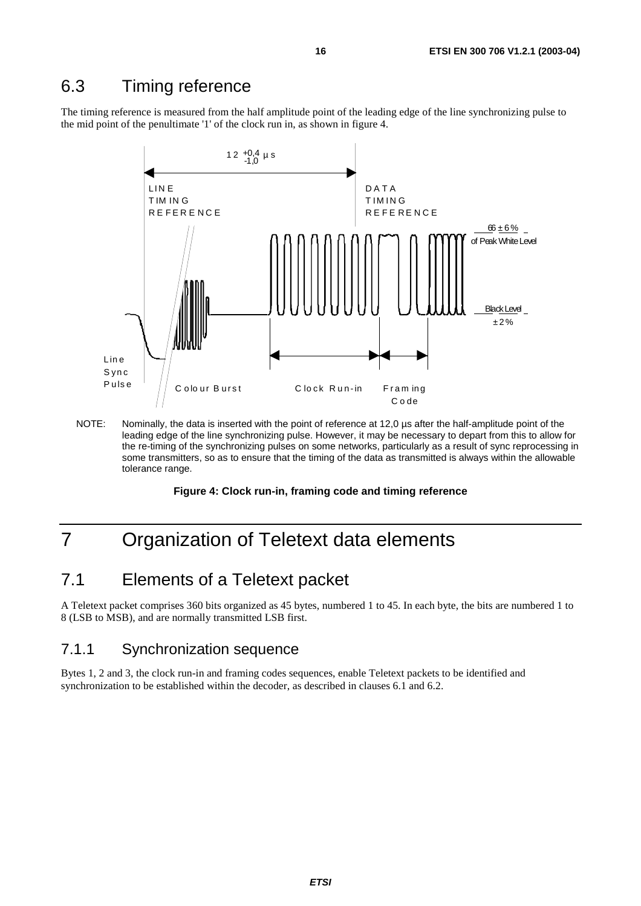### 6.3 Timing reference

The timing reference is measured from the half amplitude point of the leading edge of the line synchronizing pulse to the mid point of the penultimate '1' of the clock run in, as shown in figure 4.



NOTE: Nominally, the data is inserted with the point of reference at 12,0 µs after the half-amplitude point of the leading edge of the line synchronizing pulse. However, it may be necessary to depart from this to allow for the re-timing of the synchronizing pulses on some networks, particularly as a result of sync reprocessing in some transmitters, so as to ensure that the timing of the data as transmitted is always within the allowable tolerance range.

#### **Figure 4: Clock run-in, framing code and timing reference**

# 7 Organization of Teletext data elements

### 7.1 Elements of a Teletext packet

A Teletext packet comprises 360 bits organized as 45 bytes, numbered 1 to 45. In each byte, the bits are numbered 1 to 8 (LSB to MSB), and are normally transmitted LSB first.

#### 7.1.1 Synchronization sequence

Bytes 1, 2 and 3, the clock run-in and framing codes sequences, enable Teletext packets to be identified and synchronization to be established within the decoder, as described in clauses 6.1 and 6.2.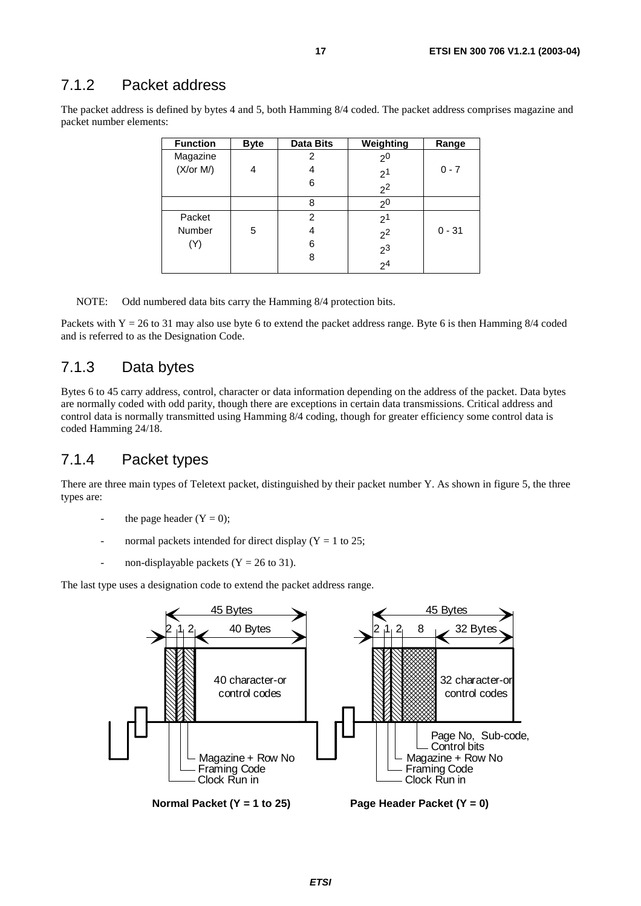#### 7.1.2 Packet address

The packet address is defined by bytes 4 and 5, both Hamming 8/4 coded. The packet address comprises magazine and packet number elements:

| <b>Function</b> | <b>Byte</b> | <b>Data Bits</b> | Weighting      | Range    |
|-----------------|-------------|------------------|----------------|----------|
| Magazine        |             | 2                | 2 <sup>0</sup> |          |
| (X/or M)        | 4           | 4                | 2 <sup>1</sup> | $0 - 7$  |
|                 |             | 6                | 2 <sup>2</sup> |          |
|                 |             | 8                | 2 <sup>0</sup> |          |
| Packet          |             | 2                | 2 <sup>1</sup> |          |
| Number          | 5           | 4                | 2 <sup>2</sup> | $0 - 31$ |
| (Y)             |             | 6                |                |          |
|                 |             | 8                | $2^3$<br>$2^4$ |          |
|                 |             |                  |                |          |

NOTE: Odd numbered data bits carry the Hamming 8/4 protection bits.

Packets with  $Y = 26$  to 31 may also use byte 6 to extend the packet address range. Byte 6 is then Hamming 8/4 coded and is referred to as the Designation Code.

#### 7.1.3 Data bytes

Bytes 6 to 45 carry address, control, character or data information depending on the address of the packet. Data bytes are normally coded with odd parity, though there are exceptions in certain data transmissions. Critical address and control data is normally transmitted using Hamming 8/4 coding, though for greater efficiency some control data is coded Hamming 24/18.

#### 7.1.4 Packet types

There are three main types of Teletext packet, distinguished by their packet number Y. As shown in figure 5, the three types are:

- the page header  $(Y = 0)$ ;
- normal packets intended for direct display ( $Y = 1$  to 25;
- non-displayable packets  $(Y = 26$  to 31).

The last type uses a designation code to extend the packet address range.

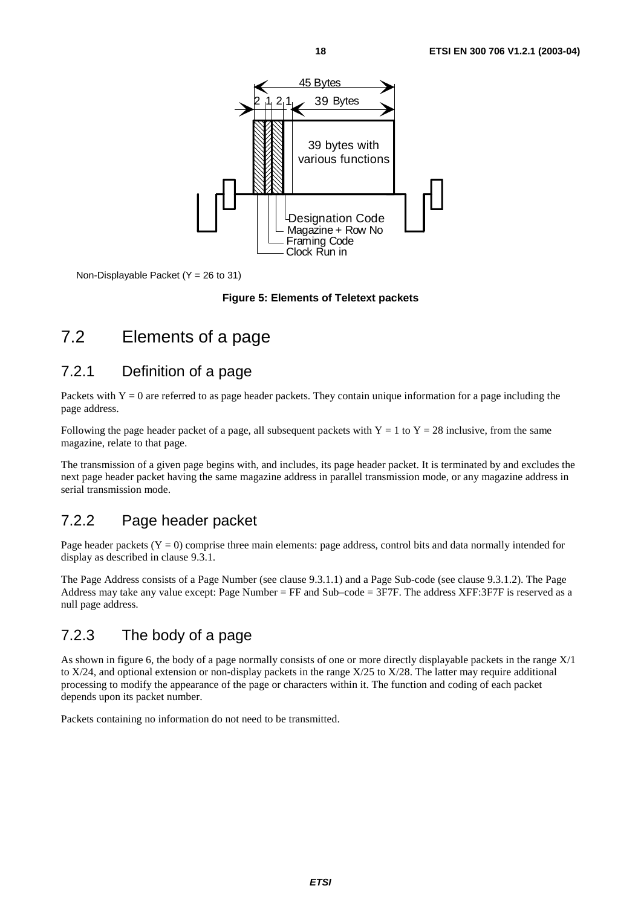

Non-Displayable Packet (Y = 26 to 31)

#### **Figure 5: Elements of Teletext packets**

### 7.2 Elements of a page

#### 7.2.1 Definition of a page

Packets with  $Y = 0$  are referred to as page header packets. They contain unique information for a page including the page address.

Following the page header packet of a page, all subsequent packets with  $Y = 1$  to  $Y = 28$  inclusive, from the same magazine, relate to that page.

The transmission of a given page begins with, and includes, its page header packet. It is terminated by and excludes the next page header packet having the same magazine address in parallel transmission mode, or any magazine address in serial transmission mode.

### 7.2.2 Page header packet

Page header packets  $(Y = 0)$  comprise three main elements: page address, control bits and data normally intended for display as described in clause 9.3.1.

The Page Address consists of a Page Number (see clause 9.3.1.1) and a Page Sub-code (see clause 9.3.1.2). The Page Address may take any value except: Page Number = FF and Sub–code = 3F7F. The address XFF:3F7F is reserved as a null page address.

#### 7.2.3 The body of a page

As shown in figure 6, the body of a page normally consists of one or more directly displayable packets in the range X/1 to X/24, and optional extension or non-display packets in the range X/25 to X/28. The latter may require additional processing to modify the appearance of the page or characters within it. The function and coding of each packet depends upon its packet number.

Packets containing no information do not need to be transmitted.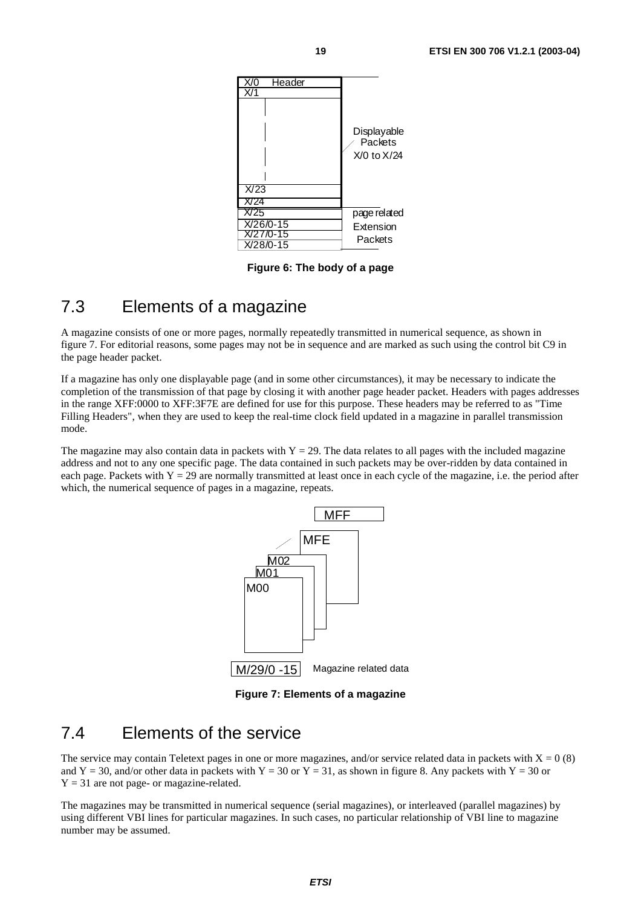

**Figure 6: The body of a page** 

### 7.3 Elements of a magazine

A magazine consists of one or more pages, normally repeatedly transmitted in numerical sequence, as shown in figure 7. For editorial reasons, some pages may not be in sequence and are marked as such using the control bit C9 in the page header packet.

If a magazine has only one displayable page (and in some other circumstances), it may be necessary to indicate the completion of the transmission of that page by closing it with another page header packet. Headers with pages addresses in the range XFF:0000 to XFF:3F7E are defined for use for this purpose. These headers may be referred to as "Time Filling Headers", when they are used to keep the real-time clock field updated in a magazine in parallel transmission mode.

The magazine may also contain data in packets with  $Y = 29$ . The data relates to all pages with the included magazine address and not to any one specific page. The data contained in such packets may be over-ridden by data contained in each page. Packets with  $Y = 29$  are normally transmitted at least once in each cycle of the magazine, i.e. the period after which, the numerical sequence of pages in a magazine, repeats.



**Figure 7: Elements of a magazine** 

### 7.4 Elements of the service

The service may contain Teletext pages in one or more magazines, and/or service related data in packets with  $X = 0$  (8) and Y = 30, and/or other data in packets with Y = 30 or Y = 31, as shown in figure 8. Any packets with Y = 30 or  $Y = 31$  are not page- or magazine-related.

The magazines may be transmitted in numerical sequence (serial magazines), or interleaved (parallel magazines) by using different VBI lines for particular magazines. In such cases, no particular relationship of VBI line to magazine number may be assumed.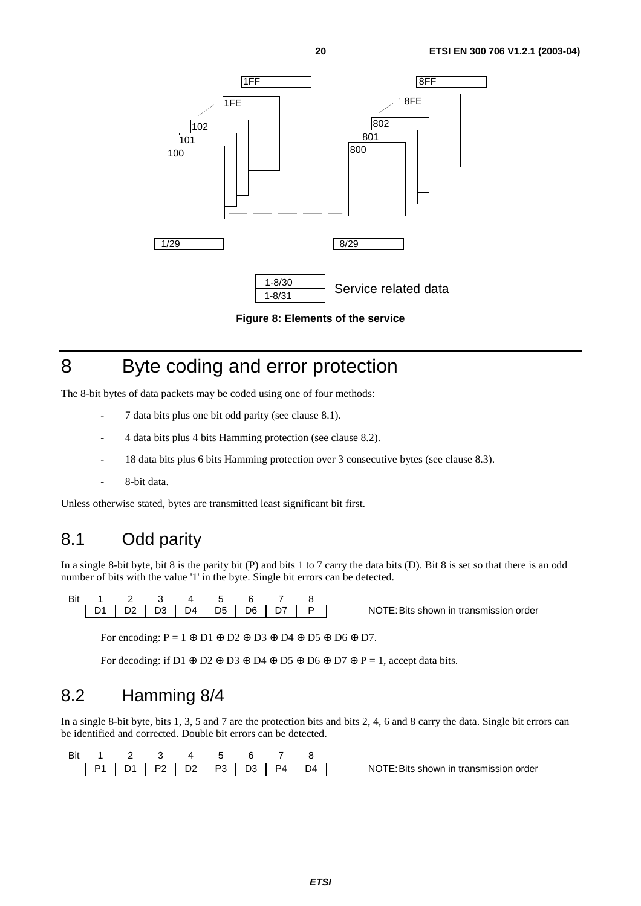

**Figure 8: Elements of the service** 

# 8 Byte coding and error protection

The 8-bit bytes of data packets may be coded using one of four methods:

- 7 data bits plus one bit odd parity (see clause 8.1).
- 4 data bits plus 4 bits Hamming protection (see clause 8.2).
- 18 data bits plus 6 bits Hamming protection over 3 consecutive bytes (see clause 8.3).
- 8-bit data.

Unless otherwise stated, bytes are transmitted least significant bit first.

# 8.1 Odd parity

In a single 8-bit byte, bit 8 is the parity bit (P) and bits 1 to 7 carry the data bits (D). Bit 8 is set so that there is an odd number of bits with the value '1' in the byte. Single bit errors can be detected.

| Rit 1 2 3 4 5 6 7 8                  |  |  |  |  |
|--------------------------------------|--|--|--|--|
| D1   D2   D3   D4   D5   D6   D7   P |  |  |  |  |

NOTE: Bits shown in transmission order

For encoding:  $P = 1 \oplus D1 \oplus D2 \oplus D3 \oplus D4 \oplus D5 \oplus D6 \oplus D7$ .

For decoding: if D1  $\oplus$  D2  $\oplus$  D3  $\oplus$  D4  $\oplus$  D5  $\oplus$  D6  $\oplus$  D7  $\oplus$  P = 1, accept data bits.

### 8.2 Hamming 8/4

In a single 8-bit byte, bits 1, 3, 5 and 7 are the protection bits and bits 2, 4, 6 and 8 carry the data. Single bit errors can be identified and corrected. Double bit errors can be detected.

|  |  |  |  | $P1$   D1   P2   D2   P3   D3   P4   D4 |
|--|--|--|--|-----------------------------------------|

NOTE: Bits shown in transmission order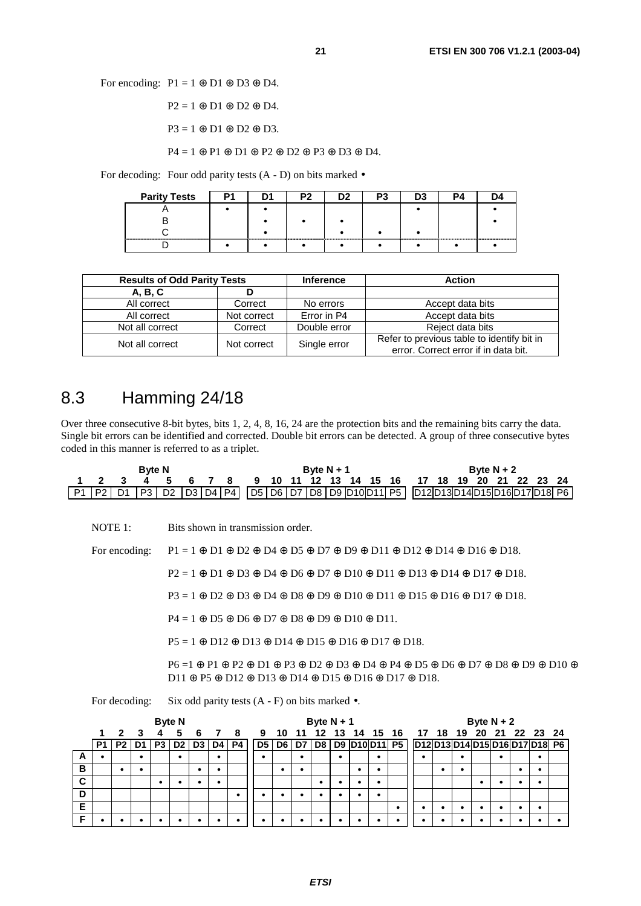For encoding:  $P1 = 1 \oplus D1 \oplus D3 \oplus D4$ .

 $P2 = 1 \oplus D1 \oplus D2 \oplus D4$ .

 $P3 = 1 \oplus D1 \oplus D2 \oplus D3.$ 

P4 = 1 ⊕ P1 ⊕ D1 ⊕ P2 ⊕ D2 ⊕ P3 ⊕ D3 ⊕ D4.

For decoding: Four odd parity tests  $(A - D)$  on bits marked  $\bullet$ 

| <b>Parity Tests</b> |  |  |  |  |
|---------------------|--|--|--|--|
|                     |  |  |  |  |
|                     |  |  |  |  |
|                     |  |  |  |  |
|                     |  |  |  |  |

| <b>Results of Odd Parity Tests</b> |             | <b>Inference</b> | <b>Action</b>                                                                      |  |  |  |  |
|------------------------------------|-------------|------------------|------------------------------------------------------------------------------------|--|--|--|--|
| A, B, C                            |             |                  |                                                                                    |  |  |  |  |
| All correct                        | Correct     | No errors        | Accept data bits                                                                   |  |  |  |  |
| All correct                        | Not correct | Error in P4      | Accept data bits                                                                   |  |  |  |  |
| Not all correct                    | Correct     | Double error     | Reject data bits                                                                   |  |  |  |  |
| Not all correct                    | Not correct | Single error     | Refer to previous table to identify bit in<br>error. Correct error if in data bit. |  |  |  |  |

### 8.3 Hamming 24/18

Over three consecutive 8-bit bytes, bits 1, 2, 4, 8, 16, 24 are the protection bits and the remaining bits carry the data. Single bit errors can be identified and corrected. Double bit errors can be detected. A group of three consecutive bytes coded in this manner is referred to as a triplet.

| <b>Byte N</b> |  |                                                                                                                                                                                                                         |  |  | Byte $N + 1$ |  |  |  |  | Byte $N + 2$ |  |  |  |  |  |  |  |  |  |  |
|---------------|--|-------------------------------------------------------------------------------------------------------------------------------------------------------------------------------------------------------------------------|--|--|--------------|--|--|--|--|--------------|--|--|--|--|--|--|--|--|--|--|
|               |  | 1 2 3 4 5 6 7 8 9 10 11 12 13 14 15 16 17 18 19 20 21 22 23 24                                                                                                                                                          |  |  |              |  |  |  |  |              |  |  |  |  |  |  |  |  |  |  |
|               |  | $\boxed{P1 \mid P2 \mid D1 \mid P3 \mid D2 \mid D3 \mid D4 \mid P4}$ $\boxed{D5 \mid D6 \mid D7 \mid D8 \mid D9 \mid D10 \mid D11 \mid P5}$ $\boxed{D12 \mid D13 \mid D14 \mid D15 \mid D16 \mid D17 \mid D18 \mid P6}$ |  |  |              |  |  |  |  |              |  |  |  |  |  |  |  |  |  |  |

NOTE 1: Bits shown in transmission order.

For encoding:  $P1 = 1 \oplus D1 \oplus D2 \oplus D4 \oplus D5 \oplus D7 \oplus D9 \oplus D11 \oplus D12 \oplus D14 \oplus D16 \oplus D18$ .

P2 = 1 ⊕ D1 ⊕ D3 ⊕ D4 ⊕ D6 ⊕ D7 ⊕ D10 ⊕ D11 ⊕ D13 ⊕ D14 ⊕ D17 ⊕ D18.

P3 = 1 ⊕ D2 ⊕ D3 ⊕ D4 ⊕ D8 ⊕ D9 ⊕ D10 ⊕ D11 ⊕ D15 ⊕ D16 ⊕ D17 ⊕ D18.

 $P4 = 1 \oplus D5 \oplus D6 \oplus D7 \oplus D8 \oplus D9 \oplus D10 \oplus D11.$ 

P5 = 1 ⊕ D12 ⊕ D13 ⊕ D14 ⊕ D15 ⊕ D16 ⊕ D17 ⊕ D18.

 P6 =1 ⊕ P1 ⊕ P2 ⊕ D1 ⊕ P3 ⊕ D2 ⊕ D3 ⊕ D4 ⊕ P4 ⊕ D5 ⊕ D6 ⊕ D7 ⊕ D8 ⊕ D9 ⊕ D10 ⊕ D11 ⊕ P5 ⊕ D12 ⊕ D13 ⊕ D14 ⊕ D15 ⊕ D16 ⊕ D17 ⊕ D18.

For decoding: Six odd parity tests  $(A - F)$  on bits marked  $\bullet$ .

|   | <b>Byte N</b> |                         |      |                |                |    |             |    | Byte $N + 1$ |    |           |    |  | Byte $N + 2$ |           |  |  |   |           |   |           |   |                                              |  |
|---|---------------|-------------------------|------|----------------|----------------|----|-------------|----|--------------|----|-----------|----|--|--------------|-----------|--|--|---|-----------|---|-----------|---|----------------------------------------------|--|
|   |               | $\overline{\mathbf{z}}$ |      |                |                |    | 3 4 5 6 7 8 |    | 9            |    | 10 11     |    |  |              |           |  |  |   |           |   |           |   | 12 13 14 15 16 17 18 19 20 21 22 23 24       |  |
|   | P1            | P <sub>2</sub>          | D1 I | P <sub>3</sub> | D <sub>2</sub> | D3 | D4          | P4 | D5           | D6 | D7        | D8 |  |              |           |  |  |   |           |   |           |   | D9 D10 D11 P5 D12 D13 D14 D15 D16 D17 D18 P6 |  |
| A |               |                         | ٠    |                |                |    |             |    | ٠            |    | $\bullet$ |    |  |              |           |  |  |   | ٠         |   | $\bullet$ |   | ٠                                            |  |
| В |               |                         | ٠    |                |                | ٠  | ٠           |    |              |    | $\bullet$ |    |  | $\bullet$    |           |  |  | ٠ | $\bullet$ |   |           | ٠ | $\bullet$                                    |  |
| C |               |                         |      | ٠              |                |    |             |    |              |    |           | ٠  |  |              | $\bullet$ |  |  |   |           | ٠ |           |   | $\bullet$                                    |  |
| D |               |                         |      |                |                |    |             | ٠  |              |    |           |    |  |              |           |  |  |   |           |   |           |   |                                              |  |
| E |               |                         |      |                |                |    |             |    |              |    |           |    |  |              |           |  |  |   | $\bullet$ |   |           |   |                                              |  |
|   |               |                         |      |                |                |    |             | ٠  | $\bullet$    |    | $\bullet$ |    |  |              |           |  |  |   |           |   |           |   |                                              |  |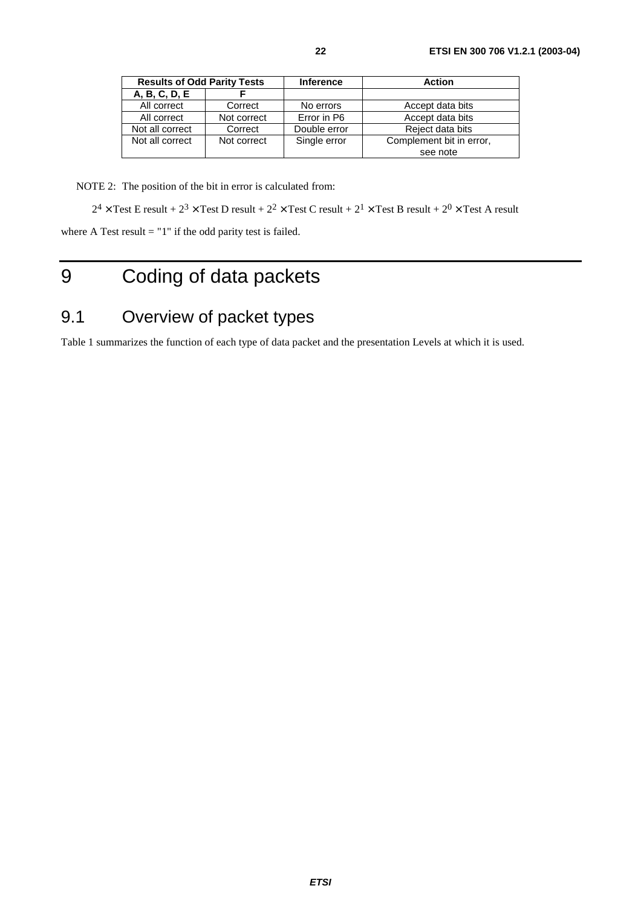| <b>Results of Odd Parity Tests</b> |             | <b>Inference</b> | <b>Action</b>            |
|------------------------------------|-------------|------------------|--------------------------|
| A, B, C, D, E                      |             |                  |                          |
| All correct                        | Correct     | No errors        | Accept data bits         |
| All correct                        | Not correct | Error in P6      | Accept data bits         |
| Not all correct                    | Correct     | Double error     | Reject data bits         |
| Not all correct                    | Not correct | Single error     | Complement bit in error, |
|                                    |             |                  | see note                 |

NOTE 2: The position of the bit in error is calculated from:

 $2^4 \times$  Test E result +  $2^3 \times$  Test D result +  $2^2 \times$  Test C result +  $2^1 \times$  Test B result +  $2^0 \times$  Test A result

where A Test result  $=$  "1" if the odd parity test is failed.

# 9 Coding of data packets

# 9.1 Overview of packet types

Table 1 summarizes the function of each type of data packet and the presentation Levels at which it is used.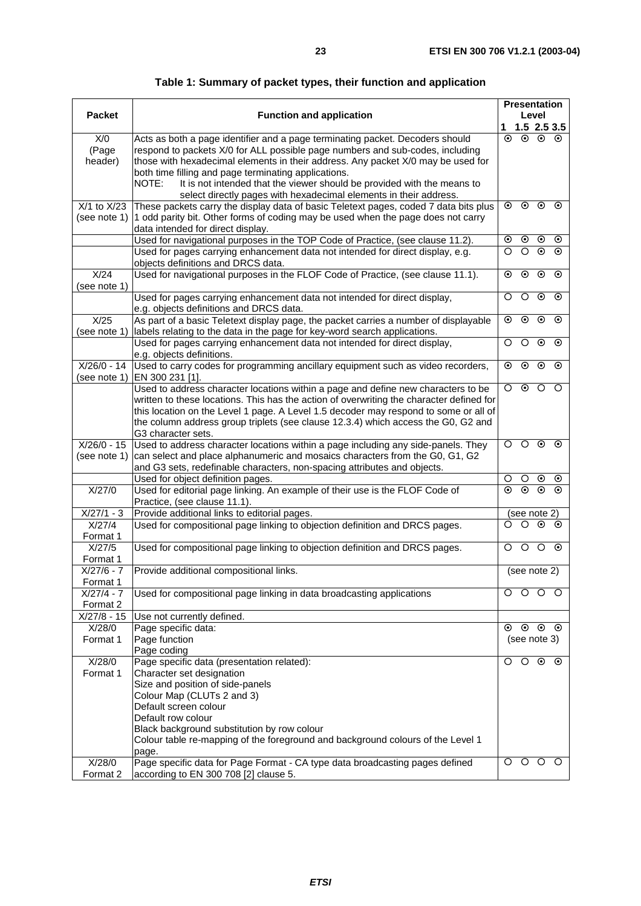| rapic 1. Odminiary or packet types, their function and application                   |         |                     |                         |         |
|--------------------------------------------------------------------------------------|---------|---------------------|-------------------------|---------|
|                                                                                      |         | <b>Presentation</b> |                         |         |
| <b>Function and application</b>                                                      |         |                     | Level                   |         |
|                                                                                      | 1       | 1.5 2.5 3.5         |                         |         |
| Acts as both a page identifier and a page terminating packet. Decoders should        | $\odot$ |                     | $\odot$ $\odot$ $\odot$ |         |
| respond to packets X/0 for ALL possible page numbers and sub-codes, including        |         |                     |                         |         |
| those with hexadecimal elements in their address. Any packet X/0 may be used for     |         |                     |                         |         |
| both time filling and page terminating applications.                                 |         |                     |                         |         |
| It is not intended that the viewer should be provided with the means to<br>NOTE:     |         |                     |                         |         |
| select directly pages with hexadecimal elements in their address.                    |         |                     |                         |         |
| These packets carry the display data of basic Teletext pages, coded 7 data bits plus | $\odot$ | $\odot$             | $\odot$                 | $\odot$ |
| 1 odd parity bit. Other forms of coding may be used when the page does not carry     |         |                     |                         |         |
| data intended for direct display.                                                    |         |                     |                         |         |
| Used for navigational purposes in the TOP Code of Practice, (see clause 11.2).       | ⊙       | $\odot$             | $\odot$                 | $\odot$ |
| Used for pages carrying enhancement data not intended for direct display, e.g.       | Ω       | O                   | $\odot$                 | $\odot$ |
| objects definitions and DRCS data.                                                   |         |                     |                         |         |
| Used for navigational purposes in the FLOF Code of Practice, (see clause 11.1).      | ⊙       | $\odot$             | $\odot$                 | $\odot$ |
|                                                                                      |         |                     |                         |         |
| Used for pages carrying enhancement data not intended for direct display,            | O       | ∩                   | $\odot$                 | $\odot$ |
| e.g. objects definitions and DRCS data.                                              |         |                     |                         |         |
| As part of a basic Teletext display page, the packet carries a number of displayable | $\odot$ | $\odot$             | $\odot$                 | $\odot$ |
| labels relating to the data in the page for key-word search applications.            |         |                     |                         |         |
| Used for pages carrying enhancement data not intended for direct display,            | O       | ∩                   | $\odot$                 | $\odot$ |
| e.g. objects definitions.                                                            |         |                     |                         |         |
| Used to carry codes for programming ancillary equipment such as video recorders,     | ⊙       | $\odot$             | ⊙                       | $\odot$ |
| EN 300 231 [1].                                                                      |         |                     |                         |         |

**Table 1: Summary of packet types, their function and application** 

**Packet** 

X/0 (Page header)

| $X/1$ to $X/23$<br>(see note 1) | These packets carry the display data of basic Teletext pages, coded 7 data bits plus<br>1 odd parity bit. Other forms of coding may be used when the page does not carry |         | $\circ\,\,\circ\,\,\circ$     |                       |                    |
|---------------------------------|--------------------------------------------------------------------------------------------------------------------------------------------------------------------------|---------|-------------------------------|-----------------------|--------------------|
|                                 | data intended for direct display.                                                                                                                                        |         |                               |                       |                    |
|                                 | Used for navigational purposes in the TOP Code of Practice, (see clause 11.2).                                                                                           | ⊙       | $_{\odot}$                    | $\odot$               | $\odot$            |
|                                 | Used for pages carrying enhancement data not intended for direct display, e.g.<br>objects definitions and DRCS data.                                                     | O       | $\circ$                       | $\odot$               | $\odot$            |
| X/24<br>(see note 1)            | Used for navigational purposes in the FLOF Code of Practice, (see clause 11.1).                                                                                          | ⊙       | $_{\odot}$                    | $_{\odot}$            | $\odot$            |
|                                 | Used for pages carrying enhancement data not intended for direct display,                                                                                                | O       | $\circ$                       | $\odot$               | $\odot$            |
|                                 | e.g. objects definitions and DRCS data.                                                                                                                                  |         |                               |                       |                    |
| X/25<br>(see note 1)            | As part of a basic Teletext display page, the packet carries a number of displayable<br>labels relating to the data in the page for key-word search applications.        | $\odot$ | $\odot$                       | $\odot$               | $\odot$            |
|                                 | Used for pages carrying enhancement data not intended for direct display,                                                                                                | O       | $\circ$                       | $\odot$               | $\odot$            |
|                                 | e.g. objects definitions.                                                                                                                                                |         |                               |                       |                    |
| $X/26/0 - 14$<br>(see note 1)   | Used to carry codes for programming ancillary equipment such as video recorders,<br>EN 300 231 [1].                                                                      | ⊙       | $_{\odot}$                    | $\odot$               | $\odot$            |
|                                 | Used to address character locations within a page and define new characters to be                                                                                        | $\circ$ | $\odot$                       | $\circ$               | $\circ$            |
|                                 | written to these locations. This has the action of overwriting the character defined for                                                                                 |         |                               |                       |                    |
|                                 | this location on the Level 1 page. A Level 1.5 decoder may respond to some or all of                                                                                     |         |                               |                       |                    |
|                                 | the column address group triplets (see clause 12.3.4) which access the G0, G2 and                                                                                        |         |                               |                       |                    |
|                                 | G3 character sets.                                                                                                                                                       |         |                               |                       |                    |
| $X/26/0 - 15$                   | Used to address character locations within a page including any side-panels. They                                                                                        | O       | $\circ$                       | $\odot$               | $\odot$            |
| (see note 1)                    | can select and place alphanumeric and mosaics characters from the G0, G1, G2                                                                                             |         |                               |                       |                    |
|                                 | and G3 sets, redefinable characters, non-spacing attributes and objects.                                                                                                 |         |                               |                       |                    |
| X/27/0                          | Used for object definition pages.                                                                                                                                        | O<br>⊙  | $\circ$<br>$\overline{\odot}$ | $_{\odot}$<br>$\odot$ | $\odot$<br>$\odot$ |
|                                 | Used for editorial page linking. An example of their use is the FLOF Code of<br>Practice, (see clause 11.1).                                                             |         |                               |                       |                    |
| $X/27/1 - 3$                    | Provide additional links to editorial pages.                                                                                                                             |         | (see note 2)                  |                       |                    |
| X/27/4                          | Used for compositional page linking to objection definition and DRCS pages.                                                                                              | O       | $\circ$                       | $\odot$               | $\odot$            |
| Format 1                        |                                                                                                                                                                          |         |                               |                       |                    |
| X/27/5                          | Used for compositional page linking to objection definition and DRCS pages.                                                                                              | O       | $\circ$                       | $\circ$               | $\odot$            |
| Format 1                        |                                                                                                                                                                          |         |                               |                       |                    |
| $X/27/6 - 7$                    | Provide additional compositional links.                                                                                                                                  |         | (see note 2)                  |                       |                    |
| Format 1                        |                                                                                                                                                                          |         |                               |                       |                    |
| $X/27/4 - 7$                    | Used for compositional page linking in data broadcasting applications                                                                                                    | О       | O                             | O                     | $\circ$            |
| Format 2                        |                                                                                                                                                                          |         |                               |                       |                    |
| $X/27/8 - 15$                   | Use not currently defined.                                                                                                                                               |         |                               |                       |                    |
| X/28/0                          | Page specific data:                                                                                                                                                      | ⊙       | $\odot$                       | $\odot$               | $\odot$            |
| Format 1                        | Page function                                                                                                                                                            |         | (see note 3)                  |                       |                    |
|                                 |                                                                                                                                                                          |         |                               |                       | $\odot$            |
|                                 | Page coding                                                                                                                                                              |         |                               |                       |                    |
| X/28/0                          | Page specific data (presentation related):                                                                                                                               | O       | $\circ$                       | $\odot$               |                    |
| Format 1                        | Character set designation                                                                                                                                                |         |                               |                       |                    |
|                                 | Size and position of side-panels                                                                                                                                         |         |                               |                       |                    |
|                                 | Colour Map (CLUTs 2 and 3)                                                                                                                                               |         |                               |                       |                    |
|                                 | Default screen colour                                                                                                                                                    |         |                               |                       |                    |
|                                 | Default row colour                                                                                                                                                       |         |                               |                       |                    |
|                                 | Black background substitution by row colour                                                                                                                              |         |                               |                       |                    |
|                                 | Colour table re-mapping of the foreground and background colours of the Level 1                                                                                          |         |                               |                       |                    |
| X/28/0                          | page.                                                                                                                                                                    | O       | $\circ$                       | $\circ$               | $\circ$            |
| Format 2                        | Page specific data for Page Format - CA type data broadcasting pages defined<br>according to EN 300 708 [2] clause 5.                                                    |         |                               |                       |                    |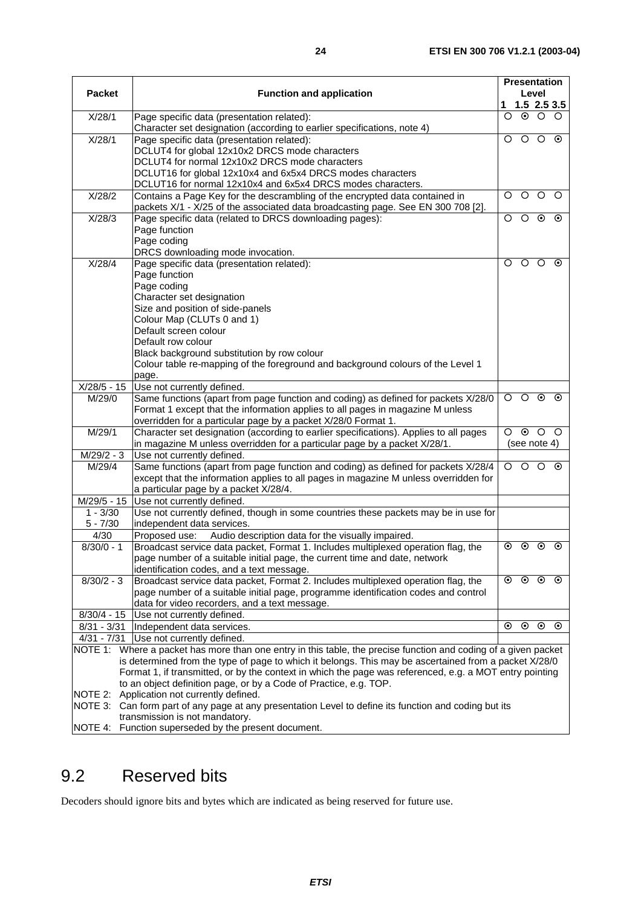|                           |                                                                                                                                             |           |         | <b>Presentation</b> |               |
|---------------------------|---------------------------------------------------------------------------------------------------------------------------------------------|-----------|---------|---------------------|---------------|
| <b>Packet</b>             | <b>Function and application</b>                                                                                                             |           | Level   |                     |               |
|                           |                                                                                                                                             | 1         |         |                     | $1.5$ 2.5 3.5 |
| X/28/1                    | Page specific data (presentation related):                                                                                                  | $\circ$   | $\odot$ | $\circ$             | $\circ$       |
|                           | Character set designation (according to earlier specifications, note 4)                                                                     |           |         |                     |               |
| X/28/1                    | Page specific data (presentation related):                                                                                                  | O         | $\circ$ | $\circ$             | $\odot$       |
|                           | DCLUT4 for global 12x10x2 DRCS mode characters                                                                                              |           |         |                     |               |
|                           | DCLUT4 for normal 12x10x2 DRCS mode characters                                                                                              |           |         |                     |               |
|                           | DCLUT16 for global 12x10x4 and 6x5x4 DRCS modes characters                                                                                  |           |         |                     |               |
|                           | DCLUT16 for normal 12x10x4 and 6x5x4 DRCS modes characters.                                                                                 |           |         |                     |               |
| X/28/2                    | Contains a Page Key for the descrambling of the encrypted data contained in                                                                 | O         | $\circ$ | $\circ$             | $\circ$       |
| X/28/3                    | packets X/1 - X/25 of the associated data broadcasting page. See EN 300 708 [2].<br>Page specific data (related to DRCS downloading pages): | O         | $\circ$ | $\odot$             | $\odot$       |
|                           | Page function                                                                                                                               |           |         |                     |               |
|                           | Page coding                                                                                                                                 |           |         |                     |               |
|                           | DRCS downloading mode invocation.                                                                                                           |           |         |                     |               |
| X/28/4                    | Page specific data (presentation related):                                                                                                  | O         | $\circ$ | $\circ$             | $\odot$       |
|                           | Page function                                                                                                                               |           |         |                     |               |
|                           | Page coding                                                                                                                                 |           |         |                     |               |
|                           | Character set designation                                                                                                                   |           |         |                     |               |
|                           | Size and position of side-panels                                                                                                            |           |         |                     |               |
|                           | Colour Map (CLUTs 0 and 1)                                                                                                                  |           |         |                     |               |
|                           | Default screen colour                                                                                                                       |           |         |                     |               |
|                           | Default row colour                                                                                                                          |           |         |                     |               |
|                           | Black background substitution by row colour                                                                                                 |           |         |                     |               |
|                           | Colour table re-mapping of the foreground and background colours of the Level 1                                                             |           |         |                     |               |
|                           | page.                                                                                                                                       |           |         |                     |               |
| $X/28/5 - 15$             | Use not currently defined.                                                                                                                  |           |         |                     |               |
| M/29/0                    | Same functions (apart from page function and coding) as defined for packets X/28/0                                                          | $\circ$   | $\circ$ | $\odot$             | $\odot$       |
|                           | Format 1 except that the information applies to all pages in magazine M unless                                                              |           |         |                     |               |
|                           | overridden for a particular page by a packet X/28/0 Format 1.                                                                               |           |         |                     |               |
| M/29/1                    | Character set designation (according to earlier specifications). Applies to all pages                                                       | $\Omega$  | $\odot$ | $\circ$             | $\circ$       |
|                           | in magazine M unless overridden for a particular page by a packet X/28/1.                                                                   |           |         | (see note 4)        |               |
| M/29/2 - 3                | Use not currently defined.                                                                                                                  |           |         |                     |               |
| $\overline{M}/29/4$       | Same functions (apart from page function and coding) as defined for packets X/28/4                                                          | $\circ$   | $\circ$ | $\circ$             | $\odot$       |
|                           | except that the information applies to all pages in magazine M unless overridden for                                                        |           |         |                     |               |
|                           | a particular page by a packet X/28/4.                                                                                                       |           |         |                     |               |
| M/29/5 - 15<br>$1 - 3/30$ | Use not currently defined.                                                                                                                  |           |         |                     |               |
| $5 - 7/30$                | Use not currently defined, though in some countries these packets may be in use for<br>independent data services.                           |           |         |                     |               |
| 4/30                      | Audio description data for the visually impaired.<br>Proposed use:                                                                          |           |         |                     |               |
| $8/30/0 - 1$              | Broadcast service data packet, Format 1. Includes multiplexed operation flag, the                                                           | $\bullet$ |         | $\circ$ $\circ$     | $\odot$       |
|                           | page number of a suitable initial page, the current time and date, network                                                                  |           |         |                     |               |
|                           | identification codes, and a text message.                                                                                                   |           |         |                     |               |
| $8/30/2 - 3$              | Broadcast service data packet, Format 2. Includes multiplexed operation flag, the                                                           | $\odot$   | $\odot$ | $\odot$             | $\odot$       |
|                           | page number of a suitable initial page, programme identification codes and control                                                          |           |         |                     |               |
|                           | data for video recorders, and a text message.                                                                                               |           |         |                     |               |
|                           | 8/30/4 - 15   Use not currently defined.                                                                                                    |           |         |                     |               |
|                           | 8/31 - 3/31   Independent data services.                                                                                                    | ⊙         | $\odot$ | $_{\odot}$          | $\odot$       |
| $4/31 - 7/31$             | Use not currently defined.                                                                                                                  |           |         |                     |               |
|                           | NOTE 1: Where a packet has more than one entry in this table, the precise function and coding of a given packet                             |           |         |                     |               |
|                           | is determined from the type of page to which it belongs. This may be ascertained from a packet X/28/0                                       |           |         |                     |               |
|                           | Format 1, if transmitted, or by the context in which the page was referenced, e.g. a MOT entry pointing                                     |           |         |                     |               |
|                           | to an object definition page, or by a Code of Practice, e.g. TOP.                                                                           |           |         |                     |               |
| NOTE 2:                   | Application not currently defined.                                                                                                          |           |         |                     |               |
|                           | NOTE 3: Can form part of any page at any presentation Level to define its function and coding but its                                       |           |         |                     |               |
|                           | transmission is not mandatory.                                                                                                              |           |         |                     |               |
|                           | NOTE 4: Function superseded by the present document.                                                                                        |           |         |                     |               |

# 9.2 Reserved bits

Decoders should ignore bits and bytes which are indicated as being reserved for future use.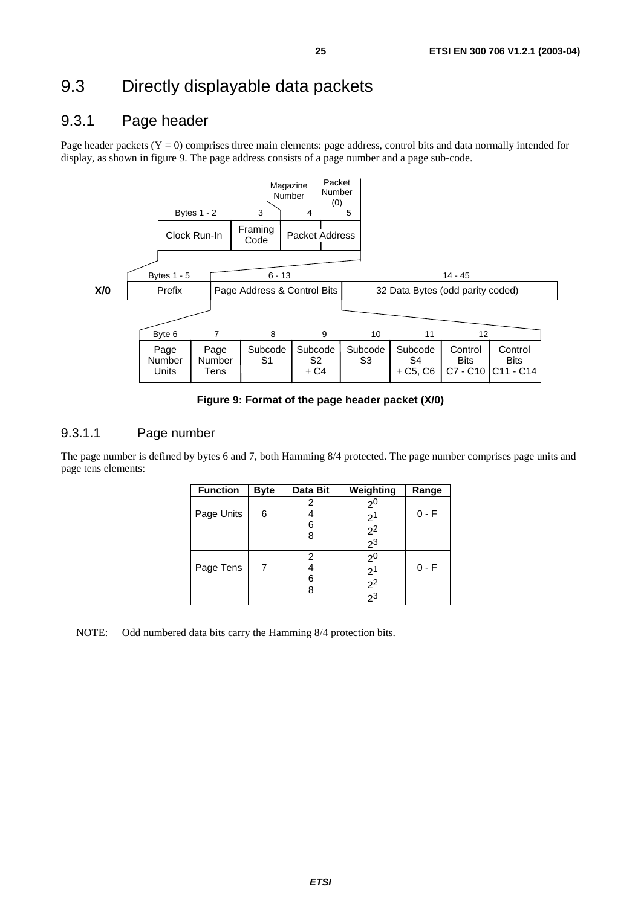# 9.3 Directly displayable data packets

### 9.3.1 Page header

Page header packets  $(Y = 0)$  comprises three main elements: page address, control bits and data normally intended for display, as shown in figure 9. The page address consists of a page number and a page sub-code.



**Figure 9: Format of the page header packet (X/0)** 

#### 9.3.1.1 Page number

The page number is defined by bytes 6 and 7, both Hamming 8/4 protected. The page number comprises page units and page tens elements:

| <b>Function</b> | <b>Byte</b> | Data Bit    | Weighting                                                          | Range   |
|-----------------|-------------|-------------|--------------------------------------------------------------------|---------|
| Page Units      | 6           | 2<br>6<br>8 | 2 <sup>0</sup><br>$\begin{array}{c} 2^1 \\ 2^2 \\ 2^3 \end{array}$ | $0 - F$ |
| Page Tens       |             | 2<br>6      | 2 <sup>0</sup><br>$\frac{2^1}{2^2}$                                | $0 - F$ |

NOTE: Odd numbered data bits carry the Hamming 8/4 protection bits.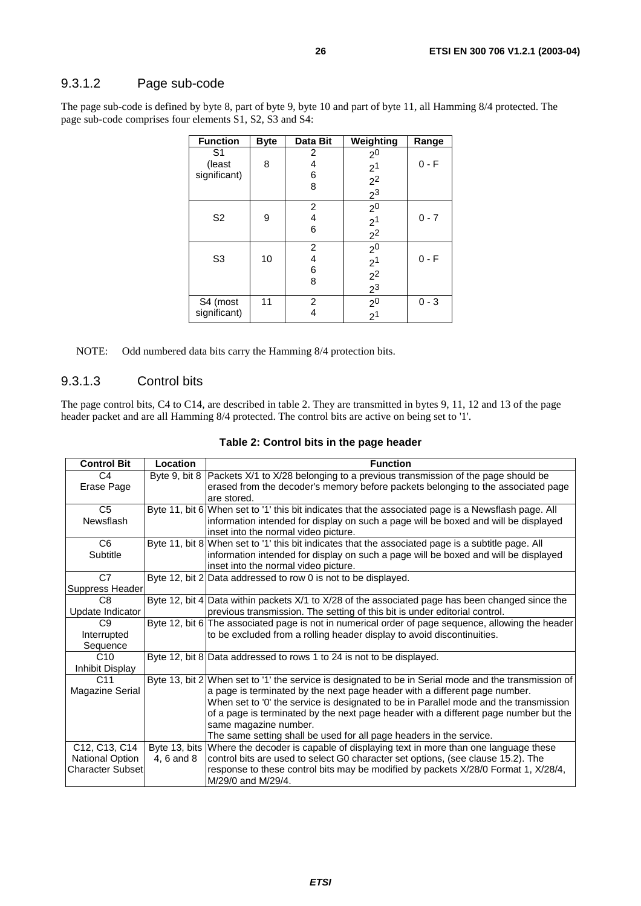#### 9.3.1.2 Page sub-code

The page sub-code is defined by byte 8, part of byte 9, byte 10 and part of byte 11, all Hamming 8/4 protected. The page sub-code comprises four elements S1, S2, S3 and S4:

| <b>Function</b>                          | <b>Byte</b> | Data Bit         | Weighting                                      | Range   |
|------------------------------------------|-------------|------------------|------------------------------------------------|---------|
| S <sub>1</sub><br>(least<br>significant) | 8           | 2<br>4<br>6<br>8 | 2 <sup>0</sup><br>$\frac{2^1}{2^2}$            | $0 - F$ |
| S <sub>2</sub>                           | 9           | 2<br>4<br>6      | $\overline{2^0}$<br>$\frac{1}{2}$ <sup>1</sup> | $0 - 7$ |
| S <sub>3</sub>                           | 10          | 2<br>4<br>6<br>8 | 2 <sup>0</sup><br>$\frac{2^1}{2^2}$            | $0 - F$ |
| S4 (most<br>significant)                 | 11          | 2<br>4           | $\frac{2^0}{2^1}$                              | $0 - 3$ |

NOTE: Odd numbered data bits carry the Hamming 8/4 protection bits.

#### 9.3.1.3 Control bits

The page control bits, C4 to C14, are described in table 2. They are transmitted in bytes 9, 11, 12 and 13 of the page header packet and are all Hamming 8/4 protected. The control bits are active on being set to '1'.

| Table 2: Control bits in the page header |  |  |  |  |  |
|------------------------------------------|--|--|--|--|--|
|------------------------------------------|--|--|--|--|--|

| <b>Control Bit</b>      | Location      | <b>Function</b>                                                                                       |
|-------------------------|---------------|-------------------------------------------------------------------------------------------------------|
| C <sub>4</sub>          | Byte 9, bit 8 | Packets X/1 to X/28 belonging to a previous transmission of the page should be                        |
| Erase Page              |               | erased from the decoder's memory before packets belonging to the associated page                      |
|                         |               | are stored.                                                                                           |
| C <sub>5</sub>          |               | Byte 11, bit 6 When set to '1' this bit indicates that the associated page is a Newsflash page. All   |
| Newsflash               |               | information intended for display on such a page will be boxed and will be displayed                   |
|                         |               | inset into the normal video picture.                                                                  |
| C <sub>6</sub>          |               | Byte 11, bit 8 When set to '1' this bit indicates that the associated page is a subtitle page. All    |
| Subtitle                |               | information intended for display on such a page will be boxed and will be displayed                   |
|                         |               | inset into the normal video picture.                                                                  |
| C7                      |               | Byte 12, bit 2 Data addressed to row 0 is not to be displayed.                                        |
| Suppress Header         |               |                                                                                                       |
| C <sub>8</sub>          |               | Byte 12, bit 4 Data within packets X/1 to X/28 of the associated page has been changed since the      |
| Update Indicator        |               | previous transmission. The setting of this bit is under editorial control.                            |
| C <sub>9</sub>          |               | Byte 12, bit 6 The associated page is not in numerical order of page sequence, allowing the header    |
| Interrupted             |               | to be excluded from a rolling header display to avoid discontinuities.                                |
| Sequence                |               |                                                                                                       |
| C10                     |               | Byte 12, bit 8 Data addressed to rows 1 to 24 is not to be displayed.                                 |
| Inhibit Display         |               |                                                                                                       |
| C <sub>11</sub>         |               | Byte 13, bit 2 When set to '1' the service is designated to be in Serial mode and the transmission of |
| Magazine Serial         |               | a page is terminated by the next page header with a different page number.                            |
|                         |               | When set to '0' the service is designated to be in Parallel mode and the transmission                 |
|                         |               | of a page is terminated by the next page header with a different page number but the                  |
|                         |               | same magazine number.                                                                                 |
|                         |               | The same setting shall be used for all page headers in the service.                                   |
| C12, C13, C14           |               | Byte 13, bits Where the decoder is capable of displaying text in more than one language these         |
| <b>National Option</b>  | 4, 6 and 8    | control bits are used to select G0 character set options, (see clause 15.2). The                      |
| <b>Character Subset</b> |               | response to these control bits may be modified by packets X/28/0 Format 1, X/28/4,                    |
|                         |               | M/29/0 and M/29/4.                                                                                    |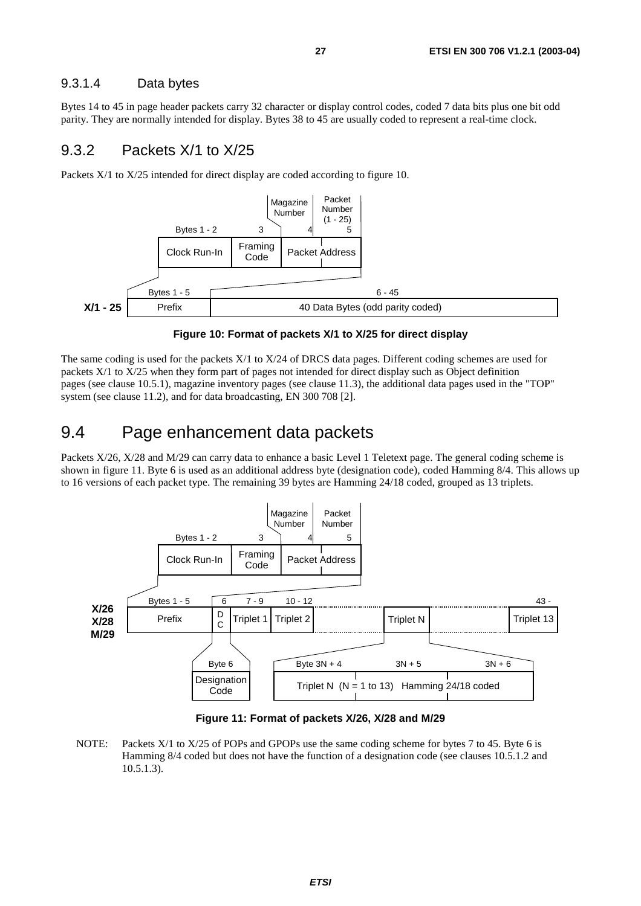#### 9.3.1.4 Data bytes

Bytes 14 to 45 in page header packets carry 32 character or display control codes, coded 7 data bits plus one bit odd parity. They are normally intended for display. Bytes 38 to 45 are usually coded to represent a real-time clock.

#### 9.3.2 Packets X/1 to X/25

Packets X/1 to X/25 intended for direct display are coded according to figure 10.



**Figure 10: Format of packets X/1 to X/25 for direct display** 

The same coding is used for the packets X/1 to X/24 of DRCS data pages. Different coding schemes are used for packets X/1 to X/25 when they form part of pages not intended for direct display such as Object definition pages (see clause 10.5.1), magazine inventory pages (see clause 11.3), the additional data pages used in the "TOP" system (see clause 11.2), and for data broadcasting, EN 300 708 [2].

### 9.4 Page enhancement data packets

Packets X/26, X/28 and M/29 can carry data to enhance a basic Level 1 Teletext page. The general coding scheme is shown in figure 11. Byte 6 is used as an additional address byte (designation code), coded Hamming 8/4. This allows up to 16 versions of each packet type. The remaining 39 bytes are Hamming 24/18 coded, grouped as 13 triplets.



**Figure 11: Format of packets X/26, X/28 and M/29** 

NOTE: Packets X/1 to X/25 of POPs and GPOPs use the same coding scheme for bytes 7 to 45. Byte 6 is Hamming 8/4 coded but does not have the function of a designation code (see clauses 10.5.1.2 and 10.5.1.3).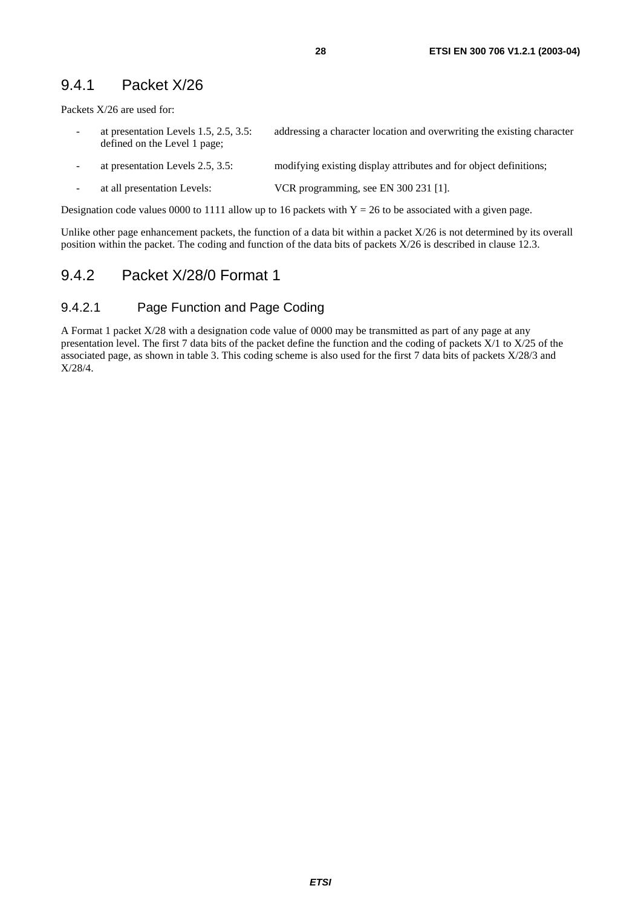#### 9.4.1 Packet X/26

Packets X/26 are used for:

- at presentation Levels 1.5, 2.5, 3.5: addressing a character location and overwriting the existing character defined on the Level 1 page;
- at presentation Levels 2.5, 3.5: modifying existing display attributes and for object definitions;
- at all presentation Levels: VCR programming, see EN 300 231 [1].

Designation code values 0000 to 1111 allow up to 16 packets with  $Y = 26$  to be associated with a given page.

Unlike other page enhancement packets, the function of a data bit within a packet X/26 is not determined by its overall position within the packet. The coding and function of the data bits of packets X/26 is described in clause 12.3.

#### 9.4.2 Packet X/28/0 Format 1

#### 9.4.2.1 Page Function and Page Coding

A Format 1 packet X/28 with a designation code value of 0000 may be transmitted as part of any page at any presentation level. The first 7 data bits of the packet define the function and the coding of packets X/1 to X/25 of the associated page, as shown in table 3. This coding scheme is also used for the first 7 data bits of packets X/28/3 and X/28/4.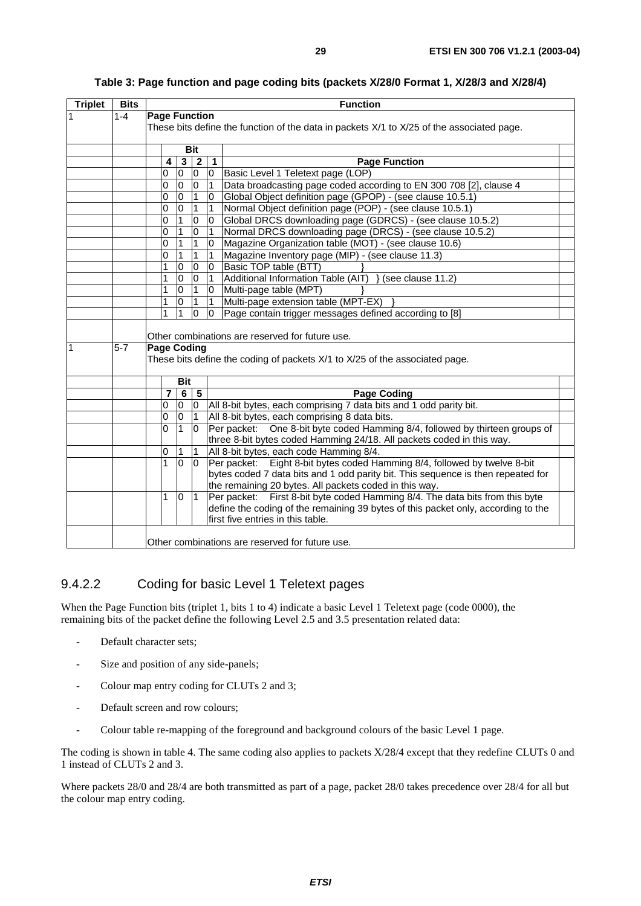| <b>Triplet</b> | <b>Bits</b> |                                            | <b>Function</b>      |                |                    |                |                                                                                                                                |  |  |  |  |  |  |
|----------------|-------------|--------------------------------------------|----------------------|----------------|--------------------|----------------|--------------------------------------------------------------------------------------------------------------------------------|--|--|--|--|--|--|
| 1              | $1 - 4$     |                                            | <b>Page Function</b> |                |                    |                |                                                                                                                                |  |  |  |  |  |  |
|                |             |                                            |                      |                |                    |                | These bits define the function of the data in packets X/1 to X/25 of the associated page.                                      |  |  |  |  |  |  |
|                |             |                                            |                      |                |                    |                |                                                                                                                                |  |  |  |  |  |  |
|                |             |                                            |                      |                | <b>Bit</b>         |                |                                                                                                                                |  |  |  |  |  |  |
|                |             |                                            | 4                    | $\mathbf{3}$   | $\overline{2}$     | $\vert$ 1      | <b>Page Function</b>                                                                                                           |  |  |  |  |  |  |
|                |             |                                            | 0                    | $\overline{0}$ | 0                  | 0              | Basic Level 1 Teletext page (LOP)                                                                                              |  |  |  |  |  |  |
|                |             |                                            | 0                    | <sup>o</sup>   | $\overline{0}$     | 1              | Data broadcasting page coded according to EN 300 708 [2], clause 4                                                             |  |  |  |  |  |  |
|                |             |                                            | 0                    | O              | $\overline{1}$     | 0              | Global Object definition page (GPOP) - (see clause 10.5.1)                                                                     |  |  |  |  |  |  |
|                |             |                                            | 0                    | $\overline{0}$ | $\overline{1}$     | 1              | Normal Object definition page (POP) - (see clause 10.5.1)                                                                      |  |  |  |  |  |  |
|                |             |                                            | 0                    | $\mathbf{1}$   | $\overline{0}$     | $\overline{0}$ | Global DRCS downloading page (GDRCS) - (see clause 10.5.2)                                                                     |  |  |  |  |  |  |
|                |             |                                            | $\overline{0}$       | $\mathbf{1}$   | O                  | $\overline{1}$ | Normal DRCS downloading page (DRCS) - (see clause 10.5.2)                                                                      |  |  |  |  |  |  |
|                |             |                                            | 0                    | $\mathbf 1$    | $\overline{1}$     | $\mathbf{0}$   | Magazine Organization table (MOT) - (see clause 10.6)                                                                          |  |  |  |  |  |  |
|                |             |                                            | 0                    | $\overline{1}$ | $\overline{1}$     | $\mathbf{1}$   | Magazine Inventory page (MIP) - (see clause 11.3)                                                                              |  |  |  |  |  |  |
|                |             |                                            | 1                    | 0              | $\overline{0}$     | $\overline{0}$ | Basic TOP table (BTT)                                                                                                          |  |  |  |  |  |  |
|                |             |                                            | 1                    | 0              | $\overline{0}$     | $\mathbf{1}$   | Additional Information Table (AIT) } (see clause 11.2)                                                                         |  |  |  |  |  |  |
|                |             |                                            | 1                    | $\overline{0}$ | $\overline{1}$     | $\Omega$       | Multi-page table (MPT)                                                                                                         |  |  |  |  |  |  |
|                |             |                                            | 1                    | 0              | $\mathbf{1}$       | $\mathbf{1}$   | Multi-page extension table (MPT-EX)                                                                                            |  |  |  |  |  |  |
|                |             |                                            | 1                    | 1              | $\overline{0}$     | $\overline{0}$ | Page contain trigger messages defined according to [8]                                                                         |  |  |  |  |  |  |
| 1              | $5-7$       |                                            |                      |                | <b>Page Coding</b> |                | Other combinations are reserved for future use.<br>These bits define the coding of packets X/1 to X/25 of the associated page. |  |  |  |  |  |  |
|                |             |                                            |                      |                |                    |                |                                                                                                                                |  |  |  |  |  |  |
|                |             | <b>Bit</b><br>$\overline{7}$<br>$6 \mid 5$ |                      |                |                    |                | Page Coding                                                                                                                    |  |  |  |  |  |  |
|                |             |                                            | 0                    | 0              | 0                  |                | All 8-bit bytes, each comprising 7 data bits and 1 odd parity bit.                                                             |  |  |  |  |  |  |
|                |             |                                            | 0                    | 0              | $\mathbf{1}$       |                | All 8-bit bytes, each comprising 8 data bits.                                                                                  |  |  |  |  |  |  |
|                |             |                                            | 0                    | 1              | $\overline{0}$     |                | Per packet: One 8-bit byte coded Hamming 8/4, followed by thirteen groups of                                                   |  |  |  |  |  |  |
|                |             |                                            |                      |                |                    |                | three 8-bit bytes coded Hamming 24/18. All packets coded in this way.                                                          |  |  |  |  |  |  |
|                |             |                                            | 0                    | 1              | 1                  |                | All 8-bit bytes, each code Hamming 8/4.                                                                                        |  |  |  |  |  |  |
|                |             |                                            | $\mathbf{1}$         | $\overline{0}$ | 0                  |                | Per packet: Eight 8-bit bytes coded Hamming 8/4, followed by twelve 8-bit                                                      |  |  |  |  |  |  |
|                |             |                                            |                      |                |                    |                | bytes coded 7 data bits and 1 odd parity bit. This sequence is then repeated for                                               |  |  |  |  |  |  |
|                |             |                                            |                      |                |                    |                | the remaining 20 bytes. All packets coded in this way.                                                                         |  |  |  |  |  |  |
|                |             |                                            | 1                    | 0              | $\overline{1}$     |                | First 8-bit byte coded Hamming 8/4. The data bits from this byte<br>Per packet:                                                |  |  |  |  |  |  |
|                |             |                                            |                      |                |                    |                | define the coding of the remaining 39 bytes of this packet only, according to the                                              |  |  |  |  |  |  |
|                |             |                                            |                      |                |                    |                | first five entries in this table.                                                                                              |  |  |  |  |  |  |
|                |             |                                            |                      |                |                    |                | Other combinations are reserved for future use.                                                                                |  |  |  |  |  |  |

#### **Table 3: Page function and page coding bits (packets X/28/0 Format 1, X/28/3 and X/28/4)**

#### 9.4.2.2 Coding for basic Level 1 Teletext pages

When the Page Function bits (triplet 1, bits 1 to 4) indicate a basic Level 1 Teletext page (code 0000), the remaining bits of the packet define the following Level 2.5 and 3.5 presentation related data:

- Default character sets;
- Size and position of any side-panels;
- Colour map entry coding for CLUTs 2 and 3;
- Default screen and row colours;
- Colour table re-mapping of the foreground and background colours of the basic Level 1 page.

The coding is shown in table 4. The same coding also applies to packets X/28/4 except that they redefine CLUTs 0 and 1 instead of CLUTs 2 and 3.

Where packets 28/0 and 28/4 are both transmitted as part of a page, packet 28/0 takes precedence over 28/4 for all but the colour map entry coding.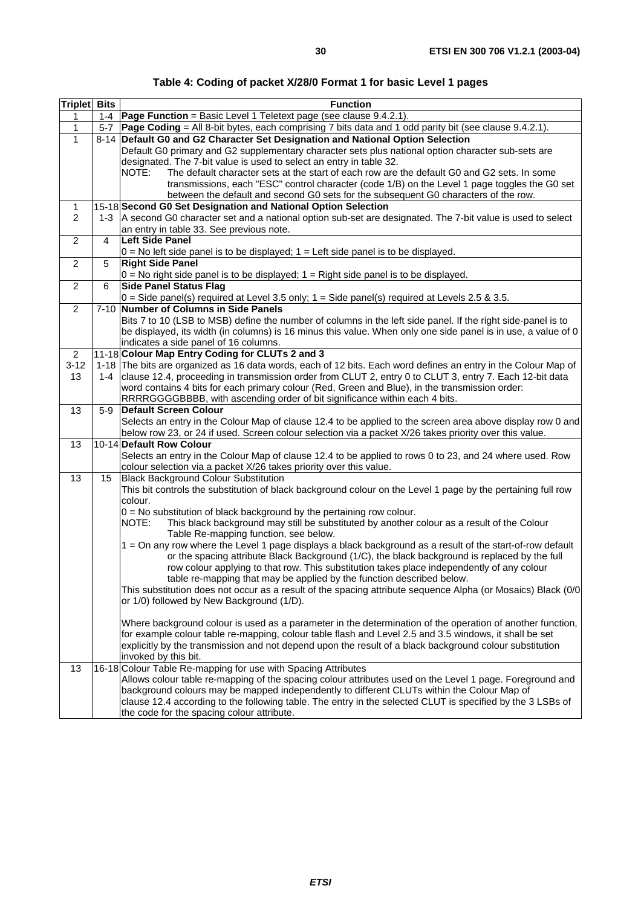| Table 4: Coding of packet X/28/0 Format 1 for basic Level 1 pages |  |
|-------------------------------------------------------------------|--|
|-------------------------------------------------------------------|--|

| <b>Triplet</b> Bits |                | <b>Function</b>                                                                                                                                                                                                                                                                                                                                                                                                                                                                                                                                                                                                                                                                                                                                                                               |
|---------------------|----------------|-----------------------------------------------------------------------------------------------------------------------------------------------------------------------------------------------------------------------------------------------------------------------------------------------------------------------------------------------------------------------------------------------------------------------------------------------------------------------------------------------------------------------------------------------------------------------------------------------------------------------------------------------------------------------------------------------------------------------------------------------------------------------------------------------|
| 1                   |                | 1-4   Page Function = Basic Level 1 Teletext page (see clause 9.4.2.1).                                                                                                                                                                                                                                                                                                                                                                                                                                                                                                                                                                                                                                                                                                                       |
| 1                   | 5-7            | Page Coding = All 8-bit bytes, each comprising 7 bits data and 1 odd parity bit (see clause 9.4.2.1).                                                                                                                                                                                                                                                                                                                                                                                                                                                                                                                                                                                                                                                                                         |
| $\mathbf{1}$        |                | 8-14 Default G0 and G2 Character Set Designation and National Option Selection                                                                                                                                                                                                                                                                                                                                                                                                                                                                                                                                                                                                                                                                                                                |
|                     |                | Default G0 primary and G2 supplementary character sets plus national option character sub-sets are                                                                                                                                                                                                                                                                                                                                                                                                                                                                                                                                                                                                                                                                                            |
|                     |                | designated. The 7-bit value is used to select an entry in table 32.                                                                                                                                                                                                                                                                                                                                                                                                                                                                                                                                                                                                                                                                                                                           |
|                     |                | The default character sets at the start of each row are the default G0 and G2 sets. In some<br>NOTE:                                                                                                                                                                                                                                                                                                                                                                                                                                                                                                                                                                                                                                                                                          |
|                     |                | transmissions, each "ESC" control character (code 1/B) on the Level 1 page toggles the G0 set                                                                                                                                                                                                                                                                                                                                                                                                                                                                                                                                                                                                                                                                                                 |
|                     |                | between the default and second G0 sets for the subsequent G0 characters of the row.                                                                                                                                                                                                                                                                                                                                                                                                                                                                                                                                                                                                                                                                                                           |
| $\mathbf{1}$        |                | 15-18 Second G0 Set Designation and National Option Selection                                                                                                                                                                                                                                                                                                                                                                                                                                                                                                                                                                                                                                                                                                                                 |
| $\overline{2}$      |                | 1-3   A second G0 character set and a national option sub-set are designated. The 7-bit value is used to select                                                                                                                                                                                                                                                                                                                                                                                                                                                                                                                                                                                                                                                                               |
| 2                   | $\overline{4}$ | an entry in table 33. See previous note.<br><b>Left Side Panel</b>                                                                                                                                                                                                                                                                                                                                                                                                                                                                                                                                                                                                                                                                                                                            |
|                     |                | $0 = No$ left side panel is to be displayed; $1 = Let$ side panel is to be displayed.                                                                                                                                                                                                                                                                                                                                                                                                                                                                                                                                                                                                                                                                                                         |
| $\overline{2}$      | 5              | <b>Right Side Panel</b>                                                                                                                                                                                                                                                                                                                                                                                                                                                                                                                                                                                                                                                                                                                                                                       |
|                     |                | $0 = No$ right side panel is to be displayed; $1 = Right$ side panel is to be displayed.                                                                                                                                                                                                                                                                                                                                                                                                                                                                                                                                                                                                                                                                                                      |
| $\overline{2}$      | 6              | <b>Side Panel Status Flag</b>                                                                                                                                                                                                                                                                                                                                                                                                                                                                                                                                                                                                                                                                                                                                                                 |
|                     |                | $ 0=$ Side panel(s) required at Level 3.5 only; 1 = Side panel(s) required at Levels 2.5 & 3.5.                                                                                                                                                                                                                                                                                                                                                                                                                                                                                                                                                                                                                                                                                               |
| $\overline{c}$      | $7 - 10$       | Number of Columns in Side Panels                                                                                                                                                                                                                                                                                                                                                                                                                                                                                                                                                                                                                                                                                                                                                              |
|                     |                | Bits 7 to 10 (LSB to MSB) define the number of columns in the left side panel. If the right side-panel is to                                                                                                                                                                                                                                                                                                                                                                                                                                                                                                                                                                                                                                                                                  |
|                     |                | be displayed, its width (in columns) is 16 minus this value. When only one side panel is in use, a value of 0                                                                                                                                                                                                                                                                                                                                                                                                                                                                                                                                                                                                                                                                                 |
|                     |                | indicates a side panel of 16 columns.                                                                                                                                                                                                                                                                                                                                                                                                                                                                                                                                                                                                                                                                                                                                                         |
| $\overline{2}$      |                | 11-18 Colour Map Entry Coding for CLUTs 2 and 3                                                                                                                                                                                                                                                                                                                                                                                                                                                                                                                                                                                                                                                                                                                                               |
| $3 - 12$            |                | 1-18 The bits are organized as 16 data words, each of 12 bits. Each word defines an entry in the Colour Map of                                                                                                                                                                                                                                                                                                                                                                                                                                                                                                                                                                                                                                                                                |
| 13                  | 1-4            | clause 12.4, proceeding in transmission order from CLUT 2, entry 0 to CLUT 3, entry 7. Each 12-bit data                                                                                                                                                                                                                                                                                                                                                                                                                                                                                                                                                                                                                                                                                       |
|                     |                | word contains 4 bits for each primary colour (Red, Green and Blue), in the transmission order:                                                                                                                                                                                                                                                                                                                                                                                                                                                                                                                                                                                                                                                                                                |
| 13                  | $5-9$          | RRRRGGGGBBBB, with ascending order of bit significance within each 4 bits.<br>Default Screen Colour                                                                                                                                                                                                                                                                                                                                                                                                                                                                                                                                                                                                                                                                                           |
|                     |                | Selects an entry in the Colour Map of clause 12.4 to be applied to the screen area above display row 0 and                                                                                                                                                                                                                                                                                                                                                                                                                                                                                                                                                                                                                                                                                    |
|                     |                | below row 23, or 24 if used. Screen colour selection via a packet X/26 takes priority over this value.                                                                                                                                                                                                                                                                                                                                                                                                                                                                                                                                                                                                                                                                                        |
| 13                  |                | 10-14 Default Row Colour                                                                                                                                                                                                                                                                                                                                                                                                                                                                                                                                                                                                                                                                                                                                                                      |
|                     |                | Selects an entry in the Colour Map of clause 12.4 to be applied to rows 0 to 23, and 24 where used. Row                                                                                                                                                                                                                                                                                                                                                                                                                                                                                                                                                                                                                                                                                       |
|                     |                | colour selection via a packet X/26 takes priority over this value.                                                                                                                                                                                                                                                                                                                                                                                                                                                                                                                                                                                                                                                                                                                            |
| 13                  | 15             | Black Background Colour Substitution                                                                                                                                                                                                                                                                                                                                                                                                                                                                                                                                                                                                                                                                                                                                                          |
|                     |                | This bit controls the substitution of black background colour on the Level 1 page by the pertaining full row                                                                                                                                                                                                                                                                                                                                                                                                                                                                                                                                                                                                                                                                                  |
|                     |                | colour.                                                                                                                                                                                                                                                                                                                                                                                                                                                                                                                                                                                                                                                                                                                                                                                       |
|                     |                | $0 = No$ substitution of black background by the pertaining row colour.                                                                                                                                                                                                                                                                                                                                                                                                                                                                                                                                                                                                                                                                                                                       |
|                     |                | NOTE:<br>This black background may still be substituted by another colour as a result of the Colour<br>Table Re-mapping function, see below.                                                                                                                                                                                                                                                                                                                                                                                                                                                                                                                                                                                                                                                  |
|                     |                | 1 = On any row where the Level 1 page displays a black background as a result of the start-of-row default                                                                                                                                                                                                                                                                                                                                                                                                                                                                                                                                                                                                                                                                                     |
|                     |                | or the spacing attribute Black Background (1/C), the black background is replaced by the full                                                                                                                                                                                                                                                                                                                                                                                                                                                                                                                                                                                                                                                                                                 |
|                     |                | row colour applying to that row. This substitution takes place independently of any colour                                                                                                                                                                                                                                                                                                                                                                                                                                                                                                                                                                                                                                                                                                    |
|                     |                | table re-mapping that may be applied by the function described below.                                                                                                                                                                                                                                                                                                                                                                                                                                                                                                                                                                                                                                                                                                                         |
|                     |                | This substitution does not occur as a result of the spacing attribute sequence Alpha (or Mosaics) Black (0/0                                                                                                                                                                                                                                                                                                                                                                                                                                                                                                                                                                                                                                                                                  |
|                     |                | or 1/0) followed by New Background (1/D).                                                                                                                                                                                                                                                                                                                                                                                                                                                                                                                                                                                                                                                                                                                                                     |
|                     |                |                                                                                                                                                                                                                                                                                                                                                                                                                                                                                                                                                                                                                                                                                                                                                                                               |
|                     |                |                                                                                                                                                                                                                                                                                                                                                                                                                                                                                                                                                                                                                                                                                                                                                                                               |
|                     |                |                                                                                                                                                                                                                                                                                                                                                                                                                                                                                                                                                                                                                                                                                                                                                                                               |
|                     |                |                                                                                                                                                                                                                                                                                                                                                                                                                                                                                                                                                                                                                                                                                                                                                                                               |
|                     |                |                                                                                                                                                                                                                                                                                                                                                                                                                                                                                                                                                                                                                                                                                                                                                                                               |
|                     |                |                                                                                                                                                                                                                                                                                                                                                                                                                                                                                                                                                                                                                                                                                                                                                                                               |
|                     |                |                                                                                                                                                                                                                                                                                                                                                                                                                                                                                                                                                                                                                                                                                                                                                                                               |
|                     |                |                                                                                                                                                                                                                                                                                                                                                                                                                                                                                                                                                                                                                                                                                                                                                                                               |
|                     |                |                                                                                                                                                                                                                                                                                                                                                                                                                                                                                                                                                                                                                                                                                                                                                                                               |
| 13                  |                | Where background colour is used as a parameter in the determination of the operation of another function,<br>for example colour table re-mapping, colour table flash and Level 2.5 and 3.5 windows, it shall be set<br>explicitly by the transmission and not depend upon the result of a black background colour substitution<br>invoked by this bit.<br>16-18 Colour Table Re-mapping for use with Spacing Attributes<br>Allows colour table re-mapping of the spacing colour attributes used on the Level 1 page. Foreground and<br>background colours may be mapped independently to different CLUTs within the Colour Map of<br>clause 12.4 according to the following table. The entry in the selected CLUT is specified by the 3 LSBs of<br>the code for the spacing colour attribute. |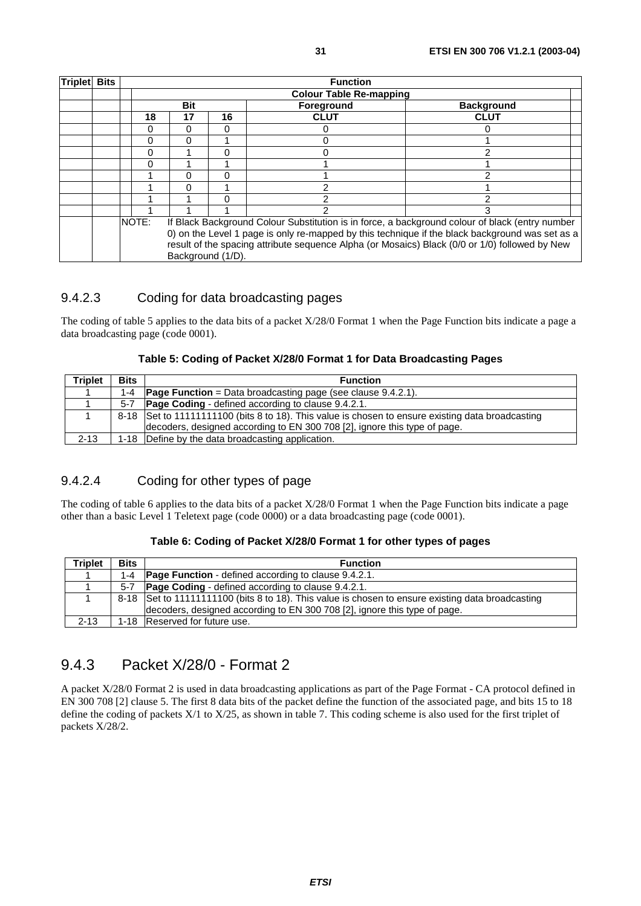| <b>Triplet</b> | <b>Bits</b> |  | <b>Function</b><br><b>Colour Table Re-mapping</b>                                                                                                                                                                      |            |    |                   |                   |  |  |  |  |  |  |
|----------------|-------------|--|------------------------------------------------------------------------------------------------------------------------------------------------------------------------------------------------------------------------|------------|----|-------------------|-------------------|--|--|--|--|--|--|
|                |             |  |                                                                                                                                                                                                                        |            |    |                   |                   |  |  |  |  |  |  |
|                |             |  |                                                                                                                                                                                                                        | <b>Bit</b> |    | <b>Foreground</b> | <b>Background</b> |  |  |  |  |  |  |
|                |             |  | 18                                                                                                                                                                                                                     | 17         | 16 | <b>CLUT</b>       | <b>CLUT</b>       |  |  |  |  |  |  |
|                |             |  | Ω                                                                                                                                                                                                                      | 0          | U  |                   |                   |  |  |  |  |  |  |
|                |             |  | 0                                                                                                                                                                                                                      | 0          |    | 0                 |                   |  |  |  |  |  |  |
|                |             |  | 0                                                                                                                                                                                                                      |            | U  | 0                 |                   |  |  |  |  |  |  |
|                |             |  | 0                                                                                                                                                                                                                      |            |    |                   |                   |  |  |  |  |  |  |
|                |             |  |                                                                                                                                                                                                                        | 0          |    |                   |                   |  |  |  |  |  |  |
|                |             |  |                                                                                                                                                                                                                        | 0          |    | っ                 |                   |  |  |  |  |  |  |
|                |             |  |                                                                                                                                                                                                                        |            | n  |                   |                   |  |  |  |  |  |  |
|                |             |  |                                                                                                                                                                                                                        |            |    |                   |                   |  |  |  |  |  |  |
|                |             |  | NOTE:<br>If Black Background Colour Substitution is in force, a background colour of black (entry number                                                                                                               |            |    |                   |                   |  |  |  |  |  |  |
|                |             |  | 0) on the Level 1 page is only re-mapped by this technique if the black background was set as a<br>result of the spacing attribute sequence Alpha (or Mosaics) Black (0/0 or 1/0) followed by New<br>Background (1/D). |            |    |                   |                   |  |  |  |  |  |  |

#### 9.4.2.3 Coding for data broadcasting pages

The coding of table 5 applies to the data bits of a packet X/28/0 Format 1 when the Page Function bits indicate a page a data broadcasting page (code 0001).

|  |  | Table 5: Coding of Packet X/28/0 Format 1 for Data Broadcasting Pages |
|--|--|-----------------------------------------------------------------------|
|  |  |                                                                       |

| Triplet  | <b>Bits</b> | <b>Function</b>                                                                                   |
|----------|-------------|---------------------------------------------------------------------------------------------------|
|          |             | 1-4 $\sqrt{P}$ Page Function = Data broadcasting page (see clause 9.4.2.1).                       |
|          |             | 5-7   Page Coding - defined according to clause 9.4.2.1.                                          |
|          |             | 8-18 Set to 11111111100 (bits 8 to 18). This value is chosen to ensure existing data broadcasting |
|          |             | decoders, designed according to EN 300 708 [2], ignore this type of page.                         |
| $2 - 13$ |             | 1-18   Define by the data broadcasting application.                                               |

#### 9.4.2.4 Coding for other types of page

The coding of table 6 applies to the data bits of a packet  $X/28/0$  Format 1 when the Page Function bits indicate a page other than a basic Level 1 Teletext page (code 0000) or a data broadcasting page (code 0001).

#### **Table 6: Coding of Packet X/28/0 Format 1 for other types of pages**

| <b>Triplet</b> | <b>Bits</b> | <b>Function</b>                                                                                   |
|----------------|-------------|---------------------------------------------------------------------------------------------------|
|                | $1 - 4$     | <b>Page Function</b> - defined according to clause 9.4.2.1.                                       |
|                | $5 - 7$     | <b>Page Coding</b> - defined according to clause 9.4.2.1.                                         |
|                |             | 8-18 Set to 11111111100 (bits 8 to 18). This value is chosen to ensure existing data broadcasting |
|                |             | decoders, designed according to EN 300 708 [2], ignore this type of page.                         |
| $2 - 13$       |             | 1-18 Reserved for future use.                                                                     |

### 9.4.3 Packet X/28/0 - Format 2

A packet X/28/0 Format 2 is used in data broadcasting applications as part of the Page Format - CA protocol defined in EN 300 708 [2] clause 5. The first 8 data bits of the packet define the function of the associated page, and bits 15 to 18 define the coding of packets X/1 to X/25, as shown in table 7. This coding scheme is also used for the first triplet of packets X/28/2.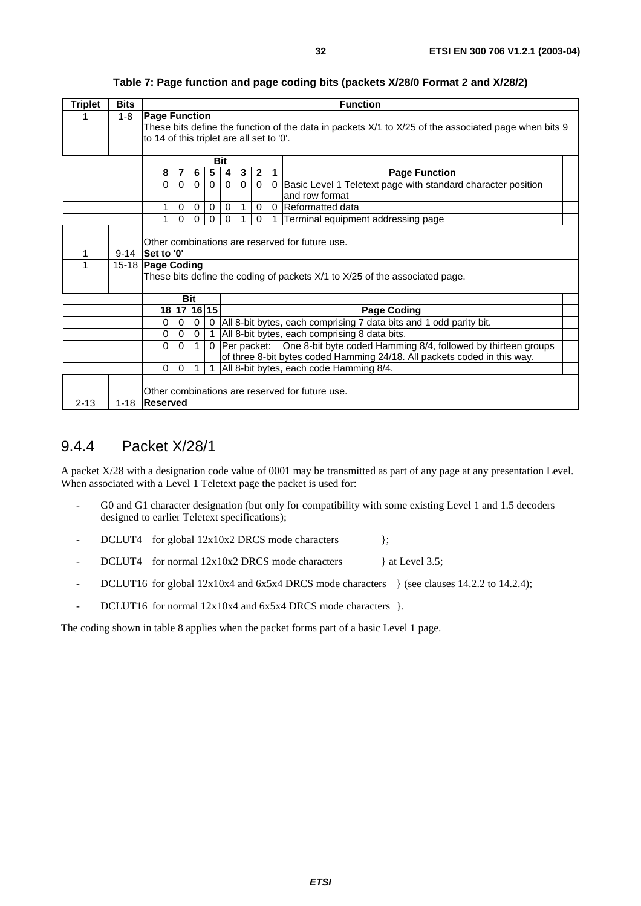| <b>Triplet</b> | <b>Bits</b> |                      | <b>Function</b>                                 |             |             |                |             |                                                                           |              |                         |                                                                                                      |  |  |  |
|----------------|-------------|----------------------|-------------------------------------------------|-------------|-------------|----------------|-------------|---------------------------------------------------------------------------|--------------|-------------------------|------------------------------------------------------------------------------------------------------|--|--|--|
|                | $1 - 8$     | <b>Page Function</b> |                                                 |             |             |                |             |                                                                           |              |                         |                                                                                                      |  |  |  |
|                |             |                      |                                                 |             |             |                |             |                                                                           |              |                         | These bits define the function of the data in packets X/1 to X/25 of the associated page when bits 9 |  |  |  |
|                |             |                      | to 14 of this triplet are all set to '0'.       |             |             |                |             |                                                                           |              |                         |                                                                                                      |  |  |  |
|                |             |                      |                                                 |             |             |                |             |                                                                           |              |                         |                                                                                                      |  |  |  |
|                |             |                      | <b>Bit</b>                                      |             |             |                |             |                                                                           |              |                         |                                                                                                      |  |  |  |
|                |             | 8                    |                                                 | 7           | 6           | 5 <sub>1</sub> | 4           | 3                                                                         | $\mathbf{2}$ | $\overline{\mathbf{1}}$ | <b>Page Function</b>                                                                                 |  |  |  |
|                |             | $\Omega$             |                                                 | $\Omega$    | $\Omega$    | $\Omega$       | $\Omega$    | $\Omega$                                                                  | $\Omega$     | $\Omega$                | Basic Level 1 Teletext page with standard character position                                         |  |  |  |
|                |             |                      |                                                 |             |             |                |             |                                                                           |              |                         | and row format                                                                                       |  |  |  |
|                |             | 1                    |                                                 | $\mathbf 0$ | 0           | $\mathbf 0$    | $\mathbf 0$ | 1                                                                         | $\mathbf 0$  | $\Omega$                | Reformatted data                                                                                     |  |  |  |
|                |             |                      |                                                 | 0           | 0           | 0              |             |                                                                           | $\Omega$     |                         | Terminal equipment addressing page                                                                   |  |  |  |
|                |             |                      |                                                 |             |             |                |             |                                                                           |              |                         |                                                                                                      |  |  |  |
|                |             |                      | Other combinations are reserved for future use. |             |             |                |             |                                                                           |              |                         |                                                                                                      |  |  |  |
|                | $9 - 14$    | Set to '0'           |                                                 |             |             |                |             |                                                                           |              |                         |                                                                                                      |  |  |  |
|                |             |                      | 15-18 Page Coding                               |             |             |                |             |                                                                           |              |                         |                                                                                                      |  |  |  |
|                |             |                      |                                                 |             |             |                |             |                                                                           |              |                         | These bits define the coding of packets X/1 to X/25 of the associated page.                          |  |  |  |
|                |             |                      |                                                 |             |             |                |             |                                                                           |              |                         |                                                                                                      |  |  |  |
|                |             |                      |                                                 |             | <b>Bit</b>  |                |             |                                                                           |              |                         |                                                                                                      |  |  |  |
|                |             |                      |                                                 |             | 18 17 16 15 |                |             |                                                                           |              |                         | <b>Page Coding</b>                                                                                   |  |  |  |
|                |             | $\mathbf 0$          |                                                 | $\mathbf 0$ | $\mathbf 0$ | $\mathbf 0$    |             |                                                                           |              |                         | All 8-bit bytes, each comprising 7 data bits and 1 odd parity bit.                                   |  |  |  |
|                |             | 0                    |                                                 | 0           | $\mathbf 0$ |                |             | All 8-bit bytes, each comprising 8 data bits.                             |              |                         |                                                                                                      |  |  |  |
|                |             | $\Omega$             |                                                 | $\Omega$    | 1           | $\Omega$       |             | Per packet: One 8-bit byte coded Hamming 8/4, followed by thirteen groups |              |                         |                                                                                                      |  |  |  |
|                |             |                      |                                                 |             |             |                |             | of three 8-bit bytes coded Hamming 24/18. All packets coded in this way.  |              |                         |                                                                                                      |  |  |  |
|                |             | $\Omega$             |                                                 | $\Omega$    |             |                |             | All 8-bit bytes, each code Hamming 8/4.                                   |              |                         |                                                                                                      |  |  |  |
|                |             |                      |                                                 |             |             |                |             |                                                                           |              |                         |                                                                                                      |  |  |  |
|                |             |                      |                                                 |             |             |                |             |                                                                           |              |                         | Other combinations are reserved for future use.                                                      |  |  |  |
| $2 - 13$       | $1 - 18$    | <b>Reserved</b>      |                                                 |             |             |                |             |                                                                           |              |                         |                                                                                                      |  |  |  |

**Table 7: Page function and page coding bits (packets X/28/0 Format 2 and X/28/2)** 

#### 9.4.4 Packet X/28/1

A packet X/28 with a designation code value of 0001 may be transmitted as part of any page at any presentation Level. When associated with a Level 1 Teletext page the packet is used for:

- G0 and G1 character designation (but only for compatibility with some existing Level 1 and 1.5 decoders designed to earlier Teletext specifications);
- DCLUT4 for global  $12x10x2$  DRCS mode characters };
- DCLUT4 for normal  $12x10x2$  DRCS mode characters and at Level 3.5;
- DCLUT16 for global  $12x10x4$  and  $6x5x4$  DRCS mode characters } (see clauses 14.2.2 to 14.2.4);
- DCLUT16 for normal  $12x10x4$  and  $6x5x4$  DRCS mode characters }.

The coding shown in table 8 applies when the packet forms part of a basic Level 1 page.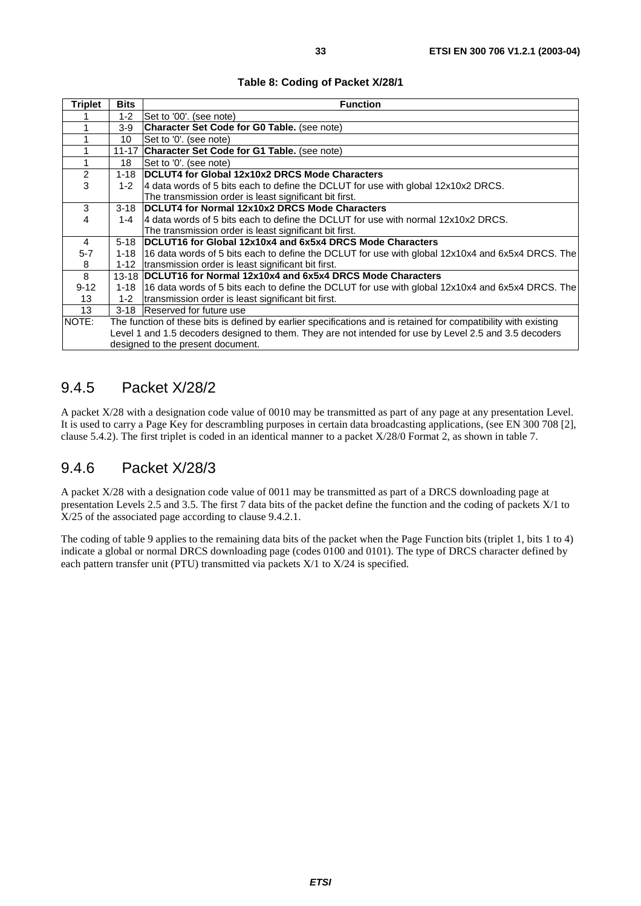|  |  | Table 8: Coding of Packet X/28/1 |  |
|--|--|----------------------------------|--|
|--|--|----------------------------------|--|

| Triplet        | <b>Bits</b> | <b>Function</b>                                                                                                 |
|----------------|-------------|-----------------------------------------------------------------------------------------------------------------|
|                | 1-2         | Set to '00'. (see note)                                                                                         |
|                | 3-9         | Character Set Code for G0 Table. (see note)                                                                     |
|                | 10          | Set to '0'. (see note)                                                                                          |
|                |             | 11-17 Character Set Code for G1 Table. (see note)                                                               |
|                | 18          | Set to '0'. (see note)                                                                                          |
| $\overline{c}$ | $1 - 18$    | DCLUT4 for Global 12x10x2 DRCS Mode Characters                                                                  |
| 3              | 1-2         | 4 data words of 5 bits each to define the DCLUT for use with global 12x10x2 DRCS.                               |
|                |             | The transmission order is least significant bit first.                                                          |
| 3              | $3-18$      | DCLUT4 for Normal 12x10x2 DRCS Mode Characters                                                                  |
| 4              | $1 - 4$     | 4 data words of 5 bits each to define the DCLUT for use with normal 12x10x2 DRCS.                               |
|                |             | The transmission order is least significant bit first.                                                          |
| $\overline{4}$ | $5 - 18$    | DCLUT16 for Global 12x10x4 and 6x5x4 DRCS Mode Characters                                                       |
| $5 - 7$        | 1-18        | 16 data words of 5 bits each to define the DCLUT for use with global 12x10x4 and 6x5x4 DRCS. The                |
| 8              | $1 - 12$    | transmission order is least significant bit first.                                                              |
| 8              |             | 13-18 DCLUT16 for Normal 12x10x4 and 6x5x4 DRCS Mode Characters                                                 |
| $9 - 12$       | 1-18        | 16 data words of 5 bits each to define the DCLUT for use with global 12x10x4 and 6x5x4 DRCS. The                |
| 13             | $1 - 2$     | transmission order is least significant bit first.                                                              |
| 13             | $3 - 18$    | Reserved for future use                                                                                         |
| NOTE:          |             | The function of these bits is defined by earlier specifications and is retained for compatibility with existing |
|                |             | Level 1 and 1.5 decoders designed to them. They are not intended for use by Level 2.5 and 3.5 decoders          |
|                |             | designed to the present document.                                                                               |

### 9.4.5 Packet X/28/2

A packet X/28 with a designation code value of 0010 may be transmitted as part of any page at any presentation Level. It is used to carry a Page Key for descrambling purposes in certain data broadcasting applications, (see EN 300 708 [2], clause 5.4.2). The first triplet is coded in an identical manner to a packet X/28/0 Format 2, as shown in table 7.

### 9.4.6 Packet X/28/3

A packet X/28 with a designation code value of 0011 may be transmitted as part of a DRCS downloading page at presentation Levels 2.5 and 3.5. The first 7 data bits of the packet define the function and the coding of packets X/1 to X/25 of the associated page according to clause 9.4.2.1.

The coding of table 9 applies to the remaining data bits of the packet when the Page Function bits (triplet 1, bits 1 to 4) indicate a global or normal DRCS downloading page (codes 0100 and 0101). The type of DRCS character defined by each pattern transfer unit (PTU) transmitted via packets X/1 to X/24 is specified.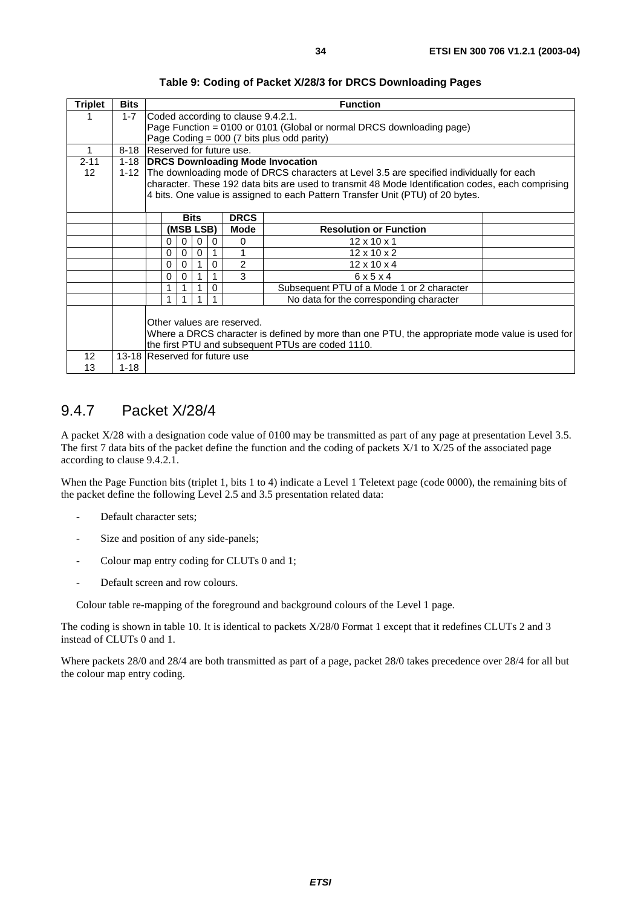| <b>Triplet</b>    | <b>Bits</b> | <b>Function</b>                                                                                |                                                                                                   |          |   |             |                                                                                |  |  |  |
|-------------------|-------------|------------------------------------------------------------------------------------------------|---------------------------------------------------------------------------------------------------|----------|---|-------------|--------------------------------------------------------------------------------|--|--|--|
|                   | $1 - 7$     |                                                                                                | Coded according to clause 9.4.2.1.                                                                |          |   |             |                                                                                |  |  |  |
|                   |             |                                                                                                | Page Function = 0100 or 0101 (Global or normal DRCS downloading page)                             |          |   |             |                                                                                |  |  |  |
|                   |             |                                                                                                | Page Coding = 000 (7 bits plus odd parity)                                                        |          |   |             |                                                                                |  |  |  |
| 1                 | $8 - 18$    |                                                                                                | Reserved for future use.                                                                          |          |   |             |                                                                                |  |  |  |
| $2 - 11$          |             | 1-18 <b>DRCS Downloading Mode Invocation</b>                                                   |                                                                                                   |          |   |             |                                                                                |  |  |  |
| $12 \overline{ }$ |             | 1-12 The downloading mode of DRCS characters at Level 3.5 are specified individually for each  |                                                                                                   |          |   |             |                                                                                |  |  |  |
|                   |             |                                                                                                | character. These 192 data bits are used to transmit 48 Mode Identification codes, each comprising |          |   |             |                                                                                |  |  |  |
|                   |             |                                                                                                |                                                                                                   |          |   |             | 4 bits. One value is assigned to each Pattern Transfer Unit (PTU) of 20 bytes. |  |  |  |
|                   |             |                                                                                                |                                                                                                   |          |   |             |                                                                                |  |  |  |
|                   |             |                                                                                                | <b>Bits</b>                                                                                       |          |   | <b>DRCS</b> |                                                                                |  |  |  |
|                   |             |                                                                                                | (MSB LSB)                                                                                         |          |   | <b>Mode</b> | <b>Resolution or Function</b>                                                  |  |  |  |
|                   |             | 0                                                                                              | 0                                                                                                 | 0        | 0 | $\Omega$    | $12 \times 10 \times 1$                                                        |  |  |  |
|                   |             | 0                                                                                              | 0                                                                                                 | $\Omega$ |   |             | $12 \times 10 \times 2$                                                        |  |  |  |
|                   |             | 0                                                                                              | $\Omega$                                                                                          |          | 0 | 2           | $12 \times 10 \times 4$                                                        |  |  |  |
|                   |             | 0                                                                                              | 0                                                                                                 |          |   | 3           | 6x5x4                                                                          |  |  |  |
|                   |             |                                                                                                |                                                                                                   |          |   |             | Subsequent PTU of a Mode 1 or 2 character                                      |  |  |  |
|                   |             |                                                                                                |                                                                                                   |          |   |             | No data for the corresponding character                                        |  |  |  |
|                   |             |                                                                                                |                                                                                                   |          |   |             |                                                                                |  |  |  |
|                   |             | Other values are reserved.                                                                     |                                                                                                   |          |   |             |                                                                                |  |  |  |
|                   |             | Where a DRCS character is defined by more than one PTU, the appropriate mode value is used for |                                                                                                   |          |   |             |                                                                                |  |  |  |
|                   |             | the first PTU and subsequent PTUs are coded 1110.                                              |                                                                                                   |          |   |             |                                                                                |  |  |  |
| 12                |             | 13-18 Reserved for future use                                                                  |                                                                                                   |          |   |             |                                                                                |  |  |  |
| 13                | $1 - 18$    |                                                                                                |                                                                                                   |          |   |             |                                                                                |  |  |  |

**Table 9: Coding of Packet X/28/3 for DRCS Downloading Pages** 

### 9.4.7 Packet X/28/4

A packet X/28 with a designation code value of 0100 may be transmitted as part of any page at presentation Level 3.5. The first 7 data bits of the packet define the function and the coding of packets  $X/1$  to  $X/25$  of the associated page according to clause 9.4.2.1.

When the Page Function bits (triplet 1, bits 1 to 4) indicate a Level 1 Teletext page (code 0000), the remaining bits of the packet define the following Level 2.5 and 3.5 presentation related data:

- Default character sets;
- Size and position of any side-panels;
- Colour map entry coding for CLUTs 0 and 1;
- Default screen and row colours.

Colour table re-mapping of the foreground and background colours of the Level 1 page.

The coding is shown in table 10. It is identical to packets X/28/0 Format 1 except that it redefines CLUTs 2 and 3 instead of CLUTs 0 and 1.

Where packets 28/0 and 28/4 are both transmitted as part of a page, packet 28/0 takes precedence over 28/4 for all but the colour map entry coding.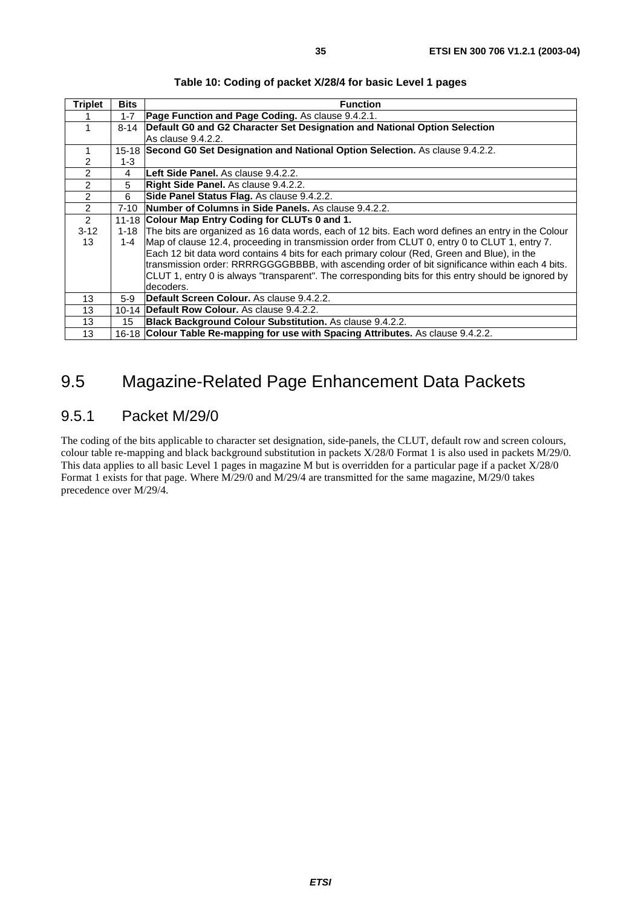| <b>Triplet</b> | <b>Bits</b> | <b>Function</b>                                                                                     |
|----------------|-------------|-----------------------------------------------------------------------------------------------------|
|                | $1 - 7$     | Page Function and Page Coding. As clause 9.4.2.1.                                                   |
| 1              | $8 - 14$    | Default G0 and G2 Character Set Designation and National Option Selection                           |
|                |             | As clause 9.4.2.2.                                                                                  |
| 1              |             | 15-18 Second G0 Set Designation and National Option Selection. As clause 9.4.2.2.                   |
| 2              | $1 - 3$     |                                                                                                     |
| $\mathfrak{p}$ | 4           | Left Side Panel. As clause 9.4.2.2.                                                                 |
| $\overline{2}$ | 5           | Right Side Panel. As clause 9.4.2.2.                                                                |
| 2              | 6           | Side Panel Status Flag. As clause 9.4.2.2.                                                          |
| 2              | 7-10        | Number of Columns in Side Panels. As clause 9.4.2.2.                                                |
| 2              |             | 11-18 Colour Map Entry Coding for CLUTs 0 and 1.                                                    |
| $3-12$         | 1-18        | The bits are organized as 16 data words, each of 12 bits. Each word defines an entry in the Colour  |
| 13             | 1-4         | Map of clause 12.4, proceeding in transmission order from CLUT 0, entry 0 to CLUT 1, entry 7.       |
|                |             | Each 12 bit data word contains 4 bits for each primary colour (Red, Green and Blue), in the         |
|                |             | transmission order: RRRRGGGGBBBB, with ascending order of bit significance within each 4 bits.      |
|                |             | CLUT 1, entry 0 is always "transparent". The corresponding bits for this entry should be ignored by |
|                |             | decoders.                                                                                           |
| 13             | $5-9$       | Default Screen Colour. As clause 9.4.2.2.                                                           |
| 13             | $10 - 14$   | <b>Default Row Colour.</b> As clause 9.4.2.2.                                                       |
| 13             | 15          | Black Background Colour Substitution. As clause 9.4.2.2.                                            |
| 13             |             | 16-18 Colour Table Re-mapping for use with Spacing Attributes. As clause 9.4.2.2.                   |

#### **Table 10: Coding of packet X/28/4 for basic Level 1 pages**

# 9.5 Magazine-Related Page Enhancement Data Packets

#### 9.5.1 Packet M/29/0

The coding of the bits applicable to character set designation, side-panels, the CLUT, default row and screen colours, colour table re-mapping and black background substitution in packets X/28/0 Format 1 is also used in packets M/29/0. This data applies to all basic Level 1 pages in magazine M but is overridden for a particular page if a packet X/28/0 Format 1 exists for that page. Where M/29/0 and M/29/4 are transmitted for the same magazine, M/29/0 takes precedence over M/29/4.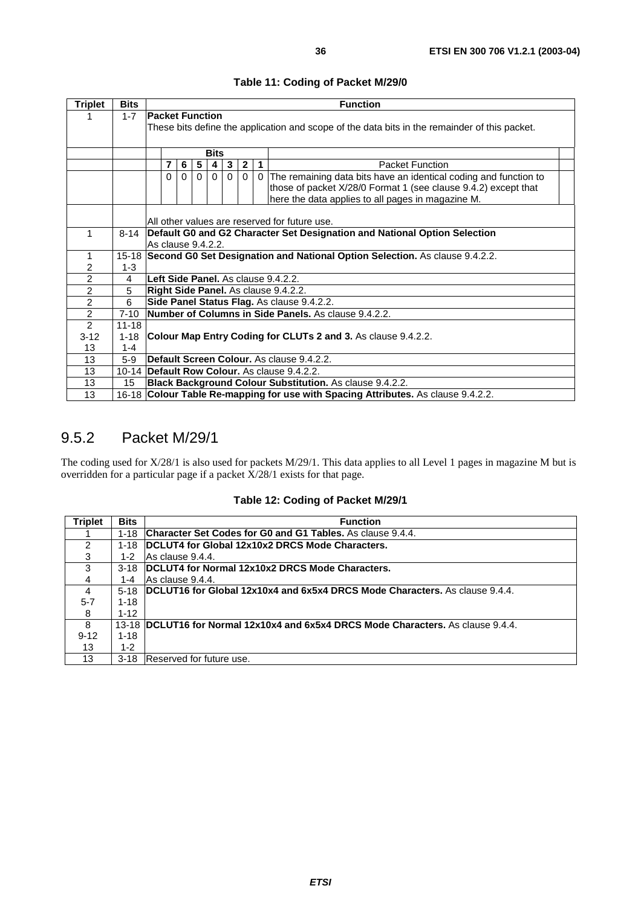| <b>Triplet</b> | <b>Bits</b> | <b>Function</b>                                                                   |                                                                                               |          |          |          |  |                                                                    |  |
|----------------|-------------|-----------------------------------------------------------------------------------|-----------------------------------------------------------------------------------------------|----------|----------|----------|--|--------------------------------------------------------------------|--|
|                | $1 - 7$     | <b>Packet Function</b>                                                            |                                                                                               |          |          |          |  |                                                                    |  |
|                |             |                                                                                   | These bits define the application and scope of the data bits in the remainder of this packet. |          |          |          |  |                                                                    |  |
|                |             |                                                                                   |                                                                                               |          |          |          |  |                                                                    |  |
|                |             |                                                                                   | <b>Bits</b>                                                                                   |          |          |          |  |                                                                    |  |
|                |             | 7                                                                                 | 5<br>$\mathbf{2}$<br>$\overline{1}$<br>3<br>6                                                 |          |          |          |  | <b>Packet Function</b>                                             |  |
|                |             | $\Omega$                                                                          | $\Omega$<br>$\Omega$                                                                          | $\Omega$ | $\Omega$ | $\Omega$ |  | 0 The remaining data bits have an identical coding and function to |  |
|                |             |                                                                                   |                                                                                               |          |          |          |  | those of packet X/28/0 Format 1 (see clause 9.4.2) except that     |  |
|                |             |                                                                                   |                                                                                               |          |          |          |  | here the data applies to all pages in magazine M.                  |  |
|                |             |                                                                                   |                                                                                               |          |          |          |  |                                                                    |  |
|                |             |                                                                                   | All other values are reserved for future use.                                                 |          |          |          |  |                                                                    |  |
| 1              | $8 - 14$    |                                                                                   | Default G0 and G2 Character Set Designation and National Option Selection                     |          |          |          |  |                                                                    |  |
|                |             |                                                                                   | As clause 9.4.2.2.                                                                            |          |          |          |  |                                                                    |  |
| 1              |             | 15-18 Second G0 Set Designation and National Option Selection. As clause 9.4.2.2. |                                                                                               |          |          |          |  |                                                                    |  |
| 2              | $1 - 3$     |                                                                                   |                                                                                               |          |          |          |  |                                                                    |  |
| $\overline{2}$ | 4           |                                                                                   | Left Side Panel. As clause 9.4.2.2.                                                           |          |          |          |  |                                                                    |  |
| $\overline{2}$ | 5           |                                                                                   | Right Side Panel. As clause 9.4.2.2.                                                          |          |          |          |  |                                                                    |  |
| $\overline{2}$ | 6           | Side Panel Status Flag. As clause 9.4.2.2.                                        |                                                                                               |          |          |          |  |                                                                    |  |
| $\overline{2}$ | $7 - 10$    | Number of Columns in Side Panels. As clause 9.4.2.2.                              |                                                                                               |          |          |          |  |                                                                    |  |
| $\overline{2}$ | $11 - 18$   |                                                                                   |                                                                                               |          |          |          |  |                                                                    |  |
| $3-12$         | $1 - 18$    | Colour Map Entry Coding for CLUTs 2 and 3. As clause 9.4.2.2.                     |                                                                                               |          |          |          |  |                                                                    |  |
| 13             | $1 - 4$     |                                                                                   |                                                                                               |          |          |          |  |                                                                    |  |
| 13             | $5-9$       | Default Screen Colour. As clause 9.4.2.2.                                         |                                                                                               |          |          |          |  |                                                                    |  |
| 13             |             |                                                                                   |                                                                                               |          |          |          |  | 10-14 Default Row Colour. As clause 9.4.2.2.                       |  |
| 13             | 15          | Black Background Colour Substitution. As clause 9.4.2.2.                          |                                                                                               |          |          |          |  |                                                                    |  |
| 13             |             | 16-18 Colour Table Re-mapping for use with Spacing Attributes. As clause 9.4.2.2. |                                                                                               |          |          |          |  |                                                                    |  |

### 9.5.2 Packet M/29/1

The coding used for X/28/1 is also used for packets M/29/1. This data applies to all Level 1 pages in magazine M but is overridden for a particular page if a packet X/28/1 exists for that page.

|  |  | Table 12: Coding of Packet M/29/1 |
|--|--|-----------------------------------|
|--|--|-----------------------------------|

| <b>Triplet</b> | <b>Bits</b> | <b>Function</b>                                                                    |
|----------------|-------------|------------------------------------------------------------------------------------|
|                | $1 - 18$    | <b>Character Set Codes for G0 and G1 Tables.</b> As clause 9.4.4.                  |
| 2              | $1 - 18$    | DCLUT4 for Global 12x10x2 DRCS Mode Characters.                                    |
| 3              | 1-2         | IAs clause 9.4.4.                                                                  |
| 3              | $3-18$      | DCLUT4 for Normal 12x10x2 DRCS Mode Characters.                                    |
| 4              | 1-4         | As clause 9.4.4.                                                                   |
| 4              | $5-18$      | <b>DCLUT16 for Global 12x10x4 and 6x5x4 DRCS Mode Characters.</b> As clause 9.4.4. |
| $5 - 7$        | $1 - 18$    |                                                                                    |
| 8              | $1 - 12$    |                                                                                    |
| 8              |             | 13-18 DCLUT16 for Normal 12x10x4 and 6x5x4 DRCS Mode Characters. As clause 9.4.4.  |
| $9 - 12$       | $1 - 18$    |                                                                                    |
| 13             | $1 - 2$     |                                                                                    |
| 13             | $3 - 18$    | Reserved for future use.                                                           |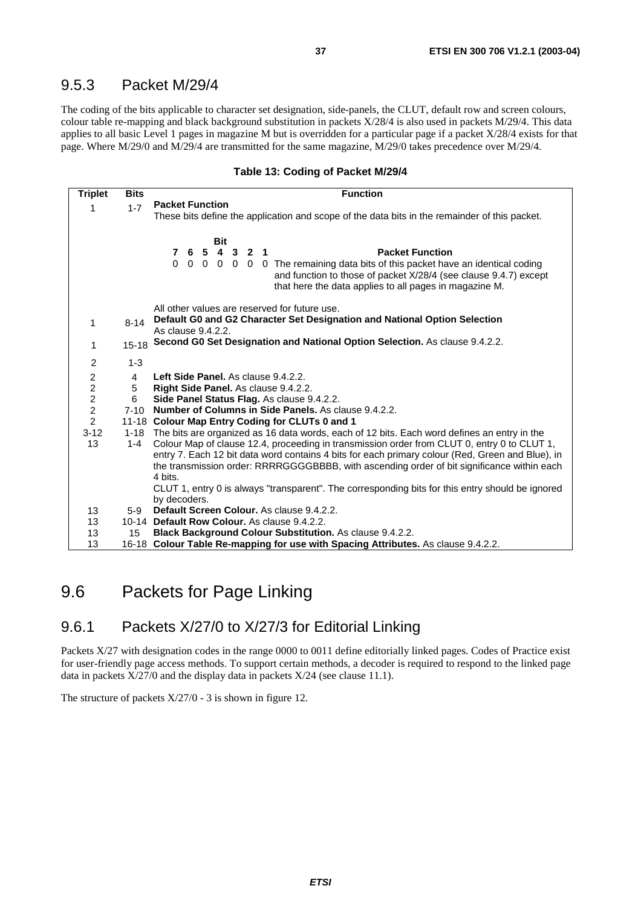### 9.5.3 Packet M/29/4

The coding of the bits applicable to character set designation, side-panels, the CLUT, default row and screen colours, colour table re-mapping and black background substitution in packets X/28/4 is also used in packets M/29/4. This data applies to all basic Level 1 pages in magazine M but is overridden for a particular page if a packet X/28/4 exists for that page. Where M/29/0 and M/29/4 are transmitted for the same magazine, M/29/0 takes precedence over M/29/4.

#### **Table 13: Coding of Packet M/29/4**

| <b>Triplet</b>                               | <b>Bits</b>    | <b>Function</b>                                                                                                                                                                                                                                                                                     |  |  |  |  |  |
|----------------------------------------------|----------------|-----------------------------------------------------------------------------------------------------------------------------------------------------------------------------------------------------------------------------------------------------------------------------------------------------|--|--|--|--|--|
| 1                                            | $1 - 7$        | <b>Packet Function</b>                                                                                                                                                                                                                                                                              |  |  |  |  |  |
|                                              |                | These bits define the application and scope of the data bits in the remainder of this packet.                                                                                                                                                                                                       |  |  |  |  |  |
|                                              |                |                                                                                                                                                                                                                                                                                                     |  |  |  |  |  |
|                                              |                | <b>Bit</b>                                                                                                                                                                                                                                                                                          |  |  |  |  |  |
|                                              |                | 7 6 5 4 3 2 1<br><b>Packet Function</b>                                                                                                                                                                                                                                                             |  |  |  |  |  |
|                                              |                | 0 0 0 0 0 0 The remaining data bits of this packet have an identical coding<br>and function to those of packet X/28/4 (see clause 9.4.7) except<br>that here the data applies to all pages in magazine M.                                                                                           |  |  |  |  |  |
|                                              |                |                                                                                                                                                                                                                                                                                                     |  |  |  |  |  |
|                                              |                | All other values are reserved for future use.<br>Default G0 and G2 Character Set Designation and National Option Selection                                                                                                                                                                          |  |  |  |  |  |
| $\mathbf{1}$                                 | $8 - 14$       | As clause 9.4.2.2.                                                                                                                                                                                                                                                                                  |  |  |  |  |  |
|                                              | $15 - 18$      | Second G0 Set Designation and National Option Selection. As clause 9.4.2.2.                                                                                                                                                                                                                         |  |  |  |  |  |
| 1                                            |                |                                                                                                                                                                                                                                                                                                     |  |  |  |  |  |
| $\overline{c}$                               | $1 - 3$        |                                                                                                                                                                                                                                                                                                     |  |  |  |  |  |
|                                              | $\overline{4}$ | Left Side Panel. As clause 9.4.2.2.                                                                                                                                                                                                                                                                 |  |  |  |  |  |
| $\begin{array}{c}\n2 \\ 2 \\ 2\n\end{array}$ | 5              | Right Side Panel. As clause 9.4.2.2.                                                                                                                                                                                                                                                                |  |  |  |  |  |
|                                              | 6              | Side Panel Status Flag. As clause 9.4.2.2.                                                                                                                                                                                                                                                          |  |  |  |  |  |
|                                              | $7 - 10$       | Number of Columns in Side Panels. As clause 9.4.2.2.                                                                                                                                                                                                                                                |  |  |  |  |  |
| $\overline{2}$                               |                | 11-18 Colour Map Entry Coding for CLUTs 0 and 1                                                                                                                                                                                                                                                     |  |  |  |  |  |
| $3 - 12$<br>13                               | 1-4            | 1-18 The bits are organized as 16 data words, each of 12 bits. Each word defines an entry in the<br>Colour Map of clause 12.4, proceeding in transmission order from CLUT 0, entry 0 to CLUT 1,<br>entry 7. Each 12 bit data word contains 4 bits for each primary colour (Red, Green and Blue), in |  |  |  |  |  |
|                                              |                | the transmission order: RRRRGGGGBBBB, with ascending order of bit significance within each<br>4 bits.                                                                                                                                                                                               |  |  |  |  |  |
|                                              |                | CLUT 1, entry 0 is always "transparent". The corresponding bits for this entry should be ignored<br>by decoders.                                                                                                                                                                                    |  |  |  |  |  |
| 13                                           | $5-9$          | Default Screen Colour. As clause 9.4.2.2.                                                                                                                                                                                                                                                           |  |  |  |  |  |
| 13                                           |                | 10-14 Default Row Colour. As clause 9.4.2.2.                                                                                                                                                                                                                                                        |  |  |  |  |  |
| 13                                           | 15             | <b>Black Background Colour Substitution.</b> As clause 9.4.2.2.                                                                                                                                                                                                                                     |  |  |  |  |  |
| 13                                           |                | 16-18 Colour Table Re-mapping for use with Spacing Attributes. As clause 9.4.2.2.                                                                                                                                                                                                                   |  |  |  |  |  |

### 9.6 Packets for Page Linking

### 9.6.1 Packets X/27/0 to X/27/3 for Editorial Linking

Packets X/27 with designation codes in the range 0000 to 0011 define editorially linked pages. Codes of Practice exist for user-friendly page access methods. To support certain methods, a decoder is required to respond to the linked page data in packets X/27/0 and the display data in packets X/24 (see clause 11.1).

The structure of packets X/27/0 - 3 is shown in figure 12.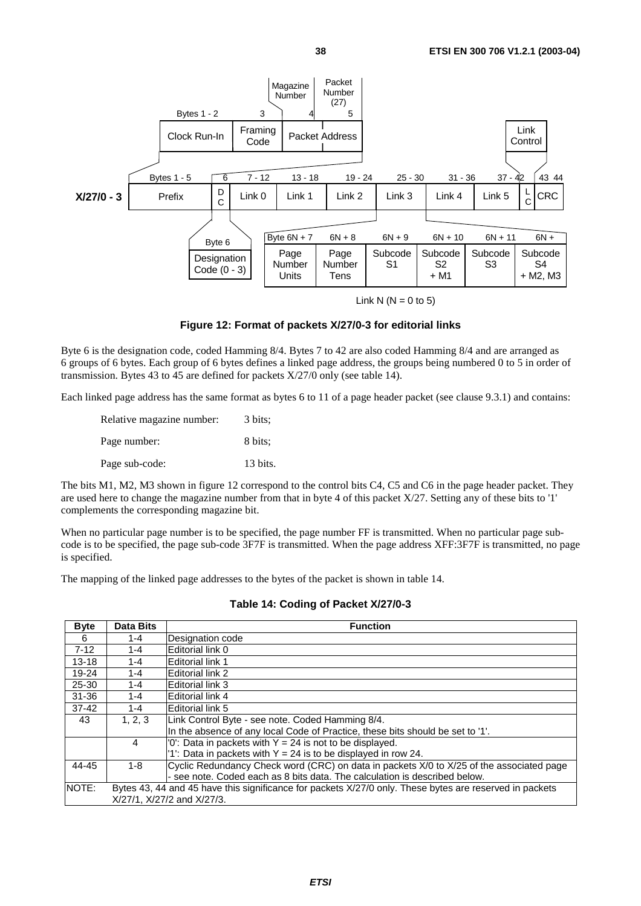

Link N  $(N = 0$  to 5)

#### **Figure 12: Format of packets X/27/0-3 for editorial links**

Byte 6 is the designation code, coded Hamming 8/4. Bytes 7 to 42 are also coded Hamming 8/4 and are arranged as 6 groups of 6 bytes. Each group of 6 bytes defines a linked page address, the groups being numbered 0 to 5 in order of transmission. Bytes 43 to 45 are defined for packets X/27/0 only (see table 14).

Each linked page address has the same format as bytes 6 to 11 of a page header packet (see clause 9.3.1) and contains:

| Relative magazine number: | 3 bits:  |
|---------------------------|----------|
| Page number:              | 8 bits:  |
| Page sub-code:            | 13 bits. |

The bits M1, M2, M3 shown in figure 12 correspond to the control bits C4, C5 and C6 in the page header packet. They are used here to change the magazine number from that in byte 4 of this packet X/27. Setting any of these bits to '1' complements the corresponding magazine bit.

When no particular page number is to be specified, the page number FF is transmitted. When no particular page subcode is to be specified, the page sub-code 3F7F is transmitted. When the page address XFF:3F7F is transmitted, no page is specified.

The mapping of the linked page addresses to the bytes of the packet is shown in table 14.

| <b>Byte</b> | <b>Data Bits</b>           | <b>Function</b>                                                                                         |  |  |  |  |  |  |
|-------------|----------------------------|---------------------------------------------------------------------------------------------------------|--|--|--|--|--|--|
| 6           | 1-4                        | Designation code                                                                                        |  |  |  |  |  |  |
| $7 - 12$    | 1-4                        | Editorial link 0                                                                                        |  |  |  |  |  |  |
| $13 - 18$   | 1-4                        | <b>Editorial link 1</b>                                                                                 |  |  |  |  |  |  |
| 19-24       | 1-4                        | Editorial link 2                                                                                        |  |  |  |  |  |  |
| 25-30       | 1-4                        | <b>Editorial link 3</b>                                                                                 |  |  |  |  |  |  |
| $31 - 36$   | 1-4                        | <b>Editorial link 4</b>                                                                                 |  |  |  |  |  |  |
| $37 - 42$   | 1-4                        | Editorial link 5                                                                                        |  |  |  |  |  |  |
| 43          | 1, 2, 3                    | Link Control Byte - see note. Coded Hamming 8/4.                                                        |  |  |  |  |  |  |
|             |                            | In the absence of any local Code of Practice, these bits should be set to '1'.                          |  |  |  |  |  |  |
|             | 4                          | $'0'$ : Data in packets with $Y = 24$ is not to be displayed.                                           |  |  |  |  |  |  |
|             |                            | '1': Data in packets with $Y = 24$ is to be displayed in row 24.                                        |  |  |  |  |  |  |
| 44-45       | $1 - 8$                    | Cyclic Redundancy Check word (CRC) on data in packets X/0 to X/25 of the associated page                |  |  |  |  |  |  |
|             |                            | - see note. Coded each as 8 bits data. The calculation is described below.                              |  |  |  |  |  |  |
| NOTE:       |                            | Bytes 43, 44 and 45 have this significance for packets X/27/0 only. These bytes are reserved in packets |  |  |  |  |  |  |
|             | X/27/1, X/27/2 and X/27/3. |                                                                                                         |  |  |  |  |  |  |
|             |                            |                                                                                                         |  |  |  |  |  |  |

#### **Table 14: Coding of Packet X/27/0-3**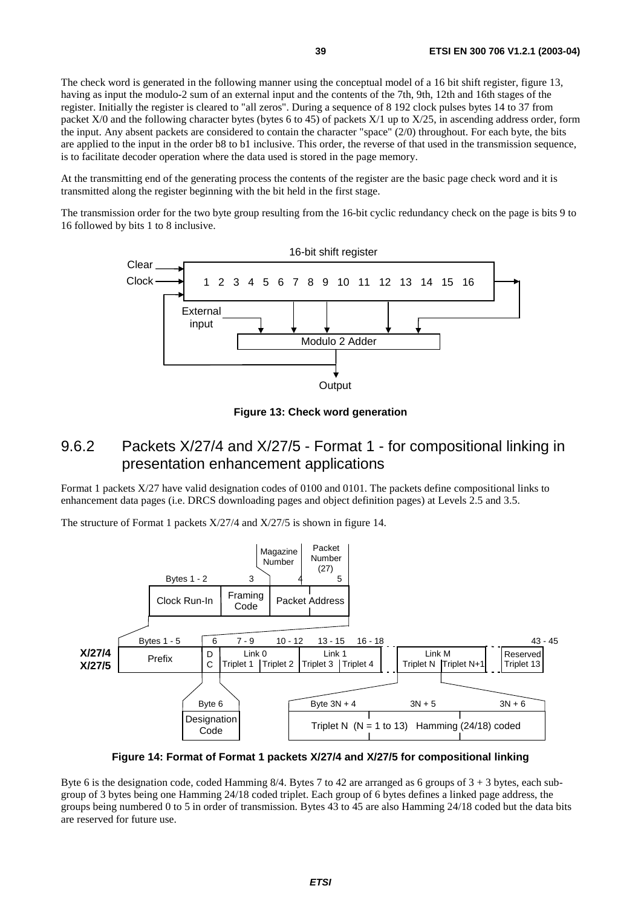The check word is generated in the following manner using the conceptual model of a 16 bit shift register, figure 13, having as input the modulo-2 sum of an external input and the contents of the 7th, 9th, 12th and 16th stages of the register. Initially the register is cleared to "all zeros". During a sequence of 8 192 clock pulses bytes 14 to 37 from packet X/0 and the following character bytes (bytes 6 to 45) of packets X/1 up to X/25, in ascending address order, form the input. Any absent packets are considered to contain the character "space" (2/0) throughout. For each byte, the bits are applied to the input in the order b8 to b1 inclusive. This order, the reverse of that used in the transmission sequence, is to facilitate decoder operation where the data used is stored in the page memory.

At the transmitting end of the generating process the contents of the register are the basic page check word and it is transmitted along the register beginning with the bit held in the first stage.

The transmission order for the two byte group resulting from the 16-bit cyclic redundancy check on the page is bits 9 to 16 followed by bits 1 to 8 inclusive.



**Figure 13: Check word generation** 

### 9.6.2 Packets X/27/4 and X/27/5 - Format 1 - for compositional linking in presentation enhancement applications

Format 1 packets X/27 have valid designation codes of 0100 and 0101. The packets define compositional links to enhancement data pages (i.e. DRCS downloading pages and object definition pages) at Levels 2.5 and 3.5.

The structure of Format 1 packets X/27/4 and X/27/5 is shown in figure 14.



**Figure 14: Format of Format 1 packets X/27/4 and X/27/5 for compositional linking** 

Byte 6 is the designation code, coded Hamming 8/4. Bytes 7 to 42 are arranged as 6 groups of  $3 + 3$  bytes, each subgroup of 3 bytes being one Hamming 24/18 coded triplet. Each group of 6 bytes defines a linked page address, the groups being numbered 0 to 5 in order of transmission. Bytes 43 to 45 are also Hamming 24/18 coded but the data bits are reserved for future use.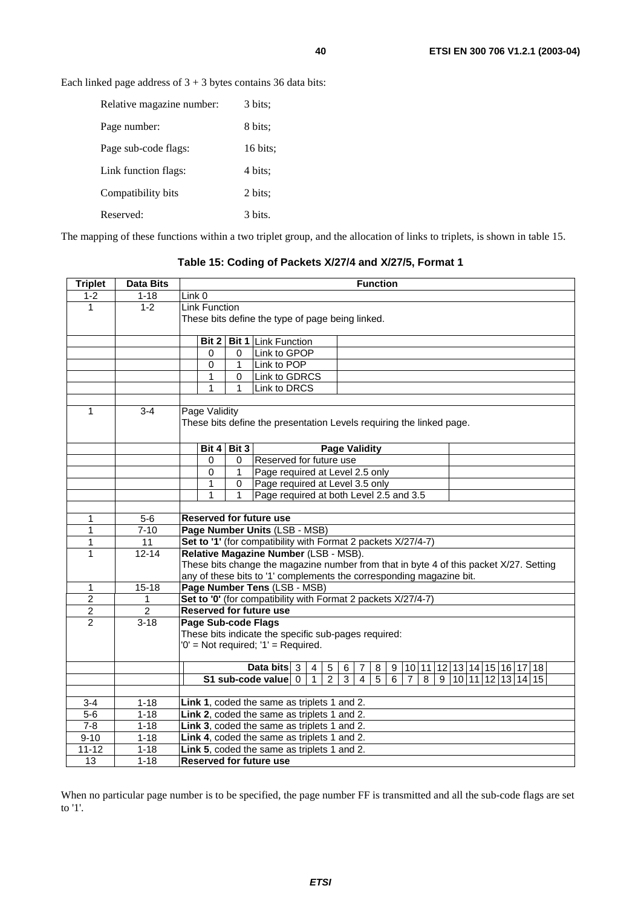Each linked page address of  $3 + 3$  bytes contains 36 data bits:

| Relative magazine number: | 3 bits:            |
|---------------------------|--------------------|
| Page number:              | 8 bits:            |
| Page sub-code flags:      | $16 \text{ bits:}$ |
| Link function flags:      | 4 bits;            |
| Compatibility bits        | 2 bits:            |
| Reserved:                 | 3 bits.            |
|                           |                    |

The mapping of these functions within a two triplet group, and the allocation of links to triplets, is shown in table 15.

**Table 15: Coding of Packets X/27/4 and X/27/5, Format 1** 

| <b>Triplet</b> | <b>Data Bits</b> | <b>Function</b>                                                                                                                                                                                                   |  |  |  |  |  |  |  |  |  |  |
|----------------|------------------|-------------------------------------------------------------------------------------------------------------------------------------------------------------------------------------------------------------------|--|--|--|--|--|--|--|--|--|--|
| $1 - 2$        | $1 - 18$         | Link 0                                                                                                                                                                                                            |  |  |  |  |  |  |  |  |  |  |
| $\mathbf{1}$   | $1 - 2$          | <b>Link Function</b>                                                                                                                                                                                              |  |  |  |  |  |  |  |  |  |  |
|                |                  | These bits define the type of page being linked.                                                                                                                                                                  |  |  |  |  |  |  |  |  |  |  |
|                |                  |                                                                                                                                                                                                                   |  |  |  |  |  |  |  |  |  |  |
|                |                  | Bit 2<br><b>Bit 1 Link Function</b>                                                                                                                                                                               |  |  |  |  |  |  |  |  |  |  |
|                |                  | Link to GPOP<br>0<br>$\Omega$                                                                                                                                                                                     |  |  |  |  |  |  |  |  |  |  |
|                |                  | Link to POP<br>1<br>$\Omega$                                                                                                                                                                                      |  |  |  |  |  |  |  |  |  |  |
|                |                  | Link to GDRCS<br>1<br>$\Omega$                                                                                                                                                                                    |  |  |  |  |  |  |  |  |  |  |
|                |                  | 1<br>Link to DRCS<br>1                                                                                                                                                                                            |  |  |  |  |  |  |  |  |  |  |
|                |                  |                                                                                                                                                                                                                   |  |  |  |  |  |  |  |  |  |  |
| 1              | $3 - 4$          | Page Validity                                                                                                                                                                                                     |  |  |  |  |  |  |  |  |  |  |
|                |                  | These bits define the presentation Levels requiring the linked page.                                                                                                                                              |  |  |  |  |  |  |  |  |  |  |
|                |                  |                                                                                                                                                                                                                   |  |  |  |  |  |  |  |  |  |  |
|                |                  | Bit 3<br><b>Page Validity</b><br>Bit 4                                                                                                                                                                            |  |  |  |  |  |  |  |  |  |  |
|                |                  | Reserved for future use<br>0<br>0                                                                                                                                                                                 |  |  |  |  |  |  |  |  |  |  |
|                |                  | $\Omega$<br>1<br>Page required at Level 2.5 only                                                                                                                                                                  |  |  |  |  |  |  |  |  |  |  |
|                |                  | $\mathbf{1}$<br>Page required at Level 3.5 only<br>0                                                                                                                                                              |  |  |  |  |  |  |  |  |  |  |
|                |                  | Page required at both Level 2.5 and 3.5<br>1<br>1                                                                                                                                                                 |  |  |  |  |  |  |  |  |  |  |
|                |                  |                                                                                                                                                                                                                   |  |  |  |  |  |  |  |  |  |  |
| 1              | $5-6$            | <b>Reserved for future use</b>                                                                                                                                                                                    |  |  |  |  |  |  |  |  |  |  |
| 1              | $7 - 10$         | Page Number Units (LSB - MSB)                                                                                                                                                                                     |  |  |  |  |  |  |  |  |  |  |
| 1              | 11               | Set to '1' (for compatibility with Format 2 packets X/27/4-7)                                                                                                                                                     |  |  |  |  |  |  |  |  |  |  |
| 1              | $12 - 14$        | Relative Magazine Number (LSB - MSB).                                                                                                                                                                             |  |  |  |  |  |  |  |  |  |  |
|                |                  | These bits change the magazine number from that in byte 4 of this packet X/27. Setting                                                                                                                            |  |  |  |  |  |  |  |  |  |  |
|                |                  | any of these bits to '1' complements the corresponding magazine bit.                                                                                                                                              |  |  |  |  |  |  |  |  |  |  |
| 1              | $15 - 18$        | Page Number Tens (LSB - MSB)                                                                                                                                                                                      |  |  |  |  |  |  |  |  |  |  |
| $\overline{c}$ | 1                | Set to '0' (for compatibility with Format 2 packets X/27/4-7)                                                                                                                                                     |  |  |  |  |  |  |  |  |  |  |
| $\overline{2}$ | $\overline{2}$   | <b>Reserved for future use</b>                                                                                                                                                                                    |  |  |  |  |  |  |  |  |  |  |
| $\overline{2}$ | $3 - 18$         | Page Sub-code Flags                                                                                                                                                                                               |  |  |  |  |  |  |  |  |  |  |
|                |                  | These bits indicate the specific sub-pages required:                                                                                                                                                              |  |  |  |  |  |  |  |  |  |  |
|                |                  | $0'$ = Not required; '1' = Required.                                                                                                                                                                              |  |  |  |  |  |  |  |  |  |  |
|                |                  |                                                                                                                                                                                                                   |  |  |  |  |  |  |  |  |  |  |
|                |                  | Data bits 3<br>$\overline{4}$<br>5<br>6<br>7<br>8<br>9<br> 10   11   12   13   14   15   16   17   18                                                                                                             |  |  |  |  |  |  |  |  |  |  |
|                |                  | $\overline{3}$<br>$\overline{2}$<br>$\overline{4}$<br>$\overline{5}$<br>$\overline{8}$<br>S1 sub-code value 0<br>$\mathbf{1}$<br>$\overline{6}$<br>$\overline{7}$<br>$\overline{\mathsf{g}}$<br>10 11 12 13 14 15 |  |  |  |  |  |  |  |  |  |  |
|                |                  |                                                                                                                                                                                                                   |  |  |  |  |  |  |  |  |  |  |
| $3 - 4$        | $1 - 18$         | Link 1, coded the same as triplets 1 and 2.                                                                                                                                                                       |  |  |  |  |  |  |  |  |  |  |
| $5-6$          | $1 - 18$         | Link 2, coded the same as triplets 1 and 2.                                                                                                                                                                       |  |  |  |  |  |  |  |  |  |  |
| $7 - 8$        | $1 - 18$         | Link 3, coded the same as triplets 1 and 2.                                                                                                                                                                       |  |  |  |  |  |  |  |  |  |  |
| $9 - 10$       | $1 - 18$         | Link 4, coded the same as triplets 1 and 2.                                                                                                                                                                       |  |  |  |  |  |  |  |  |  |  |
| $11 - 12$      | $1 - 18$         | Link 5, coded the same as triplets 1 and 2.                                                                                                                                                                       |  |  |  |  |  |  |  |  |  |  |
| 13             | $1 - 18$         | <b>Reserved for future use</b>                                                                                                                                                                                    |  |  |  |  |  |  |  |  |  |  |

When no particular page number is to be specified, the page number FF is transmitted and all the sub-code flags are set to '1'.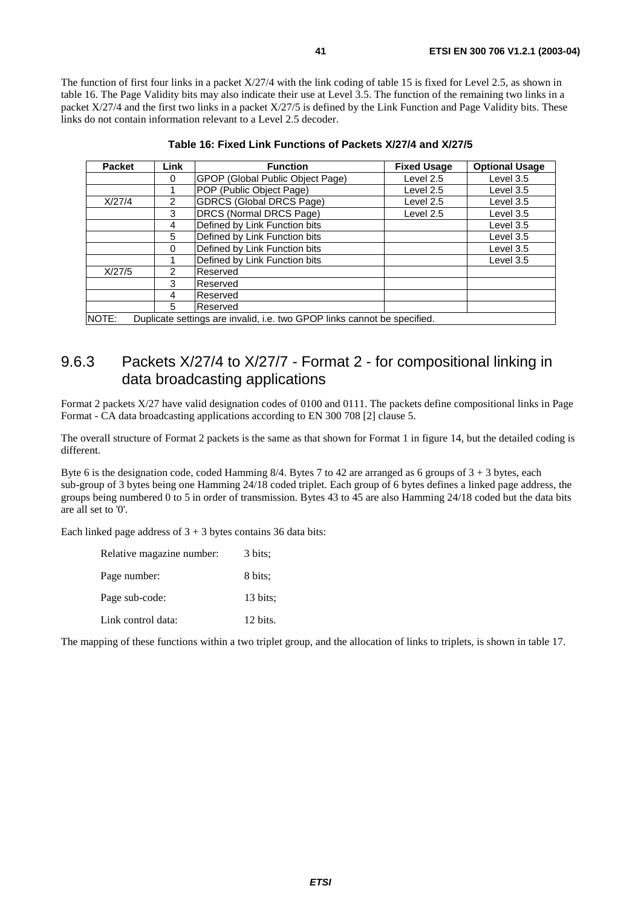The function of first four links in a packet X/27/4 with the link coding of table 15 is fixed for Level 2.5, as shown in table 16. The Page Validity bits may also indicate their use at Level 3.5. The function of the remaining two links in a packet X/27/4 and the first two links in a packet X/27/5 is defined by the Link Function and Page Validity bits. These links do not contain information relevant to a Level 2.5 decoder.

| <b>Packet</b> | <b>Link</b>   | <b>Function</b>                                                          | <b>Fixed Usage</b> | <b>Optional Usage</b> |
|---------------|---------------|--------------------------------------------------------------------------|--------------------|-----------------------|
|               | 0             | GPOP (Global Public Object Page)                                         | Level 2.5          | Level 3.5             |
|               |               | POP (Public Object Page)                                                 | Level 2.5          | Level 3.5             |
| X/27/4        | $\mathcal{P}$ | <b>GDRCS (Global DRCS Page)</b>                                          | Level 2.5          | Level 3.5             |
|               | 3             | DRCS (Normal DRCS Page)                                                  | Level 2.5          | Level 3.5             |
|               | 4             | Defined by Link Function bits                                            |                    | Level 3.5             |
|               | 5             | Defined by Link Function bits                                            |                    | Level 3.5             |
|               | $\Omega$      | Defined by Link Function bits                                            |                    | Level 3.5             |
|               |               | Defined by Link Function bits                                            |                    | Level 3.5             |
| X/27/5        | $\mathcal{P}$ | Reserved                                                                 |                    |                       |
|               | 3             | Reserved                                                                 |                    |                       |
|               | 4             | Reserved                                                                 |                    |                       |
|               | 5             | Reserved                                                                 |                    |                       |
| NOTE:         |               | Duplicate settings are invalid, i.e. two GPOP links cannot be specified. |                    |                       |

### 9.6.3 Packets X/27/4 to X/27/7 - Format 2 - for compositional linking in data broadcasting applications

Format 2 packets X/27 have valid designation codes of 0100 and 0111. The packets define compositional links in Page Format - CA data broadcasting applications according to EN 300 708 [2] clause 5.

The overall structure of Format 2 packets is the same as that shown for Format 1 in figure 14, but the detailed coding is different.

Byte 6 is the designation code, coded Hamming  $8/4$ . Bytes 7 to 42 are arranged as 6 groups of  $3 + 3$  bytes, each sub-group of 3 bytes being one Hamming 24/18 coded triplet. Each group of 6 bytes defines a linked page address, the groups being numbered 0 to 5 in order of transmission. Bytes 43 to 45 are also Hamming 24/18 coded but the data bits are all set to '0'.

Each linked page address of  $3 + 3$  bytes contains 36 data bits:

| Relative magazine number: | 3 bits:           |
|---------------------------|-------------------|
| Page number:              | 8 bits:           |
| Page sub-code:            | $13 \text{ bits}$ |
| Link control data:        | 12 bits.          |

The mapping of these functions within a two triplet group, and the allocation of links to triplets, is shown in table 17.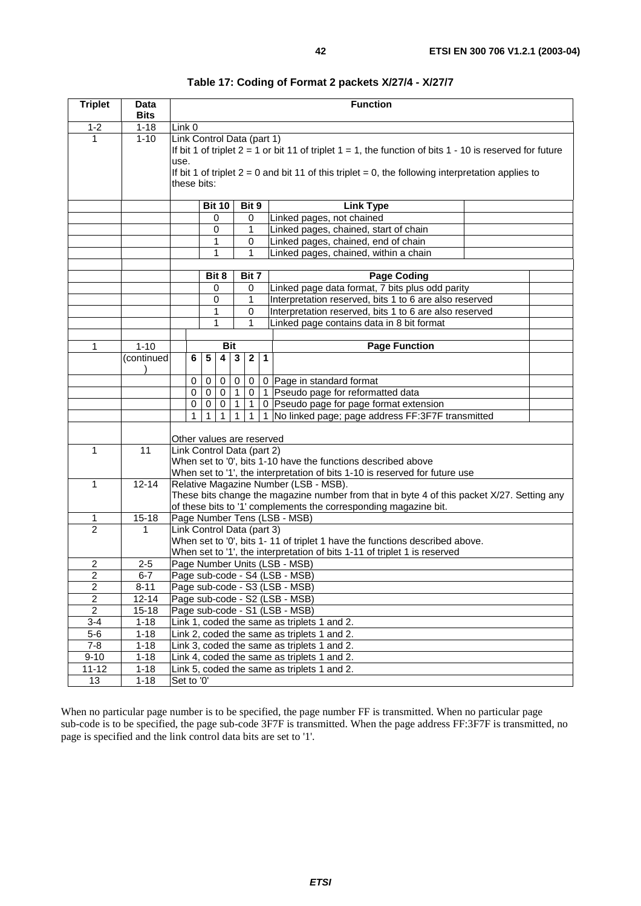| <b>Triplet</b> | Data<br><b>Bits</b> |            |                                                                                            |                                                                                                                                                                                                                                                                   |              |              | <b>Function</b>                                                             |                                                                                                                                                          |                  |                                                        |  |  |
|----------------|---------------------|------------|--------------------------------------------------------------------------------------------|-------------------------------------------------------------------------------------------------------------------------------------------------------------------------------------------------------------------------------------------------------------------|--------------|--------------|-----------------------------------------------------------------------------|----------------------------------------------------------------------------------------------------------------------------------------------------------|------------------|--------------------------------------------------------|--|--|
| $1 - 2$        | $1 - 18$            | Link 0     |                                                                                            |                                                                                                                                                                                                                                                                   |              |              |                                                                             |                                                                                                                                                          |                  |                                                        |  |  |
| 1              | $1 - 10$            | use.       |                                                                                            | Link Control Data (part 1)<br>If bit 1 of triplet $2 = 1$ or bit 11 of triplet $1 = 1$ , the function of bits 1 - 10 is reserved for future<br>If bit 1 of triplet $2 = 0$ and bit 11 of this triplet = 0, the following interpretation applies to<br>these bits: |              |              |                                                                             |                                                                                                                                                          |                  |                                                        |  |  |
|                |                     |            |                                                                                            |                                                                                                                                                                                                                                                                   |              |              | Bit 9                                                                       |                                                                                                                                                          | <b>Link Type</b> |                                                        |  |  |
|                |                     |            |                                                                                            | <b>Bit 10</b><br>0                                                                                                                                                                                                                                                |              |              | 0                                                                           |                                                                                                                                                          |                  | Linked pages, not chained                              |  |  |
|                |                     |            |                                                                                            | $\mathbf 0$                                                                                                                                                                                                                                                       |              |              | 1                                                                           |                                                                                                                                                          |                  | Linked pages, chained, start of chain                  |  |  |
|                |                     |            |                                                                                            |                                                                                                                                                                                                                                                                   | 1            |              | 0                                                                           |                                                                                                                                                          |                  | Linked pages, chained, end of chain                    |  |  |
|                |                     |            |                                                                                            |                                                                                                                                                                                                                                                                   | $\mathbf{1}$ |              | $\mathbf{1}$                                                                |                                                                                                                                                          |                  | Linked pages, chained, within a chain                  |  |  |
|                |                     |            |                                                                                            |                                                                                                                                                                                                                                                                   |              |              |                                                                             |                                                                                                                                                          |                  |                                                        |  |  |
|                |                     |            |                                                                                            |                                                                                                                                                                                                                                                                   | Bit 8        |              |                                                                             | Bit 7                                                                                                                                                    |                  | <b>Page Coding</b>                                     |  |  |
|                |                     |            |                                                                                            |                                                                                                                                                                                                                                                                   | 0            |              |                                                                             | 0                                                                                                                                                        |                  | Linked page data format, 7 bits plus odd parity        |  |  |
|                |                     |            |                                                                                            |                                                                                                                                                                                                                                                                   | $\mathbf 0$  |              | 1                                                                           |                                                                                                                                                          |                  | Interpretation reserved, bits 1 to 6 are also reserved |  |  |
|                |                     |            |                                                                                            |                                                                                                                                                                                                                                                                   | 1            |              |                                                                             | 0                                                                                                                                                        |                  | Interpretation reserved, bits 1 to 6 are also reserved |  |  |
|                |                     |            |                                                                                            |                                                                                                                                                                                                                                                                   | 1            |              |                                                                             | 1                                                                                                                                                        |                  | Linked page contains data in 8 bit format              |  |  |
| 1              | $1 - 10$            |            |                                                                                            |                                                                                                                                                                                                                                                                   |              | <b>Bit</b>   |                                                                             |                                                                                                                                                          |                  | <b>Page Function</b>                                   |  |  |
|                | continued           |            | 6                                                                                          | 5                                                                                                                                                                                                                                                                 | 4            | $\mathbf{3}$ |                                                                             | $\overline{2}$<br>$\mathbf{1}$                                                                                                                           |                  |                                                        |  |  |
|                |                     |            |                                                                                            |                                                                                                                                                                                                                                                                   |              |              |                                                                             |                                                                                                                                                          |                  |                                                        |  |  |
|                |                     |            | 0                                                                                          | 0                                                                                                                                                                                                                                                                 | 0            | $\mathbf 0$  |                                                                             | 0                                                                                                                                                        |                  | 0 Page in standard format                              |  |  |
|                |                     |            | 0                                                                                          | 0                                                                                                                                                                                                                                                                 | $\mathbf 0$  | 1            |                                                                             | $\mathbf 0$                                                                                                                                              |                  | 1 Pseudo page for reformatted data                     |  |  |
|                |                     |            | 0                                                                                          | 0                                                                                                                                                                                                                                                                 | 0            |              |                                                                             | 1                                                                                                                                                        |                  | 0 Pseudo page for page format extension                |  |  |
|                |                     |            |                                                                                            |                                                                                                                                                                                                                                                                   | 1            | 1            |                                                                             | $\mathbf{1}$                                                                                                                                             |                  | 1 No linked page; page address FF:3F7F transmitted     |  |  |
|                |                     |            |                                                                                            |                                                                                                                                                                                                                                                                   |              |              |                                                                             | Other values are reserved                                                                                                                                |                  |                                                        |  |  |
| 1              | 11                  |            |                                                                                            | Link Control Data (part 2)<br>When set to '0', bits 1-10 have the functions described above                                                                                                                                                                       |              |              |                                                                             |                                                                                                                                                          |                  |                                                        |  |  |
|                |                     |            |                                                                                            |                                                                                                                                                                                                                                                                   |              |              | When set to '1', the interpretation of bits 1-10 is reserved for future use |                                                                                                                                                          |                  |                                                        |  |  |
| $\mathbf{1}$   | $12 - 14$           |            | Relative Magazine Number (LSB - MSB).                                                      |                                                                                                                                                                                                                                                                   |              |              |                                                                             |                                                                                                                                                          |                  |                                                        |  |  |
|                |                     |            | These bits change the magazine number from that in byte 4 of this packet X/27. Setting any |                                                                                                                                                                                                                                                                   |              |              |                                                                             |                                                                                                                                                          |                  |                                                        |  |  |
|                |                     |            | of these bits to '1' complements the corresponding magazine bit.                           |                                                                                                                                                                                                                                                                   |              |              |                                                                             |                                                                                                                                                          |                  |                                                        |  |  |
| 1              | $15 - 18$           |            | Page Number Tens (LSB - MSB)                                                               |                                                                                                                                                                                                                                                                   |              |              |                                                                             |                                                                                                                                                          |                  |                                                        |  |  |
| $\overline{2}$ | 1                   |            | Link Control Data (part 3)                                                                 |                                                                                                                                                                                                                                                                   |              |              |                                                                             |                                                                                                                                                          |                  |                                                        |  |  |
|                |                     |            |                                                                                            |                                                                                                                                                                                                                                                                   |              |              |                                                                             | When set to '0', bits 1-11 of triplet 1 have the functions described above.<br>When set to '1', the interpretation of bits 1-11 of triplet 1 is reserved |                  |                                                        |  |  |
| $\overline{c}$ | $2 - 5$             |            |                                                                                            |                                                                                                                                                                                                                                                                   |              |              |                                                                             |                                                                                                                                                          |                  | Page Number Units (LSB - MSB)                          |  |  |
| $\overline{2}$ | $6 - 7$             |            |                                                                                            |                                                                                                                                                                                                                                                                   |              |              |                                                                             |                                                                                                                                                          |                  | Page sub-code - S4 (LSB - MSB)                         |  |  |
| $\overline{c}$ | $8 - 11$            |            |                                                                                            |                                                                                                                                                                                                                                                                   |              |              |                                                                             |                                                                                                                                                          |                  | Page sub-code - S3 (LSB - MSB)                         |  |  |
| $\overline{2}$ | $12 - 14$           |            |                                                                                            |                                                                                                                                                                                                                                                                   |              |              |                                                                             |                                                                                                                                                          |                  | Page sub-code - S2 (LSB - MSB)                         |  |  |
| $\overline{2}$ | $15 - 18$           |            |                                                                                            |                                                                                                                                                                                                                                                                   |              |              |                                                                             |                                                                                                                                                          |                  | Page sub-code - S1 (LSB - MSB)                         |  |  |
| $3 - 4$        | $1 - 18$            |            |                                                                                            |                                                                                                                                                                                                                                                                   |              |              |                                                                             |                                                                                                                                                          |                  | Link 1, coded the same as triplets 1 and 2.            |  |  |
| $5-6$          | $1 - 18$            |            |                                                                                            |                                                                                                                                                                                                                                                                   |              |              |                                                                             |                                                                                                                                                          |                  | Link 2, coded the same as triplets 1 and 2.            |  |  |
| $7 - 8$        | $1 - 18$            |            |                                                                                            |                                                                                                                                                                                                                                                                   |              |              |                                                                             |                                                                                                                                                          |                  | Link 3, coded the same as triplets 1 and 2.            |  |  |
| $9 - 10$       | $1 - 18$            |            | Link 4, coded the same as triplets 1 and 2.                                                |                                                                                                                                                                                                                                                                   |              |              |                                                                             |                                                                                                                                                          |                  |                                                        |  |  |
| $11 - 12$      | $1 - 18$            |            | Link 5, coded the same as triplets 1 and 2.                                                |                                                                                                                                                                                                                                                                   |              |              |                                                                             |                                                                                                                                                          |                  |                                                        |  |  |
| 13             | $1 - 18$            | Set to '0' |                                                                                            |                                                                                                                                                                                                                                                                   |              |              |                                                                             |                                                                                                                                                          |                  |                                                        |  |  |

**Table 17: Coding of Format 2 packets X/27/4 - X/27/7** 

When no particular page number is to be specified, the page number FF is transmitted. When no particular page sub-code is to be specified, the page sub-code 3F7F is transmitted. When the page address FF:3F7F is transmitted, no page is specified and the link control data bits are set to '1'.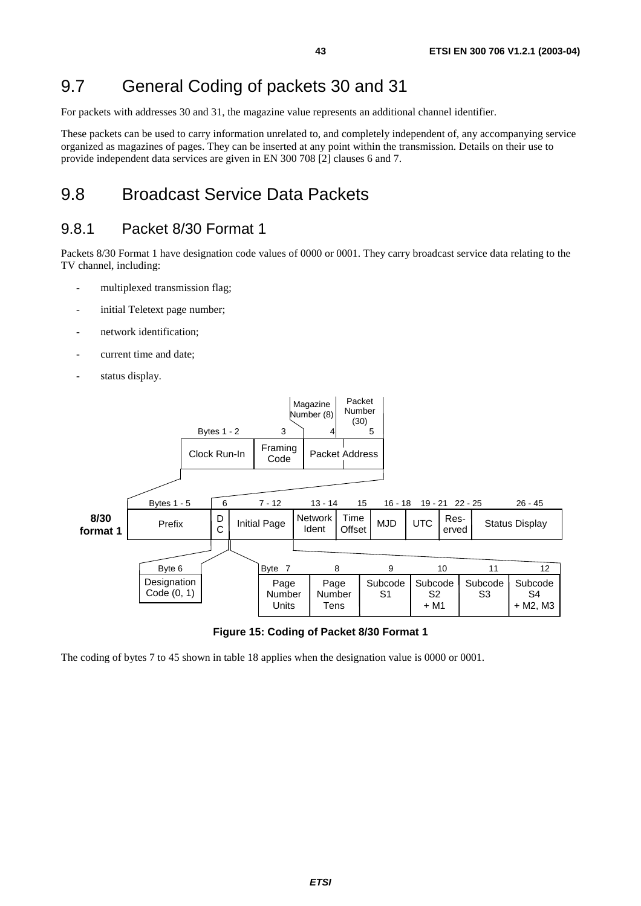## 9.7 General Coding of packets 30 and 31

For packets with addresses 30 and 31, the magazine value represents an additional channel identifier.

These packets can be used to carry information unrelated to, and completely independent of, any accompanying service organized as magazines of pages. They can be inserted at any point within the transmission. Details on their use to provide independent data services are given in EN 300 708 [2] clauses 6 and 7.

## 9.8 Broadcast Service Data Packets

#### 9.8.1 Packet 8/30 Format 1

Packets 8/30 Format 1 have designation code values of 0000 or 0001. They carry broadcast service data relating to the TV channel, including:

- multiplexed transmission flag;
- initial Teletext page number;
- network identification;
- current time and date;
- status display.



|  | Figure 15: Coding of Packet 8/30 Format 1 |
|--|-------------------------------------------|
|--|-------------------------------------------|

The coding of bytes 7 to 45 shown in table 18 applies when the designation value is 0000 or 0001.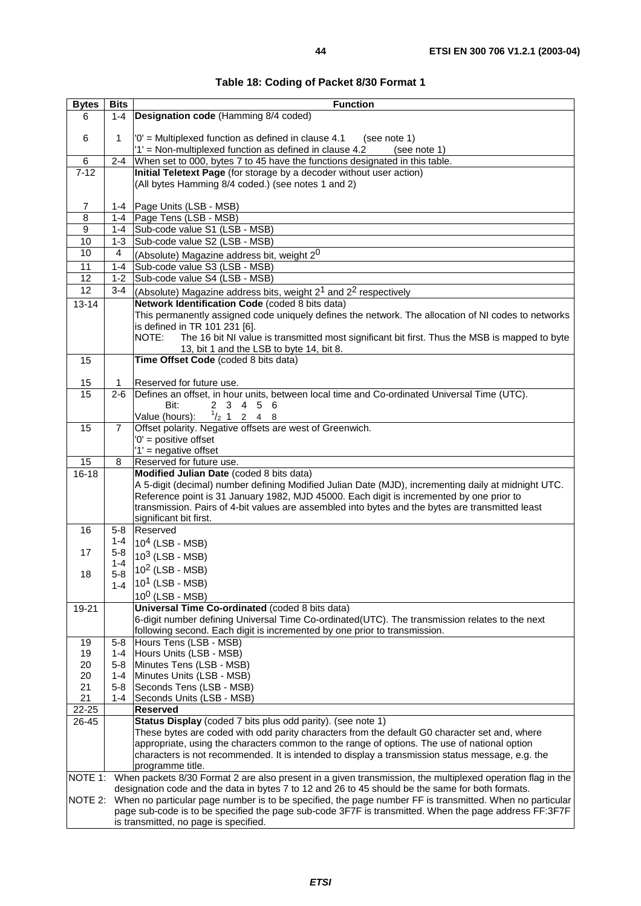| <b>Bytes</b>    | <b>Bits</b>                                                                                      | <b>Function</b>                                                                                                                                |  |  |  |  |  |  |  |
|-----------------|--------------------------------------------------------------------------------------------------|------------------------------------------------------------------------------------------------------------------------------------------------|--|--|--|--|--|--|--|
| 6               | $1 - 4$                                                                                          | Designation code (Hamming 8/4 coded)                                                                                                           |  |  |  |  |  |  |  |
| 6               | 1                                                                                                | '0' = Multiplexed function as defined in clause 4.1<br>(see note 1)<br>'1' = Non-multiplexed function as defined in clause 4.2<br>(see note 1) |  |  |  |  |  |  |  |
| 6               | $2 - 4$                                                                                          | When set to 000, bytes 7 to 45 have the functions designated in this table.                                                                    |  |  |  |  |  |  |  |
| $7 - 12$        |                                                                                                  | Initial Teletext Page (for storage by a decoder without user action)                                                                           |  |  |  |  |  |  |  |
|                 |                                                                                                  | (All bytes Hamming 8/4 coded.) (see notes 1 and 2)                                                                                             |  |  |  |  |  |  |  |
| 7               |                                                                                                  | 1-4   Page Units (LSB - MSB)                                                                                                                   |  |  |  |  |  |  |  |
| 8               | $1 - 4$                                                                                          | Page Tens (LSB - MSB)                                                                                                                          |  |  |  |  |  |  |  |
| 9               | 1-4                                                                                              | Sub-code value S1 (LSB - MSB)                                                                                                                  |  |  |  |  |  |  |  |
| 10              | $1 - 3$                                                                                          | Sub-code value S2 (LSB - MSB)                                                                                                                  |  |  |  |  |  |  |  |
| 10              | 4                                                                                                | (Absolute) Magazine address bit, weight 20                                                                                                     |  |  |  |  |  |  |  |
| 11              | 1-4                                                                                              | Sub-code value S3 (LSB - MSB)                                                                                                                  |  |  |  |  |  |  |  |
| 12              | $1 - 2$                                                                                          | Sub-code value S4 (LSB - MSB)                                                                                                                  |  |  |  |  |  |  |  |
| $\overline{12}$ | $3 - 4$                                                                                          | (Absolute) Magazine address bits, weight 2 <sup>1</sup> and 2 <sup>2</sup> respectively                                                        |  |  |  |  |  |  |  |
| $13 - 14$       |                                                                                                  | Network Identification Code (coded 8 bits data)                                                                                                |  |  |  |  |  |  |  |
|                 |                                                                                                  | This permanently assigned code uniquely defines the network. The allocation of NI codes to networks                                            |  |  |  |  |  |  |  |
|                 |                                                                                                  | is defined in TR 101 231 [6].<br>NOTE:                                                                                                         |  |  |  |  |  |  |  |
|                 |                                                                                                  | The 16 bit NI value is transmitted most significant bit first. Thus the MSB is mapped to byte<br>13, bit 1 and the LSB to byte 14, bit 8.      |  |  |  |  |  |  |  |
| 15              |                                                                                                  | Time Offset Code (coded 8 bits data)                                                                                                           |  |  |  |  |  |  |  |
|                 |                                                                                                  |                                                                                                                                                |  |  |  |  |  |  |  |
| 15              | 1                                                                                                | Reserved for future use.                                                                                                                       |  |  |  |  |  |  |  |
| 15              | $2 - 6$                                                                                          | Defines an offset, in hour units, between local time and Co-ordinated Universal Time (UTC).                                                    |  |  |  |  |  |  |  |
|                 |                                                                                                  | Bit:<br>2 3 4 5 6                                                                                                                              |  |  |  |  |  |  |  |
|                 |                                                                                                  | $^{1}/_{2}$ 1 2 4 8<br>Value (hours):                                                                                                          |  |  |  |  |  |  |  |
| 15              | $\overline{7}$                                                                                   | Offset polarity. Negative offsets are west of Greenwich.                                                                                       |  |  |  |  |  |  |  |
|                 |                                                                                                  | $0'$ = positive offset                                                                                                                         |  |  |  |  |  |  |  |
|                 |                                                                                                  | '1' = negative offset                                                                                                                          |  |  |  |  |  |  |  |
| 15              | 8                                                                                                | Reserved for future use.                                                                                                                       |  |  |  |  |  |  |  |
| $16 - 18$       |                                                                                                  | Modified Julian Date (coded 8 bits data)                                                                                                       |  |  |  |  |  |  |  |
|                 |                                                                                                  | A 5-digit (decimal) number defining Modified Julian Date (MJD), incrementing daily at midnight UTC.                                            |  |  |  |  |  |  |  |
|                 |                                                                                                  | Reference point is 31 January 1982, MJD 45000. Each digit is incremented by one prior to                                                       |  |  |  |  |  |  |  |
|                 |                                                                                                  | transmission. Pairs of 4-bit values are assembled into bytes and the bytes are transmitted least<br>significant bit first.                     |  |  |  |  |  |  |  |
| 16              | $5 - 8$                                                                                          | Reserved                                                                                                                                       |  |  |  |  |  |  |  |
|                 | $1 - 4$                                                                                          | $10^4$ (LSB - MSB)                                                                                                                             |  |  |  |  |  |  |  |
| 17              | 5-8                                                                                              | $103$ (LSB - MSB)                                                                                                                              |  |  |  |  |  |  |  |
|                 | 1-4                                                                                              |                                                                                                                                                |  |  |  |  |  |  |  |
| 18              | $5 - 8$                                                                                          | $102$ (LSB - MSB)                                                                                                                              |  |  |  |  |  |  |  |
|                 | $1 - 4$                                                                                          | $101$ (LSB - MSB)                                                                                                                              |  |  |  |  |  |  |  |
|                 |                                                                                                  | $10^0$ (LSB - MSB)                                                                                                                             |  |  |  |  |  |  |  |
| 19-21           |                                                                                                  | Universal Time Co-ordinated (coded 8 bits data)                                                                                                |  |  |  |  |  |  |  |
|                 |                                                                                                  | 6-digit number defining Universal Time Co-ordinated(UTC). The transmission relates to the next                                                 |  |  |  |  |  |  |  |
|                 |                                                                                                  | following second. Each digit is incremented by one prior to transmission.<br>Hours Tens (LSB - MSB)                                            |  |  |  |  |  |  |  |
| 19<br>19        | 5-8<br>$1 - 4$                                                                                   | Hours Units (LSB - MSB)                                                                                                                        |  |  |  |  |  |  |  |
| 20              | $5 - 8$                                                                                          | Minutes Tens (LSB - MSB)                                                                                                                       |  |  |  |  |  |  |  |
| 20              | $1 - 4$                                                                                          | Minutes Units (LSB - MSB)                                                                                                                      |  |  |  |  |  |  |  |
| 21              | 5-8                                                                                              | Seconds Tens (LSB - MSB)                                                                                                                       |  |  |  |  |  |  |  |
| 21              | $1 - 4$                                                                                          | Seconds Units (LSB - MSB)                                                                                                                      |  |  |  |  |  |  |  |
| 22-25           |                                                                                                  | <b>Reserved</b>                                                                                                                                |  |  |  |  |  |  |  |
| 26-45           |                                                                                                  | Status Display (coded 7 bits plus odd parity). (see note 1)                                                                                    |  |  |  |  |  |  |  |
|                 |                                                                                                  | These bytes are coded with odd parity characters from the default G0 character set and, where                                                  |  |  |  |  |  |  |  |
|                 |                                                                                                  | appropriate, using the characters common to the range of options. The use of national option                                                   |  |  |  |  |  |  |  |
|                 |                                                                                                  | characters is not recommended. It is intended to display a transmission status message, e.g. the                                               |  |  |  |  |  |  |  |
|                 |                                                                                                  | programme title.                                                                                                                               |  |  |  |  |  |  |  |
| NOTE 1:         |                                                                                                  | When packets 8/30 Format 2 are also present in a given transmission, the multiplexed operation flag in the                                     |  |  |  |  |  |  |  |
|                 | designation code and the data in bytes 7 to 12 and 26 to 45 should be the same for both formats. |                                                                                                                                                |  |  |  |  |  |  |  |
| NOTE 2:         |                                                                                                  | When no particular page number is to be specified, the page number FF is transmitted. When no particular                                       |  |  |  |  |  |  |  |
|                 |                                                                                                  | page sub-code is to be specified the page sub-code 3F7F is transmitted. When the page address FF:3F7F                                          |  |  |  |  |  |  |  |
|                 |                                                                                                  | is transmitted, no page is specified.                                                                                                          |  |  |  |  |  |  |  |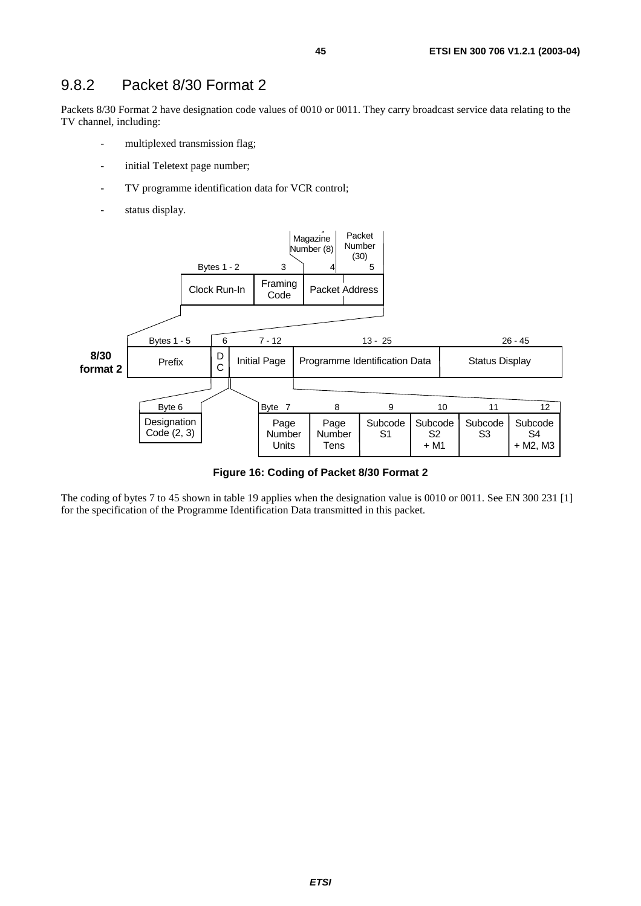#### 9.8.2 Packet 8/30 Format 2

Packets 8/30 Format 2 have designation code values of 0010 or 0011. They carry broadcast service data relating to the TV channel, including:

- multiplexed transmission flag;
- initial Teletext page number;
- TV programme identification data for VCR control;
- status display.



**Figure 16: Coding of Packet 8/30 Format 2** 

The coding of bytes 7 to 45 shown in table 19 applies when the designation value is 0010 or 0011. See EN 300 231 [1] for the specification of the Programme Identification Data transmitted in this packet.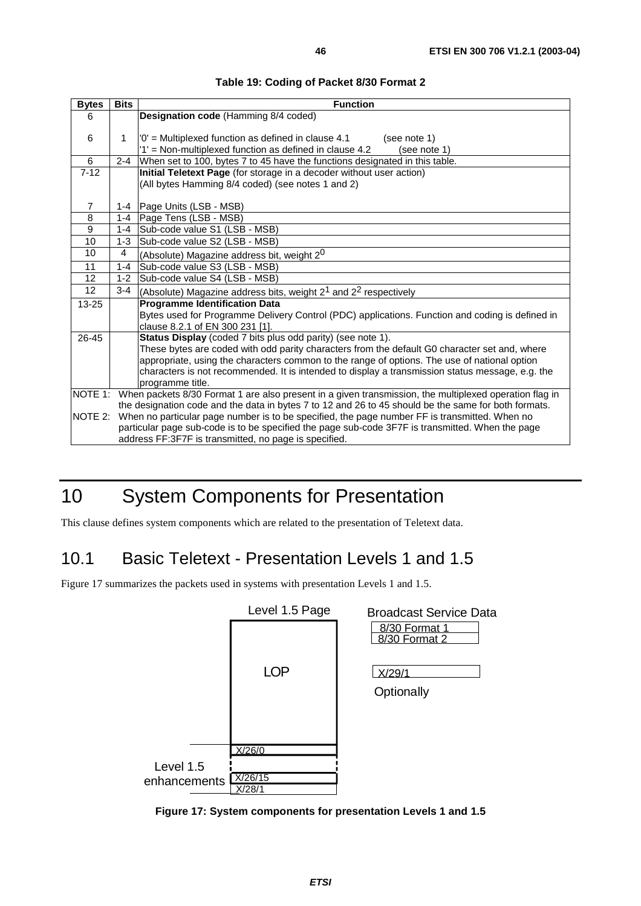| <b>Bytes</b>    | <b>Bits</b> | <b>Function</b>                                                                                        |
|-----------------|-------------|--------------------------------------------------------------------------------------------------------|
| 6               |             | Designation code (Hamming 8/4 coded)                                                                   |
|                 |             |                                                                                                        |
| 6               | 1           | $'0'$ = Multiplexed function as defined in clause 4.1<br>(see note 1)                                  |
|                 |             | '1' = Non-multiplexed function as defined in clause 4.2<br>(see note 1)                                |
| 6               | $2 - 4$     | When set to 100, bytes 7 to 45 have the functions designated in this table.                            |
| $7 - 12$        |             | Initial Teletext Page (for storage in a decoder without user action)                                   |
|                 |             | (All bytes Hamming 8/4 coded) (see notes 1 and 2)                                                      |
|                 |             |                                                                                                        |
| $\overline{7}$  |             | 1-4   Page Units (LSB - MSB)                                                                           |
| 8               |             | 1-4   Page Tens (LSB - MSB)                                                                            |
| 9               |             | 1-4 Sub-code value S1 (LSB - MSB)                                                                      |
| 10              | $1-3$       | Sub-code value S2 (LSB - MSB)                                                                          |
| 10              | 4           | (Absolute) Magazine address bit, weight 2 <sup>0</sup>                                                 |
| 11              | $1 - 4$     | Sub-code value S3 (LSB - MSB)                                                                          |
| 12              | $1 - 2$     | Sub-code value S4 (LSB - MSB)                                                                          |
| 12 <sup>2</sup> | $3 - 4$     | (Absolute) Magazine address bits, weight $2^1$ and $2^2$ respectively                                  |
| $13 - 25$       |             | <b>Programme Identification Data</b>                                                                   |
|                 |             | Bytes used for Programme Delivery Control (PDC) applications. Function and coding is defined in        |
|                 |             | clause 8.2.1 of EN 300 231 [1].                                                                        |
| 26-45           |             | Status Display (coded 7 bits plus odd parity) (see note 1).                                            |
|                 |             | These bytes are coded with odd parity characters from the default G0 character set and, where          |
|                 |             | appropriate, using the characters common to the range of options. The use of national option           |
|                 |             | characters is not recommended. It is intended to display a transmission status message, e.g. the       |
|                 |             | programme title.                                                                                       |
| NOTE 1:         |             | When packets 8/30 Format 1 are also present in a given transmission, the multiplexed operation flag in |
|                 |             | the designation code and the data in bytes 7 to 12 and 26 to 45 should be the same for both formats.   |
| NOTE 2:         |             | When no particular page number is to be specified, the page number FF is transmitted. When no          |
|                 |             | particular page sub-code is to be specified the page sub-code 3F7F is transmitted. When the page       |
|                 |             | address FF:3F7F is transmitted, no page is specified.                                                  |

**Table 19: Coding of Packet 8/30 Format 2** 

# 10 System Components for Presentation

This clause defines system components which are related to the presentation of Teletext data.

## 10.1 Basic Teletext - Presentation Levels 1 and 1.5

Figure 17 summarizes the packets used in systems with presentation Levels 1 and 1.5.



**Figure 17: System components for presentation Levels 1 and 1.5**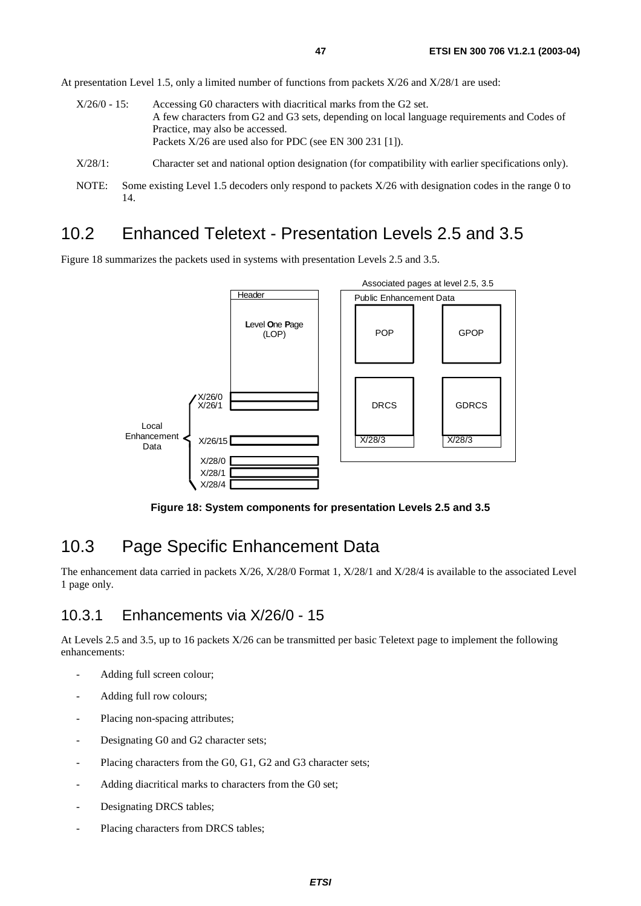At presentation Level 1.5, only a limited number of functions from packets X/26 and X/28/1 are used:

- X/26/0 15: Accessing G0 characters with diacritical marks from the G2 set. A few characters from G2 and G3 sets, depending on local language requirements and Codes of Practice, may also be accessed. Packets X/26 are used also for PDC (see EN 300 231 [1]).
- X/28/1: Character set and national option designation (for compatibility with earlier specifications only).
- NOTE: Some existing Level 1.5 decoders only respond to packets  $X/26$  with designation codes in the range 0 to 14.

## 10.2 Enhanced Teletext - Presentation Levels 2.5 and 3.5

Figure 18 summarizes the packets used in systems with presentation Levels 2.5 and 3.5.



**Figure 18: System components for presentation Levels 2.5 and 3.5** 

## 10.3 Page Specific Enhancement Data

The enhancement data carried in packets X/26, X/28/0 Format 1, X/28/1 and X/28/4 is available to the associated Level 1 page only.

#### 10.3.1 Enhancements via X/26/0 - 15

At Levels 2.5 and 3.5, up to 16 packets X/26 can be transmitted per basic Teletext page to implement the following enhancements:

- Adding full screen colour;
- Adding full row colours;
- Placing non-spacing attributes;
- Designating G0 and G2 character sets;
- Placing characters from the G0, G1, G2 and G3 character sets;
- Adding diacritical marks to characters from the G0 set;
- Designating DRCS tables;
- Placing characters from DRCS tables;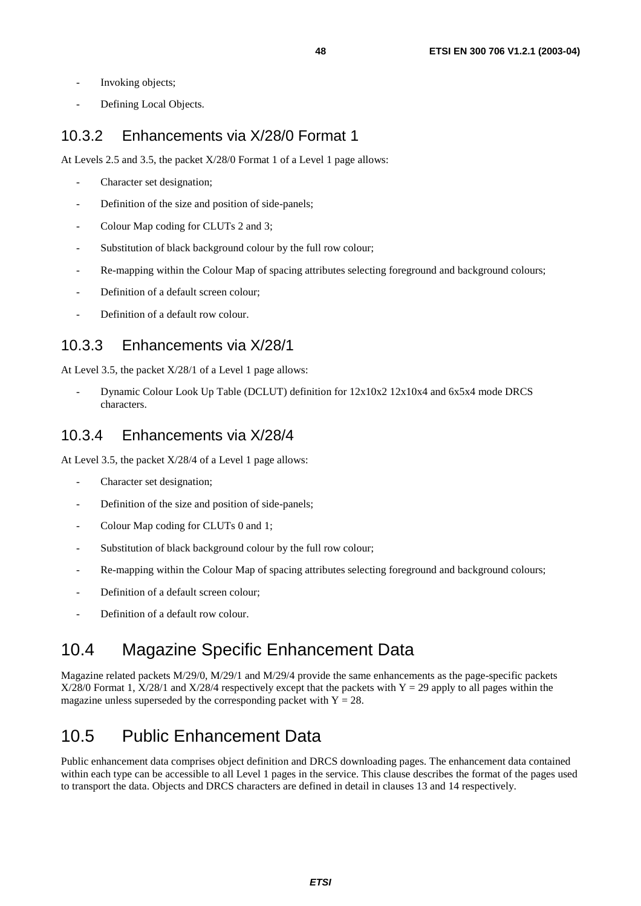- Invoking objects;
- Defining Local Objects.

### 10.3.2 Enhancements via X/28/0 Format 1

At Levels 2.5 and 3.5, the packet X/28/0 Format 1 of a Level 1 page allows:

- Character set designation;
- Definition of the size and position of side-panels;
- Colour Map coding for CLUTs 2 and 3;
- Substitution of black background colour by the full row colour;
- Re-mapping within the Colour Map of spacing attributes selecting foreground and background colours;
- Definition of a default screen colour;
- Definition of a default row colour.

### 10.3.3 Enhancements via X/28/1

At Level 3.5, the packet X/28/1 of a Level 1 page allows:

- Dynamic Colour Look Up Table (DCLUT) definition for 12x10x2 12x10x4 and 6x5x4 mode DRCS characters.

#### 10.3.4 Enhancements via X/28/4

At Level 3.5, the packet X/28/4 of a Level 1 page allows:

- Character set designation;
- Definition of the size and position of side-panels;
- Colour Map coding for CLUTs 0 and 1:
- Substitution of black background colour by the full row colour;
- Re-mapping within the Colour Map of spacing attributes selecting foreground and background colours;
- Definition of a default screen colour;
- Definition of a default row colour.

## 10.4 Magazine Specific Enhancement Data

Magazine related packets M/29/0, M/29/1 and M/29/4 provide the same enhancements as the page-specific packets  $X/28/0$  Format 1,  $X/28/1$  and  $X/28/4$  respectively except that the packets with  $Y = 29$  apply to all pages within the magazine unless superseded by the corresponding packet with  $Y = 28$ .

## 10.5 Public Enhancement Data

Public enhancement data comprises object definition and DRCS downloading pages. The enhancement data contained within each type can be accessible to all Level 1 pages in the service. This clause describes the format of the pages used to transport the data. Objects and DRCS characters are defined in detail in clauses 13 and 14 respectively.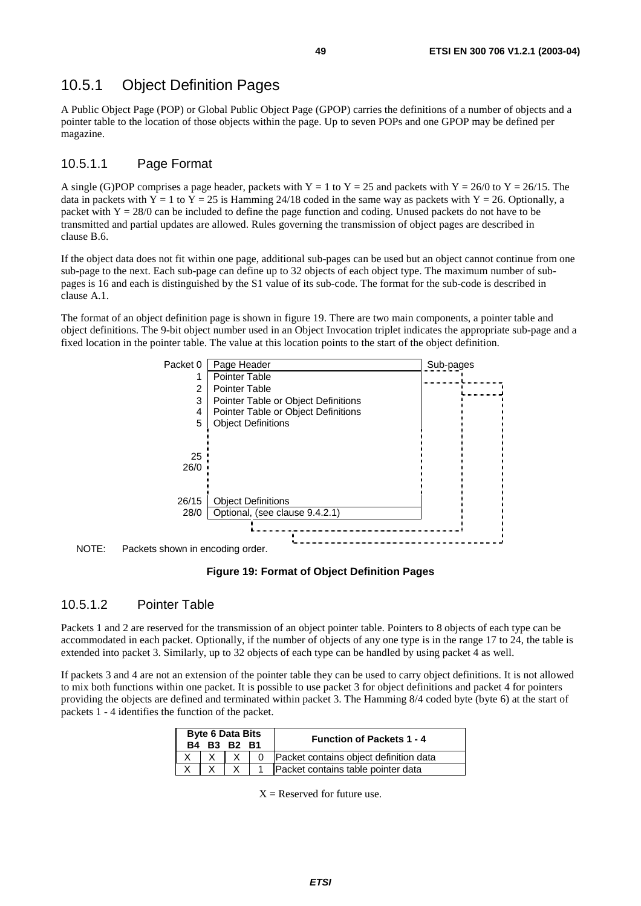### 10.5.1 Object Definition Pages

A Public Object Page (POP) or Global Public Object Page (GPOP) carries the definitions of a number of objects and a pointer table to the location of those objects within the page. Up to seven POPs and one GPOP may be defined per magazine.

#### 10.5.1.1 Page Format

A single (G)POP comprises a page header, packets with  $Y = 1$  to  $Y = 25$  and packets with  $Y = 26/0$  to  $Y = 26/15$ . The data in packets with  $Y = 1$  to  $Y = 25$  is Hamming 24/18 coded in the same way as packets with  $Y = 26$ . Optionally, a packet with  $Y = 28/0$  can be included to define the page function and coding. Unused packets do not have to be transmitted and partial updates are allowed. Rules governing the transmission of object pages are described in clause B.6.

If the object data does not fit within one page, additional sub-pages can be used but an object cannot continue from one sub-page to the next. Each sub-page can define up to 32 objects of each object type. The maximum number of subpages is 16 and each is distinguished by the S1 value of its sub-code. The format for the sub-code is described in clause A.1.

The format of an object definition page is shown in figure 19. There are two main components, a pointer table and object definitions. The 9-bit object number used in an Object Invocation triplet indicates the appropriate sub-page and a fixed location in the pointer table. The value at this location points to the start of the object definition.





#### **Figure 19: Format of Object Definition Pages**

#### 10.5.1.2 Pointer Table

Packets 1 and 2 are reserved for the transmission of an object pointer table. Pointers to 8 objects of each type can be accommodated in each packet. Optionally, if the number of objects of any one type is in the range 17 to 24, the table is extended into packet 3. Similarly, up to 32 objects of each type can be handled by using packet 4 as well.

If packets 3 and 4 are not an extension of the pointer table they can be used to carry object definitions. It is not allowed to mix both functions within one packet. It is possible to use packet 3 for object definitions and packet 4 for pointers providing the objects are defined and terminated within packet 3. The Hamming 8/4 coded byte (byte 6) at the start of packets 1 - 4 identifies the function of the packet.

| <b>Byte 6 Data Bits</b><br>B4 B3 B2 B1 |  |  | <b>Function of Packets 1 - 4</b>       |
|----------------------------------------|--|--|----------------------------------------|
|                                        |  |  | Packet contains object definition data |
|                                        |  |  | Packet contains table pointer data     |

 $X =$ Reserved for future use.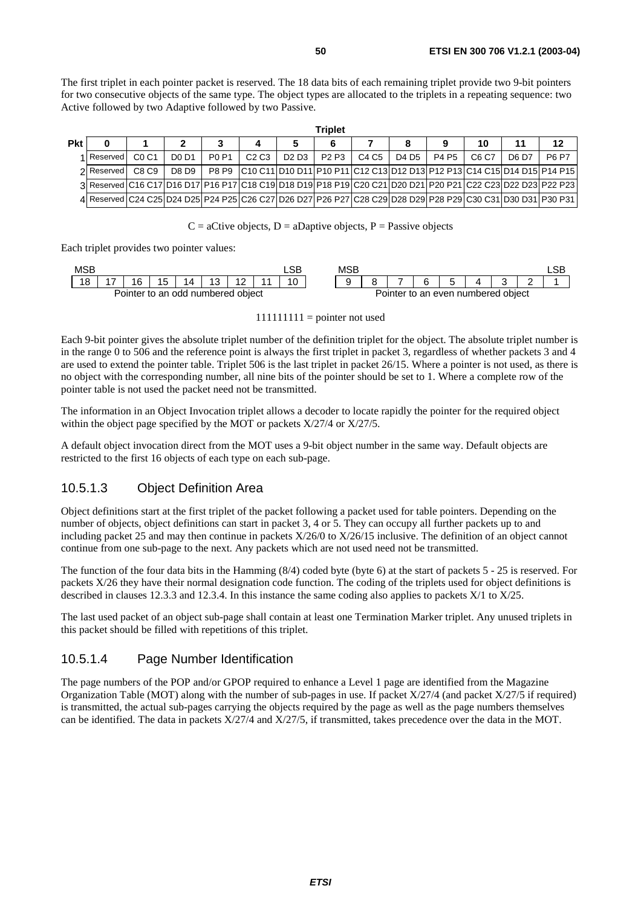The first triplet in each pointer packet is reserved. The 18 data bits of each remaining triplet provide two 9-bit pointers for two consecutive objects of the same type. The object types are allocated to the triplets in a repeating sequence: two Active followed by two Adaptive followed by two Passive.

|            |                                                                                                            |                               |                               |              |      |                                 | Triplet |       |       |       |       |       |                                                                               |
|------------|------------------------------------------------------------------------------------------------------------|-------------------------------|-------------------------------|--------------|------|---------------------------------|---------|-------|-------|-------|-------|-------|-------------------------------------------------------------------------------|
| <b>Pkt</b> |                                                                                                            |                               |                               |              |      |                                 |         |       |       |       | 10    | 11    | 12                                                                            |
|            | 1 Reserved                                                                                                 | C <sub>0</sub> C <sub>1</sub> | D <sub>0</sub> D <sub>1</sub> | <b>PO P1</b> | C2C3 | D <sub>2</sub> D <sub>3</sub> I | P2 P3   | C4 C5 | D4 D5 | P4 P5 | C6 C7 | D6 D7 | <b>P6 P7</b>                                                                  |
|            | 2 Reserved                                                                                                 | C8 C9                         | D8 D9                         |              |      |                                 |         |       |       |       |       |       | P8 P9 C10 C11 D10 D11 P10 P11 C12 C13 D12 D13 P12 P13 C14 C15 D14 D15 P14 P15 |
|            | 3 Reserved C16 C17 D16 D17 P16 P17 C18 C19 D18 D19 P18 P19 C20 C21 D20 D21 P20 P21 C22 C23 D22 D23 P22 P23 |                               |                               |              |      |                                 |         |       |       |       |       |       |                                                                               |
|            | 4 Reserved C24 C25 D24 D25 P24 P25 C26 C27 D26 D27 P26 P27 C28 C29 D28 D29 P28 P29 C30 C31 D30 D31 P30 P31 |                               |                               |              |      |                                 |         |       |       |       |       |       |                                                                               |

#### $C =$  aCtive objects,  $D =$  aDaptive objects,  $P =$  Passive objects

Each triplet provides two pointer values:

| MSB |     |    |    |                                   |  |    | <b>MSE</b> |         |  |                              | LSB |
|-----|-----|----|----|-----------------------------------|--|----|------------|---------|--|------------------------------|-----|
| 18  | . – | 16 | 15 | 14                                |  | 10 |            | -       |  |                              |     |
|     |     |    |    | Pointer to an odd numbered object |  |    |            | Pointer |  | r to an even numbered object |     |

#### $111111111 =$  pointer not used

Each 9-bit pointer gives the absolute triplet number of the definition triplet for the object. The absolute triplet number is in the range 0 to 506 and the reference point is always the first triplet in packet 3, regardless of whether packets 3 and 4 are used to extend the pointer table. Triplet 506 is the last triplet in packet 26/15. Where a pointer is not used, as there is no object with the corresponding number, all nine bits of the pointer should be set to 1. Where a complete row of the pointer table is not used the packet need not be transmitted.

The information in an Object Invocation triplet allows a decoder to locate rapidly the pointer for the required object within the object page specified by the MOT or packets  $X/27/4$  or  $X/27/5$ .

A default object invocation direct from the MOT uses a 9-bit object number in the same way. Default objects are restricted to the first 16 objects of each type on each sub-page.

#### 10.5.1.3 Object Definition Area

Object definitions start at the first triplet of the packet following a packet used for table pointers. Depending on the number of objects, object definitions can start in packet 3, 4 or 5. They can occupy all further packets up to and including packet 25 and may then continue in packets X/26/0 to X/26/15 inclusive. The definition of an object cannot continue from one sub-page to the next. Any packets which are not used need not be transmitted.

The function of the four data bits in the Hamming (8/4) coded byte (byte 6) at the start of packets 5 - 25 is reserved. For packets X/26 they have their normal designation code function. The coding of the triplets used for object definitions is described in clauses 12.3.3 and 12.3.4. In this instance the same coding also applies to packets X/1 to X/25.

The last used packet of an object sub-page shall contain at least one Termination Marker triplet. Any unused triplets in this packet should be filled with repetitions of this triplet.

#### 10.5.1.4 Page Number Identification

The page numbers of the POP and/or GPOP required to enhance a Level 1 page are identified from the Magazine Organization Table (MOT) along with the number of sub-pages in use. If packet  $X/27/4$  (and packet  $X/27/5$  if required) is transmitted, the actual sub-pages carrying the objects required by the page as well as the page numbers themselves can be identified. The data in packets X/27/4 and X/27/5, if transmitted, takes precedence over the data in the MOT.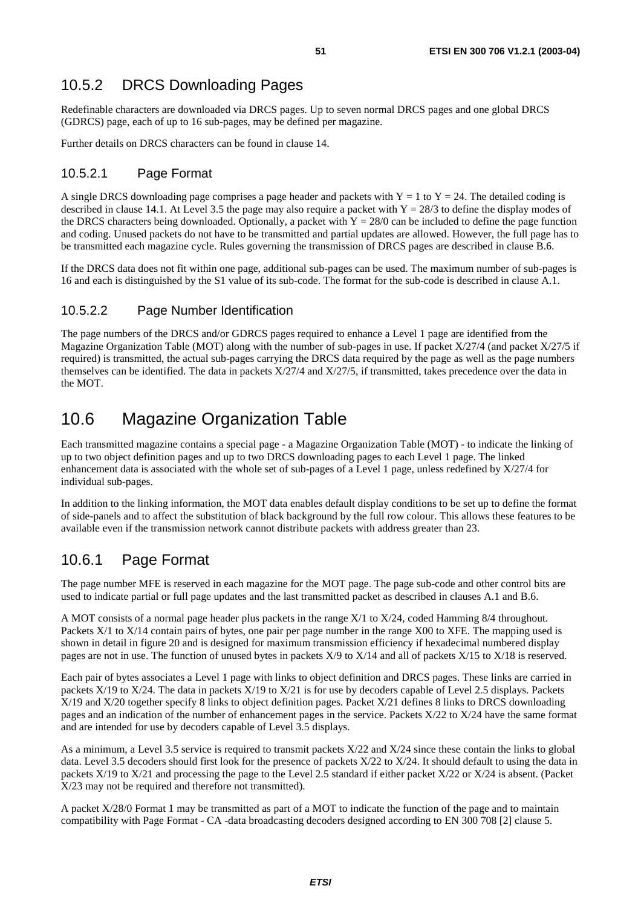## 10.5.2 DRCS Downloading Pages

Redefinable characters are downloaded via DRCS pages. Up to seven normal DRCS pages and one global DRCS (GDRCS) page, each of up to 16 sub-pages, may be defined per magazine.

Further details on DRCS characters can be found in clause 14.

#### 10.5.2.1 Page Format

A single DRCS downloading page comprises a page header and packets with  $Y = 1$  to  $Y = 24$ . The detailed coding is described in clause 14.1. At Level 3.5 the page may also require a packet with  $Y = 28/3$  to define the display modes of the DRCS characters being downloaded. Optionally, a packet with  $Y = 28/0$  can be included to define the page function and coding. Unused packets do not have to be transmitted and partial updates are allowed. However, the full page has to be transmitted each magazine cycle. Rules governing the transmission of DRCS pages are described in clause B.6.

If the DRCS data does not fit within one page, additional sub-pages can be used. The maximum number of sub-pages is 16 and each is distinguished by the S1 value of its sub-code. The format for the sub-code is described in clause A.1.

#### 10.5.2.2 Page Number Identification

The page numbers of the DRCS and/or GDRCS pages required to enhance a Level 1 page are identified from the Magazine Organization Table (MOT) along with the number of sub-pages in use. If packet X/27/4 (and packet X/27/5 if required) is transmitted, the actual sub-pages carrying the DRCS data required by the page as well as the page numbers themselves can be identified. The data in packets X/27/4 and X/27/5, if transmitted, takes precedence over the data in the MOT.

## 10.6 Magazine Organization Table

Each transmitted magazine contains a special page - a Magazine Organization Table (MOT) - to indicate the linking of up to two object definition pages and up to two DRCS downloading pages to each Level 1 page. The linked enhancement data is associated with the whole set of sub-pages of a Level 1 page, unless redefined by X/27/4 for individual sub-pages.

In addition to the linking information, the MOT data enables default display conditions to be set up to define the format of side-panels and to affect the substitution of black background by the full row colour. This allows these features to be available even if the transmission network cannot distribute packets with address greater than 23.

### 10.6.1 Page Format

The page number MFE is reserved in each magazine for the MOT page. The page sub-code and other control bits are used to indicate partial or full page updates and the last transmitted packet as described in clauses A.1 and B.6.

A MOT consists of a normal page header plus packets in the range X/1 to X/24, coded Hamming 8/4 throughout. Packets X/1 to X/14 contain pairs of bytes, one pair per page number in the range X00 to XFE. The mapping used is shown in detail in figure 20 and is designed for maximum transmission efficiency if hexadecimal numbered display pages are not in use. The function of unused bytes in packets X/9 to X/14 and all of packets X/15 to X/18 is reserved.

Each pair of bytes associates a Level 1 page with links to object definition and DRCS pages. These links are carried in packets X/19 to X/24. The data in packets X/19 to X/21 is for use by decoders capable of Level 2.5 displays. Packets X/19 and X/20 together specify 8 links to object definition pages. Packet X/21 defines 8 links to DRCS downloading pages and an indication of the number of enhancement pages in the service. Packets X/22 to X/24 have the same format and are intended for use by decoders capable of Level 3.5 displays.

As a minimum, a Level 3.5 service is required to transmit packets X/22 and X/24 since these contain the links to global data. Level 3.5 decoders should first look for the presence of packets X/22 to X/24. It should default to using the data in packets X/19 to X/21 and processing the page to the Level 2.5 standard if either packet X/22 or X/24 is absent. (Packet X/23 may not be required and therefore not transmitted).

A packet X/28/0 Format 1 may be transmitted as part of a MOT to indicate the function of the page and to maintain compatibility with Page Format - CA -data broadcasting decoders designed according to EN 300 708 [2] clause 5.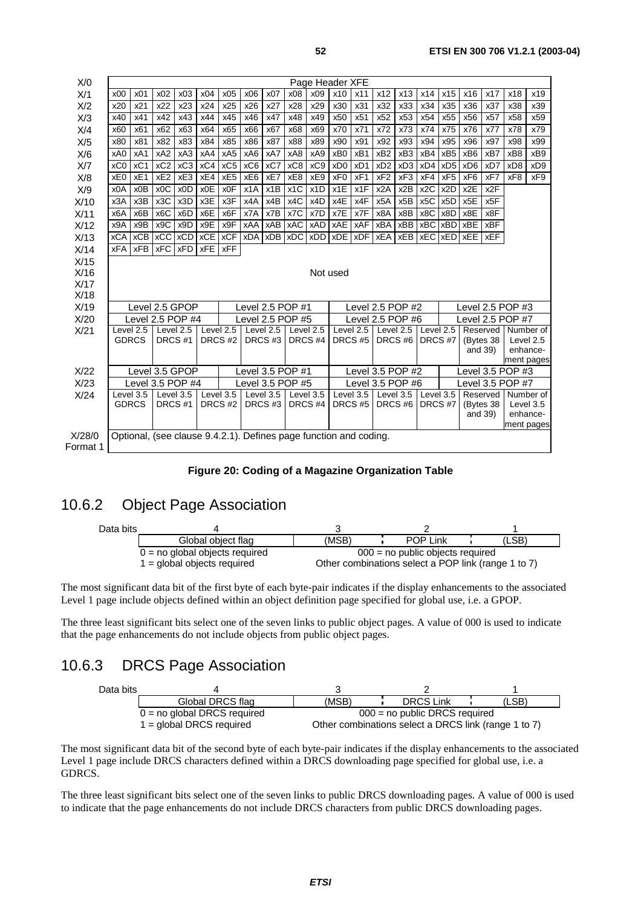| X/O      | Page Header XFE |                 |                  |                  |           |             |                      |                    |     |                                                                   |                    |           |                                      |                 |                         |                  |                  |                      |                       |                 |
|----------|-----------------|-----------------|------------------|------------------|-----------|-------------|----------------------|--------------------|-----|-------------------------------------------------------------------|--------------------|-----------|--------------------------------------|-----------------|-------------------------|------------------|------------------|----------------------|-----------------------|-----------------|
| X/1      | x00             | x01             | x02              | x03              | x04       | x05         | x06                  | x07                | x08 | x09                                                               | x10                | x11       | x12                                  | x13             | x14                     | x15              | x16              | x17                  | x18                   | x19             |
| X/2      | x20             | x21             | x22              | x23              | x24       | x25         | x26                  | x27                | x28 | x29                                                               | x30                | x31       | x32                                  | x33             | x34                     | x35              | x36              | x37                  | x38                   | x39             |
| X/3      | x40             | x41             | x42              | x43              | x44       | x45         | x46                  | x47                | x48 | x49                                                               | x50                | x51       | x52                                  | x53             | x54                     | x55              | x56              | x57                  | x58                   | x59             |
| X/4      | x60             | x61             | x62              | x63              | x64       | x65         | x66                  | x67                | x68 | x69                                                               | x70                | x71       | x72                                  | x73             | x74                     | x75              | x76              | x77                  | x78                   | x79             |
| X/5      | x80             | x81             | x82              | x83              | x84       | x85         | x86                  | x87                | x88 | x89                                                               | x90                | x91       | x92                                  | x93             | x94                     | x95              | x96              | x97                  | x98                   | x99             |
| X/6      | xA0             | xA1             | xA <sub>2</sub>  | xA3              | xA4       | xA5         | xA6                  | xA7                | xA8 | xA9                                                               | xB <sub>0</sub>    | xB1       | xB <sub>2</sub>                      | xB3             | xB4                     | xB <sub>5</sub>  | xB <sub>6</sub>  | xB7                  | xB8                   | xB9             |
| X/T      | xC0             | xC <sub>1</sub> | $xC2$ $xC3$      |                  | xC4       | xC5         | xC6                  | xC7                | xC8 | xC9                                                               | xD <sub>0</sub>    | xD1       | xD <sub>2</sub>                      | xD <sub>3</sub> | xD4                     | xD <sub>5</sub>  | xD <sub>6</sub>  | xD7                  | xD <sub>8</sub>       | xD <sub>9</sub> |
| X/8      | xE <sub>0</sub> | xE1             | xE2              | xE3              | xE4       | xE5         | xE <sub>6</sub>      | xE7                | xE8 | xE9                                                               | xF <sub>0</sub>    | xF1       | xF <sub>2</sub>                      | xF3             | xF4                     | xF <sub>5</sub>  | xF <sub>6</sub>  | xF7                  | xF8                   | xF9             |
| X/9      | x0A             | x0B             | x <sub>0</sub> C | x <sub>0</sub> D | x0E       | x0F         | x1A                  | x1B                | x1C | x <sub>1</sub> D                                                  | x1E                | x1F       | x2A                                  | x2B             | x <sub>2</sub> C        | x <sub>2</sub> D | x2E              | x2F                  |                       |                 |
| X/10     | x3A             | x3B             | $x3C$ $x3D$      |                  | x3E       | x3F         | x4A                  | x4B                | x4C | x4D                                                               | x4E                | x4F       | x <sub>5</sub> A                     | x5B             | x5C                     | x <sub>5</sub> D | x <sub>5</sub> E | x <sub>5</sub> F     |                       |                 |
| X/11     | x6A             | x6B             | x <sub>6</sub> C | x6D              | x6E       | x6F         | x7A                  | x7B                | x7C | x7D                                                               | x7E                | x7F       | x8A                                  | x8B             | x8C                     | x8D              | x8E              | x8F                  |                       |                 |
| X/12     | x9A             | x9B             | $x9C$ $x9D$      |                  | x9E       | x9F         | xAA   xAB            |                    | xAC | xAD                                                               | $xAE$ $xAF$        |           | xBA                                  | xBB             |                         | $xBC$ $xBD$      | xBE              | <b>xBF</b>           |                       |                 |
| X/13     | <b>xCA</b>      | <b>xCB</b>      | xCC xCD          |                  |           | $xCE$ $xCF$ |                      | <b>xDA xDB xDC</b> |     | xDD                                                               | xDE   xDF          |           | <b>xEA</b>                           | <b>xEB</b>      | <b>xEC</b>   <b>xED</b> |                  | xEE              | <b>xEF</b>           |                       |                 |
| X/14     | <b>xFA</b>      | <b>xFB</b>      | xFC   xFD        |                  | xFE xFF   |             |                      |                    |     |                                                                   |                    |           |                                      |                 |                         |                  |                  |                      |                       |                 |
| X/15     |                 |                 |                  |                  |           |             |                      |                    |     |                                                                   |                    |           |                                      |                 |                         |                  |                  |                      |                       |                 |
| X/16     |                 |                 |                  |                  |           |             |                      |                    |     |                                                                   | Not used           |           |                                      |                 |                         |                  |                  |                      |                       |                 |
| X/17     |                 |                 |                  |                  |           |             |                      |                    |     |                                                                   |                    |           |                                      |                 |                         |                  |                  |                      |                       |                 |
| X/18     |                 |                 |                  |                  |           |             |                      |                    |     |                                                                   |                    |           |                                      |                 |                         |                  |                  |                      |                       |                 |
| X/19     |                 |                 | Level 2.5 GPOP   |                  |           |             | Level 2.5 POP #1     |                    |     |                                                                   |                    |           | Level 2.5 POP #2<br>Level 2.5 POP #3 |                 |                         |                  |                  |                      |                       |                 |
| X/20     |                 |                 | Level 2.5 POP #4 |                  |           |             | Level $2.5$ POP $#5$ |                    |     |                                                                   |                    |           | Level 2.5 POP #6                     |                 |                         |                  |                  |                      | Level 2.5 POP #7      |                 |
| X/21     |                 | Level 2.5       |                  | Level 2.5        |           | Level 2.5   |                      | Level 2.5          |     | Level 2.5                                                         |                    | Level 2.5 | Level 2.5                            |                 | Level 2.5               |                  |                  | Reserved             | Number of             |                 |
|          | <b>GDRCS</b>    |                 | DRCS#1           |                  | DRCS#2    |             |                      | DRCS#3             |     | DRCS <sub>#4</sub>                                                | DRCS#5             |           |                                      | DRCS#6          | DRCS #7                 |                  |                  | (Bytes 38<br>and 39) | Level 2.5<br>enhance- |                 |
|          |                 |                 |                  |                  |           |             |                      |                    |     |                                                                   |                    |           |                                      |                 |                         |                  |                  |                      | ment pages            |                 |
| X/22     |                 |                 | Level 3.5 GPOP   |                  |           |             | Level 3.5 POP #1     |                    |     |                                                                   |                    |           | Level 3.5 POP #2                     |                 |                         |                  |                  |                      | Level 3.5 POP #3      |                 |
| X/23     |                 |                 | Level 3.5 POP #4 |                  |           |             | Level 3.5 POP #5     |                    |     |                                                                   |                    |           | Level 3.5 POP #6                     |                 |                         |                  |                  |                      | Level 3.5 POP #7      |                 |
| X/24     |                 | Level 3.5       |                  | Level 3.5        | Level 3.5 |             |                      | Level 3.5          |     | Level 3.5                                                         | Level 3.5          |           | Level 3.5                            |                 | Level 3.5               |                  |                  | Reserved             | Number of             |                 |
|          | <b>GDRCS</b>    |                 | DRCS #1          |                  | DRCS#2    |             |                      | DRCS#3             |     | DRCS <sub>#4</sub>                                                | DRCS <sub>#5</sub> |           |                                      | DRCS#6          | DRCS #7                 |                  |                  | (Bytes 38            | Level 3.5             |                 |
|          |                 |                 |                  |                  |           |             |                      |                    |     |                                                                   |                    |           |                                      |                 |                         |                  | and 39)          |                      | enhance-              |                 |
|          |                 |                 |                  |                  |           |             |                      |                    |     |                                                                   |                    |           |                                      |                 |                         |                  |                  |                      |                       | ment pages      |
| X/28/0   |                 |                 |                  |                  |           |             |                      |                    |     | Optional, (see clause 9.4.2.1). Defines page function and coding. |                    |           |                                      |                 |                         |                  |                  |                      |                       |                 |
| Format 1 |                 |                 |                  |                  |           |             |                      |                    |     |                                                                   |                    |           |                                      |                 |                         |                  |                  |                      |                       |                 |



#### 10.6.2 Object Page Association

| Data bits |                                  |       |                                                     |       |
|-----------|----------------------------------|-------|-----------------------------------------------------|-------|
|           | Global object flag               | (MSB) | <b>POP Link</b>                                     | (LSB) |
|           | $0 =$ no global objects required |       | $000$ = no public objects required                  |       |
|           | 1 = global objects required      |       | Other combinations select a POP link (range 1 to 7) |       |

The most significant data bit of the first byte of each byte-pair indicates if the display enhancements to the associated Level 1 page include objects defined within an object definition page specified for global use, i.e. a GPOP.

The three least significant bits select one of the seven links to public object pages. A value of 000 is used to indicate that the page enhancements do not include objects from public object pages.

#### 10.6.3 DRCS Page Association



The most significant data bit of the second byte of each byte-pair indicates if the display enhancements to the associated Level 1 page include DRCS characters defined within a DRCS downloading page specified for global use, i.e. a GDRCS.

The three least significant bits select one of the seven links to public DRCS downloading pages. A value of 000 is used to indicate that the page enhancements do not include DRCS characters from public DRCS downloading pages.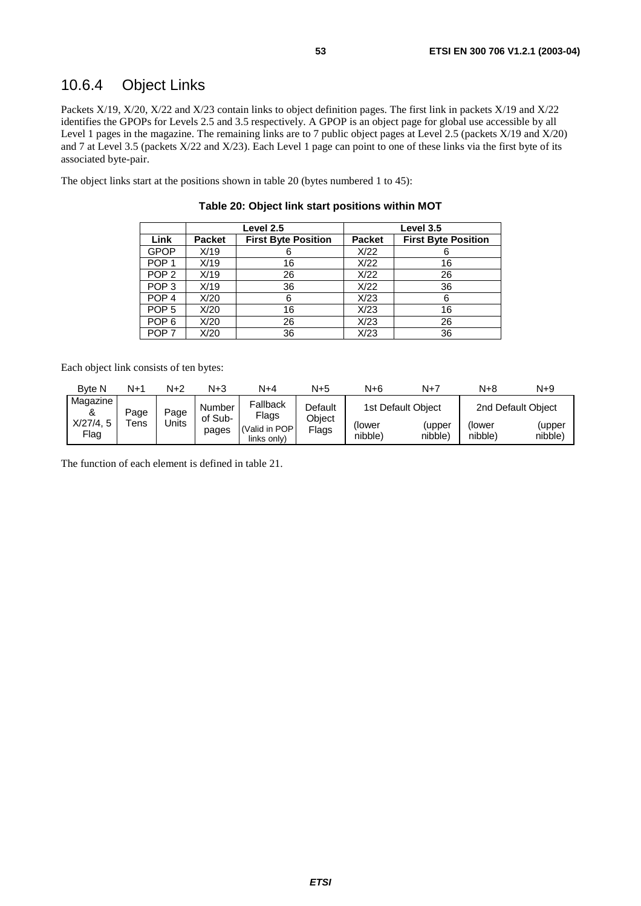### 10.6.4 Object Links

Packets X/19, X/20, X/22 and X/23 contain links to object definition pages. The first link in packets X/19 and X/22 identifies the GPOPs for Levels 2.5 and 3.5 respectively. A GPOP is an object page for global use accessible by all Level 1 pages in the magazine. The remaining links are to 7 public object pages at Level 2.5 (packets X/19 and X/20) and 7 at Level 3.5 (packets X/22 and X/23). Each Level 1 page can point to one of these links via the first byte of its associated byte-pair.

The object links start at the positions shown in table 20 (bytes numbered 1 to 45):

|                  |               | Level 2.5                  |               | Level 3.5                  |
|------------------|---------------|----------------------------|---------------|----------------------------|
| Link             | <b>Packet</b> | <b>First Byte Position</b> | <b>Packet</b> | <b>First Byte Position</b> |
| <b>GPOP</b>      | X/19          | 6                          | X/22          |                            |
| POP <sub>1</sub> | X/19          | 16                         | X/22          | 16                         |
| POP <sub>2</sub> | X/19          | 26                         | X/22          | 26                         |
| POP <sub>3</sub> | X/19          | 36                         | X/22          | 36                         |
| POP <sub>4</sub> | X/20          | 6                          | X/23          |                            |
| POP <sub>5</sub> | X/20          | 16                         | X/23          | 16                         |
| POP <sub>6</sub> | X/20          | 26                         | X/23          | 26                         |
| POP <sub>7</sub> | X/20          | 36                         | X/23          | 36                         |

#### **Table 20: Object link start positions within MOT**

Each object link consists of ten bytes:

| <b>Byte N</b>                     | N+1          | N+2           | N+3                        | N+4                                               | N+5                        | $N+6$             | N+7                                     | $N+8$             | N+9                                     |
|-----------------------------------|--------------|---------------|----------------------------|---------------------------------------------------|----------------------------|-------------------|-----------------------------------------|-------------------|-----------------------------------------|
| Magazine<br>α<br>X/27/4.5<br>Flag | Page<br>⊺ens | Page<br>Jnits | Number<br>of Sub-<br>pages | Fallback<br>Flags<br>(Valid in POP<br>links only) | Default<br>Obiect<br>Flags | (lower<br>nibble) | 1st Default Obiect<br>(upper<br>nibble) | (lower<br>nibble) | 2nd Default Object<br>(upper<br>nibble) |

The function of each element is defined in table 21.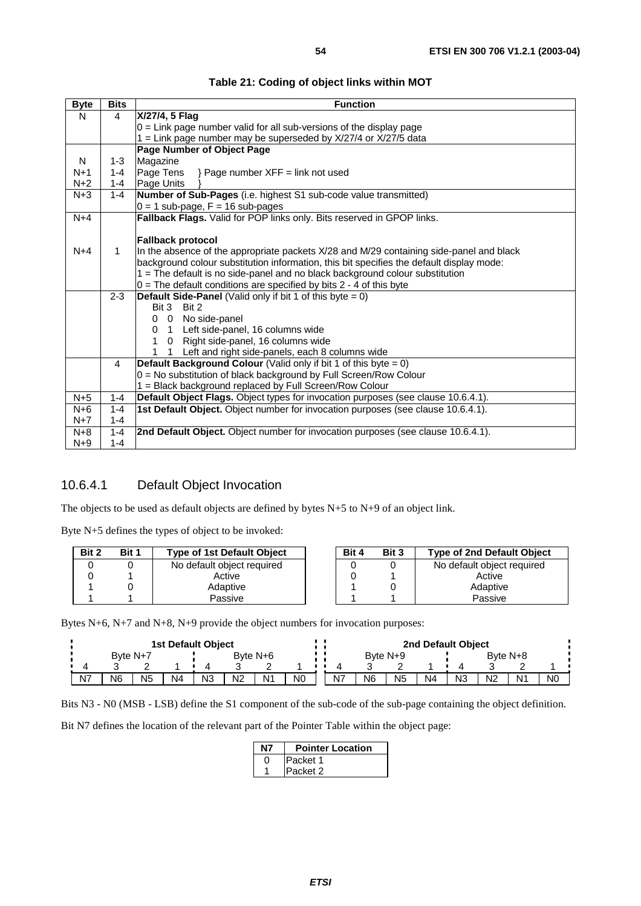| <b>Byte</b> | <b>Bits</b>  | <b>Function</b>                                                                          |
|-------------|--------------|------------------------------------------------------------------------------------------|
| N           | 4            | X/27/4, 5 Flag                                                                           |
|             |              | $0 =$ Link page number valid for all sub-versions of the display page                    |
|             |              | 1 = Link page number may be superseded by X/27/4 or X/27/5 data                          |
|             |              | Page Number of Object Page                                                               |
| N           | 1-3          | Magazine                                                                                 |
| $N+1$       | $1 - 4$      | Page Tens<br>} Page number XFF = link not used                                           |
| $N+2$       | $1 - 4$      | Page Units                                                                               |
| $N+3$       | $1 - 4$      | Number of Sub-Pages (i.e. highest S1 sub-code value transmitted)                         |
|             |              | $0 = 1$ sub-page, $F = 16$ sub-pages                                                     |
| $N+4$       |              | Fallback Flags. Valid for POP links only. Bits reserved in GPOP links.                   |
|             |              |                                                                                          |
|             |              | <b>Fallback protocol</b>                                                                 |
| $N+4$       | $\mathbf{1}$ | In the absence of the appropriate packets X/28 and M/29 containing side-panel and black  |
|             |              | background colour substitution information, this bit specifies the default display mode: |
|             |              | 1 = The default is no side-panel and no black background colour substitution             |
|             |              | $0$ = The default conditions are specified by bits 2 - 4 of this byte                    |
|             | $2 - 3$      | <b>Default Side-Panel</b> (Valid only if bit 1 of this $\overline{byte} = 0$ )           |
|             |              | Bit 3 Bit 2                                                                              |
|             |              | 0 No side-panel<br>0                                                                     |
|             |              | 1 Left side-panel, 16 columns wide<br>$\Omega$                                           |
|             |              | 0 Right side-panel, 16 columns wide<br>1                                                 |
|             |              | Left and right side-panels, each 8 columns wide                                          |
|             | 4            | <b>Default Background Colour</b> (Valid only if bit 1 of this byte $= 0$ )               |
|             |              | 0 = No substitution of black background by Full Screen/Row Colour                        |
|             |              | 1 = Black background replaced by Full Screen/Row Colour                                  |
| $N+5$       | $1 - 4$      | Default Object Flags. Object types for invocation purposes (see clause 10.6.4.1).        |
| $N+6$       | $1 - 4$      | 1st Default Object. Object number for invocation purposes (see clause 10.6.4.1).         |
| $N+7$       | $1 - 4$      |                                                                                          |
| $N+8$       | $1 - 4$      | 2nd Default Object. Object number for invocation purposes (see clause 10.6.4.1).         |
| $N+9$       | $1 - 4$      |                                                                                          |

**Table 21: Coding of object links within MOT** 

### 10.6.4.1 Default Object Invocation

The objects to be used as default objects are defined by bytes N+5 to N+9 of an object link.

Byte N+5 defines the types of object to be invoked:

| Bit 2 | Bit 1 | <b>Type of 1st Default Object</b> | Bit 4 | Bit 3 | <b>Type of 2nd Default Object</b> |
|-------|-------|-----------------------------------|-------|-------|-----------------------------------|
|       |       | No default object required        |       |       | No default object required        |
|       |       | Active                            |       |       | Active                            |
|       |       | Adaptive                          |       |       | Adaptive                          |
|       |       | Passive                           |       |       | Passive                           |

Bytes N+6, N+7 and N+8, N+9 provide the object numbers for invocation purposes:

|                | <b>1st Default Object</b> |                |    |                |                |                |    |  |    |                |    |                | 2nd Default Object |                |    |                |
|----------------|---------------------------|----------------|----|----------------|----------------|----------------|----|--|----|----------------|----|----------------|--------------------|----------------|----|----------------|
|                | Byte N+7                  |                |    |                | Byte $N+6$     |                |    |  |    | Byte $N+9$     |    |                |                    | Byte $N+8$     |    |                |
|                |                           |                |    |                |                |                |    |  |    |                |    |                |                    |                |    |                |
| N <sub>7</sub> | N6                        | N <sub>5</sub> | N4 | N <sub>3</sub> | N <sub>2</sub> | N <sup>1</sup> | N0 |  | N7 | N <sub>6</sub> | N5 | N <sub>4</sub> | N <sub>3</sub>     | N <sub>2</sub> | N1 | N <sub>0</sub> |

Bits N3 - N0 (MSB - LSB) define the S1 component of the sub-code of the sub-page containing the object definition.

Bit N7 defines the location of the relevant part of the Pointer Table within the object page:

| <b>Pointer Location</b> |
|-------------------------|
| Packet 1                |
| <b>Packet 2</b>         |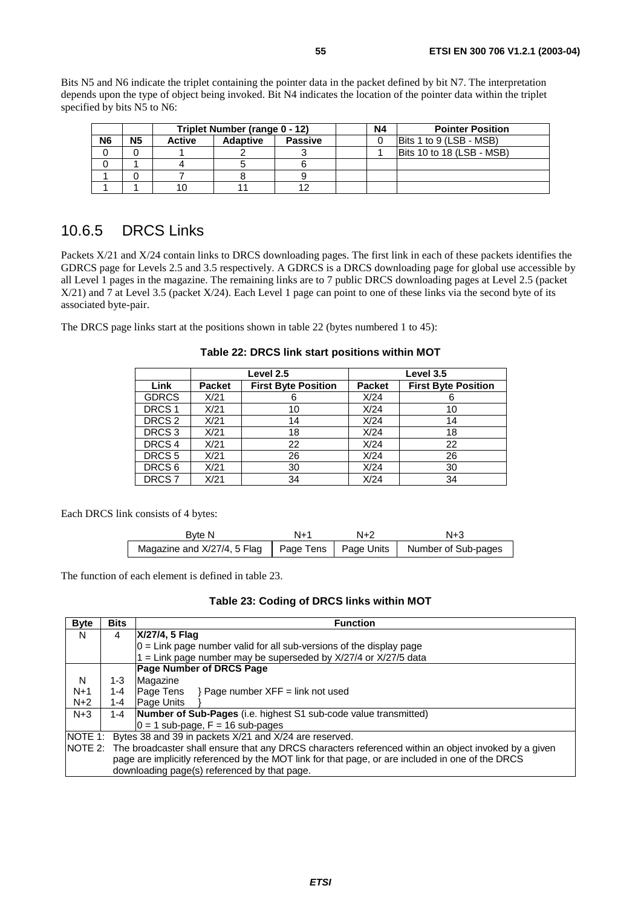Bits N5 and N6 indicate the triplet containing the pointer data in the packet defined by bit N7. The interpretation depends upon the type of object being invoked. Bit N4 indicates the location of the pointer data within the triplet specified by bits N5 to N6:

|                |    |               | Triplet Number (range 0 - 12) |                | Ν4 | <b>Pointer Position</b>        |
|----------------|----|---------------|-------------------------------|----------------|----|--------------------------------|
| N <sub>6</sub> | N5 | <b>Active</b> | <b>Adaptive</b>               | <b>Passive</b> |    | <b>Bits 1 to 9 (LSB - MSB)</b> |
|                |    |               |                               |                |    | Bits 10 to 18 (LSB - MSB)      |
|                |    |               |                               |                |    |                                |
|                |    |               |                               |                |    |                                |
|                |    |               |                               |                |    |                                |

### 10.6.5 DRCS Links

Packets X/21 and X/24 contain links to DRCS downloading pages. The first link in each of these packets identifies the GDRCS page for Levels 2.5 and 3.5 respectively. A GDRCS is a DRCS downloading page for global use accessible by all Level 1 pages in the magazine. The remaining links are to 7 public DRCS downloading pages at Level 2.5 (packet X/21) and 7 at Level 3.5 (packet X/24). Each Level 1 page can point to one of these links via the second byte of its associated byte-pair.

The DRCS page links start at the positions shown in table 22 (bytes numbered 1 to 45):

|                   |               | Level 2.5                  | Level 3.5     |                            |  |  |  |  |  |  |
|-------------------|---------------|----------------------------|---------------|----------------------------|--|--|--|--|--|--|
| Link              | <b>Packet</b> | <b>First Byte Position</b> | <b>Packet</b> | <b>First Byte Position</b> |  |  |  |  |  |  |
| <b>GDRCS</b>      | X/21          | 6                          | X/24          | 6                          |  |  |  |  |  |  |
| DRCS <sub>1</sub> | X/21          | 10                         | X/24          | 10                         |  |  |  |  |  |  |
| DRCS <sub>2</sub> | X/21          | 14                         | X/24          | 14                         |  |  |  |  |  |  |
| DRCS <sub>3</sub> | X/21          | 18                         | X/24          | 18                         |  |  |  |  |  |  |
| DRCS <sub>4</sub> | X/21          | 22                         | X/24          | 22                         |  |  |  |  |  |  |
| DRCS <sub>5</sub> | X/21          | 26                         | X/24          | 26                         |  |  |  |  |  |  |
| DRCS <sub>6</sub> | X/21          | 30                         | X/24          | 30                         |  |  |  |  |  |  |
| DRCS <sub>7</sub> | X/21          | 34                         | X/24          | 34                         |  |  |  |  |  |  |

**Table 22: DRCS link start positions within MOT** 

Each DRCS link consists of 4 bytes:

| Byte N                                                                     | N+1 | N+2 | $N+3$ |
|----------------------------------------------------------------------------|-----|-----|-------|
| Magazine and X/27/4, 5 Flag   Page Tens   Page Units   Number of Sub-pages |     |     |       |

The function of each element is defined in table 23.

#### **Table 23: Coding of DRCS links within MOT**

| <b>Byte</b> | <b>Bits</b> | <b>Function</b>                                                                                              |
|-------------|-------------|--------------------------------------------------------------------------------------------------------------|
| N           | 4           | X/27/4, 5 Flag                                                                                               |
|             |             | $ 0 $ = Link page number valid for all sub-versions of the display page                                      |
|             |             | = Link page number may be superseded by $X/27/4$ or $X/27/5$ data                                            |
|             |             | Page Number of DRCS Page                                                                                     |
| N           | 1-3         | Magazine                                                                                                     |
| $N+1$       | $1 - 4$     | $\textsf{Page}$ Tens $\rightarrow$ Page number XFF = link not used                                           |
| $N+2$       | 1-4         | Page Units                                                                                                   |
| $N+3$       | $1 - 4$     | Number of Sub-Pages (i.e. highest S1 sub-code value transmitted)                                             |
|             |             | $0 = 1$ sub-page, $F = 16$ sub-pages                                                                         |
| NOTE 1:     |             | Bytes 38 and 39 in packets X/21 and X/24 are reserved.                                                       |
|             |             | NOTE 2: The broadcaster shall ensure that any DRCS characters referenced within an object invoked by a given |
|             |             | page are implicitly referenced by the MOT link for that page, or are included in one of the DRCS             |
|             |             | downloading page(s) referenced by that page.                                                                 |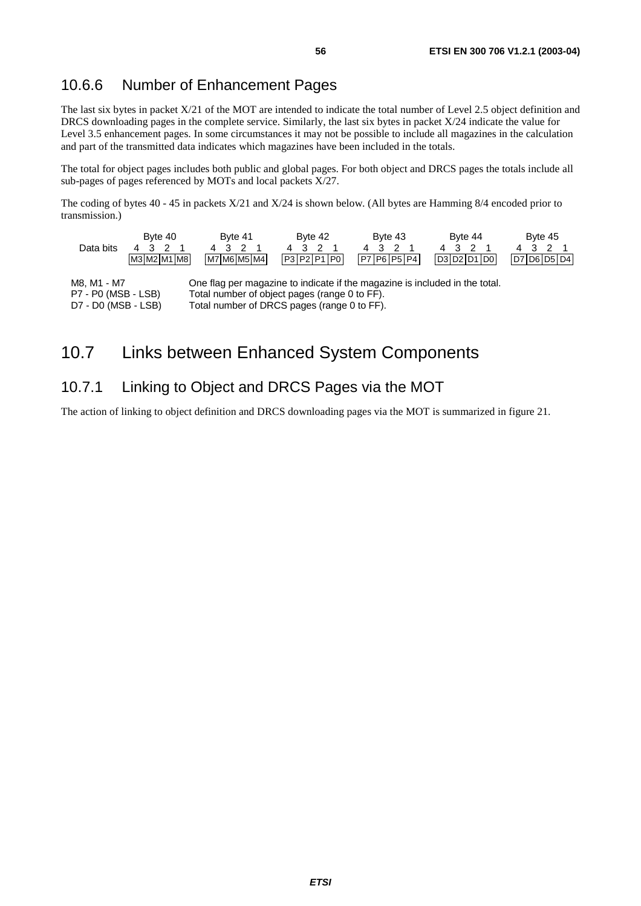### 10.6.6 Number of Enhancement Pages

The last six bytes in packet X/21 of the MOT are intended to indicate the total number of Level 2.5 object definition and DRCS downloading pages in the complete service. Similarly, the last six bytes in packet X/24 indicate the value for Level 3.5 enhancement pages. In some circumstances it may not be possible to include all magazines in the calculation and part of the transmitted data indicates which magazines have been included in the totals.

The total for object pages includes both public and global pages. For both object and DRCS pages the totals include all sub-pages of pages referenced by MOTs and local packets X/27.

The coding of bytes 40 - 45 in packets X/21 and X/24 is shown below. (All bytes are Hamming 8/4 encoded prior to transmission.)

| Data bits                                 | Byte 40<br>43<br>M3 M2 M1 M8 | Byte 41<br>- 2<br>43<br>M7 M6 M5 M4                                                                                         | Byte 42<br>32<br>4<br>$P3$ $P2$ $P1$ $P0$ | Byte 43<br>ာ<br>4 3<br>P7 P6 P5 P4 | Byte 44<br>21<br>43<br>D3D2D1D0 | Byte 45<br>32<br>D7 D6 D5 D4 |
|-------------------------------------------|------------------------------|-----------------------------------------------------------------------------------------------------------------------------|-------------------------------------------|------------------------------------|---------------------------------|------------------------------|
| M8. M1 - M7<br><b>P7 - P0 (MSR - LSR)</b> |                              | One flag per magazine to indicate if the magazine is included in the total.<br>Total number of object nages (range 0 to FF) |                                           |                                    |                                 |                              |

P7 - P0 (MSB - LSB) Total number of object pages (range υ το i<br>D7 - D0 (MSB - LSB) Total number of DRCS pages (range 0 to Total number of DRCS pages (range 0 to FF).

## 10.7 Links between Enhanced System Components

### 10.7.1 Linking to Object and DRCS Pages via the MOT

The action of linking to object definition and DRCS downloading pages via the MOT is summarized in figure 21.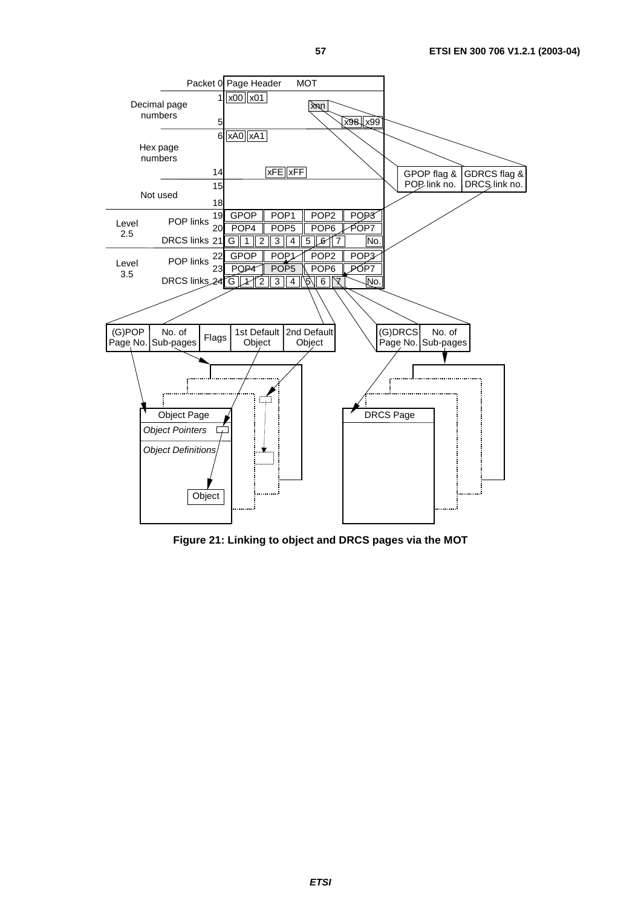

**Figure 21: Linking to object and DRCS pages via the MOT**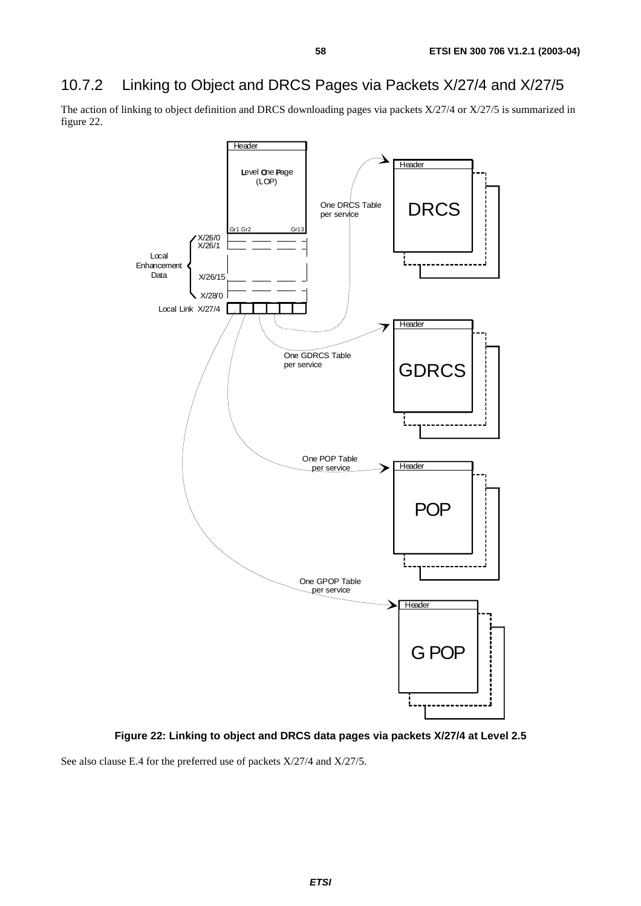## 10.7.2 Linking to Object and DRCS Pages via Packets X/27/4 and X/27/5

The action of linking to object definition and DRCS downloading pages via packets X/27/4 or X/27/5 is summarized in figure 22.



**Figure 22: Linking to object and DRCS data pages via packets X/27/4 at Level 2.5** 

See also clause E.4 for the preferred use of packets X/27/4 and X/27/5.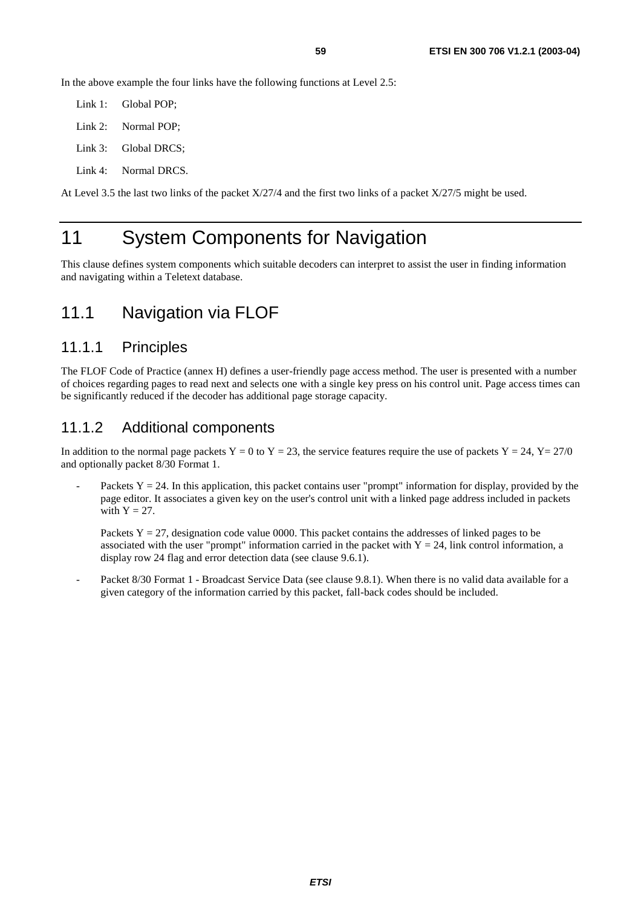In the above example the four links have the following functions at Level 2.5:

Link 1: Global POP; Link 2: Normal POP; Link 3: Global DRCS;

Link 4: Normal DRCS.

At Level 3.5 the last two links of the packet X/27/4 and the first two links of a packet X/27/5 might be used.

## 11 System Components for Navigation

This clause defines system components which suitable decoders can interpret to assist the user in finding information and navigating within a Teletext database.

### 11.1 Navigation via FLOF

#### 11.1.1 Principles

The FLOF Code of Practice (annex H) defines a user-friendly page access method. The user is presented with a number of choices regarding pages to read next and selects one with a single key press on his control unit. Page access times can be significantly reduced if the decoder has additional page storage capacity.

#### 11.1.2 Additional components

In addition to the normal page packets  $Y = 0$  to  $Y = 23$ , the service features require the use of packets  $Y = 24$ ,  $Y = 27/0$ and optionally packet 8/30 Format 1.

Packets  $Y = 24$ . In this application, this packet contains user "prompt" information for display, provided by the page editor. It associates a given key on the user's control unit with a linked page address included in packets with  $Y = 27$ .

Packets  $Y = 27$ , designation code value 0000. This packet contains the addresses of linked pages to be associated with the user "prompt" information carried in the packet with  $Y = 24$ , link control information, a display row 24 flag and error detection data (see clause 9.6.1).

Packet 8/30 Format 1 - Broadcast Service Data (see clause 9.8.1). When there is no valid data available for a given category of the information carried by this packet, fall-back codes should be included.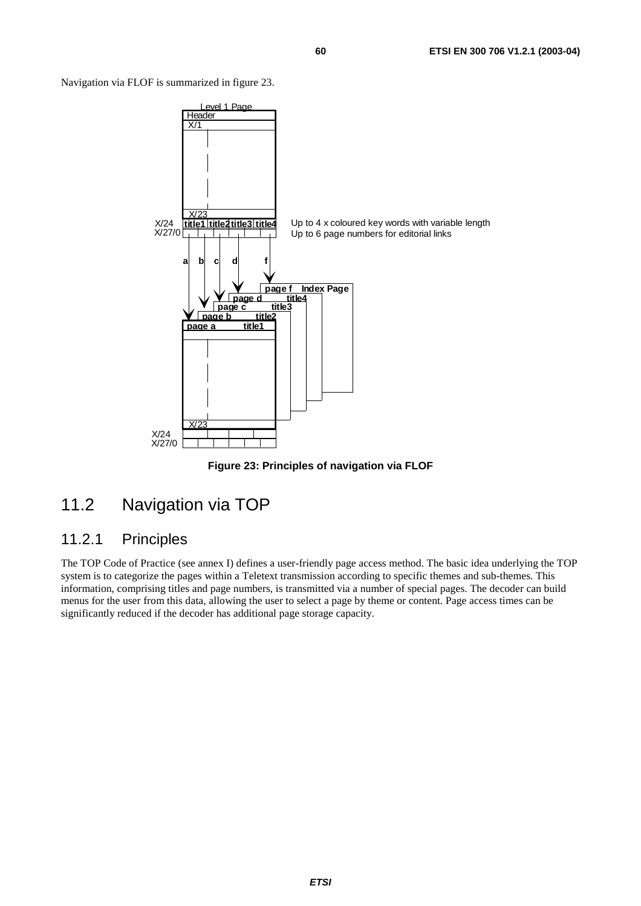Navigation via FLOF is summarized in figure 23.



**Figure 23: Principles of navigation via FLOF** 

## 11.2 Navigation via TOP

### 11.2.1 Principles

The TOP Code of Practice (see annex I) defines a user-friendly page access method. The basic idea underlying the TOP system is to categorize the pages within a Teletext transmission according to specific themes and sub-themes. This information, comprising titles and page numbers, is transmitted via a number of special pages. The decoder can build menus for the user from this data, allowing the user to select a page by theme or content. Page access times can be significantly reduced if the decoder has additional page storage capacity.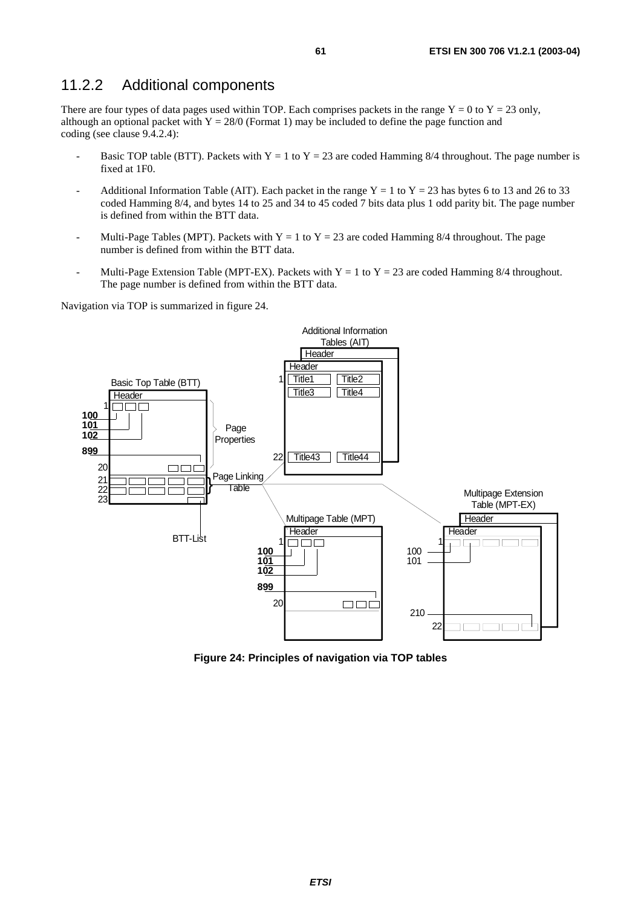### 11.2.2 Additional components

There are four types of data pages used within TOP. Each comprises packets in the range  $Y = 0$  to  $Y = 23$  only, although an optional packet with  $Y = 28/0$  (Format 1) may be included to define the page function and coding (see clause 9.4.2.4):

- Basic TOP table (BTT). Packets with Y = 1 to Y = 23 are coded Hamming 8/4 throughout. The page number is fixed at 1F0.
- Additional Information Table (AIT). Each packet in the range  $Y = 1$  to  $Y = 23$  has bytes 6 to 13 and 26 to 33 coded Hamming 8/4, and bytes 14 to 25 and 34 to 45 coded 7 bits data plus 1 odd parity bit. The page number is defined from within the BTT data.
- Multi-Page Tables (MPT). Packets with Y = 1 to Y = 23 are coded Hamming 8/4 throughout. The page number is defined from within the BTT data.
- Multi-Page Extension Table (MPT-EX). Packets with  $Y = 1$  to  $Y = 23$  are coded Hamming 8/4 throughout. The page number is defined from within the BTT data.

Navigation via TOP is summarized in figure 24.



**Figure 24: Principles of navigation via TOP tables**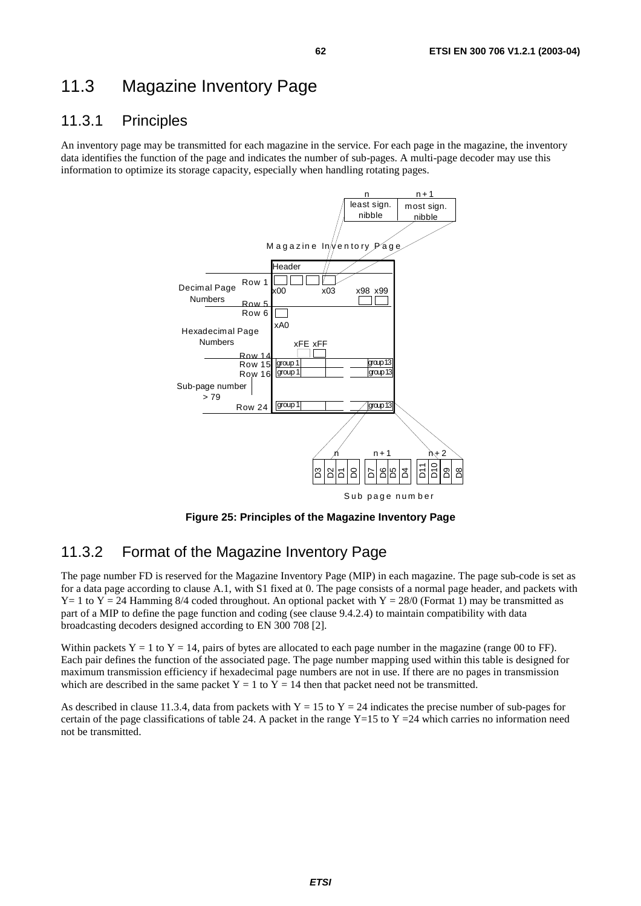## 11.3 Magazine Inventory Page

### 11.3.1 Principles

An inventory page may be transmitted for each magazine in the service. For each page in the magazine, the inventory data identifies the function of the page and indicates the number of sub-pages. A multi-page decoder may use this information to optimize its storage capacity, especially when handling rotating pages.



**Figure 25: Principles of the Magazine Inventory Page** 

### 11.3.2 Format of the Magazine Inventory Page

The page number FD is reserved for the Magazine Inventory Page (MIP) in each magazine. The page sub-code is set as for a data page according to clause A.1, with S1 fixed at 0. The page consists of a normal page header, and packets with  $Y=1$  to  $Y=24$  Hamming 8/4 coded throughout. An optional packet with  $Y=28/0$  (Format 1) may be transmitted as part of a MIP to define the page function and coding (see clause 9.4.2.4) to maintain compatibility with data broadcasting decoders designed according to EN 300 708 [2].

Within packets  $Y = 1$  to  $Y = 14$ , pairs of bytes are allocated to each page number in the magazine (range 00 to FF). Each pair defines the function of the associated page. The page number mapping used within this table is designed for maximum transmission efficiency if hexadecimal page numbers are not in use. If there are no pages in transmission which are described in the same packet  $Y = 1$  to  $Y = 14$  then that packet need not be transmitted.

As described in clause 11.3.4, data from packets with  $Y = 15$  to  $Y = 24$  indicates the precise number of sub-pages for certain of the page classifications of table 24. A packet in the range Y=15 to Y =24 which carries no information need not be transmitted.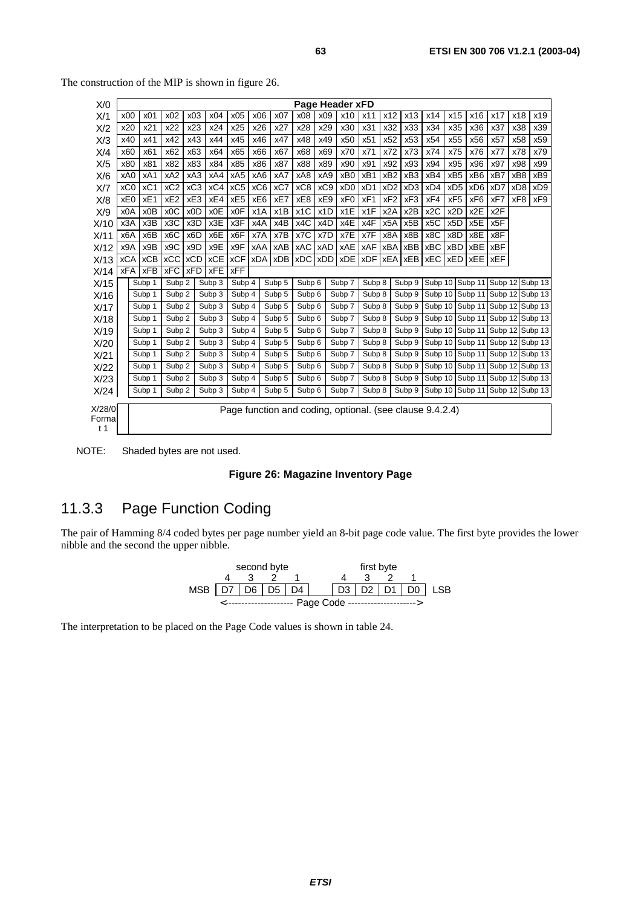| X/0                     |                  |            |                   |                  |            |                 |                 |                            |                  |                  | Page Header xFD                                          |            |                  |                  |                  |                  |                  |                  |                 |                         |
|-------------------------|------------------|------------|-------------------|------------------|------------|-----------------|-----------------|----------------------------|------------------|------------------|----------------------------------------------------------|------------|------------------|------------------|------------------|------------------|------------------|------------------|-----------------|-------------------------|
| X/1                     | x00              | x01        | x02               | x03              | x04        | x05             | x06             | x07                        | x08              | x09              | x10                                                      | x11        | x12              | x13              | x14              | x15              | x16              | x17              | x18             | x19                     |
| X/2                     | x20              | x21        | x22               | x23              | x24        | x25             | x26             | x27                        | x28              | x29              | x30                                                      | x31        | x32              | x33              | x34              | x35              | x36              | x37              | x38             | x39                     |
| X/3                     | x40              | x41        | x42               | x43              | x44        | x45             | x46             | x47                        | x48              | x49              | x50                                                      | x51        | x52              | x53              | x54              | x55              | x56              | x57              | x58             | x59                     |
| X/4                     | x60              | x61        | x62               | x63              | x64        | x65             | x66             | x67                        | x68              | x69              | x70                                                      | x71        | x72              | x73              | x74              | x75              | x76              | x77              | x78             | x79                     |
| X/5                     | x80              | x81        | x82               | x83              | x84        | x85             | x86             | x87                        | x88              | x89              | x90                                                      | x91        | x92              | x93              | x94              | x95              | x96              | x97              | x98             | x99                     |
| X/6                     | xA0              | xA1        | xA2               | xA3              | xA4        | xA <sub>5</sub> | xA6             | xA7                        | xA8              | xA9              | xB <sub>0</sub>                                          | xB1        | xB <sub>2</sub>  | xB <sub>3</sub>  | xB4              | xB <sub>5</sub>  | xB6              | xB7              | xB8             | xB9                     |
| X/T                     | xC <sub>0</sub>  | xC1        | xC2               | xC <sub>3</sub>  | xC4        | xC <sub>5</sub> | xC <sub>6</sub> | xC7                        | xC8              | xC <sub>9</sub>  | xD <sub>0</sub>                                          | xD1        | xD <sub>2</sub>  | xD <sub>3</sub>  | xD4              | xD <sub>5</sub>  | xD <sub>6</sub>  | xD7              | xD <sub>8</sub> | xD <sub>9</sub>         |
| X/8                     | xE0              | xE1        | xE <sub>2</sub>   | xE3              | xE4        | xE <sub>5</sub> | xE6             | xE7                        | xE8              | xE9              | xF0                                                      | xF1        | xF <sub>2</sub>  | xF <sub>3</sub>  | xF4              | xF <sub>5</sub>  | xF6              | xF7              | xF8             | xF9                     |
| X/9                     | x0A              | x0B        | x <sub>0</sub> C  | x <sub>0</sub> D | x0E        | x0F             | x1A             | x1B                        | x <sub>1</sub> C | x <sub>1</sub> D | x1E                                                      | x1F        | x2A              | x <sub>2</sub> B | x <sub>2</sub> C | x <sub>2</sub> D | x <sub>2</sub> E | x <sub>2</sub> F |                 |                         |
| X/10                    | x3A              | x3B        | x3C               | x3D              | x3E        | x3F             | x4A             | x4B                        | x4C              | x4D              | x4E                                                      | x4F        | x <sub>5</sub> A | x <sub>5</sub> B | x <sub>5</sub> C | x <sub>5</sub> D | x5E              | x5F              |                 |                         |
| X/11                    | x <sub>6</sub> A | x6B        | x <sub>6</sub> C  | x6D              | x6E        | x6F             | x7A             | x7B                        | x7C              | x7D              | x7E                                                      | x7F        | x8A              | x8B              | x8C              | x8D              | x8E              | x8F              |                 |                         |
| X/12                    | x9A              | x9B        | x9C               | x9D              | x9E        | x9F             | xAA             | xAB                        | <b>xAC</b>       | <b>xAD</b>       | xAE                                                      | <b>xAF</b> | xBA              | xBB              | <b>xBC</b>       | <b>xBD</b>       | <b>xBE</b>       | <b>xBF</b>       |                 |                         |
| X/13                    | <b>xCA</b>       | <b>xCB</b> | <b>xCC</b>        | <b>xCD</b>       | <b>xCE</b> | <b>xCF</b>      |                 | xDA xDB xDC                |                  | <b>xDD</b>       | <b>xDE</b>                                               | <b>xDF</b> |                  | <b>xEA xEB</b>   | <b>xEC</b>       | <b>xED</b>       | <b>XEE</b>       | <b>XEF</b>       |                 |                         |
| X/14                    | <b>xFA</b>       | xFB        | <b>xFC</b>        | <b>xFD</b>       | <b>XFE</b> | <b>xFF</b>      |                 |                            |                  |                  |                                                          |            |                  |                  |                  |                  |                  |                  |                 |                         |
| X/15                    |                  | Subp 1     | Subp 2            |                  | Subp 3     | Subp 4          |                 | Subp 5                     | Subp 6           |                  | Subp 7                                                   | Subp 8     |                  | Subp 9           |                  | Subp 10 Subp 11  |                  |                  |                 | Subp 12 Subp 13         |
| X/16                    |                  | Subp 1     | Subp 2            |                  | Subp 3     | Subp 4          |                 | Subp 5                     | Subp 6           |                  | Subp 7                                                   | Subp 8     |                  | Subp 9           | Subp 10          |                  | Subp 11          |                  |                 | Subp 12 Subp 13         |
| X/17                    |                  | Subp 1     | Subp 2            |                  | Subp 3     | Subp 4          |                 | Subp 5                     | Subp 6           |                  | Subp 7                                                   | Subp 8     |                  | Subp 9           | Subp 10          |                  |                  |                  |                 | Subp 11 Subp 12 Subp 13 |
| X/18                    |                  | Subp 1     | Subp <sub>2</sub> |                  | Subp 3     | Subp 4          |                 | $\overline{\text{Subp}}$ 5 | Subp 6           |                  | Subp 7                                                   | Subp 8     |                  | Subp 9           | Subp 10          |                  | Subp 11          |                  |                 | Subp 12 Subp 13         |
| X/19                    |                  | Subp 1     | Subp <sub>2</sub> |                  | Subp 3     | Subp 4          |                 | Subp 5                     | Subp 6           |                  | Subp 7                                                   | Subp 8     |                  | Subp 9           | Subp 10          |                  | Subp 11          |                  |                 | Subp 12 Subp 13         |
| X/20                    |                  | Subp 1     | Subp 2            |                  | Subp 3     | Subp 4          |                 | Subp 5                     | Subp 6           |                  | Subp 7                                                   | Subp 8     |                  | Subp 9           | Subp 10          |                  |                  |                  |                 | Subp 11 Subp 12 Subp 13 |
| X/21                    |                  | Subp 1     | Subp <sub>2</sub> |                  | Subp 3     | Subp 4          |                 | Subp 5                     | Subp 6           |                  | Subp 7                                                   | Subp 8     |                  | Subp 9           | Subp 10          |                  | Subp 11          |                  |                 | Subp 12 Subp 13         |
| X/22                    |                  | Subp 1     | Subp <sub>2</sub> |                  | Subp 3     | Subp 4          |                 | Subp 5                     | Subp 6           |                  | Subp 7                                                   | Subp 8     |                  | Subp 9           | Subp 10          |                  | Subp 11          |                  |                 | Subp 12 Subp 13         |
| X/23                    |                  | Subp 1     | Subp 2            |                  | Subp 3     | Subp 4          |                 | Subp 5                     | Subp 6           |                  | Subp 7                                                   | Subp 8     |                  | Subp 9           | Subp 10          |                  | Subp 11          |                  |                 | Subp 12 Subp 13         |
| X/24                    |                  | Subp 1     | Subp <sub>2</sub> |                  | Subp 3     | Subp 4          |                 | Subp 5                     | Subp 6           |                  | Subp 7                                                   | Subp 8     |                  | Subp 9           | Subp 10          |                  | Subp 11          |                  |                 | Subp 12 Subp 13         |
|                         |                  |            |                   |                  |            |                 |                 |                            |                  |                  |                                                          |            |                  |                  |                  |                  |                  |                  |                 |                         |
| X/28/0                  |                  |            |                   |                  |            |                 |                 |                            |                  |                  | Page function and coding, optional. (see clause 9.4.2.4) |            |                  |                  |                  |                  |                  |                  |                 |                         |
| Forma<br>t <sub>1</sub> |                  |            |                   |                  |            |                 |                 |                            |                  |                  |                                                          |            |                  |                  |                  |                  |                  |                  |                 |                         |
|                         |                  |            |                   |                  |            |                 |                 |                            |                  |                  |                                                          |            |                  |                  |                  |                  |                  |                  |                 |                         |

The construction of the MIP is shown in figure 26.

NOTE: Shaded bytes are not used.

#### **Figure 26: Magazine Inventory Page**

### 11.3.3 Page Function Coding

The pair of Hamming 8/4 coded bytes per page number yield an 8-bit page code value. The first byte provides the lower nibble and the second the upper nibble.



The interpretation to be placed on the Page Code values is shown in table 24.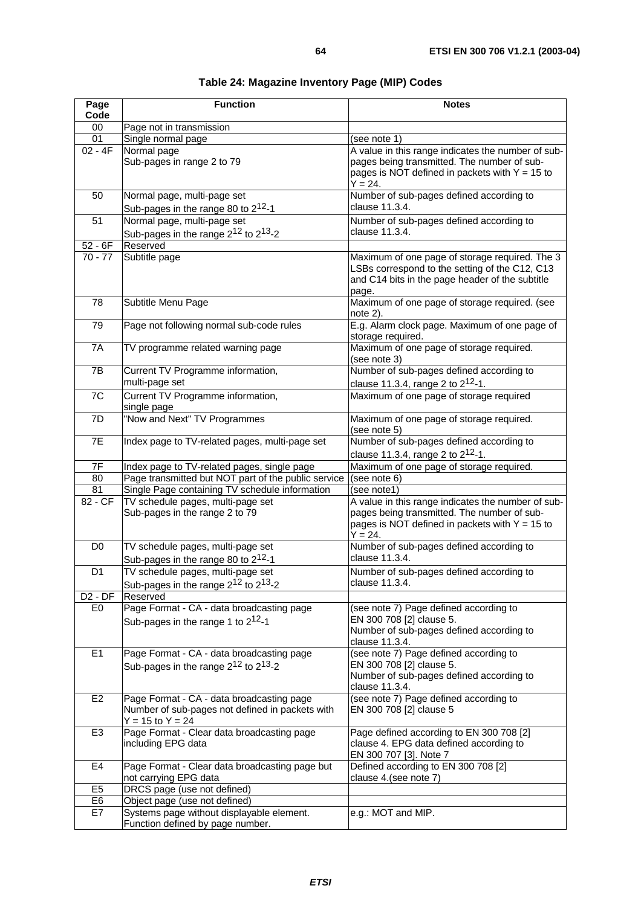| Page<br>Code   | <b>Function</b>                                                                                                      | <b>Notes</b>                                                                                                                                                       |
|----------------|----------------------------------------------------------------------------------------------------------------------|--------------------------------------------------------------------------------------------------------------------------------------------------------------------|
| $00\,$         | Page not in transmission                                                                                             |                                                                                                                                                                    |
| 01             | Single normal page                                                                                                   | (see note 1)                                                                                                                                                       |
| $02 - 4F$      | Normal page                                                                                                          | A value in this range indicates the number of sub-                                                                                                                 |
|                | Sub-pages in range 2 to 79                                                                                           | pages being transmitted. The number of sub-<br>pages is NOT defined in packets with $Y = 15$ to<br>$Y = 24.$                                                       |
| 50             | Normal page, multi-page set                                                                                          | Number of sub-pages defined according to                                                                                                                           |
|                | Sub-pages in the range 80 to 2 <sup>12</sup> -1                                                                      | clause 11.3.4.                                                                                                                                                     |
| 51             | Normal page, multi-page set                                                                                          | Number of sub-pages defined according to                                                                                                                           |
|                | Sub-pages in the range $2^{12}$ to $2^{13}$ -2                                                                       | clause 11.3.4.                                                                                                                                                     |
| $52 - 6F$      | Reserved                                                                                                             |                                                                                                                                                                    |
| $70 - 77$      | Subtitle page                                                                                                        | Maximum of one page of storage required. The 3<br>LSBs correspond to the setting of the C12, C13<br>and C14 bits in the page header of the subtitle<br>page.       |
| 78             | Subtitle Menu Page                                                                                                   | Maximum of one page of storage required. (see<br>note 2).                                                                                                          |
| 79             | Page not following normal sub-code rules                                                                             | E.g. Alarm clock page. Maximum of one page of<br>storage required.                                                                                                 |
| 7A             | TV programme related warning page                                                                                    | Maximum of one page of storage required.<br>(see note 3)                                                                                                           |
| 7B             | Current TV Programme information,                                                                                    | Number of sub-pages defined according to                                                                                                                           |
|                | multi-page set                                                                                                       | clause 11.3.4, range 2 to 2 <sup>12</sup> -1.                                                                                                                      |
| 7C             | Current TV Programme information,<br>single page                                                                     | Maximum of one page of storage required                                                                                                                            |
| 7D             | "Now and Next" TV Programmes                                                                                         | Maximum of one page of storage required.<br>(see note 5)                                                                                                           |
| 7E             | Index page to TV-related pages, multi-page set                                                                       | Number of sub-pages defined according to                                                                                                                           |
|                |                                                                                                                      | clause 11.3.4, range 2 to 2 <sup>12</sup> -1.                                                                                                                      |
| 7F             | Index page to TV-related pages, single page                                                                          | Maximum of one page of storage required.                                                                                                                           |
| 80             | Page transmitted but NOT part of the public service                                                                  | (see note 6)                                                                                                                                                       |
| 81             | Single Page containing TV schedule information                                                                       | (see note1)                                                                                                                                                        |
| 82 - CF        | TV schedule pages, multi-page set<br>Sub-pages in the range 2 to 79                                                  | A value in this range indicates the number of sub-<br>pages being transmitted. The number of sub-<br>pages is NOT defined in packets with $Y = 15$ to<br>$Y = 24.$ |
| D <sub>0</sub> | TV schedule pages, multi-page set<br>Sub-pages in the range 80 to 2 <sup>12</sup> -1                                 | Number of sub-pages defined according to<br>clause 11.3.4.                                                                                                         |
| D <sub>1</sub> | TV schedule pages, multi-page set                                                                                    | Number of sub-pages defined according to                                                                                                                           |
|                | Sub-pages in the range 2 <sup>12</sup> to 2 <sup>13</sup> -2                                                         | clause 11.3.4.                                                                                                                                                     |
| $D2 - DF$      | Reserved                                                                                                             |                                                                                                                                                                    |
| E <sub>0</sub> | Page Format - CA - data broadcasting page<br>Sub-pages in the range 1 to $2^{12}$ -1                                 | (see note 7) Page defined according to<br>EN 300 708 [2] clause 5.<br>Number of sub-pages defined according to<br>clause 11.3.4.                                   |
| E <sub>1</sub> | Page Format - CA - data broadcasting page<br>Sub-pages in the range $2^{12}$ to $2^{13}$ -2                          | (see note 7) Page defined according to<br>EN 300 708 [2] clause 5.<br>Number of sub-pages defined according to<br>clause 11.3.4.                                   |
| E <sub>2</sub> | Page Format - CA - data broadcasting page<br>Number of sub-pages not defined in packets with<br>$Y = 15$ to $Y = 24$ | (see note 7) Page defined according to<br>EN 300 708 [2] clause 5                                                                                                  |
| E <sub>3</sub> | Page Format - Clear data broadcasting page<br>including EPG data                                                     | Page defined according to EN 300 708 [2]<br>clause 4. EPG data defined according to<br>EN 300 707 [3]. Note 7                                                      |
| E <sub>4</sub> | Page Format - Clear data broadcasting page but<br>not carrying EPG data                                              | Defined according to EN 300 708 [2]<br>clause 4.(see note 7)                                                                                                       |
| E <sub>5</sub> | DRCS page (use not defined)                                                                                          |                                                                                                                                                                    |
| E <sub>6</sub> | Object page (use not defined)                                                                                        |                                                                                                                                                                    |
| E7             | Systems page without displayable element.                                                                            | e.g.: MOT and MIP.                                                                                                                                                 |

#### **Table 24: Magazine Inventory Page (MIP) Codes**

Function defined by page number.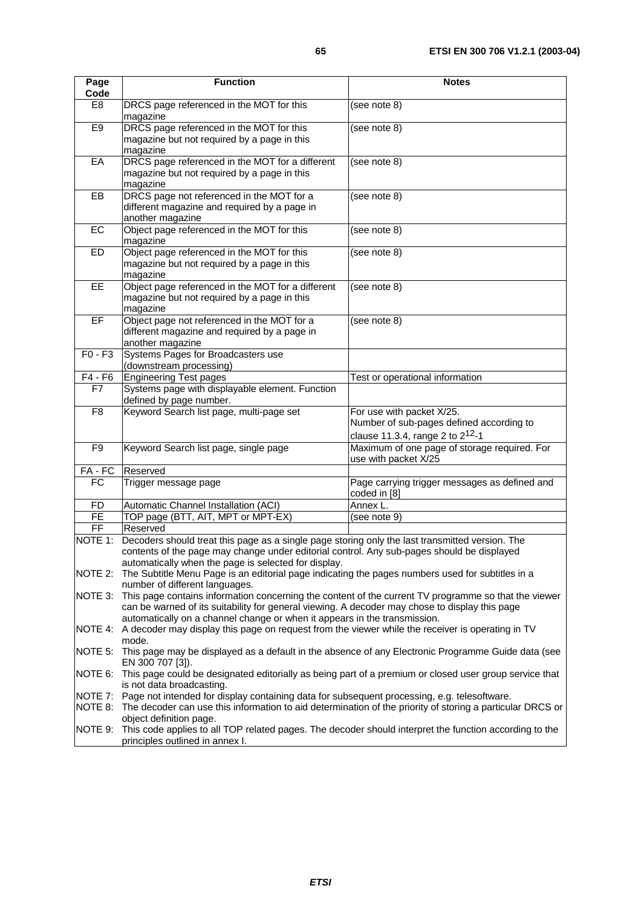| Page                   | <b>Function</b>                                                                                                                            | <b>Notes</b>                                  |  |  |  |  |  |  |
|------------------------|--------------------------------------------------------------------------------------------------------------------------------------------|-----------------------------------------------|--|--|--|--|--|--|
| Code<br>E <sub>8</sub> | DRCS page referenced in the MOT for this                                                                                                   | (see note 8)                                  |  |  |  |  |  |  |
|                        | magazine                                                                                                                                   |                                               |  |  |  |  |  |  |
| E <sub>9</sub>         | DRCS page referenced in the MOT for this                                                                                                   | (see note 8)                                  |  |  |  |  |  |  |
|                        | magazine but not required by a page in this                                                                                                |                                               |  |  |  |  |  |  |
|                        | magazine                                                                                                                                   |                                               |  |  |  |  |  |  |
| EA                     | DRCS page referenced in the MOT for a different                                                                                            | (see note 8)                                  |  |  |  |  |  |  |
|                        | magazine but not required by a page in this                                                                                                |                                               |  |  |  |  |  |  |
|                        | magazine                                                                                                                                   |                                               |  |  |  |  |  |  |
| EB                     | DRCS page not referenced in the MOT for a                                                                                                  | (see note 8)                                  |  |  |  |  |  |  |
|                        | different magazine and required by a page in                                                                                               |                                               |  |  |  |  |  |  |
|                        | another magazine                                                                                                                           |                                               |  |  |  |  |  |  |
| EC                     | Object page referenced in the MOT for this                                                                                                 | (see note 8)                                  |  |  |  |  |  |  |
|                        | magazine                                                                                                                                   |                                               |  |  |  |  |  |  |
| ED                     | Object page referenced in the MOT for this<br>magazine but not required by a page in this                                                  | (see note 8)                                  |  |  |  |  |  |  |
|                        | magazine                                                                                                                                   |                                               |  |  |  |  |  |  |
| EE                     | Object page referenced in the MOT for a different                                                                                          | (see note 8)                                  |  |  |  |  |  |  |
|                        | magazine but not required by a page in this                                                                                                |                                               |  |  |  |  |  |  |
|                        | magazine                                                                                                                                   |                                               |  |  |  |  |  |  |
| EF                     | Object page not referenced in the MOT for a                                                                                                | (see note 8)                                  |  |  |  |  |  |  |
|                        | different magazine and required by a page in                                                                                               |                                               |  |  |  |  |  |  |
|                        | another magazine                                                                                                                           |                                               |  |  |  |  |  |  |
| $F0 - F3$              | Systems Pages for Broadcasters use                                                                                                         |                                               |  |  |  |  |  |  |
|                        | (downstream processing)                                                                                                                    |                                               |  |  |  |  |  |  |
| $\overline{F}4 - F6$   | <b>Engineering Test pages</b>                                                                                                              | Test or operational information               |  |  |  |  |  |  |
| F7                     | Systems page with displayable element. Function                                                                                            |                                               |  |  |  |  |  |  |
| F <sub>8</sub>         | defined by page number.<br>Keyword Search list page, multi-page set                                                                        | For use with packet X/25.                     |  |  |  |  |  |  |
|                        |                                                                                                                                            | Number of sub-pages defined according to      |  |  |  |  |  |  |
|                        |                                                                                                                                            | clause 11.3.4, range 2 to $2^{12}$ -1         |  |  |  |  |  |  |
| F <sub>9</sub>         | Keyword Search list page, single page                                                                                                      | Maximum of one page of storage required. For  |  |  |  |  |  |  |
|                        |                                                                                                                                            | use with packet X/25                          |  |  |  |  |  |  |
| FA - FC                | Reserved                                                                                                                                   |                                               |  |  |  |  |  |  |
| FC                     | Trigger message page                                                                                                                       | Page carrying trigger messages as defined and |  |  |  |  |  |  |
|                        |                                                                                                                                            | coded in [8]                                  |  |  |  |  |  |  |
| FD                     | Automatic Channel Installation (ACI)                                                                                                       | Annex L.                                      |  |  |  |  |  |  |
| $\overline{FE}$        | TOP page (BTT, AIT, MPT or MPT-EX)                                                                                                         | (see note 9)                                  |  |  |  |  |  |  |
| FF                     | Reserved                                                                                                                                   |                                               |  |  |  |  |  |  |
| NOTE 1:                | Decoders should treat this page as a single page storing only the last transmitted version. The                                            |                                               |  |  |  |  |  |  |
|                        | contents of the page may change under editorial control. Any sub-pages should be displayed                                                 |                                               |  |  |  |  |  |  |
|                        | automatically when the page is selected for display.                                                                                       |                                               |  |  |  |  |  |  |
|                        | NOTE 2: The Subtitle Menu Page is an editorial page indicating the pages numbers used for subtitles in a<br>number of different languages. |                                               |  |  |  |  |  |  |
| NOTE 3:                | This page contains information concerning the content of the current TV programme so that the viewer                                       |                                               |  |  |  |  |  |  |
|                        | can be warned of its suitability for general viewing. A decoder may chose to display this page                                             |                                               |  |  |  |  |  |  |
|                        | automatically on a channel change or when it appears in the transmission.                                                                  |                                               |  |  |  |  |  |  |
| NOTE 4:                | A decoder may display this page on request from the viewer while the receiver is operating in TV                                           |                                               |  |  |  |  |  |  |
|                        | mode.                                                                                                                                      |                                               |  |  |  |  |  |  |
| NOTE 5:                | This page may be displayed as a default in the absence of any Electronic Programme Guide data (see<br>EN 300 707 [3]).                     |                                               |  |  |  |  |  |  |
| NOTE 6:                | This page could be designated editorially as being part of a premium or closed user group service that                                     |                                               |  |  |  |  |  |  |
|                        | is not data broadcasting.<br>NOTE 7: Page not intended for display containing data for subsequent processing, e.g. telesoftware.           |                                               |  |  |  |  |  |  |
|                        | NOTE 8: The decoder can use this information to aid determination of the priority of storing a particular DRCS or                          |                                               |  |  |  |  |  |  |
|                        | object definition page.                                                                                                                    |                                               |  |  |  |  |  |  |
|                        | NOTE 9: This code applies to all TOP related pages. The decoder should interpret the function according to the                             |                                               |  |  |  |  |  |  |
|                        | principles outlined in annex I.                                                                                                            |                                               |  |  |  |  |  |  |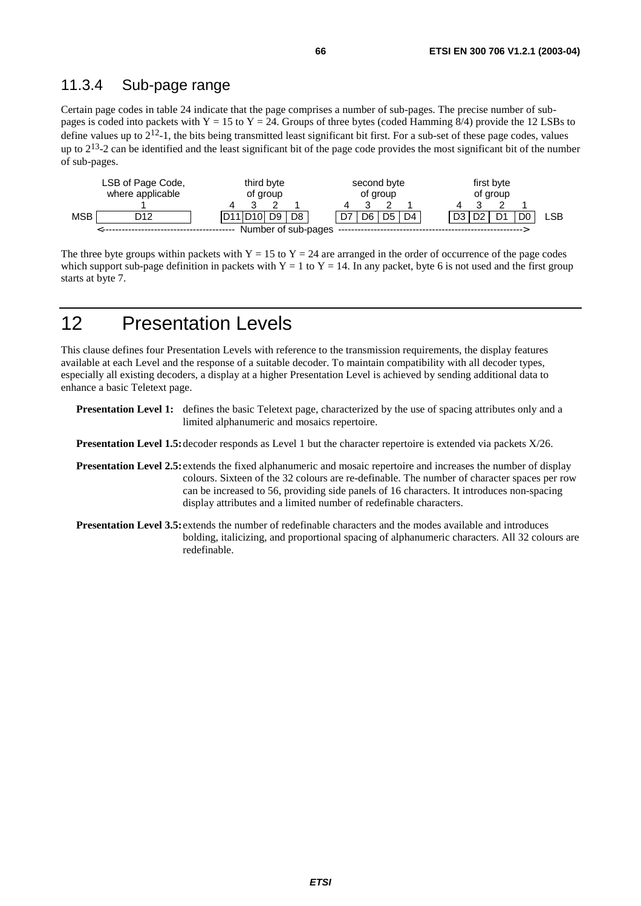### 11.3.4 Sub-page range

Certain page codes in table 24 indicate that the page comprises a number of sub-pages. The precise number of subpages is coded into packets with  $Y = 15$  to  $Y = 24$ . Groups of three bytes (coded Hamming 8/4) provide the 12 LSBs to define values up to  $2^{12}$ -1, the bits being transmitted least significant bit first. For a sub-set of these page codes, values up to  $2^{13}$ -2 can be identified and the least significant bit of the page code provides the most significant bit of the number of sub-pages.

|            | LSB of Page Code,<br>third byte<br>where applicable<br>of group |  |  |                                                |                | second byte<br>of group |    |    | first byte<br>of group |  |  |  |  |     |
|------------|-----------------------------------------------------------------|--|--|------------------------------------------------|----------------|-------------------------|----|----|------------------------|--|--|--|--|-----|
|            |                                                                 |  |  |                                                |                |                         |    |    |                        |  |  |  |  |     |
| <b>MSB</b> | D12                                                             |  |  | D <sub>11</sub> D <sub>10</sub> D <sub>9</sub> | D <sub>8</sub> |                         | D6 | D5 | D <sub>4</sub>         |  |  |  |  | LSB |
|            |                                                                 |  |  |                                                |                | Number of sub-pages     |    |    |                        |  |  |  |  |     |

The three byte groups within packets with  $Y = 15$  to  $Y = 24$  are arranged in the order of occurrence of the page codes which support sub-page definition in packets with  $Y = 1$  to  $Y = 14$ . In any packet, byte 6 is not used and the first group starts at byte 7.

# 12 Presentation Levels

This clause defines four Presentation Levels with reference to the transmission requirements, the display features available at each Level and the response of a suitable decoder. To maintain compatibility with all decoder types, especially all existing decoders, a display at a higher Presentation Level is achieved by sending additional data to enhance a basic Teletext page.

**Presentation Level 1:** defines the basic Teletext page, characterized by the use of spacing attributes only and a limited alphanumeric and mosaics repertoire.

**Presentation Level 1.5:** decoder responds as Level 1 but the character repertoire is extended via packets X/26.

- **Presentation Level 2.5:** extends the fixed alphanumeric and mosaic repertoire and increases the number of display colours. Sixteen of the 32 colours are re-definable. The number of character spaces per row can be increased to 56, providing side panels of 16 characters. It introduces non-spacing display attributes and a limited number of redefinable characters.
- **Presentation Level 3.5:** extends the number of redefinable characters and the modes available and introduces bolding, italicizing, and proportional spacing of alphanumeric characters. All 32 colours are redefinable.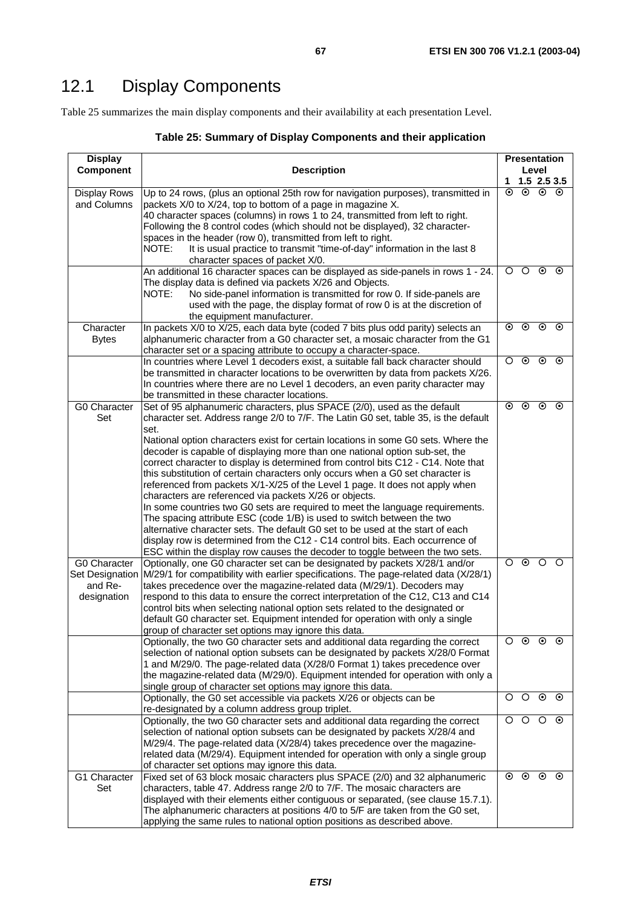# 12.1 Display Components

Table 25 summarizes the main display components and their availability at each presentation Level.

| Table 25: Summary of Display Components and their application |  |  |
|---------------------------------------------------------------|--|--|
|---------------------------------------------------------------|--|--|

| <b>Display</b>                         |                                                                                                                                                                                                                                                                                                                                                                                                                                                                                                                      | <b>Presentation</b> |            |                      |               |  |  |  |
|----------------------------------------|----------------------------------------------------------------------------------------------------------------------------------------------------------------------------------------------------------------------------------------------------------------------------------------------------------------------------------------------------------------------------------------------------------------------------------------------------------------------------------------------------------------------|---------------------|------------|----------------------|---------------|--|--|--|
| <b>Component</b>                       | <b>Description</b>                                                                                                                                                                                                                                                                                                                                                                                                                                                                                                   | 1.                  |            | Level                | $1.5$ 2.5 3.5 |  |  |  |
| <b>Display Rows</b><br>and Columns     | Up to 24 rows, (plus an optional 25th row for navigation purposes), transmitted in<br>packets X/0 to X/24, top to bottom of a page in magazine X.<br>40 character spaces (columns) in rows 1 to 24, transmitted from left to right.<br>Following the 8 control codes (which should not be displayed), 32 character-                                                                                                                                                                                                  | $\odot$             | $\odot$    | $\overline{\bullet}$ | $\odot$       |  |  |  |
|                                        | spaces in the header (row 0), transmitted from left to right.<br>It is usual practice to transmit "time-of-day" information in the last 8<br>NOTE:<br>character spaces of packet X/0.                                                                                                                                                                                                                                                                                                                                |                     |            |                      |               |  |  |  |
|                                        | An additional 16 character spaces can be displayed as side-panels in rows 1 - 24.<br>The display data is defined via packets X/26 and Objects.<br>No side-panel information is transmitted for row 0. If side-panels are<br>NOTE:<br>used with the page, the display format of row 0 is at the discretion of<br>the equipment manufacturer.                                                                                                                                                                          | $\circ$             | O          | $_{\odot}$           | $\odot$       |  |  |  |
| Character<br><b>Bytes</b>              | In packets X/0 to X/25, each data byte (coded 7 bits plus odd parity) selects an<br>alphanumeric character from a G0 character set, a mosaic character from the G1<br>character set or a spacing attribute to occupy a character-space.                                                                                                                                                                                                                                                                              | $\odot$             | $\odot$    | $\odot$              | $\odot$       |  |  |  |
|                                        | In countries where Level 1 decoders exist, a suitable fall back character should<br>be transmitted in character locations to be overwritten by data from packets X/26.<br>In countries where there are no Level 1 decoders, an even parity character may<br>be transmitted in these character locations.                                                                                                                                                                                                             | $\circ$             | $\odot$    | $\odot$              | $\odot$       |  |  |  |
| G0 Character<br>Set                    | Set of 95 alphanumeric characters, plus SPACE (2/0), used as the default<br>character set. Address range 2/0 to 7/F. The Latin G0 set, table 35, is the default<br>set.<br>National option characters exist for certain locations in some G0 sets. Where the                                                                                                                                                                                                                                                         | $\odot$             | $\odot$    | $\odot$              | $\odot$       |  |  |  |
|                                        | decoder is capable of displaying more than one national option sub-set, the<br>correct character to display is determined from control bits C12 - C14. Note that<br>this substitution of certain characters only occurs when a G0 set character is<br>referenced from packets X/1-X/25 of the Level 1 page. It does not apply when                                                                                                                                                                                   |                     |            |                      |               |  |  |  |
|                                        | characters are referenced via packets X/26 or objects.<br>In some countries two G0 sets are required to meet the language requirements.<br>The spacing attribute ESC (code 1/B) is used to switch between the two                                                                                                                                                                                                                                                                                                    |                     |            |                      |               |  |  |  |
|                                        | alternative character sets. The default G0 set to be used at the start of each<br>display row is determined from the C12 - C14 control bits. Each occurrence of<br>ESC within the display row causes the decoder to toggle between the two sets.                                                                                                                                                                                                                                                                     |                     |            |                      |               |  |  |  |
| G0 Character<br>and Re-<br>designation | Optionally, one G0 character set can be designated by packets X/28/1 and/or<br>Set Designation M/29/1 for compatibility with earlier specifications. The page-related data (X/28/1)<br>takes precedence over the magazine-related data (M/29/1). Decoders may<br>respond to this data to ensure the correct interpretation of the C12, C13 and C14<br>control bits when selecting national option sets related to the designated or<br>default G0 character set. Equipment intended for operation with only a single | O                   | $\odot$    | $\circ$              | O             |  |  |  |
|                                        | group of character set options may ignore this data.<br>Optionally, the two G0 character sets and additional data regarding the correct<br>selection of national option subsets can be designated by packets X/28/0 Format<br>1 and M/29/0. The page-related data (X/28/0 Format 1) takes precedence over<br>the magazine-related data (M/29/0). Equipment intended for operation with only a<br>single group of character set options may ignore this data.                                                         | O                   | $\odot$    | $\odot$              | $_{\odot}$    |  |  |  |
|                                        | Optionally, the G0 set accessible via packets X/26 or objects can be<br>re-designated by a column address group triplet.                                                                                                                                                                                                                                                                                                                                                                                             | O                   | O          | $\odot$ $\odot$      |               |  |  |  |
|                                        | Optionally, the two G0 character sets and additional data regarding the correct<br>selection of national option subsets can be designated by packets X/28/4 and<br>M/29/4. The page-related data (X/28/4) takes precedence over the magazine-<br>related data (M/29/4). Equipment intended for operation with only a single group<br>of character set options may ignore this data.                                                                                                                                  | $\circ$             | $\circ$    | $\circ$              |               |  |  |  |
| G1 Character<br>Set                    | Fixed set of 63 block mosaic characters plus SPACE (2/0) and 32 alphanumeric<br>characters, table 47. Address range 2/0 to 7/F. The mosaic characters are<br>displayed with their elements either contiguous or separated, (see clause 15.7.1).<br>The alphanumeric characters at positions 4/0 to 5/F are taken from the G0 set,<br>applying the same rules to national option positions as described above.                                                                                                        | ⊙                   | $_{\odot}$ | $\odot$              | $\odot$       |  |  |  |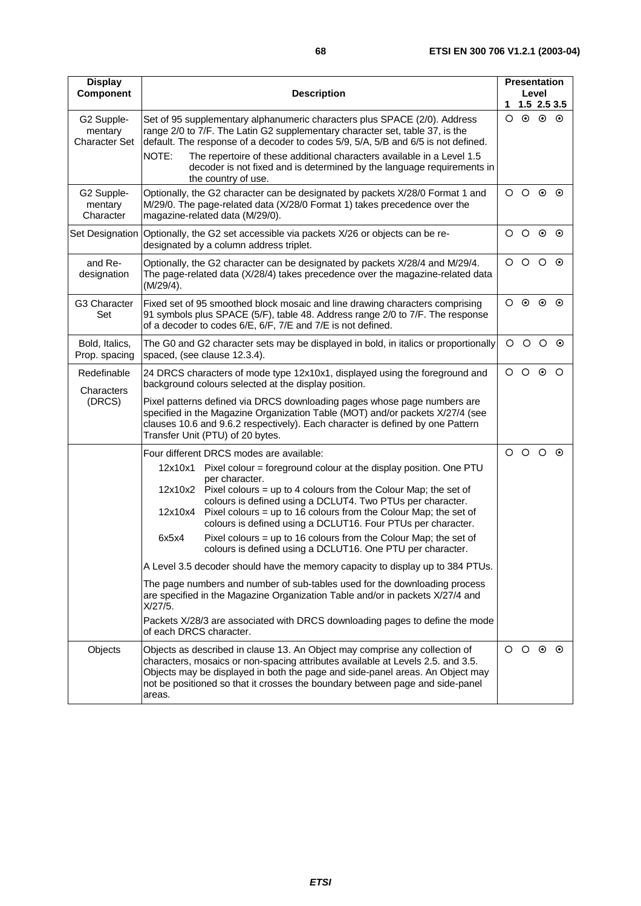$\circ$   $\circ$ 

| <b>Display</b><br>Component                   |                                                                                                                                                                                                                                                                                 | <b>Description</b>                                                                                                                                                                                                                             | 1               | <b>Presentation</b><br>Level<br>$1.5$ 2.5 3.5 |                 |  |  |  |  |
|-----------------------------------------------|---------------------------------------------------------------------------------------------------------------------------------------------------------------------------------------------------------------------------------------------------------------------------------|------------------------------------------------------------------------------------------------------------------------------------------------------------------------------------------------------------------------------------------------|-----------------|-----------------------------------------------|-----------------|--|--|--|--|
| G2 Supple-<br>mentary<br><b>Character Set</b> |                                                                                                                                                                                                                                                                                 | Set of 95 supplementary alphanumeric characters plus SPACE (2/0). Address<br>range 2/0 to 7/F. The Latin G2 supplementary character set, table 37, is the<br>default. The response of a decoder to codes 5/9, 5/A, 5/B and 6/5 is not defined. |                 | $\circ$ $\circ$ $\circ$                       |                 |  |  |  |  |
|                                               | NOTE:                                                                                                                                                                                                                                                                           | The repertoire of these additional characters available in a Level 1.5<br>decoder is not fixed and is determined by the language requirements in<br>the country of use.                                                                        |                 |                                               |                 |  |  |  |  |
| G2 Supple-<br>mentary<br>Character            |                                                                                                                                                                                                                                                                                 | Optionally, the G2 character can be designated by packets X/28/0 Format 1 and<br>M/29/0. The page-related data (X/28/0 Format 1) takes precedence over the<br>magazine-related data (M/29/0).                                                  |                 | $O$ $O$ $O$ $O$                               |                 |  |  |  |  |
| Set Designation                               |                                                                                                                                                                                                                                                                                 | Optionally, the G2 set accessible via packets X/26 or objects can be re-<br>designated by a column address triplet.                                                                                                                            |                 |                                               |                 |  |  |  |  |
| and Re-<br>designation                        | (M/29/4).                                                                                                                                                                                                                                                                       | Optionally, the G2 character can be designated by packets X/28/4 and M/29/4.<br>The page-related data (X/28/4) takes precedence over the magazine-related data                                                                                 |                 |                                               |                 |  |  |  |  |
| G3 Character<br>Set                           |                                                                                                                                                                                                                                                                                 | Fixed set of 95 smoothed block mosaic and line drawing characters comprising<br>91 symbols plus SPACE (5/F), table 48. Address range 2/0 to 7/F. The response<br>of a decoder to codes 6/E, 6/F, 7/E and 7/E is not defined.                   |                 |                                               |                 |  |  |  |  |
| Bold, Italics,<br>Prop. spacing               |                                                                                                                                                                                                                                                                                 | The G0 and G2 character sets may be displayed in bold, in italics or proportionally<br>spaced, (see clause 12.3.4).                                                                                                                            | $\circ$         |                                               | $\circ$ $\circ$ |  |  |  |  |
| Redefinable<br>Characters                     | 24 DRCS characters of mode type 12x10x1, displayed using the foreground and<br>background colours selected at the display position.                                                                                                                                             |                                                                                                                                                                                                                                                | $O$ $O$ $O$ $O$ |                                               |                 |  |  |  |  |
| (DRCS)                                        | Pixel patterns defined via DRCS downloading pages whose page numbers are<br>specified in the Magazine Organization Table (MOT) and/or packets X/27/4 (see<br>clauses 10.6 and 9.6.2 respectively). Each character is defined by one Pattern<br>Transfer Unit (PTU) of 20 bytes. |                                                                                                                                                                                                                                                |                 |                                               |                 |  |  |  |  |
|                                               |                                                                                                                                                                                                                                                                                 | Four different DRCS modes are available:                                                                                                                                                                                                       |                 | $\circ$ $\circ$ $\circ$                       |                 |  |  |  |  |
|                                               | 12x10x1                                                                                                                                                                                                                                                                         | Pixel colour = foreground colour at the display position. One PTU<br>per character.                                                                                                                                                            |                 |                                               |                 |  |  |  |  |
|                                               |                                                                                                                                                                                                                                                                                 | 12x10x2 Pixel colours = up to 4 colours from the Colour Map; the set of                                                                                                                                                                        |                 |                                               |                 |  |  |  |  |
|                                               | 12x10x4                                                                                                                                                                                                                                                                         | colours is defined using a DCLUT4. Two PTUs per character.<br>Pixel colours = up to 16 colours from the Colour Map; the set of<br>colours is defined using a DCLUT16. Four PTUs per character.                                                 |                 |                                               |                 |  |  |  |  |
|                                               | 6x5x4                                                                                                                                                                                                                                                                           | Pixel colours = up to 16 colours from the Colour Map; the set of<br>colours is defined using a DCLUT16. One PTU per character.                                                                                                                 |                 |                                               |                 |  |  |  |  |
|                                               |                                                                                                                                                                                                                                                                                 | A Level 3.5 decoder should have the memory capacity to display up to 384 PTUs.                                                                                                                                                                 |                 |                                               |                 |  |  |  |  |
|                                               |                                                                                                                                                                                                                                                                                 | The page numbers and number of sub-tables used for the downloading process                                                                                                                                                                     |                 |                                               |                 |  |  |  |  |

are specified in the Magazine Organization Table and/or in packets X/27/4 and

characters, mosaics or non-spacing attributes available at Levels 2.5. and 3.5. Objects may be displayed in both the page and side-panel areas. An Object may not be positioned so that it crosses the boundary between page and side-panel

Objects Objects as described in clause 13. An Object may comprise any collection of

Packets X/28/3 are associated with DRCS downloading pages to define the mode

X/27/5.

areas.

of each DRCS character.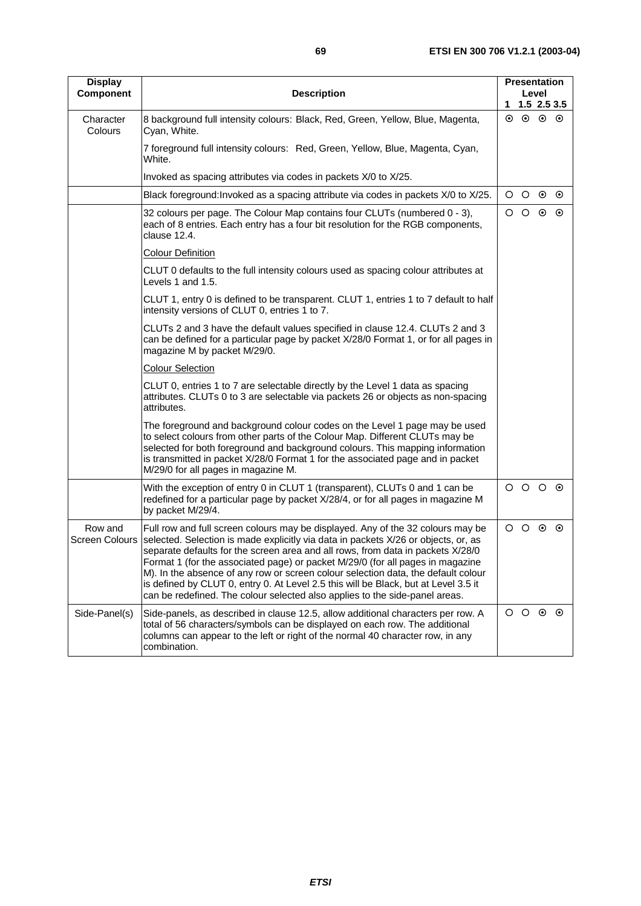$\circ$   $\circ$ 

| <b>Display</b><br><b>Component</b> | <b>Description</b>                                                                                                                                                                                                                                                                                                                                                   |         | <b>Presentation</b><br>Level<br>1.5 2.5 3.5<br>1. |         |         |  |
|------------------------------------|----------------------------------------------------------------------------------------------------------------------------------------------------------------------------------------------------------------------------------------------------------------------------------------------------------------------------------------------------------------------|---------|---------------------------------------------------|---------|---------|--|
| Character<br>Colours               | 8 background full intensity colours: Black, Red, Green, Yellow, Blue, Magenta,<br>Cyan, White.                                                                                                                                                                                                                                                                       |         | $\circ$ $\circ$ $\circ$                           |         |         |  |
|                                    | 7 foreground full intensity colours: Red, Green, Yellow, Blue, Magenta, Cyan,<br>White.                                                                                                                                                                                                                                                                              |         |                                                   |         |         |  |
|                                    | Invoked as spacing attributes via codes in packets X/0 to X/25.                                                                                                                                                                                                                                                                                                      |         |                                                   |         |         |  |
|                                    | Black foreground: Invoked as a spacing attribute via codes in packets X/0 to X/25.                                                                                                                                                                                                                                                                                   | $\circ$ | $\circ$ $\circ$                                   |         |         |  |
|                                    | 32 colours per page. The Colour Map contains four CLUTs (numbered 0 - 3),<br>each of 8 entries. Each entry has a four bit resolution for the RGB components,<br>clause 12.4.                                                                                                                                                                                         | $\circ$ | $\circ$                                           | $\odot$ | $\odot$ |  |
|                                    | <b>Colour Definition</b>                                                                                                                                                                                                                                                                                                                                             |         |                                                   |         |         |  |
|                                    | CLUT 0 defaults to the full intensity colours used as spacing colour attributes at<br>Levels 1 and 1.5.                                                                                                                                                                                                                                                              |         |                                                   |         |         |  |
|                                    | CLUT 1, entry 0 is defined to be transparent. CLUT 1, entries 1 to 7 default to half<br>intensity versions of CLUT 0, entries 1 to 7.                                                                                                                                                                                                                                |         |                                                   |         |         |  |
|                                    | CLUTs 2 and 3 have the default values specified in clause 12.4. CLUTs 2 and 3<br>can be defined for a particular page by packet X/28/0 Format 1, or for all pages in<br>magazine M by packet M/29/0.                                                                                                                                                                 |         |                                                   |         |         |  |
|                                    | <b>Colour Selection</b>                                                                                                                                                                                                                                                                                                                                              |         |                                                   |         |         |  |
|                                    | CLUT 0, entries 1 to 7 are selectable directly by the Level 1 data as spacing<br>attributes. CLUTs 0 to 3 are selectable via packets 26 or objects as non-spacing<br>attributes.                                                                                                                                                                                     |         |                                                   |         |         |  |
|                                    | The foreground and background colour codes on the Level 1 page may be used<br>to select colours from other parts of the Colour Map. Different CLUTs may be<br>selected for both foreground and background colours. This mapping information<br>is transmitted in packet X/28/0 Format 1 for the associated page and in packet<br>M/29/0 for all pages in magazine M. |         |                                                   |         |         |  |
|                                    | With the exception of entry 0 in CLUT 1 (transparent), CLUTs 0 and 1 can be<br>redefined for a particular page by packet X/28/4, or for all pages in magazine M<br>by packet M/29/4.                                                                                                                                                                                 |         | $O$ $O$ $O$ $O$                                   |         |         |  |
| Row and<br><b>Screen Colours</b>   | Full row and full screen colours may be displayed. Any of the 32 colours may be<br>selected. Selection is made explicitly via data in packets X/26 or objects, or, as                                                                                                                                                                                                | O       | $\circ$                                           | $\odot$ | $\odot$ |  |

separate defaults for the screen area and all rows, from data in packets X/28/0 Format 1 (for the associated page) or packet M/29/0 (for all pages in magazine M). In the absence of any row or screen colour selection data, the default colour is defined by CLUT 0, entry 0. At Level 2.5 this will be Black, but at Level 3.5 it can be redefined. The colour selected also applies to the side-panel areas.

total of 56 characters/symbols can be displayed on each row. The additional columns can appear to the left or right of the normal 40 character row, in any

Side-Panel(s) Side-panels, as described in clause 12.5, allow additional characters per row. A

combination.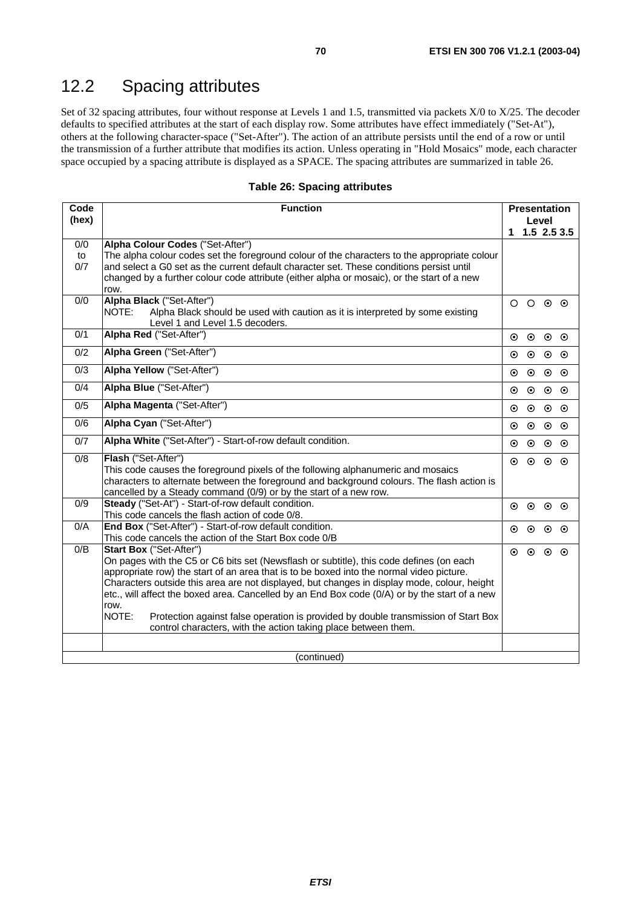## 12.2 Spacing attributes

Set of 32 spacing attributes, four without response at Levels 1 and 1.5, transmitted via packets X/0 to X/25. The decoder defaults to specified attributes at the start of each display row. Some attributes have effect immediately ("Set-At"), others at the following character-space ("Set-After"). The action of an attribute persists until the end of a row or until the transmission of a further attribute that modifies its action. Unless operating in "Hold Mosaics" mode, each character space occupied by a spacing attribute is displayed as a SPACE. The spacing attributes are summarized in table 26.

#### **Table 26: Spacing attributes**

| Code             | <b>Function</b>                                                                                                                  | <b>Presentation</b> |         |         |               |
|------------------|----------------------------------------------------------------------------------------------------------------------------------|---------------------|---------|---------|---------------|
| (hex)            |                                                                                                                                  | Level               |         |         |               |
|                  |                                                                                                                                  | 1.                  |         |         | $1.5$ 2.5 3.5 |
| 0/0<br>to        | Alpha Colour Codes ("Set-After")<br>The alpha colour codes set the foreground colour of the characters to the appropriate colour |                     |         |         |               |
| 0/7              | and select a G0 set as the current default character set. These conditions persist until                                         |                     |         |         |               |
|                  | changed by a further colour code attribute (either alpha or mosaic), or the start of a new                                       |                     |         |         |               |
|                  | row.                                                                                                                             |                     |         |         |               |
| 0/0              | Alpha Black ("Set-After")                                                                                                        | $\circ$             | $\circ$ | $\odot$ | ⊙             |
|                  | NOTE:<br>Alpha Black should be used with caution as it is interpreted by some existing                                           |                     |         |         |               |
| 0/1              | Level 1 and Level 1.5 decoders.<br>Alpha Red ("Set-After")                                                                       |                     |         |         |               |
|                  |                                                                                                                                  | ⊙                   | $\odot$ | $\odot$ | $\odot$       |
| $\overline{0/2}$ | Alpha Green ("Set-After")                                                                                                        | ⊙                   | $\odot$ | $\odot$ | ⊙             |
| $\overline{0/3}$ | Alpha Yellow ("Set-After")                                                                                                       | $\odot$             | $\odot$ | $\odot$ | ⊙             |
| 0/4              | Alpha Blue ("Set-After")                                                                                                         | ⊙                   | $\odot$ | $\odot$ | $\odot$       |
| 0/5              | Alpha Magenta ("Set-After")                                                                                                      | $\odot$             | $\odot$ | $\odot$ | $\odot$       |
| 0/6              | Alpha Cyan ("Set-After")                                                                                                         | ⊙                   | $\odot$ | $\odot$ | $\odot$       |
| $\overline{0/7}$ | Alpha White ("Set-After") - Start-of-row default condition.                                                                      | $\odot$             | $\odot$ | $\odot$ | $\odot$       |
| $\overline{0/8}$ | Flash ("Set-After")                                                                                                              | ⊙                   | $\odot$ | $\odot$ | $\odot$       |
|                  | This code causes the foreground pixels of the following alphanumeric and mosaics                                                 |                     |         |         |               |
|                  | characters to alternate between the foreground and background colours. The flash action is                                       |                     |         |         |               |
| 0/9              | cancelled by a Steady command (0/9) or by the start of a new row.<br>Steady ("Set-At") - Start-of-row default condition.         |                     |         |         |               |
|                  | This code cancels the flash action of code 0/8.                                                                                  | $\odot$             | $\odot$ | $\odot$ | - ⊙           |
| O/A              | End Box ("Set-After") - Start-of-row default condition.                                                                          | ⊙                   | $\odot$ | $\odot$ | ⊙             |
|                  | This code cancels the action of the Start Box code 0/B                                                                           |                     |         |         |               |
| 0/B              | Start Box ("Set-After")                                                                                                          | $\odot$             | $\odot$ | $\odot$ | $\odot$       |
|                  | On pages with the C5 or C6 bits set (Newsflash or subtitle), this code defines (on each                                          |                     |         |         |               |
|                  | appropriate row) the start of an area that is to be boxed into the normal video picture.                                         |                     |         |         |               |
|                  | Characters outside this area are not displayed, but changes in display mode, colour, height                                      |                     |         |         |               |
|                  | etc., will affect the boxed area. Cancelled by an End Box code (0/A) or by the start of a new<br>row.                            |                     |         |         |               |
|                  | NOTE:<br>Protection against false operation is provided by double transmission of Start Box                                      |                     |         |         |               |
|                  | control characters, with the action taking place between them.                                                                   |                     |         |         |               |
|                  |                                                                                                                                  |                     |         |         |               |
|                  | (continued)                                                                                                                      |                     |         |         |               |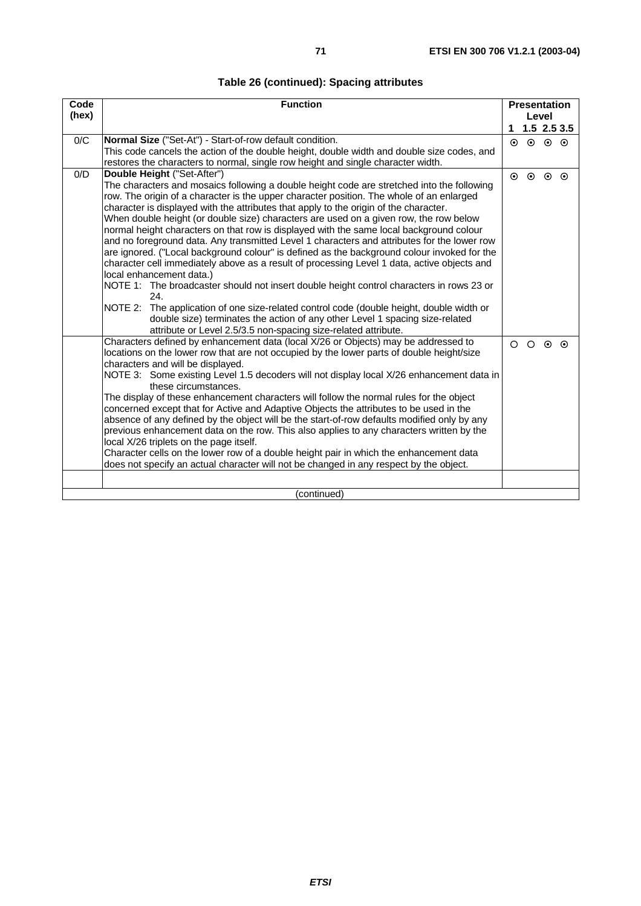### **Table 26 (continued): Spacing attributes**

| Code  | <b>Function</b>                                                                                                      |          | <b>Presentation</b> |                 |               |  |  |
|-------|----------------------------------------------------------------------------------------------------------------------|----------|---------------------|-----------------|---------------|--|--|
| (hex) |                                                                                                                      |          | Level               |                 |               |  |  |
|       |                                                                                                                      | 1        |                     |                 | $1.5$ 2.5 3.5 |  |  |
| 0/C   | Normal Size ("Set-At") - Start-of-row default condition.                                                             | $\odot$  | $\odot$             | $\odot$ $\odot$ |               |  |  |
|       | This code cancels the action of the double height, double width and double size codes, and                           |          |                     |                 |               |  |  |
|       | restores the characters to normal, single row height and single character width.                                     |          |                     |                 |               |  |  |
| O/D   | Double Height ("Set-After")                                                                                          | $\odot$  | $\odot$             | $\odot$         | $\odot$       |  |  |
|       | The characters and mosaics following a double height code are stretched into the following                           |          |                     |                 |               |  |  |
|       | row. The origin of a character is the upper character position. The whole of an enlarged                             |          |                     |                 |               |  |  |
|       | character is displayed with the attributes that apply to the origin of the character.                                |          |                     |                 |               |  |  |
|       | When double height (or double size) characters are used on a given row, the row below                                |          |                     |                 |               |  |  |
|       | normal height characters on that row is displayed with the same local background colour                              |          |                     |                 |               |  |  |
|       | and no foreground data. Any transmitted Level 1 characters and attributes for the lower row                          |          |                     |                 |               |  |  |
|       | are ignored. ("Local background colour" is defined as the background colour invoked for the                          |          |                     |                 |               |  |  |
|       | character cell immediately above as a result of processing Level 1 data, active objects and                          |          |                     |                 |               |  |  |
|       | local enhancement data.)<br>NOTE 1: The broadcaster should not insert double height control characters in rows 23 or |          |                     |                 |               |  |  |
|       | 24.                                                                                                                  |          |                     |                 |               |  |  |
|       | NOTE 2:<br>The application of one size-related control code (double height, double width or                          |          |                     |                 |               |  |  |
|       | double size) terminates the action of any other Level 1 spacing size-related                                         |          |                     |                 |               |  |  |
|       | attribute or Level 2.5/3.5 non-spacing size-related attribute.                                                       |          |                     |                 |               |  |  |
|       | Characters defined by enhancement data (local X/26 or Objects) may be addressed to                                   | $\Omega$ | $\Omega$            |                 |               |  |  |
|       | locations on the lower row that are not occupied by the lower parts of double height/size                            |          |                     | $\odot$         | $\odot$       |  |  |
|       | characters and will be displayed.                                                                                    |          |                     |                 |               |  |  |
|       | NOTE 3: Some existing Level 1.5 decoders will not display local X/26 enhancement data in                             |          |                     |                 |               |  |  |
|       | these circumstances.                                                                                                 |          |                     |                 |               |  |  |
|       | The display of these enhancement characters will follow the normal rules for the object                              |          |                     |                 |               |  |  |
|       | concerned except that for Active and Adaptive Objects the attributes to be used in the                               |          |                     |                 |               |  |  |
|       | absence of any defined by the object will be the start-of-row defaults modified only by any                          |          |                     |                 |               |  |  |
|       | previous enhancement data on the row. This also applies to any characters written by the                             |          |                     |                 |               |  |  |
|       | local X/26 triplets on the page itself.                                                                              |          |                     |                 |               |  |  |
|       | Character cells on the lower row of a double height pair in which the enhancement data                               |          |                     |                 |               |  |  |
|       | does not specify an actual character will not be changed in any respect by the object.                               |          |                     |                 |               |  |  |
|       |                                                                                                                      |          |                     |                 |               |  |  |
|       | (continued)                                                                                                          |          |                     |                 |               |  |  |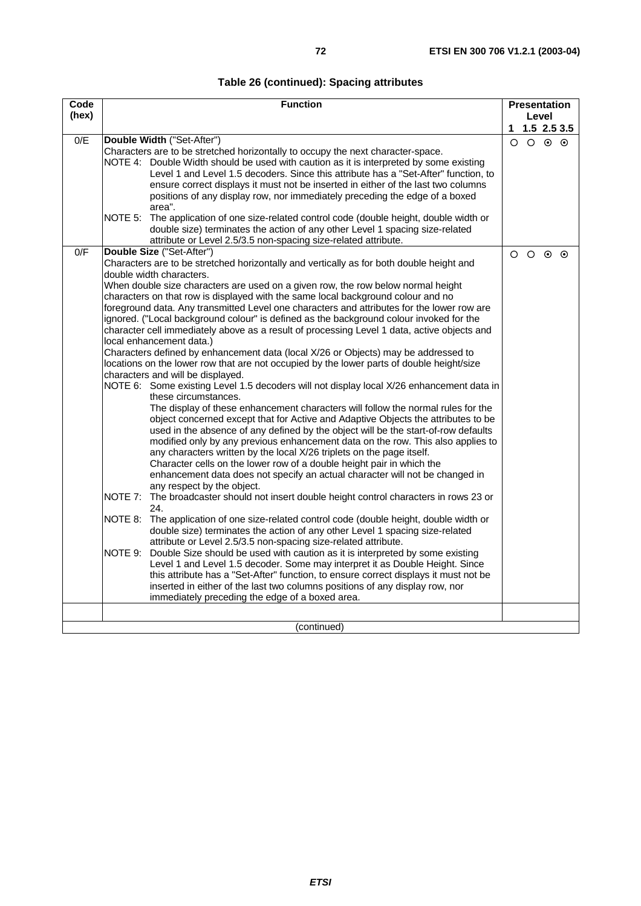| Table 26 (continued): Spacing attributes |  |  |
|------------------------------------------|--|--|
|------------------------------------------|--|--|

| Code  | <b>Function</b>                                                                                                                                                                                                                                                                                                                                                                                                                                                                                                                                                                                                                                                                                                                                                                                                                                                                                                                                                                                                                                                                                                                                                                                                                                                                                                                                                                                                                                                                                                                                                                                                                                                                                                                                                                                                                                                                                                                                                                                                                                                                                                                                                                                                                                                                                                                                                           | <b>Presentation</b> |                 |                 |                  |
|-------|---------------------------------------------------------------------------------------------------------------------------------------------------------------------------------------------------------------------------------------------------------------------------------------------------------------------------------------------------------------------------------------------------------------------------------------------------------------------------------------------------------------------------------------------------------------------------------------------------------------------------------------------------------------------------------------------------------------------------------------------------------------------------------------------------------------------------------------------------------------------------------------------------------------------------------------------------------------------------------------------------------------------------------------------------------------------------------------------------------------------------------------------------------------------------------------------------------------------------------------------------------------------------------------------------------------------------------------------------------------------------------------------------------------------------------------------------------------------------------------------------------------------------------------------------------------------------------------------------------------------------------------------------------------------------------------------------------------------------------------------------------------------------------------------------------------------------------------------------------------------------------------------------------------------------------------------------------------------------------------------------------------------------------------------------------------------------------------------------------------------------------------------------------------------------------------------------------------------------------------------------------------------------------------------------------------------------------------------------------------------------|---------------------|-----------------|-----------------|------------------|
| (hex) |                                                                                                                                                                                                                                                                                                                                                                                                                                                                                                                                                                                                                                                                                                                                                                                                                                                                                                                                                                                                                                                                                                                                                                                                                                                                                                                                                                                                                                                                                                                                                                                                                                                                                                                                                                                                                                                                                                                                                                                                                                                                                                                                                                                                                                                                                                                                                                           |                     | Level           |                 |                  |
|       |                                                                                                                                                                                                                                                                                                                                                                                                                                                                                                                                                                                                                                                                                                                                                                                                                                                                                                                                                                                                                                                                                                                                                                                                                                                                                                                                                                                                                                                                                                                                                                                                                                                                                                                                                                                                                                                                                                                                                                                                                                                                                                                                                                                                                                                                                                                                                                           |                     |                 |                 | 1, 1.5, 2.5, 3.5 |
| 0/E   | Double Width ("Set-After")<br>Characters are to be stretched horizontally to occupy the next character-space.<br>NOTE 4: Double Width should be used with caution as it is interpreted by some existing<br>Level 1 and Level 1.5 decoders. Since this attribute has a "Set-After" function, to<br>ensure correct displays it must not be inserted in either of the last two columns<br>positions of any display row, nor immediately preceding the edge of a boxed<br>area".                                                                                                                                                                                                                                                                                                                                                                                                                                                                                                                                                                                                                                                                                                                                                                                                                                                                                                                                                                                                                                                                                                                                                                                                                                                                                                                                                                                                                                                                                                                                                                                                                                                                                                                                                                                                                                                                                              |                     | $O$ $O$ $O$ $O$ |                 |                  |
|       | NOTE 5: The application of one size-related control code (double height, double width or<br>double size) terminates the action of any other Level 1 spacing size-related<br>attribute or Level 2.5/3.5 non-spacing size-related attribute.                                                                                                                                                                                                                                                                                                                                                                                                                                                                                                                                                                                                                                                                                                                                                                                                                                                                                                                                                                                                                                                                                                                                                                                                                                                                                                                                                                                                                                                                                                                                                                                                                                                                                                                                                                                                                                                                                                                                                                                                                                                                                                                                |                     |                 |                 |                  |
| 0/F   | Double Size ("Set-After")<br>Characters are to be stretched horizontally and vertically as for both double height and<br>double width characters.<br>When double size characters are used on a given row, the row below normal height<br>characters on that row is displayed with the same local background colour and no<br>foreground data. Any transmitted Level one characters and attributes for the lower row are<br>ignored. ("Local background colour" is defined as the background colour invoked for the<br>character cell immediately above as a result of processing Level 1 data, active objects and<br>local enhancement data.)<br>Characters defined by enhancement data (local X/26 or Objects) may be addressed to<br>locations on the lower row that are not occupied by the lower parts of double height/size<br>characters and will be displayed.<br>NOTE 6: Some existing Level 1.5 decoders will not display local X/26 enhancement data in<br>these circumstances.<br>The display of these enhancement characters will follow the normal rules for the<br>object concerned except that for Active and Adaptive Objects the attributes to be<br>used in the absence of any defined by the object will be the start-of-row defaults<br>modified only by any previous enhancement data on the row. This also applies to<br>any characters written by the local X/26 triplets on the page itself.<br>Character cells on the lower row of a double height pair in which the<br>enhancement data does not specify an actual character will not be changed in<br>any respect by the object.<br>NOTE 7:<br>The broadcaster should not insert double height control characters in rows 23 or<br>24.<br>NOTE 8:<br>The application of one size-related control code (double height, double width or<br>double size) terminates the action of any other Level 1 spacing size-related<br>attribute or Level 2.5/3.5 non-spacing size-related attribute.<br>NOTE 9:<br>Double Size should be used with caution as it is interpreted by some existing<br>Level 1 and Level 1.5 decoder. Some may interpret it as Double Height. Since<br>this attribute has a "Set-After" function, to ensure correct displays it must not be<br>inserted in either of the last two columns positions of any display row, nor<br>immediately preceding the edge of a boxed area. |                     | $\circ$ $\circ$ | $\circ$ $\circ$ |                  |
|       | (continued)                                                                                                                                                                                                                                                                                                                                                                                                                                                                                                                                                                                                                                                                                                                                                                                                                                                                                                                                                                                                                                                                                                                                                                                                                                                                                                                                                                                                                                                                                                                                                                                                                                                                                                                                                                                                                                                                                                                                                                                                                                                                                                                                                                                                                                                                                                                                                               |                     |                 |                 |                  |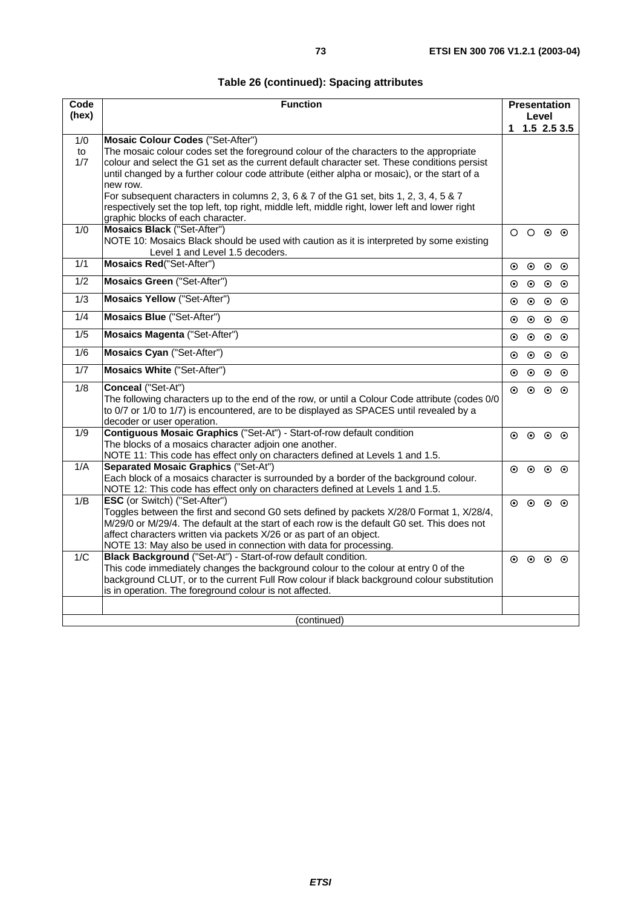| Code             | <b>Function</b>                                                                                                                                                                                                                                                                                                                                                      |         | <b>Presentation</b>     |                         |               |
|------------------|----------------------------------------------------------------------------------------------------------------------------------------------------------------------------------------------------------------------------------------------------------------------------------------------------------------------------------------------------------------------|---------|-------------------------|-------------------------|---------------|
| (hex)            |                                                                                                                                                                                                                                                                                                                                                                      | 1.      |                         | Level                   | $1.5$ 2.5 3.5 |
| 1/0              | <b>Mosaic Colour Codes ("Set-After")</b>                                                                                                                                                                                                                                                                                                                             |         |                         |                         |               |
| to<br>1/7        | The mosaic colour codes set the foreground colour of the characters to the appropriate<br>colour and select the G1 set as the current default character set. These conditions persist<br>until changed by a further colour code attribute (either alpha or mosaic), or the start of a<br>new row.                                                                    |         |                         |                         |               |
|                  | For subsequent characters in columns 2, 3, 6 & 7 of the G1 set, bits 1, 2, 3, 4, 5 & 7<br>respectively set the top left, top right, middle left, middle right, lower left and lower right<br>graphic blocks of each character.                                                                                                                                       |         |                         |                         |               |
| 1/0              | <b>Mosaics Black ("Set-After")</b><br>NOTE 10: Mosaics Black should be used with caution as it is interpreted by some existing<br>Level 1 and Level 1.5 decoders.                                                                                                                                                                                                    |         | $\circ$ $\circ$ $\circ$ |                         |               |
| $\overline{1/1}$ | <b>Mosaics Red</b> ("Set-After")                                                                                                                                                                                                                                                                                                                                     | $\odot$ | $\odot$                 | $\circ$ $\circ$         |               |
| $\overline{1/2}$ | <b>Mosaics Green ("Set-After")</b>                                                                                                                                                                                                                                                                                                                                   | $\odot$ | $\odot$                 | $\odot$                 | $\odot$       |
| $\overline{1/3}$ | <b>Mosaics Yellow</b> ("Set-After")                                                                                                                                                                                                                                                                                                                                  | $\odot$ | $\odot$                 | $\odot$                 | $\odot$       |
| $\overline{1/4}$ | <b>Mosaics Blue ("Set-After")</b>                                                                                                                                                                                                                                                                                                                                    | $\odot$ | $\odot$                 | $\odot$                 | $\odot$       |
| $\overline{1/5}$ | <b>Mosaics Magenta ("Set-After")</b>                                                                                                                                                                                                                                                                                                                                 | ⊙       | $\odot$                 | $\odot$                 | $\odot$       |
| 1/6              | Mosaics Cyan ("Set-After")                                                                                                                                                                                                                                                                                                                                           | ⊙       | $\odot$                 | $\odot$                 | $\odot$       |
| 1/7              | <b>Mosaics White ("Set-After")</b>                                                                                                                                                                                                                                                                                                                                   | ⊙       | $\odot$                 | $\odot$                 | $\odot$       |
| 1/8              | Conceal ("Set-At")<br>The following characters up to the end of the row, or until a Colour Code attribute (codes 0/0<br>to 0/7 or 1/0 to 1/7) is encountered, are to be displayed as SPACES until revealed by a<br>decoder or user operation.                                                                                                                        | $\odot$ | $\odot$                 | $\odot$ $\odot$         |               |
| 1/9              | Contiguous Mosaic Graphics ("Set-At") - Start-of-row default condition<br>The blocks of a mosaics character adjoin one another.<br>NOTE 11: This code has effect only on characters defined at Levels 1 and 1.5.                                                                                                                                                     | $\odot$ |                         | $\circ$ $\circ$ $\circ$ |               |
| 1/A              | <b>Separated Mosaic Graphics ("Set-At")</b><br>Each block of a mosaics character is surrounded by a border of the background colour.<br>NOTE 12: This code has effect only on characters defined at Levels 1 and 1.5.                                                                                                                                                | $\odot$ | $\odot$                 | $\circ$ $\circ$         |               |
| 1/B              | ESC (or Switch) ("Set-After")<br>Toggles between the first and second G0 sets defined by packets X/28/0 Format 1, X/28/4,<br>M/29/0 or M/29/4. The default at the start of each row is the default G0 set. This does not<br>affect characters written via packets X/26 or as part of an object.<br>NOTE 13: May also be used in connection with data for processing. |         | $\circ$ $\circ$ $\circ$ |                         |               |
| 1/C              | Black Background ("Set-At") - Start-of-row default condition.<br>This code immediately changes the background colour to the colour at entry 0 of the<br>background CLUT, or to the current Full Row colour if black background colour substitution<br>is in operation. The foreground colour is not affected.                                                        |         | $\circ$ $\circ$ $\circ$ |                         |               |
|                  |                                                                                                                                                                                                                                                                                                                                                                      |         |                         |                         |               |
|                  | (continued)                                                                                                                                                                                                                                                                                                                                                          |         |                         |                         |               |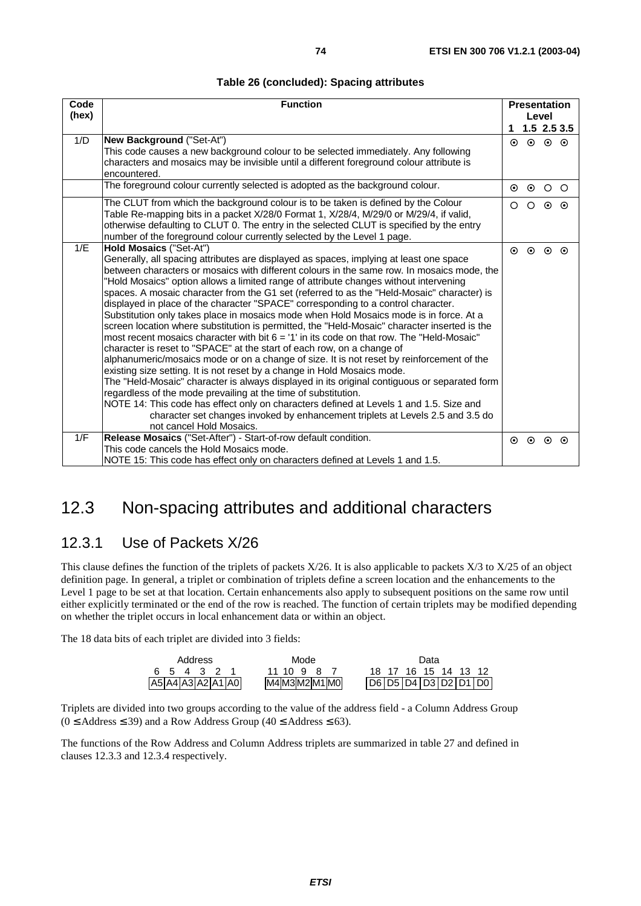| Code  | <b>Function</b>                                                                                                                                                                    |         | <b>Presentation</b> |                         |               |
|-------|------------------------------------------------------------------------------------------------------------------------------------------------------------------------------------|---------|---------------------|-------------------------|---------------|
| (hex) |                                                                                                                                                                                    |         | Level               |                         |               |
|       |                                                                                                                                                                                    |         |                     |                         | $1.5$ 2.5 3.5 |
| 1/D   | New Background ("Set-At")                                                                                                                                                          | $\odot$ |                     | $\circ$ $\circ$ $\circ$ |               |
|       | This code causes a new background colour to be selected immediately. Any following<br>characters and mosaics may be invisible until a different foreground colour attribute is     |         |                     |                         |               |
|       | encountered.                                                                                                                                                                       |         |                     |                         |               |
|       | The foreground colour currently selected is adopted as the background colour.                                                                                                      | $\odot$ | $\odot$             | $\circ$ $\circ$         |               |
|       |                                                                                                                                                                                    |         |                     |                         |               |
|       | The CLUT from which the background colour is to be taken is defined by the Colour                                                                                                  | $\circ$ |                     | $\circ$ $\circ$         | $\odot$       |
|       | Table Re-mapping bits in a packet X/28/0 Format 1, X/28/4, M/29/0 or M/29/4, if valid,<br>otherwise defaulting to CLUT 0. The entry in the selected CLUT is specified by the entry |         |                     |                         |               |
|       | number of the foreground colour currently selected by the Level 1 page.                                                                                                            |         |                     |                         |               |
| 1/E   | Hold Mosaics ("Set-At")                                                                                                                                                            |         |                     |                         |               |
|       | Generally, all spacing attributes are displayed as spaces, implying at least one space                                                                                             | $\odot$ | $\odot$             | $\odot$                 | $\odot$       |
|       | between characters or mosaics with different colours in the same row. In mosaics mode, the                                                                                         |         |                     |                         |               |
|       | "Hold Mosaics" option allows a limited range of attribute changes without intervening                                                                                              |         |                     |                         |               |
|       | spaces. A mosaic character from the G1 set (referred to as the "Held-Mosaic" character) is                                                                                         |         |                     |                         |               |
|       | displayed in place of the character "SPACE" corresponding to a control character.                                                                                                  |         |                     |                         |               |
|       | Substitution only takes place in mosaics mode when Hold Mosaics mode is in force. At a                                                                                             |         |                     |                         |               |
|       | screen location where substitution is permitted, the "Held-Mosaic" character inserted is the                                                                                       |         |                     |                         |               |
|       | most recent mosaics character with bit $6 = 11$ in its code on that row. The "Held-Mosaic"                                                                                         |         |                     |                         |               |
|       | character is reset to "SPACE" at the start of each row, on a change of                                                                                                             |         |                     |                         |               |
|       | alphanumeric/mosaics mode or on a change of size. It is not reset by reinforcement of the<br>existing size setting. It is not reset by a change in Hold Mosaics mode.              |         |                     |                         |               |
|       | The "Held-Mosaic" character is always displayed in its original contiguous or separated form                                                                                       |         |                     |                         |               |
|       | regardless of the mode prevailing at the time of substitution.                                                                                                                     |         |                     |                         |               |
|       | NOTE 14: This code has effect only on characters defined at Levels 1 and 1.5. Size and                                                                                             |         |                     |                         |               |
|       | character set changes invoked by enhancement triplets at Levels 2.5 and 3.5 do                                                                                                     |         |                     |                         |               |
|       | not cancel Hold Mosaics.                                                                                                                                                           |         |                     |                         |               |
| 1/F   | Release Mosaics ("Set-After") - Start-of-row default condition.                                                                                                                    | $\odot$ | $\odot$             | $\odot$                 | $\odot$       |
|       | This code cancels the Hold Mosaics mode.                                                                                                                                           |         |                     |                         |               |
|       | NOTE 15: This code has effect only on characters defined at Levels 1 and 1.5.                                                                                                      |         |                     |                         |               |

# 12.3 Non-spacing attributes and additional characters

## 12.3.1 Use of Packets X/26

This clause defines the function of the triplets of packets  $X/26$ . It is also applicable to packets  $X/3$  to  $X/25$  of an object definition page. In general, a triplet or combination of triplets define a screen location and the enhancements to the Level 1 page to be set at that location. Certain enhancements also apply to subsequent positions on the same row until either explicitly terminated or the end of the row is reached. The function of certain triplets may be modified depending on whether the triplet occurs in local enhancement data or within an object.

The 18 data bits of each triplet are divided into 3 fields:

| Address           | Mode           | Data                             |
|-------------------|----------------|----------------------------------|
| 654321            | 11 10 9<br>-87 | 16 15 14 13 12<br>18.17          |
| A5 A4 A3 A2 A1 A0 | M4M3M2M1M0     | D6   D5   D4   D3   D2   D1   D0 |

Triplets are divided into two groups according to the value of the address field - a Column Address Group  $(0 \leq$  Address  $\leq$  39) and a Row Address Group (40  $\leq$  Address  $\leq$  63).

The functions of the Row Address and Column Address triplets are summarized in table 27 and defined in clauses 12.3.3 and 12.3.4 respectively.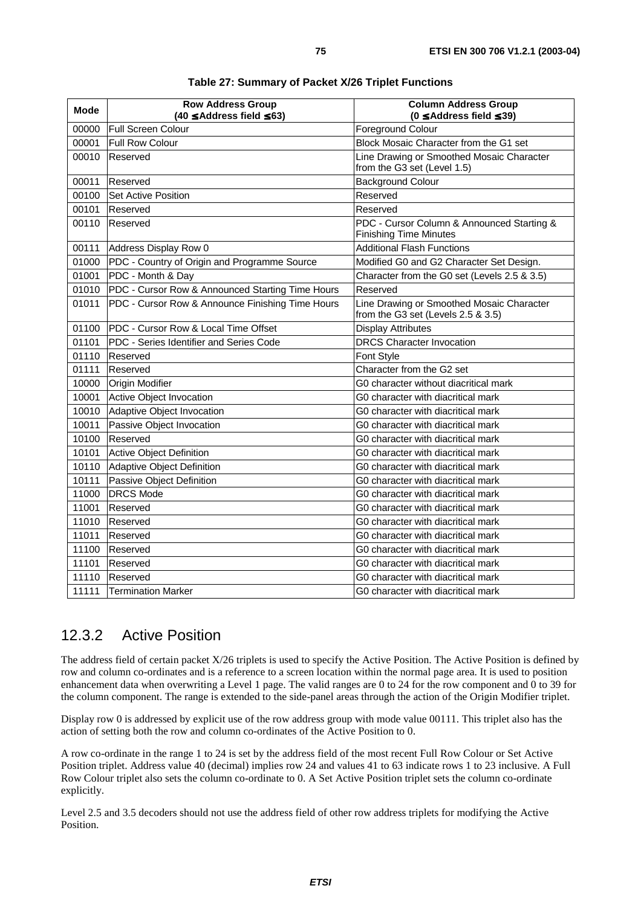| <b>Mode</b> | <b>Row Address Group</b><br>$(40 \leq$ Address field $\leq$ 63) | <b>Column Address Group</b><br>$(0 \leq$ Address field $\leq$ 39)               |
|-------------|-----------------------------------------------------------------|---------------------------------------------------------------------------------|
| 00000       | <b>Full Screen Colour</b>                                       | <b>Foreground Colour</b>                                                        |
| 00001       | Full Row Colour                                                 | Block Mosaic Character from the G1 set                                          |
| 00010       | Reserved                                                        | Line Drawing or Smoothed Mosaic Character<br>from the G3 set (Level 1.5)        |
| 00011       | Reserved                                                        | <b>Background Colour</b>                                                        |
| 00100       | <b>Set Active Position</b>                                      | Reserved                                                                        |
| 00101       | Reserved                                                        | Reserved                                                                        |
| 00110       | Reserved                                                        | PDC - Cursor Column & Announced Starting &<br><b>Finishing Time Minutes</b>     |
| 00111       | Address Display Row 0                                           | <b>Additional Flash Functions</b>                                               |
| 01000       | PDC - Country of Origin and Programme Source                    | Modified G0 and G2 Character Set Design.                                        |
| 01001       | PDC - Month & Day                                               | Character from the G0 set (Levels 2.5 & 3.5)                                    |
| 01010       | PDC - Cursor Row & Announced Starting Time Hours                | Reserved                                                                        |
| 01011       | PDC - Cursor Row & Announce Finishing Time Hours                | Line Drawing or Smoothed Mosaic Character<br>from the G3 set (Levels 2.5 & 3.5) |
| 01100       | <b>IPDC - Cursor Row &amp; Local Time Offset</b>                | <b>Display Attributes</b>                                                       |
| 01101       | PDC - Series Identifier and Series Code                         | <b>DRCS Character Invocation</b>                                                |
| 01110       | Reserved                                                        | Font Style                                                                      |
| 01111       | Reserved                                                        | Character from the G2 set                                                       |
| 10000       | <b>Origin Modifier</b>                                          | G0 character without diacritical mark                                           |
| 10001       | Active Object Invocation                                        | G0 character with diacritical mark                                              |
| 10010       | Adaptive Object Invocation                                      | G0 character with diacritical mark                                              |
| 10011       | Passive Object Invocation                                       | G0 character with diacritical mark                                              |
| 10100       | Reserved                                                        | G0 character with diacritical mark                                              |
| 10101       | <b>Active Object Definition</b>                                 | G0 character with diacritical mark                                              |
| 10110       | Adaptive Object Definition                                      | G0 character with diacritical mark                                              |
| 10111       | Passive Object Definition                                       | G0 character with diacritical mark                                              |
| 11000       | <b>DRCS Mode</b>                                                | G0 character with diacritical mark                                              |
| 11001       | Reserved                                                        | G0 character with diacritical mark                                              |
| 11010       | Reserved                                                        | G0 character with diacritical mark                                              |
| 11011       | Reserved                                                        | G0 character with diacritical mark                                              |
| 11100       | Reserved                                                        | G0 character with diacritical mark                                              |
| 11101       | Reserved                                                        | G0 character with diacritical mark                                              |
| 11110       | Reserved                                                        | G0 character with diacritical mark                                              |
| 11111       | <b>Termination Marker</b>                                       | G0 character with diacritical mark                                              |

**Table 27: Summary of Packet X/26 Triplet Functions** 

## 12.3.2 Active Position

The address field of certain packet X/26 triplets is used to specify the Active Position. The Active Position is defined by row and column co-ordinates and is a reference to a screen location within the normal page area. It is used to position enhancement data when overwriting a Level 1 page. The valid ranges are 0 to 24 for the row component and 0 to 39 for the column component. The range is extended to the side-panel areas through the action of the Origin Modifier triplet.

Display row 0 is addressed by explicit use of the row address group with mode value 00111. This triplet also has the action of setting both the row and column co-ordinates of the Active Position to 0.

A row co-ordinate in the range 1 to 24 is set by the address field of the most recent Full Row Colour or Set Active Position triplet. Address value 40 (decimal) implies row 24 and values 41 to 63 indicate rows 1 to 23 inclusive. A Full Row Colour triplet also sets the column co-ordinate to 0. A Set Active Position triplet sets the column co-ordinate explicitly.

Level 2.5 and 3.5 decoders should not use the address field of other row address triplets for modifying the Active Position.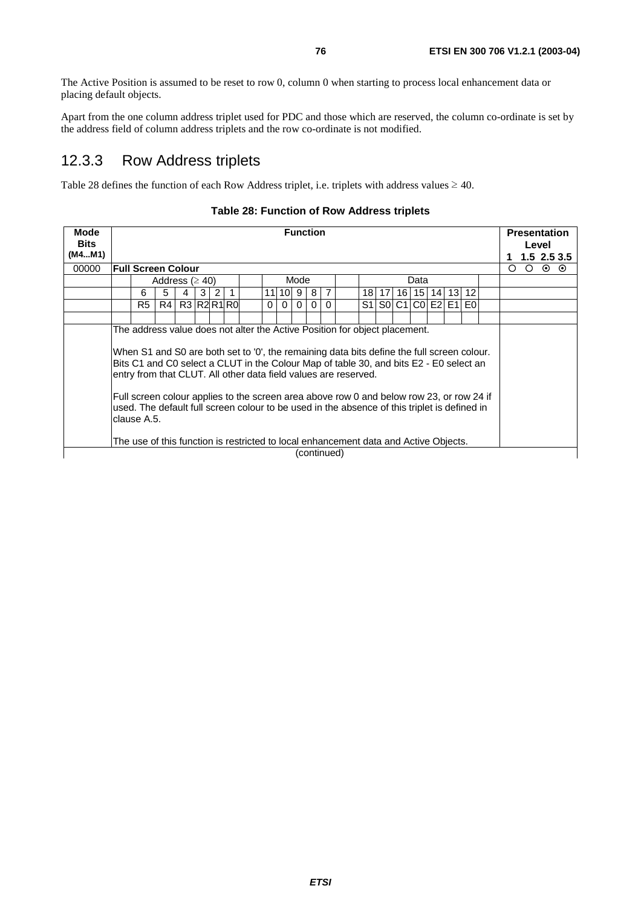The Active Position is assumed to be reset to row 0, column 0 when starting to process local enhancement data or placing default objects.

Apart from the one column address triplet used for PDC and those which are reserved, the column co-ordinate is set by the address field of column address triplets and the row co-ordinate is not modified.

### 12.3.3 Row Address triplets

Table 28 defines the function of each Row Address triplet, i.e. triplets with address values  $\geq 40$ .

| Mode<br><b>Bits</b><br>(M4M1) |                    |                |                      |             |   |   |              |                                                                                                                                                                                                                                                                                                                                                                                                                                                                                                                                                                                                                           |          |          |          | <b>Function</b> |          |    |       |                  |  |                                  |         | <b>Presentation</b> | Level | $1.5$ 2.5 3.5   |
|-------------------------------|--------------------|----------------|----------------------|-------------|---|---|--------------|---------------------------------------------------------------------------------------------------------------------------------------------------------------------------------------------------------------------------------------------------------------------------------------------------------------------------------------------------------------------------------------------------------------------------------------------------------------------------------------------------------------------------------------------------------------------------------------------------------------------------|----------|----------|----------|-----------------|----------|----|-------|------------------|--|----------------------------------|---------|---------------------|-------|-----------------|
| 00000                         | Full Screen Colour |                |                      |             |   |   |              |                                                                                                                                                                                                                                                                                                                                                                                                                                                                                                                                                                                                                           |          |          |          |                 |          |    |       |                  |  |                                  | $\circ$ | $\circ$             |       | $\circ$ $\circ$ |
|                               |                    |                | Address ( $\geq$ 40) |             |   |   |              |                                                                                                                                                                                                                                                                                                                                                                                                                                                                                                                                                                                                                           |          |          | Mode     |                 |          |    |       | Data             |  |                                  |         |                     |       |                 |
|                               |                    | 6              | 5                    | 4           | 3 | 2 | $\mathbf{1}$ |                                                                                                                                                                                                                                                                                                                                                                                                                                                                                                                                                                                                                           |          | 11 10 9  |          | 8               | 7        |    |       |                  |  | 18   17   16   15   14   13   12 |         |                     |       |                 |
|                               |                    | R <sub>5</sub> | R4                   | R3 R2 R1 R0 |   |   |              |                                                                                                                                                                                                                                                                                                                                                                                                                                                                                                                                                                                                                           | $\Omega$ | $\Omega$ | $\Omega$ | $\mathbf{0}$    | $\Omega$ | S1 | SO C1 | $ CO $ E2 $ E1 $ |  | E <sub>0</sub>                   |         |                     |       |                 |
|                               |                    |                |                      |             |   |   |              |                                                                                                                                                                                                                                                                                                                                                                                                                                                                                                                                                                                                                           |          |          |          |                 |          |    |       |                  |  |                                  |         |                     |       |                 |
|                               | clause A.5.        |                |                      |             |   |   |              | The address value does not alter the Active Position for object placement.<br>When S1 and S0 are both set to '0', the remaining data bits define the full screen colour.<br>Bits C1 and C0 select a CLUT in the Colour Map of table 30, and bits E2 - E0 select an<br>entry from that CLUT. All other data field values are reserved.<br>Full screen colour applies to the screen area above row 0 and below row 23, or row 24 if<br>used. The default full screen colour to be used in the absence of this triplet is defined in<br>The use of this function is restricted to local enhancement data and Active Objects. |          |          |          | (continued)     |          |    |       |                  |  |                                  |         |                     |       |                 |

#### **Table 28: Function of Row Address triplets**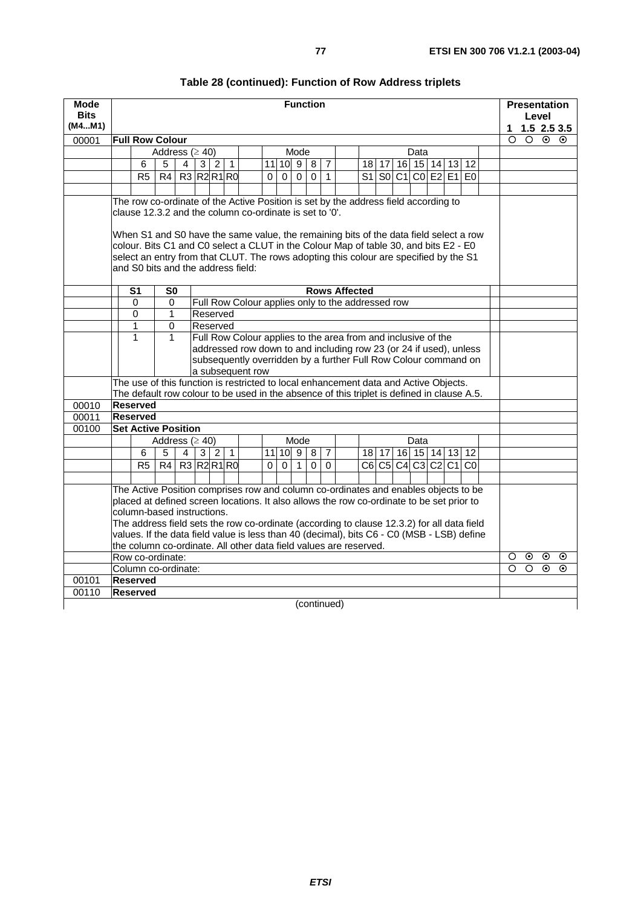| Mode<br><b>Bits</b><br>(M4M1) |                                                         |                        |   |                |                |                |                  |    |             |                | <b>Function</b> |                |                                                                                                                                                                                                                                                                        |    |       |                    |                |  |                | 1        | Level       |         | <b>Presentation</b><br>$1.5 \; 2.5 \; 3.5$ |
|-------------------------------|---------------------------------------------------------|------------------------|---|----------------|----------------|----------------|------------------|----|-------------|----------------|-----------------|----------------|------------------------------------------------------------------------------------------------------------------------------------------------------------------------------------------------------------------------------------------------------------------------|----|-------|--------------------|----------------|--|----------------|----------|-------------|---------|--------------------------------------------|
| 00001                         | <b>Full Row Colour</b>                                  |                        |   |                |                |                |                  |    |             |                |                 |                |                                                                                                                                                                                                                                                                        |    |       |                    |                |  |                | $\Omega$ | $O$ $\odot$ |         | $\odot$                                    |
|                               |                                                         | Address $(≥ 40)$       |   |                |                |                |                  |    |             | Mode           |                 |                |                                                                                                                                                                                                                                                                        |    |       |                    | Data           |  |                |          |             |         |                                            |
|                               | 6                                                       | 5                      | 4 |                | 3 2            | $\overline{1}$ |                  | 11 |             |                | 10   9   8      | $\overline{7}$ |                                                                                                                                                                                                                                                                        |    | 18 17 |                    | 16 15 14 13    |  | 12             |          |             |         |                                            |
|                               | R <sub>5</sub>                                          | $\overline{R4}$        |   | R3 R2 R1 R0    |                |                |                  | 0  | 0           | $\overline{0}$ | $\overline{0}$  | $\mathbf{1}$   |                                                                                                                                                                                                                                                                        | S1 |       | $\overline{S0}$ C1 | $CO$ E2 E1     |  | E <sub>0</sub> |          |             |         |                                            |
|                               |                                                         |                        |   |                |                |                |                  |    |             |                |                 |                |                                                                                                                                                                                                                                                                        |    |       |                    |                |  |                |          |             |         |                                            |
|                               |                                                         |                        |   |                |                |                |                  |    |             |                |                 |                | The row co-ordinate of the Active Position is set by the address field according to                                                                                                                                                                                    |    |       |                    |                |  |                |          |             |         |                                            |
|                               | clause 12.3.2 and the column co-ordinate is set to '0'. |                        |   |                |                |                |                  |    |             |                |                 |                |                                                                                                                                                                                                                                                                        |    |       |                    |                |  |                |          |             |         |                                            |
|                               | and S0 bits and the address field:                      |                        |   |                |                |                |                  |    |             |                |                 |                | When S1 and S0 have the same value, the remaining bits of the data field select a row<br>colour. Bits C1 and C0 select a CLUT in the Colour Map of table 30, and bits E2 - E0<br>select an entry from that CLUT. The rows adopting this colour are specified by the S1 |    |       |                    |                |  |                |          |             |         |                                            |
|                               | $\overline{\mathsf{s}}$                                 | $\overline{\text{S0}}$ |   |                |                |                |                  |    |             |                |                 |                | <b>Rows Affected</b>                                                                                                                                                                                                                                                   |    |       |                    |                |  |                |          |             |         |                                            |
|                               | 0                                                       | 0                      |   |                |                |                |                  |    |             |                |                 |                | Full Row Colour applies only to the addressed row                                                                                                                                                                                                                      |    |       |                    |                |  |                |          |             |         |                                            |
|                               | 0                                                       | 1                      |   | Reserved       |                |                |                  |    |             |                |                 |                |                                                                                                                                                                                                                                                                        |    |       |                    |                |  |                |          |             |         |                                            |
|                               | 1                                                       | $\Omega$               |   | Reserved       |                |                |                  |    |             |                |                 |                |                                                                                                                                                                                                                                                                        |    |       |                    |                |  |                |          |             |         |                                            |
|                               | 1                                                       | 1                      |   |                |                |                |                  |    |             |                |                 |                | Full Row Colour applies to the area from and inclusive of the                                                                                                                                                                                                          |    |       |                    |                |  |                |          |             |         |                                            |
|                               |                                                         |                        |   |                |                |                |                  |    |             |                |                 |                | addressed row down to and including row 23 (or 24 if used), unless                                                                                                                                                                                                     |    |       |                    |                |  |                |          |             |         |                                            |
|                               |                                                         |                        |   |                |                |                |                  |    |             |                |                 |                | subsequently overridden by a further Full Row Colour command on                                                                                                                                                                                                        |    |       |                    |                |  |                |          |             |         |                                            |
|                               |                                                         |                        |   |                |                |                | a subsequent row |    |             |                |                 |                |                                                                                                                                                                                                                                                                        |    |       |                    |                |  |                |          |             |         |                                            |
|                               |                                                         |                        |   |                |                |                |                  |    |             |                |                 |                | The use of this function is restricted to local enhancement data and Active Objects.<br>The default row colour to be used in the absence of this triplet is defined in clause A.5.                                                                                     |    |       |                    |                |  |                |          |             |         |                                            |
| 00010                         | <b>Reserved</b>                                         |                        |   |                |                |                |                  |    |             |                |                 |                |                                                                                                                                                                                                                                                                        |    |       |                    |                |  |                |          |             |         |                                            |
| 00011                         | <b>Reserved</b>                                         |                        |   |                |                |                |                  |    |             |                |                 |                |                                                                                                                                                                                                                                                                        |    |       |                    |                |  |                |          |             |         |                                            |
| 00100                         | <b>Set Active Position</b>                              |                        |   |                |                |                |                  |    |             |                |                 |                |                                                                                                                                                                                                                                                                        |    |       |                    |                |  |                |          |             |         |                                            |
|                               |                                                         | Address ( $\geq$ 40)   |   |                |                |                |                  |    |             | Mode           |                 |                |                                                                                                                                                                                                                                                                        |    |       |                    | Data           |  |                |          |             |         |                                            |
|                               | 6                                                       | 5                      | 4 | 3 <sup>1</sup> | $\overline{2}$ | $\overline{1}$ |                  |    |             |                | $11$ 10 9 8     | $\overline{7}$ |                                                                                                                                                                                                                                                                        |    | 18 17 |                    | 16 15 14 13 12 |  |                |          |             |         |                                            |
|                               | R <sub>5</sub>                                          | R4                     |   | R3 R2 R1 R0    |                |                |                  | 0  | $\mathbf 0$ | $\mathbf{1}$   | $\mathbf 0$     | $\Omega$       |                                                                                                                                                                                                                                                                        |    |       | C6 C5 C4 C3 C2 C1  |                |  | $\overline{C}$ |          |             |         |                                            |
|                               |                                                         |                        |   |                |                |                |                  |    |             |                |                 |                |                                                                                                                                                                                                                                                                        |    |       |                    |                |  |                |          |             |         |                                            |
|                               |                                                         |                        |   |                |                |                |                  |    |             |                |                 |                | The Active Position comprises row and column co-ordinates and enables objects to be                                                                                                                                                                                    |    |       |                    |                |  |                |          |             |         |                                            |
|                               |                                                         |                        |   |                |                |                |                  |    |             |                |                 |                | placed at defined screen locations. It also allows the row co-ordinate to be set prior to                                                                                                                                                                              |    |       |                    |                |  |                |          |             |         |                                            |
|                               | column-based instructions.                              |                        |   |                |                |                |                  |    |             |                |                 |                |                                                                                                                                                                                                                                                                        |    |       |                    |                |  |                |          |             |         |                                            |
|                               |                                                         |                        |   |                |                |                |                  |    |             |                |                 |                | The address field sets the row co-ordinate (according to clause 12.3.2) for all data field                                                                                                                                                                             |    |       |                    |                |  |                |          |             |         |                                            |
|                               |                                                         |                        |   |                |                |                |                  |    |             |                |                 |                | values. If the data field value is less than 40 (decimal), bits C6 - C0 (MSB - LSB) define                                                                                                                                                                             |    |       |                    |                |  |                |          |             |         |                                            |
|                               |                                                         |                        |   |                |                |                |                  |    |             |                |                 |                | the column co-ordinate. All other data field values are reserved.                                                                                                                                                                                                      |    |       |                    |                |  |                |          |             |         |                                            |
|                               | Row co-ordinate:                                        |                        |   |                |                |                |                  |    |             |                |                 |                |                                                                                                                                                                                                                                                                        |    |       |                    |                |  |                | $\circ$  | $\odot$     | $\odot$ | $_{\odot}$                                 |
|                               | Column co-ordinate:                                     |                        |   |                |                |                |                  |    |             |                |                 |                |                                                                                                                                                                                                                                                                        |    |       |                    |                |  |                | Ω        | $\circ$     | $\odot$ | $\odot$                                    |
| 00101                         | <b>Reserved</b>                                         |                        |   |                |                |                |                  |    |             |                |                 |                |                                                                                                                                                                                                                                                                        |    |       |                    |                |  |                |          |             |         |                                            |
| 00110                         | <b>Reserved</b>                                         |                        |   |                |                |                |                  |    |             |                |                 |                |                                                                                                                                                                                                                                                                        |    |       |                    |                |  |                |          |             |         |                                            |
|                               |                                                         |                        |   |                |                |                |                  |    |             |                | (continued)     |                |                                                                                                                                                                                                                                                                        |    |       |                    |                |  |                |          |             |         |                                            |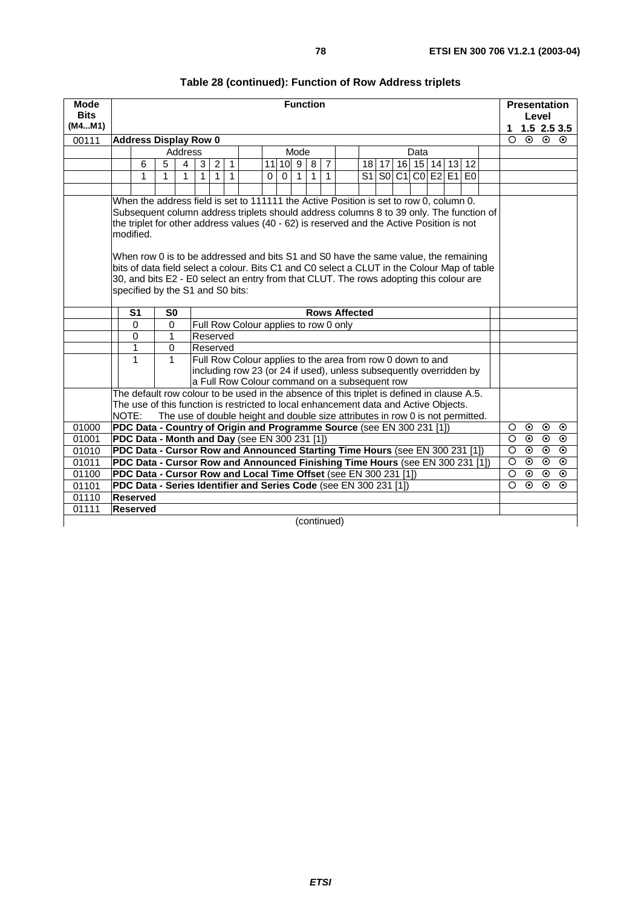| <b>Mode</b><br><b>Bits</b><br>(M4M1) | <b>Function</b>                                                                                                                                                                                                                                                                                                                                                                                                                                                                                                       |               |                                                                                                                                                |  |  |                                                                                                                                                                                    |  |  |      |  |         |         |         |         |         |  | <b>Presentation</b><br>Level |  |                          |         |         |                      |
|--------------------------------------|-----------------------------------------------------------------------------------------------------------------------------------------------------------------------------------------------------------------------------------------------------------------------------------------------------------------------------------------------------------------------------------------------------------------------------------------------------------------------------------------------------------------------|---------------|------------------------------------------------------------------------------------------------------------------------------------------------|--|--|------------------------------------------------------------------------------------------------------------------------------------------------------------------------------------|--|--|------|--|---------|---------|---------|---------|---------|--|------------------------------|--|--------------------------|---------|---------|----------------------|
|                                      |                                                                                                                                                                                                                                                                                                                                                                                                                                                                                                                       |               |                                                                                                                                                |  |  |                                                                                                                                                                                    |  |  |      |  |         |         |         |         |         |  |                              |  | 1<br>$\overline{\Omega}$ | $\odot$ | $\odot$ | 1.52.53.5<br>$\odot$ |
| 00111                                | <b>Address Display Row 0</b>                                                                                                                                                                                                                                                                                                                                                                                                                                                                                          |               | Address                                                                                                                                        |  |  |                                                                                                                                                                                    |  |  | Mode |  |         |         |         |         | Data    |  |                              |  |                          |         |         |                      |
|                                      |                                                                                                                                                                                                                                                                                                                                                                                                                                                                                                                       |               | 4                                                                                                                                              |  |  |                                                                                                                                                                                    |  |  |      |  |         |         |         |         |         |  |                              |  |                          |         |         |                      |
|                                      | $\overline{7}$<br>5<br>$\overline{2}$<br>$\mathbf{1}$<br>$11$ 10 9<br>16   15   14   13   12  <br>6<br>8<br>18   17<br>3<br>1<br>1                                                                                                                                                                                                                                                                                                                                                                                    |               |                                                                                                                                                |  |  |                                                                                                                                                                                    |  |  |      |  |         |         |         |         |         |  |                              |  |                          |         |         |                      |
|                                      |                                                                                                                                                                                                                                                                                                                                                                                                                                                                                                                       |               | S1<br>CO E2 E1 E0<br>$\mathbf{1}$<br>$\mathbf{1}$<br>SOC <sub>1</sub><br>1<br>$\mathbf{1}$<br>$\Omega$<br>$\overline{1}$<br>1<br>$\Omega$<br>1 |  |  |                                                                                                                                                                                    |  |  |      |  |         |         |         |         |         |  |                              |  |                          |         |         |                      |
|                                      | When the address field is set to 111111 the Active Position is set to row 0, column 0.                                                                                                                                                                                                                                                                                                                                                                                                                                |               |                                                                                                                                                |  |  |                                                                                                                                                                                    |  |  |      |  |         |         |         |         |         |  |                              |  |                          |         |         |                      |
|                                      | Subsequent column address triplets should address columns 8 to 39 only. The function of<br>the triplet for other address values (40 - 62) is reserved and the Active Position is not<br>modified.<br>When row 0 is to be addressed and bits S1 and S0 have the same value, the remaining<br>bits of data field select a colour. Bits C1 and C0 select a CLUT in the Colour Map of table<br>30, and bits E2 - E0 select an entry from that CLUT. The rows adopting this colour are<br>specified by the S1 and S0 bits: |               |                                                                                                                                                |  |  |                                                                                                                                                                                    |  |  |      |  |         |         |         |         |         |  |                              |  |                          |         |         |                      |
|                                      | <b>Rows Affected</b><br>S <sub>1</sub><br>S <sub>0</sub>                                                                                                                                                                                                                                                                                                                                                                                                                                                              |               |                                                                                                                                                |  |  |                                                                                                                                                                                    |  |  |      |  |         |         |         |         |         |  |                              |  |                          |         |         |                      |
|                                      | Full Row Colour applies to row 0 only<br>$\mathbf 0$<br>0                                                                                                                                                                                                                                                                                                                                                                                                                                                             |               |                                                                                                                                                |  |  |                                                                                                                                                                                    |  |  |      |  |         |         |         |         |         |  |                              |  |                          |         |         |                      |
|                                      | $\Omega$                                                                                                                                                                                                                                                                                                                                                                                                                                                                                                              | 1<br>Reserved |                                                                                                                                                |  |  |                                                                                                                                                                                    |  |  |      |  |         |         |         |         |         |  |                              |  |                          |         |         |                      |
|                                      | 1                                                                                                                                                                                                                                                                                                                                                                                                                                                                                                                     | Reserved<br>0 |                                                                                                                                                |  |  |                                                                                                                                                                                    |  |  |      |  |         |         |         |         |         |  |                              |  |                          |         |         |                      |
|                                      | 1                                                                                                                                                                                                                                                                                                                                                                                                                                                                                                                     | $\mathbf{1}$  |                                                                                                                                                |  |  | Full Row Colour applies to the area from row 0 down to and<br>including row 23 (or 24 if used), unless subsequently overridden by<br>a Full Row Colour command on a subsequent row |  |  |      |  |         |         |         |         |         |  |                              |  |                          |         |         |                      |
|                                      | The default row colour to be used in the absence of this triplet is defined in clause A.5.                                                                                                                                                                                                                                                                                                                                                                                                                            |               |                                                                                                                                                |  |  |                                                                                                                                                                                    |  |  |      |  |         |         |         |         |         |  |                              |  |                          |         |         |                      |
|                                      | The use of this function is restricted to local enhancement data and Active Objects.                                                                                                                                                                                                                                                                                                                                                                                                                                  |               |                                                                                                                                                |  |  |                                                                                                                                                                                    |  |  |      |  |         |         |         |         |         |  |                              |  |                          |         |         |                      |
|                                      | NOTE:                                                                                                                                                                                                                                                                                                                                                                                                                                                                                                                 |               |                                                                                                                                                |  |  | The use of double height and double size attributes in row 0 is not permitted.                                                                                                     |  |  |      |  |         |         |         |         |         |  |                              |  |                          |         |         |                      |
| 01000                                | PDC Data - Country of Origin and Programme Source (see EN 300 231 [1])                                                                                                                                                                                                                                                                                                                                                                                                                                                |               |                                                                                                                                                |  |  |                                                                                                                                                                                    |  |  |      |  |         | $\circ$ | $\odot$ | $\odot$ | $\odot$ |  |                              |  |                          |         |         |                      |
| 01001                                | PDC Data - Month and Day (see EN 300 231 [1])<br>PDC Data - Cursor Row and Announced Starting Time Hours (see EN 300 231 [1])                                                                                                                                                                                                                                                                                                                                                                                         |               |                                                                                                                                                |  |  |                                                                                                                                                                                    |  |  |      |  | $\circ$ | $\odot$ | $\odot$ | $\odot$ |         |  |                              |  |                          |         |         |                      |
| 01010                                |                                                                                                                                                                                                                                                                                                                                                                                                                                                                                                                       |               |                                                                                                                                                |  |  |                                                                                                                                                                                    |  |  |      |  |         |         |         |         |         |  |                              |  | $\circ$                  | $\odot$ | $\odot$ | $\odot$              |
| 01011                                | PDC Data - Cursor Row and Announced Finishing Time Hours (see EN 300 231 [1])                                                                                                                                                                                                                                                                                                                                                                                                                                         |               |                                                                                                                                                |  |  |                                                                                                                                                                                    |  |  |      |  |         |         |         |         |         |  |                              |  | $\circ$                  | $\odot$ | $\odot$ | $\odot$              |
| 01100                                | PDC Data - Cursor Row and Local Time Offset (see EN 300 231 [1])                                                                                                                                                                                                                                                                                                                                                                                                                                                      |               |                                                                                                                                                |  |  |                                                                                                                                                                                    |  |  |      |  |         |         |         |         |         |  |                              |  | $\circ$                  | $\odot$ | $\odot$ | $\odot$              |
| 01101                                | PDC Data - Series Identifier and Series Code (see EN 300 231 [1])                                                                                                                                                                                                                                                                                                                                                                                                                                                     |               |                                                                                                                                                |  |  |                                                                                                                                                                                    |  |  |      |  |         |         |         |         |         |  |                              |  | $\circ$                  | $\odot$ | $\odot$ | $\odot$              |
| 01110                                | <b>Reserved</b>                                                                                                                                                                                                                                                                                                                                                                                                                                                                                                       |               |                                                                                                                                                |  |  |                                                                                                                                                                                    |  |  |      |  |         |         |         |         |         |  |                              |  |                          |         |         |                      |
| 01111                                | <b>Reserved</b>                                                                                                                                                                                                                                                                                                                                                                                                                                                                                                       |               |                                                                                                                                                |  |  |                                                                                                                                                                                    |  |  |      |  |         |         |         |         |         |  |                              |  |                          |         |         |                      |
|                                      | (continued)                                                                                                                                                                                                                                                                                                                                                                                                                                                                                                           |               |                                                                                                                                                |  |  |                                                                                                                                                                                    |  |  |      |  |         |         |         |         |         |  |                              |  |                          |         |         |                      |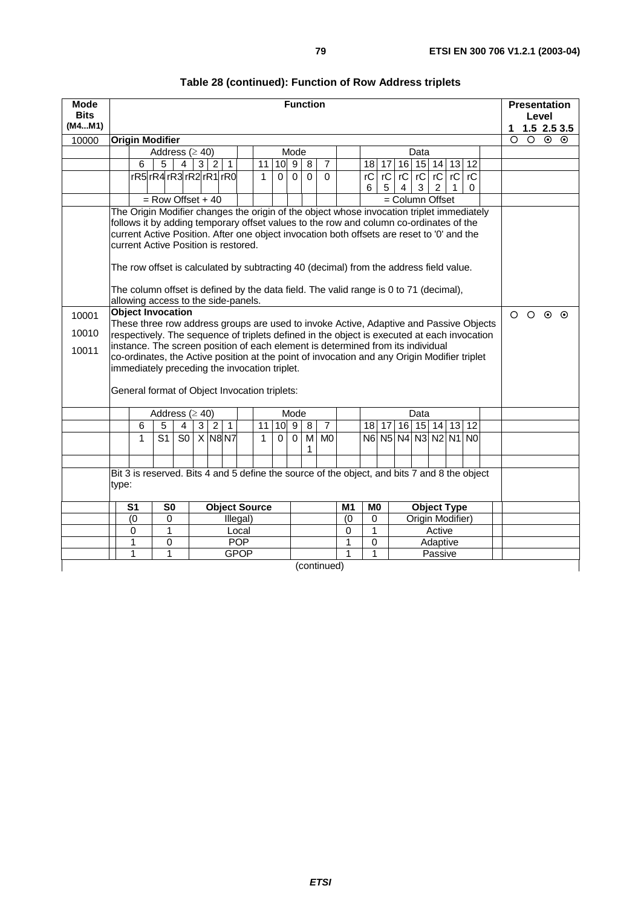| <b>Mode</b>             |       |                                                                                                                                                                                                                                                                                                                                                                                                                                                                                                                                                                                                                                                                                                                                                                                                                                                                                                                                                                                                                                                               |                                |                |   |                |                |                     |                      |                |                  | <b>Function</b>              |                |        |                                |                |                |      |                      |        |       |                |               |         |         | <b>Presentation</b>      |
|-------------------------|-------|---------------------------------------------------------------------------------------------------------------------------------------------------------------------------------------------------------------------------------------------------------------------------------------------------------------------------------------------------------------------------------------------------------------------------------------------------------------------------------------------------------------------------------------------------------------------------------------------------------------------------------------------------------------------------------------------------------------------------------------------------------------------------------------------------------------------------------------------------------------------------------------------------------------------------------------------------------------------------------------------------------------------------------------------------------------|--------------------------------|----------------|---|----------------|----------------|---------------------|----------------------|----------------|------------------|------------------------------|----------------|--------|--------------------------------|----------------|----------------|------|----------------------|--------|-------|----------------|---------------|---------|---------|--------------------------|
| <b>Bits</b><br>(M4M1)   |       |                                                                                                                                                                                                                                                                                                                                                                                                                                                                                                                                                                                                                                                                                                                                                                                                                                                                                                                                                                                                                                                               |                                |                |   |                |                |                     |                      |                |                  |                              |                |        |                                |                |                |      |                      |        |       |                |               |         | Level   |                          |
| 10000                   |       | <b>Origin Modifier</b>                                                                                                                                                                                                                                                                                                                                                                                                                                                                                                                                                                                                                                                                                                                                                                                                                                                                                                                                                                                                                                        |                                |                |   |                |                |                     |                      |                |                  |                              |                |        |                                |                |                |      |                      |        |       |                | 1<br>$\Omega$ | $\circ$ | $\odot$ | $1.5$ 2.5 3.5<br>$\odot$ |
|                         |       |                                                                                                                                                                                                                                                                                                                                                                                                                                                                                                                                                                                                                                                                                                                                                                                                                                                                                                                                                                                                                                                               | Address ( $\geq$ 40)           |                |   |                |                |                     |                      |                | Mode             |                              |                |        |                                |                |                | Data |                      |        |       |                |               |         |         |                          |
|                         |       | 6                                                                                                                                                                                                                                                                                                                                                                                                                                                                                                                                                                                                                                                                                                                                                                                                                                                                                                                                                                                                                                                             | 5                              | $\overline{4}$ |   | 3 2            | $\overline{1}$ |                     | 11                   | 10             | $\overline{9}$   | 8                            | $\overline{7}$ |        | 18                             | 17             |                |      | $16$ 15 14           |        | 13 12 |                |               |         |         |                          |
|                         |       |                                                                                                                                                                                                                                                                                                                                                                                                                                                                                                                                                                                                                                                                                                                                                                                                                                                                                                                                                                                                                                                               | rR5 rR4 rR3 rR2 rR1 rR0        |                |   |                |                |                     | $\mathbf{1}$         | $\Omega$       | $\Omega$         | $\Omega$                     | $\Omega$       |        | rC                             | $\overline{C}$ | $\overline{C}$ |      | $rC$ $rC$ $rC$       |        |       | $\overline{C}$ |               |         |         |                          |
|                         |       |                                                                                                                                                                                                                                                                                                                                                                                                                                                                                                                                                                                                                                                                                                                                                                                                                                                                                                                                                                                                                                                               |                                |                |   |                |                |                     |                      |                |                  |                              |                |        | 6                              | 5              | 4              | 3    | $\overline{2}$       |        |       | 0              |               |         |         |                          |
|                         |       |                                                                                                                                                                                                                                                                                                                                                                                                                                                                                                                                                                                                                                                                                                                                                                                                                                                                                                                                                                                                                                                               | $=$ Row Offset + 40            |                |   |                |                |                     |                      |                |                  |                              |                |        |                                |                |                |      | = Column Offset      |        |       |                |               |         |         |                          |
| 10001<br>10010<br>10011 |       | The Origin Modifier changes the origin of the object whose invocation triplet immediately<br>follows it by adding temporary offset values to the row and column co-ordinates of the<br>current Active Position. After one object invocation both offsets are reset to '0' and the<br>current Active Position is restored.<br>The row offset is calculated by subtracting 40 (decimal) from the address field value.<br>The column offset is defined by the data field. The valid range is 0 to 71 (decimal),<br>allowing access to the side-panels.<br><b>Object Invocation</b><br>These three row address groups are used to invoke Active, Adaptive and Passive Objects<br>respectively. The sequence of triplets defined in the object is executed at each invocation<br>instance. The screen position of each element is determined from its individual<br>co-ordinates, the Active position at the point of invocation and any Origin Modifier triplet<br>immediately preceding the invocation triplet.<br>General format of Object Invocation triplets: |                                |                |   |                |                |                     |                      |                |                  |                              |                |        |                                |                |                |      |                      |        |       |                | $\circ$       | $\circ$ | $\odot$ | $\odot$                  |
|                         |       |                                                                                                                                                                                                                                                                                                                                                                                                                                                                                                                                                                                                                                                                                                                                                                                                                                                                                                                                                                                                                                                               | Address ( $\geq$ 40)           |                |   |                |                |                     |                      |                | Mode             |                              |                |        |                                |                |                | Data |                      |        |       |                |               |         |         |                          |
|                         |       | 6                                                                                                                                                                                                                                                                                                                                                                                                                                                                                                                                                                                                                                                                                                                                                                                                                                                                                                                                                                                                                                                             | 5                              | $\overline{4}$ | 3 | $\overline{2}$ | $\overline{1}$ |                     | 11                   |                | $10\overline{9}$ | $\overline{8}$               | $\overline{7}$ |        | 18 <sup>1</sup>                | 17             |                |      | $16$ 15 14           |        | 13    | 12             |               |         |         |                          |
|                         |       | $\mathbf{1}$                                                                                                                                                                                                                                                                                                                                                                                                                                                                                                                                                                                                                                                                                                                                                                                                                                                                                                                                                                                                                                                  | $\overline{S1}$                | S <sub>0</sub> |   | $X$ N8 N7      |                |                     | $\mathbf{1}$         | $\overline{0}$ | $\mathbf 0$      | $\overline{\mathsf{M}}$<br>1 | M <sub>0</sub> |        |                                |                |                |      | N6 N5 N4 N3 N2 N1 N0 |        |       |                |               |         |         |                          |
|                         |       |                                                                                                                                                                                                                                                                                                                                                                                                                                                                                                                                                                                                                                                                                                                                                                                                                                                                                                                                                                                                                                                               |                                |                |   |                |                |                     |                      |                |                  |                              |                |        |                                |                |                |      |                      |        |       |                |               |         |         |                          |
|                         | type: | Bit 3 is reserved. Bits 4 and 5 define the source of the object, and bits 7 and 8 the object                                                                                                                                                                                                                                                                                                                                                                                                                                                                                                                                                                                                                                                                                                                                                                                                                                                                                                                                                                  |                                |                |   |                |                |                     |                      |                |                  |                              |                |        |                                |                |                |      |                      |        |       |                |               |         |         |                          |
|                         |       | S <sub>1</sub>                                                                                                                                                                                                                                                                                                                                                                                                                                                                                                                                                                                                                                                                                                                                                                                                                                                                                                                                                                                                                                                | S <sub>0</sub>                 |                |   |                |                |                     | <b>Object Source</b> |                |                  |                              |                | M1     | M <sub>0</sub>                 |                |                |      | <b>Object Type</b>   |        |       |                |               |         |         |                          |
|                         |       | (0)                                                                                                                                                                                                                                                                                                                                                                                                                                                                                                                                                                                                                                                                                                                                                                                                                                                                                                                                                                                                                                                           | 0                              |                |   |                |                | Illegal)            |                      |                |                  |                              |                | (0)    | 0                              |                |                |      | Origin Modifier)     |        |       |                |               |         |         |                          |
|                         |       | 0<br>1                                                                                                                                                                                                                                                                                                                                                                                                                                                                                                                                                                                                                                                                                                                                                                                                                                                                                                                                                                                                                                                        | $\mathbf{1}$<br>$\overline{0}$ |                |   |                |                | Local<br><b>POP</b> |                      |                |                  |                              |                | 0<br>1 | $\mathbf{1}$<br>$\overline{0}$ |                |                |      |                      | Active |       |                |               |         |         |                          |
|                         |       | 1                                                                                                                                                                                                                                                                                                                                                                                                                                                                                                                                                                                                                                                                                                                                                                                                                                                                                                                                                                                                                                                             | 1                              |                |   |                |                | <b>GPOP</b>         |                      |                |                  |                              |                | 1      | 1                              |                |                |      | Adaptive<br>Passive  |        |       |                |               |         |         |                          |
|                         |       |                                                                                                                                                                                                                                                                                                                                                                                                                                                                                                                                                                                                                                                                                                                                                                                                                                                                                                                                                                                                                                                               |                                |                |   |                |                |                     |                      |                |                  |                              | (continued)    |        |                                |                |                |      |                      |        |       |                |               |         |         |                          |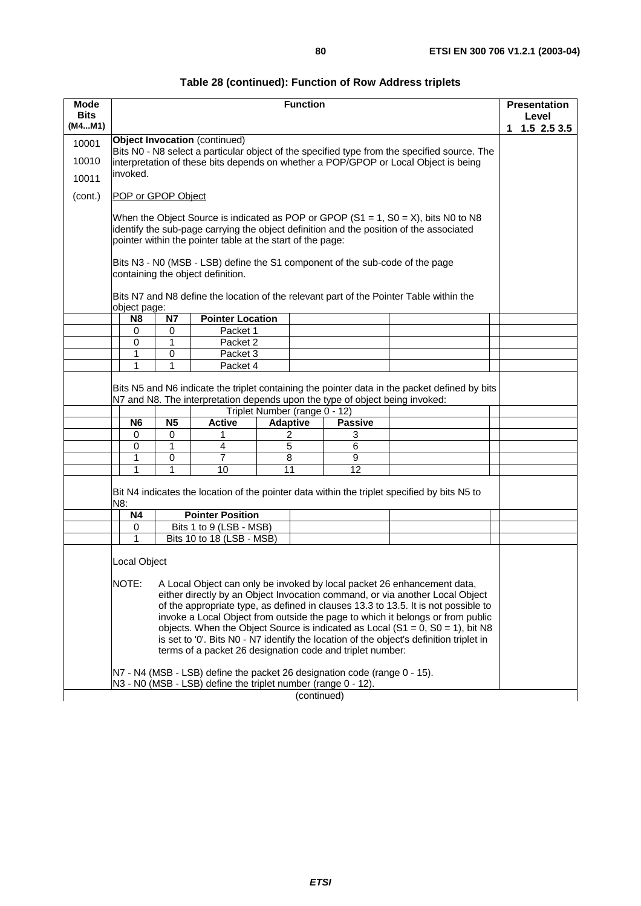|              | ۰,           |  |
|--------------|--------------|--|
| I<br>I<br>۰. | I<br>×<br>۰, |  |

| Table 28 (continued): Function of Row Address triplets |  |  |
|--------------------------------------------------------|--|--|
|--------------------------------------------------------|--|--|

| Mode<br><b>Bits</b> |                                                                                                                                                                                                                                                                                                                                                                                                                                                                                                                                                                                                                                 |                     |                                                                                                                                            | <b>Function</b>                                                         |                          |                                                                                                                                                                                  | <b>Presentation</b>         |  |  |  |  |  |
|---------------------|---------------------------------------------------------------------------------------------------------------------------------------------------------------------------------------------------------------------------------------------------------------------------------------------------------------------------------------------------------------------------------------------------------------------------------------------------------------------------------------------------------------------------------------------------------------------------------------------------------------------------------|---------------------|--------------------------------------------------------------------------------------------------------------------------------------------|-------------------------------------------------------------------------|--------------------------|----------------------------------------------------------------------------------------------------------------------------------------------------------------------------------|-----------------------------|--|--|--|--|--|
| (M4M1)              |                                                                                                                                                                                                                                                                                                                                                                                                                                                                                                                                                                                                                                 |                     |                                                                                                                                            |                                                                         |                          |                                                                                                                                                                                  | Level<br>$1.5$ 2.5 3.5<br>1 |  |  |  |  |  |
| 10001               |                                                                                                                                                                                                                                                                                                                                                                                                                                                                                                                                                                                                                                 |                     | <b>Object Invocation</b> (continued)                                                                                                       |                                                                         |                          |                                                                                                                                                                                  |                             |  |  |  |  |  |
| 10010               |                                                                                                                                                                                                                                                                                                                                                                                                                                                                                                                                                                                                                                 |                     |                                                                                                                                            |                                                                         |                          | Bits N0 - N8 select a particular object of the specified type from the specified source. The                                                                                     |                             |  |  |  |  |  |
|                     | invoked.                                                                                                                                                                                                                                                                                                                                                                                                                                                                                                                                                                                                                        |                     |                                                                                                                                            |                                                                         |                          | interpretation of these bits depends on whether a POP/GPOP or Local Object is being                                                                                              |                             |  |  |  |  |  |
| 10011               |                                                                                                                                                                                                                                                                                                                                                                                                                                                                                                                                                                                                                                 |                     |                                                                                                                                            |                                                                         |                          |                                                                                                                                                                                  |                             |  |  |  |  |  |
| (cont.)             | POP or GPOP Object                                                                                                                                                                                                                                                                                                                                                                                                                                                                                                                                                                                                              |                     |                                                                                                                                            |                                                                         |                          |                                                                                                                                                                                  |                             |  |  |  |  |  |
|                     |                                                                                                                                                                                                                                                                                                                                                                                                                                                                                                                                                                                                                                 |                     | pointer within the pointer table at the start of the page:                                                                                 |                                                                         |                          | When the Object Source is indicated as POP or GPOP $(S1 = 1, SO = X)$ , bits N0 to N8<br>identify the sub-page carrying the object definition and the position of the associated |                             |  |  |  |  |  |
|                     |                                                                                                                                                                                                                                                                                                                                                                                                                                                                                                                                                                                                                                 |                     | containing the object definition.                                                                                                          |                                                                         |                          | Bits N3 - N0 (MSB - LSB) define the S1 component of the sub-code of the page                                                                                                     |                             |  |  |  |  |  |
|                     | object page:                                                                                                                                                                                                                                                                                                                                                                                                                                                                                                                                                                                                                    |                     |                                                                                                                                            |                                                                         |                          | Bits N7 and N8 define the location of the relevant part of the Pointer Table within the                                                                                          |                             |  |  |  |  |  |
|                     | N <sub>8</sub>                                                                                                                                                                                                                                                                                                                                                                                                                                                                                                                                                                                                                  | <b>N7</b>           | <b>Pointer Location</b>                                                                                                                    |                                                                         |                          |                                                                                                                                                                                  |                             |  |  |  |  |  |
|                     | 0                                                                                                                                                                                                                                                                                                                                                                                                                                                                                                                                                                                                                               | 0                   | Packet 1<br>Packet 2                                                                                                                       |                                                                         |                          |                                                                                                                                                                                  |                             |  |  |  |  |  |
|                     | $\mathbf 0$                                                                                                                                                                                                                                                                                                                                                                                                                                                                                                                                                                                                                     | 1                   | Packet 3                                                                                                                                   |                                                                         |                          |                                                                                                                                                                                  |                             |  |  |  |  |  |
|                     | 1<br>$\mathbf{1}$                                                                                                                                                                                                                                                                                                                                                                                                                                                                                                                                                                                                               | 0<br>1              | Packet 4                                                                                                                                   |                                                                         |                          |                                                                                                                                                                                  |                             |  |  |  |  |  |
|                     | N6<br>0<br>0                                                                                                                                                                                                                                                                                                                                                                                                                                                                                                                                                                                                                    | <b>N5</b><br>0<br>1 | <b>Active</b><br>1<br>4                                                                                                                    | Triplet Number (range 0 - 12)<br><b>Adaptive</b><br>2<br>$\overline{5}$ | <b>Passive</b><br>3<br>6 |                                                                                                                                                                                  |                             |  |  |  |  |  |
|                     | 1                                                                                                                                                                                                                                                                                                                                                                                                                                                                                                                                                                                                                               | 0                   | 7                                                                                                                                          | 8                                                                       | 9                        |                                                                                                                                                                                  |                             |  |  |  |  |  |
|                     | 1                                                                                                                                                                                                                                                                                                                                                                                                                                                                                                                                                                                                                               | 1                   | 10                                                                                                                                         | 11                                                                      | 12                       |                                                                                                                                                                                  |                             |  |  |  |  |  |
|                     | N8:                                                                                                                                                                                                                                                                                                                                                                                                                                                                                                                                                                                                                             |                     |                                                                                                                                            |                                                                         |                          | Bit N4 indicates the location of the pointer data within the triplet specified by bits N5 to                                                                                     |                             |  |  |  |  |  |
|                     | Ν4                                                                                                                                                                                                                                                                                                                                                                                                                                                                                                                                                                                                                              |                     | <b>Pointer Position</b>                                                                                                                    |                                                                         |                          |                                                                                                                                                                                  |                             |  |  |  |  |  |
|                     | 0<br>1                                                                                                                                                                                                                                                                                                                                                                                                                                                                                                                                                                                                                          |                     | Bits 1 to 9 (LSB - MSB)                                                                                                                    |                                                                         |                          |                                                                                                                                                                                  |                             |  |  |  |  |  |
|                     | Bits 10 to 18 (LSB - MSB)<br>Local Object<br>NOTE:<br>A Local Object can only be invoked by local packet 26 enhancement data,<br>either directly by an Object Invocation command, or via another Local Object<br>of the appropriate type, as defined in clauses 13.3 to 13.5. It is not possible to<br>invoke a Local Object from outside the page to which it belongs or from public<br>objects. When the Object Source is indicated as Local (S1 = 0, S0 = 1), bit N8<br>is set to '0'. Bits N0 - N7 identify the location of the object's definition triplet in<br>terms of a packet 26 designation code and triplet number: |                     |                                                                                                                                            |                                                                         |                          |                                                                                                                                                                                  |                             |  |  |  |  |  |
|                     |                                                                                                                                                                                                                                                                                                                                                                                                                                                                                                                                                                                                                                 |                     | N7 - N4 (MSB - LSB) define the packet 26 designation code (range 0 - 15).<br>N3 - N0 (MSB - LSB) define the triplet number (range 0 - 12). |                                                                         |                          |                                                                                                                                                                                  |                             |  |  |  |  |  |
|                     |                                                                                                                                                                                                                                                                                                                                                                                                                                                                                                                                                                                                                                 |                     |                                                                                                                                            |                                                                         | (continued)              |                                                                                                                                                                                  |                             |  |  |  |  |  |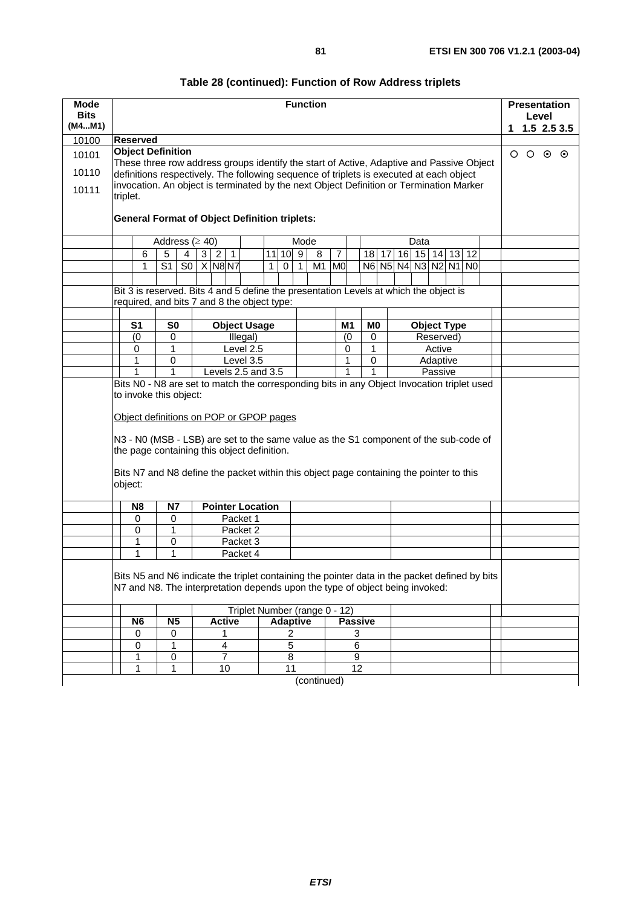| <b>Mode</b><br><b>Bits</b> |          |                          |                 |                |                      |                             |                                                                                                                                     |   |                 |                | <b>Function</b> |                |                |                |                      |  |      |        |                    |  |  |   |                 | Level | <b>Presentation</b> |
|----------------------------|----------|--------------------------|-----------------|----------------|----------------------|-----------------------------|-------------------------------------------------------------------------------------------------------------------------------------|---|-----------------|----------------|-----------------|----------------|----------------|----------------|----------------------|--|------|--------|--------------------|--|--|---|-----------------|-------|---------------------|
| (M4M1)                     |          |                          |                 |                |                      |                             |                                                                                                                                     |   |                 |                |                 |                |                |                |                      |  |      |        |                    |  |  | 1 |                 |       | 1.52.53.5           |
| 10100                      |          | <b>Reserved</b>          |                 |                |                      |                             |                                                                                                                                     |   |                 |                |                 |                |                |                |                      |  |      |        |                    |  |  |   |                 |       |                     |
| 10101                      |          | <b>Object Definition</b> |                 |                |                      |                             | These three row address groups identify the start of Active, Adaptive and Passive Object                                            |   |                 |                |                 |                |                |                |                      |  |      |        |                    |  |  |   | $O$ $O$ $O$ $O$ |       |                     |
| 10110                      |          |                          |                 |                |                      |                             | definitions respectively. The following sequence of triplets is executed at each object                                             |   |                 |                |                 |                |                |                |                      |  |      |        |                    |  |  |   |                 |       |                     |
| 10111                      | triplet. |                          |                 |                |                      |                             | invocation. An object is terminated by the next Object Definition or Termination Marker                                             |   |                 |                |                 |                |                |                |                      |  |      |        |                    |  |  |   |                 |       |                     |
|                            |          |                          |                 |                |                      |                             | <b>General Format of Object Definition triplets:</b>                                                                                |   |                 |                |                 |                |                |                |                      |  |      |        |                    |  |  |   |                 |       |                     |
|                            |          |                          |                 |                | Address ( $\geq$ 40) |                             |                                                                                                                                     |   |                 | Mode           |                 |                |                |                |                      |  | Data |        |                    |  |  |   |                 |       |                     |
|                            |          | 6                        | 5               | 4              | 3 <sup>1</sup>       | $\overline{2}$<br>$\vert$ 1 |                                                                                                                                     |   | 11 10 9         |                | 8               | $\overline{7}$ |                |                | $18$   17            |  |      |        | 16 15 14 13 12     |  |  |   |                 |       |                     |
|                            |          | 1                        | $\overline{S1}$ | $\overline{S}$ | $X$ N8 N7            |                             |                                                                                                                                     | 1 | $\overline{0}$  | $\mathbf{1}$   | M <sub>1</sub>  | <b>MO</b>      |                |                | N6 N5 N4 N3 N2 N1 N0 |  |      |        |                    |  |  |   |                 |       |                     |
|                            |          |                          |                 |                |                      |                             |                                                                                                                                     |   |                 |                |                 |                |                |                |                      |  |      |        |                    |  |  |   |                 |       |                     |
|                            |          |                          |                 |                |                      |                             | Bit 3 is reserved. Bits 4 and 5 define the presentation Levels at which the object is                                               |   |                 |                |                 |                |                |                |                      |  |      |        |                    |  |  |   |                 |       |                     |
|                            |          |                          |                 |                |                      |                             | required, and bits 7 and 8 the object type:                                                                                         |   |                 |                |                 |                |                |                |                      |  |      |        |                    |  |  |   |                 |       |                     |
|                            |          | S <sub>1</sub>           | S <sub>0</sub>  |                |                      |                             | <b>Object Usage</b>                                                                                                                 |   |                 |                |                 | M <sub>1</sub> |                | M <sub>0</sub> |                      |  |      |        | <b>Object Type</b> |  |  |   |                 |       |                     |
|                            |          | (0)                      | 0               |                |                      |                             | Illegal)                                                                                                                            |   |                 |                |                 | (0)            |                | 0              |                      |  |      |        | Reserved)          |  |  |   |                 |       |                     |
|                            |          | $\Omega$                 | 1               |                |                      |                             | Level 2.5                                                                                                                           |   |                 |                |                 | 0              |                | $\mathbf{1}$   |                      |  |      | Active |                    |  |  |   |                 |       |                     |
|                            |          | 1                        | 0               |                |                      |                             | Level 3.5                                                                                                                           |   |                 |                |                 | 1              |                | $\mathsf 0$    |                      |  |      |        | Adaptive           |  |  |   |                 |       |                     |
|                            |          |                          | 1               |                |                      |                             | Levels $2.\overline{5}$ and $3.\overline{5}$                                                                                        |   |                 |                |                 |                |                | 1              |                      |  |      |        | Passive            |  |  |   |                 |       |                     |
|                            |          |                          |                 |                |                      |                             | Bits N0 - N8 are set to match the corresponding bits in any Object Invocation triplet used                                          |   |                 |                |                 |                |                |                |                      |  |      |        |                    |  |  |   |                 |       |                     |
|                            |          | to invoke this object:   |                 |                |                      |                             |                                                                                                                                     |   |                 |                |                 |                |                |                |                      |  |      |        |                    |  |  |   |                 |       |                     |
|                            |          |                          |                 |                |                      |                             | Object definitions on POP or GPOP pages                                                                                             |   |                 |                |                 |                |                |                |                      |  |      |        |                    |  |  |   |                 |       |                     |
|                            |          |                          |                 |                |                      |                             | N3 - N0 (MSB - LSB) are set to the same value as the S1 component of the sub-code of<br>the page containing this object definition. |   |                 |                |                 |                |                |                |                      |  |      |        |                    |  |  |   |                 |       |                     |
|                            | object:  |                          |                 |                |                      |                             | Bits N7 and N8 define the packet within this object page containing the pointer to this                                             |   |                 |                |                 |                |                |                |                      |  |      |        |                    |  |  |   |                 |       |                     |
|                            |          | N8                       | <b>N7</b>       |                |                      |                             | <b>Pointer Location</b>                                                                                                             |   |                 |                |                 |                |                |                |                      |  |      |        |                    |  |  |   |                 |       |                     |
|                            |          | 0                        | 0               |                |                      |                             | Packet 1                                                                                                                            |   |                 |                |                 |                |                |                |                      |  |      |        |                    |  |  |   |                 |       |                     |
|                            |          | 0                        | 1               |                |                      |                             | Packet 2                                                                                                                            |   |                 |                |                 |                |                |                |                      |  |      |        |                    |  |  |   |                 |       |                     |
|                            |          | 1                        | 0               |                |                      |                             | Packet 3                                                                                                                            |   |                 |                |                 |                |                |                |                      |  |      |        |                    |  |  |   |                 |       |                     |
|                            |          | 1                        | 1               |                |                      |                             | Packet 4                                                                                                                            |   |                 |                |                 |                |                |                |                      |  |      |        |                    |  |  |   |                 |       |                     |
|                            |          |                          |                 |                |                      |                             | Bits N5 and N6 indicate the triplet containing the pointer data in the packet defined by bits                                       |   |                 |                |                 |                |                |                |                      |  |      |        |                    |  |  |   |                 |       |                     |
|                            |          |                          |                 |                |                      |                             | N7 and N8. The interpretation depends upon the type of object being invoked:                                                        |   |                 |                |                 |                |                |                |                      |  |      |        |                    |  |  |   |                 |       |                     |
|                            |          |                          |                 |                |                      |                             | Triplet Number (range 0 - 12)                                                                                                       |   |                 |                |                 |                |                |                |                      |  |      |        |                    |  |  |   |                 |       |                     |
|                            |          | N <sub>6</sub>           | N <sub>5</sub>  |                |                      | <b>Active</b>               |                                                                                                                                     |   | <b>Adaptive</b> |                |                 |                |                | <b>Passive</b> |                      |  |      |        |                    |  |  |   |                 |       |                     |
|                            |          | 0                        | 0               |                |                      | 1                           |                                                                                                                                     |   |                 | 2              |                 |                | 3              |                |                      |  |      |        |                    |  |  |   |                 |       |                     |
|                            |          | $\pmb{0}$                | 1               |                |                      | 4                           |                                                                                                                                     |   |                 | $\overline{5}$ |                 |                | $\overline{6}$ |                |                      |  |      |        |                    |  |  |   |                 |       |                     |
|                            |          | 1                        | 0               |                |                      | $\overline{7}$              |                                                                                                                                     |   |                 | $\overline{8}$ |                 |                | 9              |                |                      |  |      |        |                    |  |  |   |                 |       |                     |
|                            |          | 1                        | 1               |                |                      | 10                          |                                                                                                                                     |   |                 | 11             |                 |                | 12             |                |                      |  |      |        |                    |  |  |   |                 |       |                     |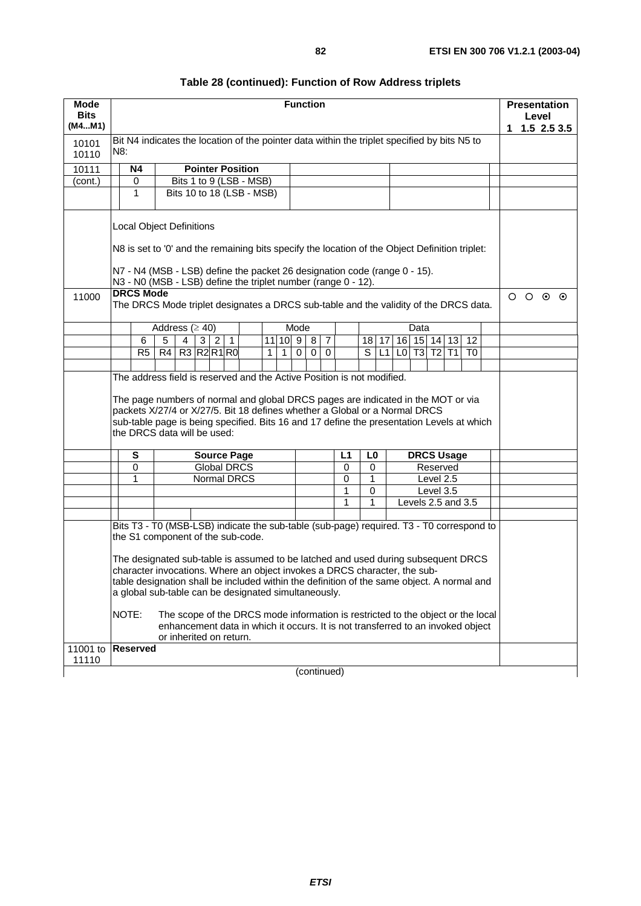| Mode              |       |                  |    |                                                                                                                                                                |     |                    |                    |   |                | <b>Function</b> |             |                |                |                         |       |                               |      |           |                   |                    |   | <b>Presentation</b> |               |
|-------------------|-------|------------------|----|----------------------------------------------------------------------------------------------------------------------------------------------------------------|-----|--------------------|--------------------|---|----------------|-----------------|-------------|----------------|----------------|-------------------------|-------|-------------------------------|------|-----------|-------------------|--------------------|---|---------------------|---------------|
| <b>Bits</b>       |       |                  |    |                                                                                                                                                                |     |                    |                    |   |                |                 |             |                |                |                         |       |                               |      |           |                   |                    |   | Level               |               |
| (M4M1)            |       |                  |    |                                                                                                                                                                |     |                    |                    |   |                |                 |             |                |                |                         |       |                               |      |           |                   |                    | 1 |                     | $1.5$ 2.5 3.5 |
| 10101             |       |                  |    | Bit N4 indicates the location of the pointer data within the triplet specified by bits N5 to                                                                   |     |                    |                    |   |                |                 |             |                |                |                         |       |                               |      |           |                   |                    |   |                     |               |
| 10110             | N8:   |                  |    |                                                                                                                                                                |     |                    |                    |   |                |                 |             |                |                |                         |       |                               |      |           |                   |                    |   |                     |               |
| 10111             |       | <b>N4</b>        |    | <b>Pointer Position</b>                                                                                                                                        |     |                    |                    |   |                |                 |             |                |                |                         |       |                               |      |           |                   |                    |   |                     |               |
| (cont.)           |       | 0                |    | Bits 1 to 9 (LSB - MSB)                                                                                                                                        |     |                    |                    |   |                |                 |             |                |                |                         |       |                               |      |           |                   |                    |   |                     |               |
|                   |       | 1                |    | Bits 10 to 18 (LSB - MSB)                                                                                                                                      |     |                    |                    |   |                |                 |             |                |                |                         |       |                               |      |           |                   |                    |   |                     |               |
|                   |       |                  |    |                                                                                                                                                                |     |                    |                    |   |                |                 |             |                |                |                         |       |                               |      |           |                   |                    |   |                     |               |
|                   |       |                  |    | <b>Local Object Definitions</b><br>N8 is set to '0' and the remaining bits specify the location of the Object Definition triplet:                              |     |                    |                    |   |                |                 |             |                |                |                         |       |                               |      |           |                   |                    |   |                     |               |
|                   |       |                  |    |                                                                                                                                                                |     |                    |                    |   |                |                 |             |                |                |                         |       |                               |      |           |                   |                    |   |                     |               |
|                   |       |                  |    | N7 - N4 (MSB - LSB) define the packet 26 designation code (range 0 - 15).                                                                                      |     |                    |                    |   |                |                 |             |                |                |                         |       |                               |      |           |                   |                    |   |                     |               |
|                   |       |                  |    | N3 - N0 (MSB - LSB) define the triplet number (range 0 - 12).                                                                                                  |     |                    |                    |   |                |                 |             |                |                |                         |       |                               |      |           |                   |                    |   |                     |               |
| 11000             |       | <b>DRCS Mode</b> |    | The DRCS Mode triplet designates a DRCS sub-table and the validity of the DRCS data.                                                                           |     |                    |                    |   |                |                 |             |                |                |                         |       |                               |      |           |                   |                    |   | $O$ $O$ $O$ $O$     |               |
|                   |       |                  |    | Address ( $\geq$ 40)                                                                                                                                           |     |                    |                    |   |                | Mode            |             |                |                |                         |       |                               | Data |           |                   |                    |   |                     |               |
|                   |       | 6                | 5  | 4                                                                                                                                                              | 3 2 | $\overline{1}$     |                    |   |                | 11 10 9 8       |             | $\overline{7}$ |                |                         | 18 17 |                               |      |           |                   | 16 15 14 13 12     |   |                     |               |
|                   |       | R5               | R4 | R3 R2 R1 R0                                                                                                                                                    |     |                    |                    | 1 | 1 <sup>1</sup> | $\Omega$        | $\mathbf 0$ | $\Omega$       |                | $\overline{\mathsf{s}}$ |       | $L1$ $L0$ $T3$ $T2$ $T1$ $T0$ |      |           |                   |                    |   |                     |               |
|                   |       |                  |    |                                                                                                                                                                |     |                    |                    |   |                |                 |             |                |                |                         |       |                               |      |           |                   |                    |   |                     |               |
|                   |       |                  |    | The address field is reserved and the Active Position is not modified.                                                                                         |     |                    |                    |   |                |                 |             |                |                |                         |       |                               |      |           |                   |                    |   |                     |               |
|                   |       |                  |    | The page numbers of normal and global DRCS pages are indicated in the MOT or via<br>packets X/27/4 or X/27/5. Bit 18 defines whether a Global or a Normal DRCS |     |                    |                    |   |                |                 |             |                |                |                         |       |                               |      |           |                   |                    |   |                     |               |
|                   |       |                  |    | sub-table page is being specified. Bits 16 and 17 define the presentation Levels at which<br>the DRCS data will be used:                                       |     |                    |                    |   |                |                 |             |                |                |                         |       |                               |      |           |                   |                    |   |                     |               |
|                   |       | S                |    |                                                                                                                                                                |     | <b>Source Page</b> |                    |   |                |                 |             |                | L <sub>1</sub> | L <sub>0</sub>          |       |                               |      |           | <b>DRCS Usage</b> |                    |   |                     |               |
|                   |       | 0                |    |                                                                                                                                                                |     | <b>Global DRCS</b> |                    |   |                |                 |             |                | $\mathbf 0$    | $\mathbf 0$             |       |                               |      |           | Reserved          |                    |   |                     |               |
|                   |       | 1                |    |                                                                                                                                                                |     |                    | <b>Normal DRCS</b> |   |                |                 |             |                | 0              | 1                       |       |                               |      | Level 2.5 |                   |                    |   |                     |               |
|                   |       |                  |    |                                                                                                                                                                |     |                    |                    |   |                |                 |             |                | 1              | 0                       |       |                               |      | Level 3.5 |                   |                    |   |                     |               |
|                   |       |                  |    |                                                                                                                                                                |     |                    |                    |   |                |                 |             |                | 1              | 1                       |       |                               |      |           |                   | Levels 2.5 and 3.5 |   |                     |               |
|                   |       |                  |    |                                                                                                                                                                |     |                    |                    |   |                |                 |             |                |                |                         |       |                               |      |           |                   |                    |   |                     |               |
|                   |       |                  |    | Bits T3 - T0 (MSB-LSB) indicate the sub-table (sub-page) required. T3 - T0 correspond to                                                                       |     |                    |                    |   |                |                 |             |                |                |                         |       |                               |      |           |                   |                    |   |                     |               |
|                   |       |                  |    | the S1 component of the sub-code.                                                                                                                              |     |                    |                    |   |                |                 |             |                |                |                         |       |                               |      |           |                   |                    |   |                     |               |
|                   |       |                  |    | The designated sub-table is assumed to be latched and used during subsequent DRCS                                                                              |     |                    |                    |   |                |                 |             |                |                |                         |       |                               |      |           |                   |                    |   |                     |               |
|                   |       |                  |    | character invocations. Where an object invokes a DRCS character, the sub-                                                                                      |     |                    |                    |   |                |                 |             |                |                |                         |       |                               |      |           |                   |                    |   |                     |               |
|                   |       |                  |    | table designation shall be included within the definition of the same object. A normal and                                                                     |     |                    |                    |   |                |                 |             |                |                |                         |       |                               |      |           |                   |                    |   |                     |               |
|                   |       |                  |    | a global sub-table can be designated simultaneously.                                                                                                           |     |                    |                    |   |                |                 |             |                |                |                         |       |                               |      |           |                   |                    |   |                     |               |
|                   | NOTE: |                  |    | The scope of the DRCS mode information is restricted to the object or the local                                                                                |     |                    |                    |   |                |                 |             |                |                |                         |       |                               |      |           |                   |                    |   |                     |               |
|                   |       |                  |    | enhancement data in which it occurs. It is not transferred to an invoked object                                                                                |     |                    |                    |   |                |                 |             |                |                |                         |       |                               |      |           |                   |                    |   |                     |               |
|                   |       |                  |    | or inherited on return.                                                                                                                                        |     |                    |                    |   |                |                 |             |                |                |                         |       |                               |      |           |                   |                    |   |                     |               |
| 11001 to Reserved |       |                  |    |                                                                                                                                                                |     |                    |                    |   |                |                 |             |                |                |                         |       |                               |      |           |                   |                    |   |                     |               |

(continued)

11110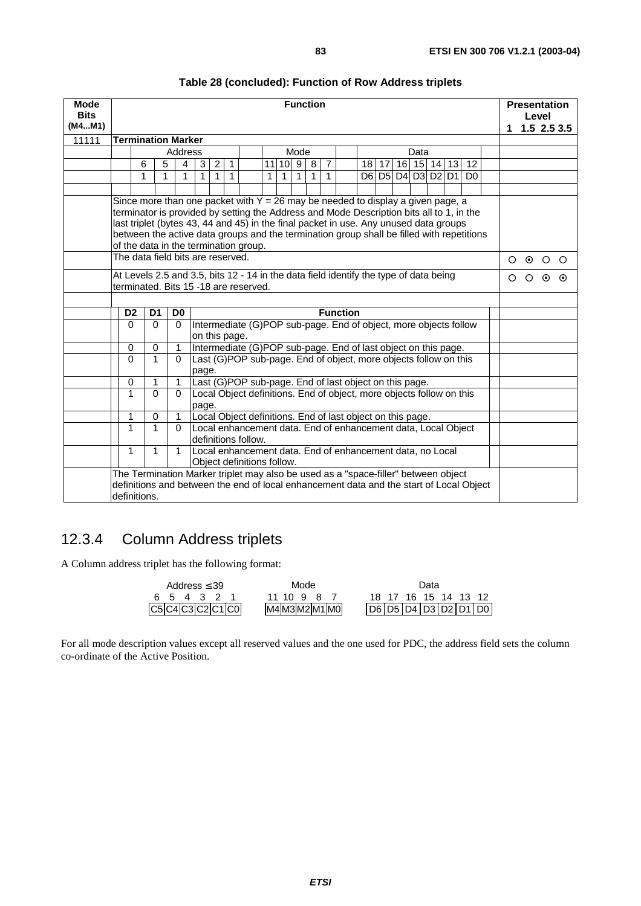| <b>Mode</b><br><b>Bits</b><br>(M4M1) |                           |                                                                                                                                                                     |                                                                                                                                                                               |                                                                 |                                                                                                                                                                                                                                                                                                                                                                                                                                                                                                                                            |                                                                                                                                    |                 |                                       |              |              |              | <b>Function</b> |                |  |  |         |      |                   |  |                | 1 |         | Level   | <b>Presentation</b><br>$1.5$ 2.5 3.5 |
|--------------------------------------|---------------------------|---------------------------------------------------------------------------------------------------------------------------------------------------------------------|-------------------------------------------------------------------------------------------------------------------------------------------------------------------------------|-----------------------------------------------------------------|--------------------------------------------------------------------------------------------------------------------------------------------------------------------------------------------------------------------------------------------------------------------------------------------------------------------------------------------------------------------------------------------------------------------------------------------------------------------------------------------------------------------------------------------|------------------------------------------------------------------------------------------------------------------------------------|-----------------|---------------------------------------|--------------|--------------|--------------|-----------------|----------------|--|--|---------|------|-------------------|--|----------------|---|---------|---------|--------------------------------------|
| 11111                                | <b>Termination Marker</b> |                                                                                                                                                                     |                                                                                                                                                                               |                                                                 |                                                                                                                                                                                                                                                                                                                                                                                                                                                                                                                                            |                                                                                                                                    |                 |                                       |              |              |              |                 |                |  |  |         |      |                   |  |                |   |         |         |                                      |
|                                      |                           |                                                                                                                                                                     |                                                                                                                                                                               | Address                                                         |                                                                                                                                                                                                                                                                                                                                                                                                                                                                                                                                            |                                                                                                                                    |                 |                                       |              |              | Mode         |                 |                |  |  |         | Data |                   |  |                |   |         |         |                                      |
|                                      |                           | 6                                                                                                                                                                   | 5                                                                                                                                                                             | 4                                                               | 3                                                                                                                                                                                                                                                                                                                                                                                                                                                                                                                                          | $\overline{2}$                                                                                                                     | $\mathbf{1}$    |                                       |              | $11$ 10 9    |              | 8               | $\overline{7}$ |  |  | $18$ 17 |      | 16 15 14 13 12    |  |                |   |         |         |                                      |
|                                      |                           | 1                                                                                                                                                                   | 1                                                                                                                                                                             | 1                                                               | $\mathbf{1}$                                                                                                                                                                                                                                                                                                                                                                                                                                                                                                                               | $\mathbf{1}$                                                                                                                       | $\overline{1}$  |                                       | $\mathbf{1}$ | $\mathbf{1}$ | $\mathbf{1}$ | $\mathbf{1}$    | $\mathbf{1}$   |  |  |         |      | D6 D5 D4 D3 D2 D1 |  | D <sub>0</sub> |   |         |         |                                      |
|                                      |                           |                                                                                                                                                                     |                                                                                                                                                                               |                                                                 |                                                                                                                                                                                                                                                                                                                                                                                                                                                                                                                                            |                                                                                                                                    |                 |                                       |              |              |              |                 |                |  |  |         |      |                   |  |                |   |         |         |                                      |
|                                      |                           |                                                                                                                                                                     |                                                                                                                                                                               |                                                                 | Since more than one packet with $Y = 26$ may be needed to display a given page, a<br>terminator is provided by setting the Address and Mode Description bits all to 1, in the<br>last triplet (bytes 43, 44 and 45) in the final packet in use. Any unused data groups<br>between the active data groups and the termination group shall be filled with repetitions<br>of the data in the termination group.<br>The data field bits are reserved.<br>At Levels 2.5 and 3.5, bits 12 - 14 in the data field identify the type of data being |                                                                                                                                    |                 |                                       |              |              |              |                 |                |  |  |         |      |                   |  |                |   |         |         |                                      |
|                                      |                           |                                                                                                                                                                     |                                                                                                                                                                               |                                                                 |                                                                                                                                                                                                                                                                                                                                                                                                                                                                                                                                            |                                                                                                                                    |                 |                                       |              |              |              |                 |                |  |  |         |      |                   |  |                | Ω | $\odot$ | $\circ$ | O                                    |
|                                      |                           |                                                                                                                                                                     |                                                                                                                                                                               |                                                                 |                                                                                                                                                                                                                                                                                                                                                                                                                                                                                                                                            |                                                                                                                                    |                 | terminated. Bits 15 -18 are reserved. |              |              |              |                 |                |  |  |         |      |                   |  |                | Ο | O       | ⊙       | ⊙                                    |
|                                      |                           |                                                                                                                                                                     |                                                                                                                                                                               |                                                                 |                                                                                                                                                                                                                                                                                                                                                                                                                                                                                                                                            |                                                                                                                                    |                 |                                       |              |              |              |                 |                |  |  |         |      |                   |  |                |   |         |         |                                      |
|                                      | D <sub>2</sub>            | D <sub>1</sub>                                                                                                                                                      |                                                                                                                                                                               | D <sub>0</sub>                                                  |                                                                                                                                                                                                                                                                                                                                                                                                                                                                                                                                            |                                                                                                                                    | <b>Function</b> |                                       |              |              |              |                 |                |  |  |         |      |                   |  |                |   |         |         |                                      |
|                                      | $\Omega$                  |                                                                                                                                                                     | $\Omega$                                                                                                                                                                      | $\mathbf{0}$                                                    |                                                                                                                                                                                                                                                                                                                                                                                                                                                                                                                                            | Intermediate (G)POP sub-page. End of object, more objects follow<br>on this page.                                                  |                 |                                       |              |              |              |                 |                |  |  |         |      |                   |  |                |   |         |         |                                      |
|                                      | 0                         |                                                                                                                                                                     | 0                                                                                                                                                                             | $\mathbf{1}$                                                    |                                                                                                                                                                                                                                                                                                                                                                                                                                                                                                                                            | Intermediate (G)POP sub-page. End of last object on this page.<br>Last (G)POP sub-page. End of object, more objects follow on this |                 |                                       |              |              |              |                 |                |  |  |         |      |                   |  |                |   |         |         |                                      |
|                                      | $\Omega$                  |                                                                                                                                                                     | $\mathbf{1}$                                                                                                                                                                  | $\Omega$                                                        | page.                                                                                                                                                                                                                                                                                                                                                                                                                                                                                                                                      |                                                                                                                                    |                 |                                       |              |              |              |                 |                |  |  |         |      |                   |  |                |   |         |         |                                      |
|                                      | 0                         |                                                                                                                                                                     | $\mathbf{1}$                                                                                                                                                                  | $\mathbf{1}$                                                    |                                                                                                                                                                                                                                                                                                                                                                                                                                                                                                                                            |                                                                                                                                    |                 |                                       |              |              |              |                 |                |  |  |         |      |                   |  |                |   |         |         |                                      |
|                                      | 1                         | Last (G)POP sub-page. End of last object on this page.<br>Local Object definitions. End of object, more objects follow on this<br>$\Omega$<br>$\mathbf{0}$<br>page. |                                                                                                                                                                               |                                                                 |                                                                                                                                                                                                                                                                                                                                                                                                                                                                                                                                            |                                                                                                                                    |                 |                                       |              |              |              |                 |                |  |  |         |      |                   |  |                |   |         |         |                                      |
|                                      | 1                         |                                                                                                                                                                     | $\mathbf 0$                                                                                                                                                                   | Local Object definitions. End of last object on this page.<br>1 |                                                                                                                                                                                                                                                                                                                                                                                                                                                                                                                                            |                                                                                                                                    |                 |                                       |              |              |              |                 |                |  |  |         |      |                   |  |                |   |         |         |                                      |
|                                      | 1                         |                                                                                                                                                                     | 1                                                                                                                                                                             | $\Omega$                                                        |                                                                                                                                                                                                                                                                                                                                                                                                                                                                                                                                            | Local enhancement data. End of enhancement data, Local Object<br>definitions follow.                                               |                 |                                       |              |              |              |                 |                |  |  |         |      |                   |  |                |   |         |         |                                      |
|                                      | 1                         |                                                                                                                                                                     | Local enhancement data. End of enhancement data, no Local<br>1<br>1<br>Object definitions follow.                                                                             |                                                                 |                                                                                                                                                                                                                                                                                                                                                                                                                                                                                                                                            |                                                                                                                                    |                 |                                       |              |              |              |                 |                |  |  |         |      |                   |  |                |   |         |         |                                      |
|                                      | definitions.              |                                                                                                                                                                     | The Termination Marker triplet may also be used as a "space-filler" between object<br>definitions and between the end of local enhancement data and the start of Local Object |                                                                 |                                                                                                                                                                                                                                                                                                                                                                                                                                                                                                                                            |                                                                                                                                    |                 |                                       |              |              |              |                 |                |  |  |         |      |                   |  |                |   |         |         |                                      |

## 12.3.4 Column Address triplets

A Column address triplet has the following format:

|              |        |  | Address $\leq 39$ |  |                | Mode |  |  |  | Data |                      |                      |
|--------------|--------|--|-------------------|--|----------------|------|--|--|--|------|----------------------|----------------------|
|              | 654321 |  |                   |  | 11 10 9 8 7    |      |  |  |  |      | 18 17 16 15 14 13 12 |                      |
| C5C4C3C2C1C0 |        |  |                   |  | M4 M3 M2 M1 M0 |      |  |  |  |      |                      | D6 D5 D4 D3 D2 D1 D0 |

For all mode description values except all reserved values and the one used for PDC, the address field sets the column co-ordinate of the Active Position.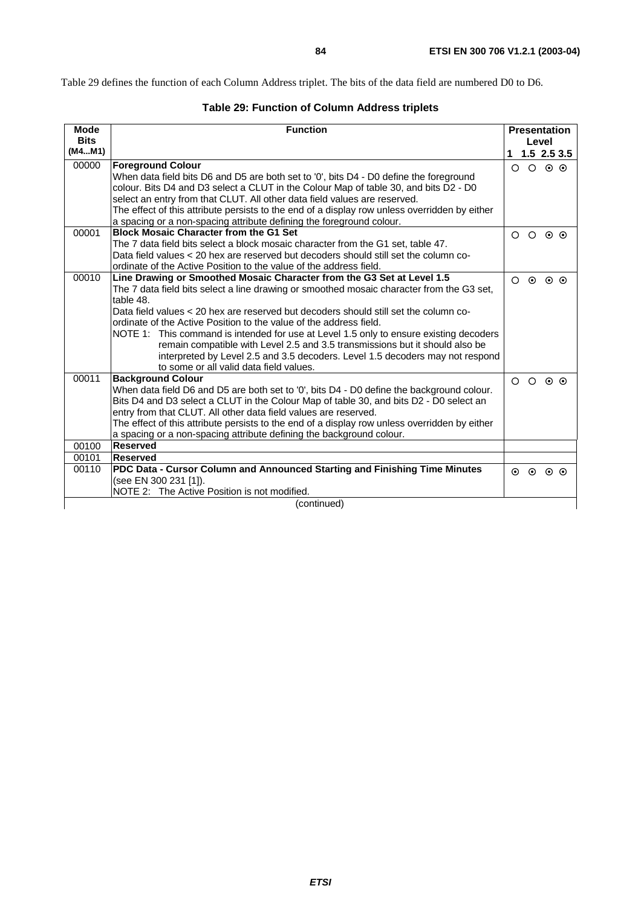Table 29 defines the function of each Column Address triplet. The bits of the data field are numbered D0 to D6.

|  |  |  | <b>Table 29: Function of Column Address triplets</b> |
|--|--|--|------------------------------------------------------|
|--|--|--|------------------------------------------------------|

| <b>Mode</b>           | <b>Function</b>                                                                                                                                                                                                                                                                                                                                                                                                                                                                                                                                                                                                                                      |         | <b>Presentation</b>     |                 |                  |  |  |
|-----------------------|------------------------------------------------------------------------------------------------------------------------------------------------------------------------------------------------------------------------------------------------------------------------------------------------------------------------------------------------------------------------------------------------------------------------------------------------------------------------------------------------------------------------------------------------------------------------------------------------------------------------------------------------------|---------|-------------------------|-----------------|------------------|--|--|
| <b>Bits</b><br>(M4M1) |                                                                                                                                                                                                                                                                                                                                                                                                                                                                                                                                                                                                                                                      |         | Level                   |                 |                  |  |  |
|                       |                                                                                                                                                                                                                                                                                                                                                                                                                                                                                                                                                                                                                                                      |         |                         |                 | 1, 1.5, 2.5, 3.5 |  |  |
| 00000                 | <b>Foreground Colour</b><br>When data field bits D6 and D5 are both set to '0', bits D4 - D0 define the foreground<br>colour. Bits D4 and D3 select a CLUT in the Colour Map of table 30, and bits D2 - D0<br>select an entry from that CLUT. All other data field values are reserved.<br>The effect of this attribute persists to the end of a display row unless overridden by either<br>a spacing or a non-spacing attribute defining the foreground colour.                                                                                                                                                                                     | $\circ$ | $\circ$ $\circ$ $\circ$ |                 |                  |  |  |
| 00001                 | <b>Block Mosaic Character from the G1 Set</b><br>The 7 data field bits select a block mosaic character from the G1 set, table 47.<br>Data field values < 20 hex are reserved but decoders should still set the column co-<br>ordinate of the Active Position to the value of the address field.                                                                                                                                                                                                                                                                                                                                                      |         | $O$ $O$ $O$ $O$         |                 |                  |  |  |
| 00010                 | Line Drawing or Smoothed Mosaic Character from the G3 Set at Level 1.5<br>The 7 data field bits select a line drawing or smoothed mosaic character from the G3 set,<br>table 48.<br>Data field values < 20 hex are reserved but decoders should still set the column co-<br>ordinate of the Active Position to the value of the address field.<br>NOTE 1: This command is intended for use at Level 1.5 only to ensure existing decoders<br>remain compatible with Level 2.5 and 3.5 transmissions but it should also be<br>interpreted by Level 2.5 and 3.5 decoders. Level 1.5 decoders may not respond<br>to some or all valid data field values. | $\circ$ | $\odot$                 | $\odot$ $\odot$ |                  |  |  |
| 00011                 | <b>Background Colour</b><br>When data field D6 and D5 are both set to '0', bits D4 - D0 define the background colour.<br>Bits D4 and D3 select a CLUT in the Colour Map of table 30, and bits D2 - D0 select an<br>entry from that CLUT. All other data field values are reserved.<br>The effect of this attribute persists to the end of a display row unless overridden by either<br>a spacing or a non-spacing attribute defining the background colour.                                                                                                                                                                                          |         | $O$ $O$ $O$ $O$         |                 |                  |  |  |
| 00100                 | Reserved<br><b>Reserved</b>                                                                                                                                                                                                                                                                                                                                                                                                                                                                                                                                                                                                                          |         |                         |                 |                  |  |  |
| 00101                 |                                                                                                                                                                                                                                                                                                                                                                                                                                                                                                                                                                                                                                                      |         |                         |                 |                  |  |  |
| 00110                 | PDC Data - Cursor Column and Announced Starting and Finishing Time Minutes<br>(see EN 300 231 [1]).<br>NOTE 2: The Active Position is not modified.                                                                                                                                                                                                                                                                                                                                                                                                                                                                                                  |         | $\circ$ $\circ$ $\circ$ |                 |                  |  |  |
| (continued)           |                                                                                                                                                                                                                                                                                                                                                                                                                                                                                                                                                                                                                                                      |         |                         |                 |                  |  |  |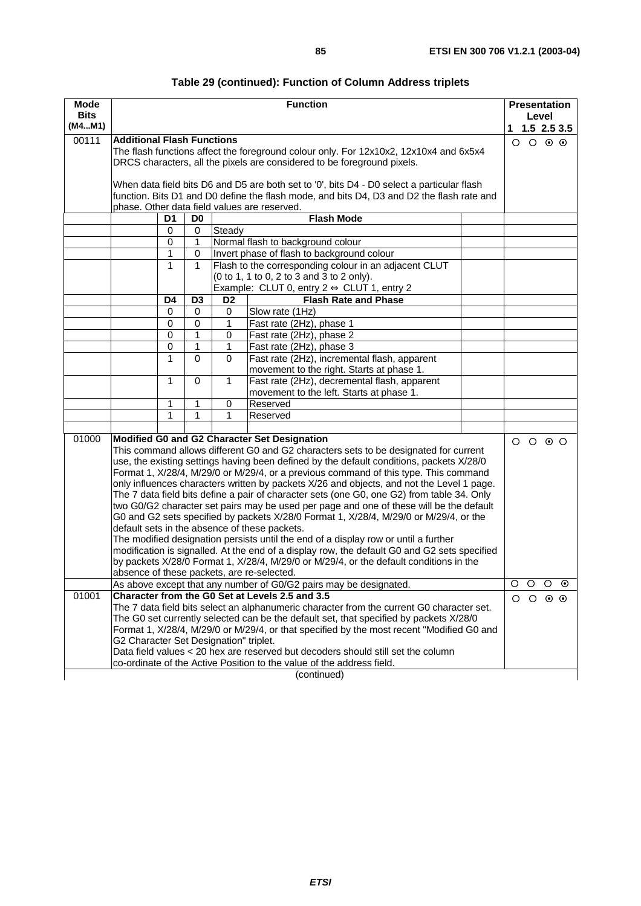|  | Table 29 (continued): Function of Column Address triplets |  |
|--|-----------------------------------------------------------|--|
|--|-----------------------------------------------------------|--|

| Mode                                                                          |                                                                                                                                                                                     |                |                | <b>Function</b>                                                                                                                                                  | <b>Presentation</b>     |                 |  |  |  |  |  |
|-------------------------------------------------------------------------------|-------------------------------------------------------------------------------------------------------------------------------------------------------------------------------------|----------------|----------------|------------------------------------------------------------------------------------------------------------------------------------------------------------------|-------------------------|-----------------|--|--|--|--|--|
| <b>Bits</b><br>(M4M1)                                                         |                                                                                                                                                                                     |                |                |                                                                                                                                                                  | Level                   |                 |  |  |  |  |  |
|                                                                               |                                                                                                                                                                                     |                |                |                                                                                                                                                                  | $1$ 1.5 2.5 3.5         |                 |  |  |  |  |  |
| 00111                                                                         | <b>Additional Flash Functions</b>                                                                                                                                                   |                |                |                                                                                                                                                                  | $O$ $O$ $O$ $O$         |                 |  |  |  |  |  |
|                                                                               |                                                                                                                                                                                     |                |                | The flash functions affect the foreground colour only. For 12x10x2, 12x10x4 and 6x5x4<br>DRCS characters, all the pixels are considered to be foreground pixels. |                         |                 |  |  |  |  |  |
|                                                                               |                                                                                                                                                                                     |                |                |                                                                                                                                                                  |                         |                 |  |  |  |  |  |
|                                                                               |                                                                                                                                                                                     |                |                | When data field bits D6 and D5 are both set to '0', bits D4 - D0 select a particular flash                                                                       |                         |                 |  |  |  |  |  |
|                                                                               |                                                                                                                                                                                     |                |                | function. Bits D1 and D0 define the flash mode, and bits D4, D3 and D2 the flash rate and                                                                        |                         |                 |  |  |  |  |  |
|                                                                               | phase. Other data field values are reserved.                                                                                                                                        |                |                |                                                                                                                                                                  |                         |                 |  |  |  |  |  |
|                                                                               | $\overline{D1}$                                                                                                                                                                     | D <sub>0</sub> |                | <b>Flash Mode</b>                                                                                                                                                |                         |                 |  |  |  |  |  |
|                                                                               | $\mathbf 0$                                                                                                                                                                         | 0              | Steady         |                                                                                                                                                                  |                         |                 |  |  |  |  |  |
|                                                                               | $\mathbf 0$                                                                                                                                                                         | 1              |                | Normal flash to background colour                                                                                                                                |                         |                 |  |  |  |  |  |
|                                                                               | $\mathbf{1}$                                                                                                                                                                        | $\mathbf 0$    |                | Invert phase of flash to background colour                                                                                                                       |                         |                 |  |  |  |  |  |
|                                                                               | $\mathbf{1}$                                                                                                                                                                        | 1              |                | Flash to the corresponding colour in an adjacent CLUT                                                                                                            |                         |                 |  |  |  |  |  |
|                                                                               |                                                                                                                                                                                     |                |                | (0 to 1, 1 to 0, 2 to 3 and 3 to 2 only).                                                                                                                        |                         |                 |  |  |  |  |  |
|                                                                               |                                                                                                                                                                                     |                |                | Example: CLUT 0, entry $2 \Leftrightarrow$ CLUT 1, entry 2                                                                                                       |                         |                 |  |  |  |  |  |
|                                                                               | D4                                                                                                                                                                                  | D <sub>3</sub> | D <sub>2</sub> | <b>Flash Rate and Phase</b>                                                                                                                                      |                         |                 |  |  |  |  |  |
|                                                                               | 0                                                                                                                                                                                   | 0              | 0              | Slow rate (1Hz)                                                                                                                                                  |                         |                 |  |  |  |  |  |
|                                                                               | $\mathbf 0$                                                                                                                                                                         | $\mathbf 0$    | 1              | Fast rate (2Hz), phase 1                                                                                                                                         |                         |                 |  |  |  |  |  |
|                                                                               | 0                                                                                                                                                                                   | 1              | 0              | Fast rate (2Hz), phase 2                                                                                                                                         |                         |                 |  |  |  |  |  |
| $\mathbf 0$<br>1<br>1<br>Fast rate (2Hz), phase 3                             |                                                                                                                                                                                     |                |                |                                                                                                                                                                  |                         |                 |  |  |  |  |  |
| $\mathbf{1}$<br>$\Omega$<br>Fast rate (2Hz), incremental flash, apparent<br>0 |                                                                                                                                                                                     |                |                |                                                                                                                                                                  |                         |                 |  |  |  |  |  |
|                                                                               | $\mathbf{1}$                                                                                                                                                                        | $\Omega$       | $\mathbf{1}$   | movement to the right. Starts at phase 1.<br>Fast rate (2Hz), decremental flash, apparent                                                                        |                         |                 |  |  |  |  |  |
|                                                                               |                                                                                                                                                                                     |                |                | movement to the left. Starts at phase 1.                                                                                                                         |                         |                 |  |  |  |  |  |
|                                                                               | 1                                                                                                                                                                                   | 1              | 0              | Reserved                                                                                                                                                         |                         |                 |  |  |  |  |  |
|                                                                               | 1                                                                                                                                                                                   | 1              | 1              | Reserved                                                                                                                                                         |                         |                 |  |  |  |  |  |
|                                                                               |                                                                                                                                                                                     |                |                |                                                                                                                                                                  |                         |                 |  |  |  |  |  |
| 01000                                                                         |                                                                                                                                                                                     |                |                | Modified G0 and G2 Character Set Designation                                                                                                                     | $O$ $O$ $O$ $O$         |                 |  |  |  |  |  |
|                                                                               |                                                                                                                                                                                     |                |                | This command allows different G0 and G2 characters sets to be designated for current                                                                             |                         |                 |  |  |  |  |  |
|                                                                               |                                                                                                                                                                                     |                |                | use, the existing settings having been defined by the default conditions, packets X/28/0                                                                         |                         |                 |  |  |  |  |  |
|                                                                               |                                                                                                                                                                                     |                |                | Format 1, X/28/4, M/29/0 or M/29/4, or a previous command of this type. This command                                                                             |                         |                 |  |  |  |  |  |
|                                                                               |                                                                                                                                                                                     |                |                | only influences characters written by packets X/26 and objects, and not the Level 1 page.                                                                        |                         |                 |  |  |  |  |  |
|                                                                               |                                                                                                                                                                                     |                |                | The 7 data field bits define a pair of character sets (one G0, one G2) from table 34. Only                                                                       |                         |                 |  |  |  |  |  |
|                                                                               |                                                                                                                                                                                     |                |                | two G0/G2 character set pairs may be used per page and one of these will be the default                                                                          |                         |                 |  |  |  |  |  |
|                                                                               | default sets in the absence of these packets.                                                                                                                                       |                |                | G0 and G2 sets specified by packets X/28/0 Format 1, X/28/4, M/29/0 or M/29/4, or the                                                                            |                         |                 |  |  |  |  |  |
|                                                                               |                                                                                                                                                                                     |                |                |                                                                                                                                                                  |                         |                 |  |  |  |  |  |
|                                                                               | The modified designation persists until the end of a display row or until a further<br>modification is signalled. At the end of a display row, the default G0 and G2 sets specified |                |                |                                                                                                                                                                  |                         |                 |  |  |  |  |  |
|                                                                               |                                                                                                                                                                                     |                |                | by packets X/28/0 Format 1, X/28/4, M/29/0 or M/29/4, or the default conditions in the                                                                           |                         |                 |  |  |  |  |  |
|                                                                               | absence of these packets, are re-selected.                                                                                                                                          |                |                |                                                                                                                                                                  |                         |                 |  |  |  |  |  |
|                                                                               |                                                                                                                                                                                     |                |                | As above except that any number of G0/G2 pairs may be designated.                                                                                                | O<br>$\circ$<br>$\circ$ | $\odot$         |  |  |  |  |  |
| 01001                                                                         |                                                                                                                                                                                     |                |                | Character from the G0 Set at Levels 2.5 and 3.5                                                                                                                  | $\circ$<br>$\circ$      | $\circ$ $\circ$ |  |  |  |  |  |
|                                                                               |                                                                                                                                                                                     |                |                | The 7 data field bits select an alphanumeric character from the current G0 character set.                                                                        |                         |                 |  |  |  |  |  |
|                                                                               |                                                                                                                                                                                     |                |                | The G0 set currently selected can be the default set, that specified by packets X/28/0                                                                           |                         |                 |  |  |  |  |  |
|                                                                               |                                                                                                                                                                                     |                |                | Format 1, X/28/4, M/29/0 or M/29/4, or that specified by the most recent "Modified G0 and                                                                        |                         |                 |  |  |  |  |  |
|                                                                               | G2 Character Set Designation" triplet.                                                                                                                                              |                |                |                                                                                                                                                                  |                         |                 |  |  |  |  |  |
|                                                                               |                                                                                                                                                                                     |                |                | Data field values < 20 hex are reserved but decoders should still set the column                                                                                 |                         |                 |  |  |  |  |  |
|                                                                               | co-ordinate of the Active Position to the value of the address field.                                                                                                               |                |                |                                                                                                                                                                  |                         |                 |  |  |  |  |  |
|                                                                               |                                                                                                                                                                                     |                |                | (continued)                                                                                                                                                      |                         |                 |  |  |  |  |  |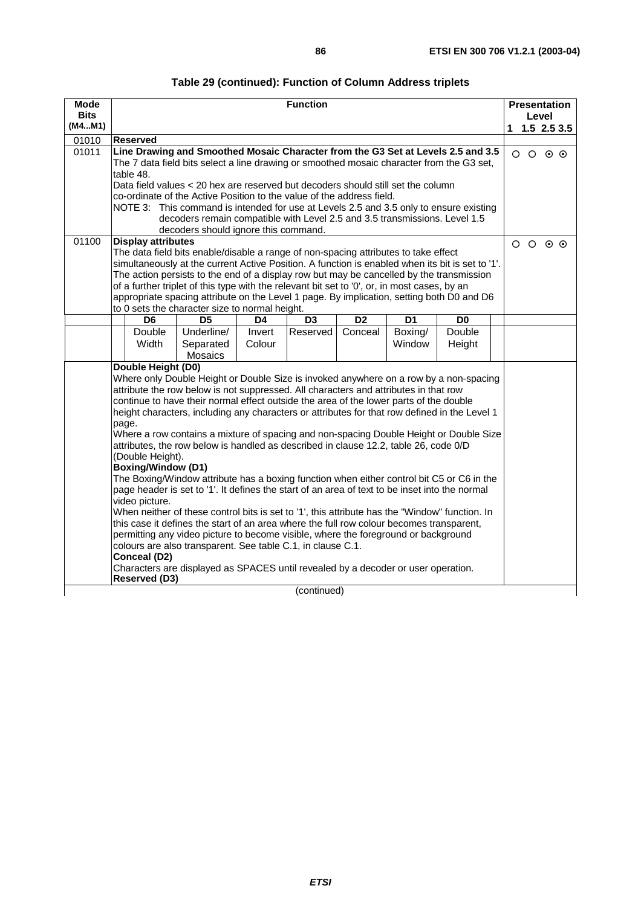| Table 29 (continued): Function of Column Address triplets |  |  |
|-----------------------------------------------------------|--|--|
|-----------------------------------------------------------|--|--|

| <b>Mode</b>                                                                                                                                                                                 |                                                                                                                                                                                         |                                                                            |        | <b>Function</b> |  |        |        |   |                 |       | <b>Presentation</b> |  |
|---------------------------------------------------------------------------------------------------------------------------------------------------------------------------------------------|-----------------------------------------------------------------------------------------------------------------------------------------------------------------------------------------|----------------------------------------------------------------------------|--------|-----------------|--|--------|--------|---|-----------------|-------|---------------------|--|
| <b>Bits</b>                                                                                                                                                                                 |                                                                                                                                                                                         |                                                                            |        |                 |  |        |        |   |                 | Level |                     |  |
| (M4M1)                                                                                                                                                                                      |                                                                                                                                                                                         |                                                                            |        |                 |  |        |        | 1 |                 |       | $1.5$ 2.5 3.5       |  |
| 01010                                                                                                                                                                                       | <b>Reserved</b>                                                                                                                                                                         |                                                                            |        |                 |  |        |        |   |                 |       |                     |  |
| 01011                                                                                                                                                                                       | Line Drawing and Smoothed Mosaic Character from the G3 Set at Levels 2.5 and 3.5                                                                                                        |                                                                            |        |                 |  |        |        |   | $\circ$ $\circ$ |       | $\circ$ $\circ$     |  |
|                                                                                                                                                                                             | The 7 data field bits select a line drawing or smoothed mosaic character from the G3 set,                                                                                               |                                                                            |        |                 |  |        |        |   |                 |       |                     |  |
|                                                                                                                                                                                             | table 48.                                                                                                                                                                               |                                                                            |        |                 |  |        |        |   |                 |       |                     |  |
|                                                                                                                                                                                             | Data field values < 20 hex are reserved but decoders should still set the column                                                                                                        |                                                                            |        |                 |  |        |        |   |                 |       |                     |  |
|                                                                                                                                                                                             | co-ordinate of the Active Position to the value of the address field.                                                                                                                   |                                                                            |        |                 |  |        |        |   |                 |       |                     |  |
|                                                                                                                                                                                             | NOTE 3: This command is intended for use at Levels 2.5 and 3.5 only to ensure existing                                                                                                  |                                                                            |        |                 |  |        |        |   |                 |       |                     |  |
|                                                                                                                                                                                             |                                                                                                                                                                                         | decoders remain compatible with Level 2.5 and 3.5 transmissions. Level 1.5 |        |                 |  |        |        |   |                 |       |                     |  |
|                                                                                                                                                                                             |                                                                                                                                                                                         | decoders should ignore this command.                                       |        |                 |  |        |        |   |                 |       |                     |  |
| 01100                                                                                                                                                                                       | <b>Display attributes</b>                                                                                                                                                               |                                                                            |        |                 |  |        |        |   | $\circ$ $\circ$ |       | $\odot$ $\odot$     |  |
|                                                                                                                                                                                             | The data field bits enable/disable a range of non-spacing attributes to take effect<br>simultaneously at the current Active Position. A function is enabled when its bit is set to '1'. |                                                                            |        |                 |  |        |        |   |                 |       |                     |  |
|                                                                                                                                                                                             |                                                                                                                                                                                         |                                                                            |        |                 |  |        |        |   |                 |       |                     |  |
| The action persists to the end of a display row but may be cancelled by the transmission<br>of a further triplet of this type with the relevant bit set to '0', or, in most cases, by an    |                                                                                                                                                                                         |                                                                            |        |                 |  |        |        |   |                 |       |                     |  |
| appropriate spacing attribute on the Level 1 page. By implication, setting both D0 and D6                                                                                                   |                                                                                                                                                                                         |                                                                            |        |                 |  |        |        |   |                 |       |                     |  |
|                                                                                                                                                                                             |                                                                                                                                                                                         |                                                                            |        |                 |  |        |        |   |                 |       |                     |  |
|                                                                                                                                                                                             | to 0 sets the character size to normal height.<br>D <sub>2</sub><br>D6<br>D <sub>5</sub><br>D4<br>D <sub>3</sub><br>D <sub>1</sub><br>D <sub>0</sub>                                    |                                                                            |        |                 |  |        |        |   |                 |       |                     |  |
|                                                                                                                                                                                             | Double                                                                                                                                                                                  | Double                                                                     |        |                 |  |        |        |   |                 |       |                     |  |
|                                                                                                                                                                                             | Width                                                                                                                                                                                   | Separated                                                                  | Colour |                 |  | Window | Height |   |                 |       |                     |  |
|                                                                                                                                                                                             |                                                                                                                                                                                         | Mosaics                                                                    |        |                 |  |        |        |   |                 |       |                     |  |
|                                                                                                                                                                                             | Double Height (D0)                                                                                                                                                                      |                                                                            |        |                 |  |        |        |   |                 |       |                     |  |
|                                                                                                                                                                                             | Where only Double Height or Double Size is invoked anywhere on a row by a non-spacing                                                                                                   |                                                                            |        |                 |  |        |        |   |                 |       |                     |  |
|                                                                                                                                                                                             | attribute the row below is not suppressed. All characters and attributes in that row                                                                                                    |                                                                            |        |                 |  |        |        |   |                 |       |                     |  |
|                                                                                                                                                                                             | continue to have their normal effect outside the area of the lower parts of the double                                                                                                  |                                                                            |        |                 |  |        |        |   |                 |       |                     |  |
|                                                                                                                                                                                             | height characters, including any characters or attributes for that row defined in the Level 1                                                                                           |                                                                            |        |                 |  |        |        |   |                 |       |                     |  |
|                                                                                                                                                                                             | page.                                                                                                                                                                                   |                                                                            |        |                 |  |        |        |   |                 |       |                     |  |
|                                                                                                                                                                                             | Where a row contains a mixture of spacing and non-spacing Double Height or Double Size                                                                                                  |                                                                            |        |                 |  |        |        |   |                 |       |                     |  |
|                                                                                                                                                                                             | attributes, the row below is handled as described in clause 12.2, table 26, code 0/D                                                                                                    |                                                                            |        |                 |  |        |        |   |                 |       |                     |  |
|                                                                                                                                                                                             | (Double Height).<br><b>Boxing/Window (D1)</b>                                                                                                                                           |                                                                            |        |                 |  |        |        |   |                 |       |                     |  |
|                                                                                                                                                                                             |                                                                                                                                                                                         |                                                                            |        |                 |  |        |        |   |                 |       |                     |  |
| The Boxing/Window attribute has a boxing function when either control bit C5 or C6 in the<br>page header is set to '1'. It defines the start of an area of text to be inset into the normal |                                                                                                                                                                                         |                                                                            |        |                 |  |        |        |   |                 |       |                     |  |
| video picture.                                                                                                                                                                              |                                                                                                                                                                                         |                                                                            |        |                 |  |        |        |   |                 |       |                     |  |
| When neither of these control bits is set to '1', this attribute has the "Window" function. In                                                                                              |                                                                                                                                                                                         |                                                                            |        |                 |  |        |        |   |                 |       |                     |  |
| this case it defines the start of an area where the full row colour becomes transparent,                                                                                                    |                                                                                                                                                                                         |                                                                            |        |                 |  |        |        |   |                 |       |                     |  |
| permitting any video picture to become visible, where the foreground or background                                                                                                          |                                                                                                                                                                                         |                                                                            |        |                 |  |        |        |   |                 |       |                     |  |
| colours are also transparent. See table C.1, in clause C.1.                                                                                                                                 |                                                                                                                                                                                         |                                                                            |        |                 |  |        |        |   |                 |       |                     |  |
|                                                                                                                                                                                             | Conceal (D2)                                                                                                                                                                            |                                                                            |        |                 |  |        |        |   |                 |       |                     |  |
|                                                                                                                                                                                             | Characters are displayed as SPACES until revealed by a decoder or user operation.                                                                                                       |                                                                            |        |                 |  |        |        |   |                 |       |                     |  |
| Reserved (D3)                                                                                                                                                                               |                                                                                                                                                                                         |                                                                            |        |                 |  |        |        |   |                 |       |                     |  |
|                                                                                                                                                                                             |                                                                                                                                                                                         |                                                                            |        | (continued)     |  |        |        |   |                 |       |                     |  |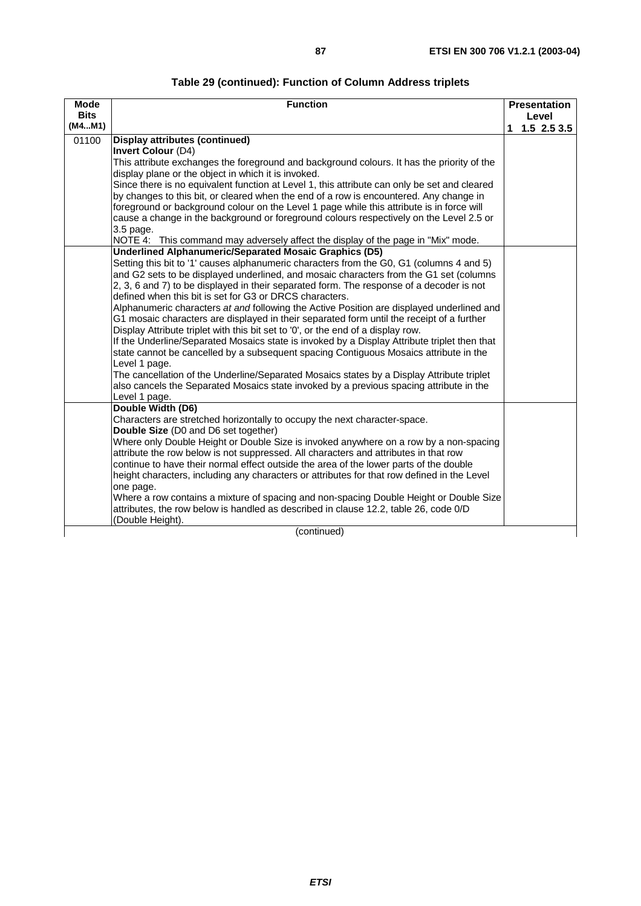| Table 29 (continued): Function of Column Address triplets |  |  |
|-----------------------------------------------------------|--|--|
|-----------------------------------------------------------|--|--|

| <b>Mode</b><br><b>Bits</b> | <b>Function</b>                                                                                                                                                                                                                                                                                                                                                                                                                                                                                                                                                                                                                                                                                                                                                                                                                                                                                                                                                                                                                                                                                             |    | <b>Presentation</b>    |  |  |  |  |
|----------------------------|-------------------------------------------------------------------------------------------------------------------------------------------------------------------------------------------------------------------------------------------------------------------------------------------------------------------------------------------------------------------------------------------------------------------------------------------------------------------------------------------------------------------------------------------------------------------------------------------------------------------------------------------------------------------------------------------------------------------------------------------------------------------------------------------------------------------------------------------------------------------------------------------------------------------------------------------------------------------------------------------------------------------------------------------------------------------------------------------------------------|----|------------------------|--|--|--|--|
| (M4M1)                     |                                                                                                                                                                                                                                                                                                                                                                                                                                                                                                                                                                                                                                                                                                                                                                                                                                                                                                                                                                                                                                                                                                             | 1. | Level<br>$1.5$ 2.5 3.5 |  |  |  |  |
| 01100                      | <b>Display attributes (continued)</b><br><b>Invert Colour (D4)</b><br>This attribute exchanges the foreground and background colours. It has the priority of the<br>display plane or the object in which it is invoked.<br>Since there is no equivalent function at Level 1, this attribute can only be set and cleared<br>by changes to this bit, or cleared when the end of a row is encountered. Any change in<br>foreground or background colour on the Level 1 page while this attribute is in force will<br>cause a change in the background or foreground colours respectively on the Level 2.5 or                                                                                                                                                                                                                                                                                                                                                                                                                                                                                                   |    |                        |  |  |  |  |
|                            | 3.5 page.<br>NOTE 4: This command may adversely affect the display of the page in "Mix" mode.                                                                                                                                                                                                                                                                                                                                                                                                                                                                                                                                                                                                                                                                                                                                                                                                                                                                                                                                                                                                               |    |                        |  |  |  |  |
|                            | <b>Underlined Alphanumeric/Separated Mosaic Graphics (D5)</b><br>Setting this bit to '1' causes alphanumeric characters from the G0, G1 (columns 4 and 5)<br>and G2 sets to be displayed underlined, and mosaic characters from the G1 set (columns<br>2, 3, 6 and 7) to be displayed in their separated form. The response of a decoder is not<br>defined when this bit is set for G3 or DRCS characters.<br>Alphanumeric characters at and following the Active Position are displayed underlined and<br>G1 mosaic characters are displayed in their separated form until the receipt of a further<br>Display Attribute triplet with this bit set to '0', or the end of a display row.<br>If the Underline/Separated Mosaics state is invoked by a Display Attribute triplet then that<br>state cannot be cancelled by a subsequent spacing Contiguous Mosaics attribute in the<br>Level 1 page.<br>The cancellation of the Underline/Separated Mosaics states by a Display Attribute triplet<br>also cancels the Separated Mosaics state invoked by a previous spacing attribute in the<br>Level 1 page. |    |                        |  |  |  |  |
|                            | Double Width (D6)<br>Characters are stretched horizontally to occupy the next character-space.<br>Double Size (D0 and D6 set together)<br>Where only Double Height or Double Size is invoked anywhere on a row by a non-spacing<br>attribute the row below is not suppressed. All characters and attributes in that row<br>continue to have their normal effect outside the area of the lower parts of the double<br>height characters, including any characters or attributes for that row defined in the Level<br>one page.<br>Where a row contains a mixture of spacing and non-spacing Double Height or Double Size<br>attributes, the row below is handled as described in clause 12.2, table 26, code 0/D<br>(Double Height).                                                                                                                                                                                                                                                                                                                                                                         |    |                        |  |  |  |  |
|                            | (continued)                                                                                                                                                                                                                                                                                                                                                                                                                                                                                                                                                                                                                                                                                                                                                                                                                                                                                                                                                                                                                                                                                                 |    |                        |  |  |  |  |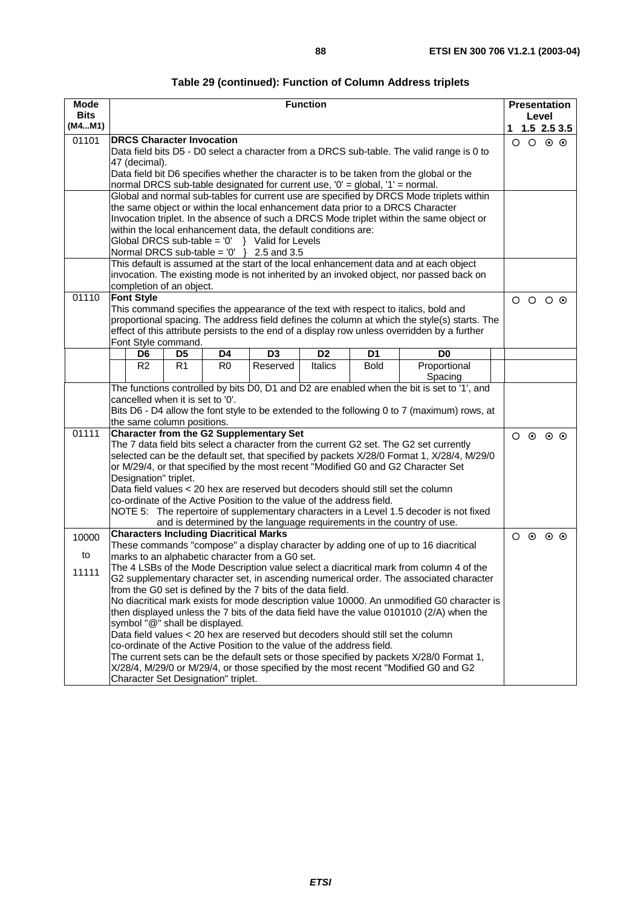| Mode        | <b>Function</b>                                                                          |                                                                                                                                                                           |                |                |                |                |                                                                                                                                                                                |   | <b>Presentation</b> |                                   |  |
|-------------|------------------------------------------------------------------------------------------|---------------------------------------------------------------------------------------------------------------------------------------------------------------------------|----------------|----------------|----------------|----------------|--------------------------------------------------------------------------------------------------------------------------------------------------------------------------------|---|---------------------|-----------------------------------|--|
| <b>Bits</b> |                                                                                          |                                                                                                                                                                           |                |                |                |                |                                                                                                                                                                                |   | Level               |                                   |  |
| (M4M1)      |                                                                                          |                                                                                                                                                                           |                |                |                |                |                                                                                                                                                                                |   |                     | $1 \quad 1.5 \quad 2.5 \quad 3.5$ |  |
| 01101       | <b>DRCS Character Invocation</b>                                                         |                                                                                                                                                                           |                |                |                |                |                                                                                                                                                                                |   |                     | $O$ $O$ $O$ $O$                   |  |
|             |                                                                                          |                                                                                                                                                                           |                |                |                |                | Data field bits D5 - D0 select a character from a DRCS sub-table. The valid range is 0 to                                                                                      |   |                     |                                   |  |
|             | 47 (decimal).                                                                            |                                                                                                                                                                           |                |                |                |                | Data field bit D6 specifies whether the character is to be taken from the global or the                                                                                        |   |                     |                                   |  |
|             | normal DRCS sub-table designated for current use, '0' = global, '1' = normal.            |                                                                                                                                                                           |                |                |                |                |                                                                                                                                                                                |   |                     |                                   |  |
|             |                                                                                          |                                                                                                                                                                           |                |                |                |                |                                                                                                                                                                                |   |                     |                                   |  |
|             |                                                                                          | Global and normal sub-tables for current use are specified by DRCS Mode triplets within<br>the same object or within the local enhancement data prior to a DRCS Character |                |                |                |                |                                                                                                                                                                                |   |                     |                                   |  |
|             |                                                                                          |                                                                                                                                                                           |                |                |                |                | Invocation triplet. In the absence of such a DRCS Mode triplet within the same object or                                                                                       |   |                     |                                   |  |
|             | within the local enhancement data, the default conditions are:                           |                                                                                                                                                                           |                |                |                |                |                                                                                                                                                                                |   |                     |                                   |  |
|             | Global DRCS sub-table = $0'$ } Valid for Levels                                          |                                                                                                                                                                           |                |                |                |                |                                                                                                                                                                                |   |                     |                                   |  |
|             | Normal DRCS sub-table = $0'$ } 2.5 and 3.5                                               |                                                                                                                                                                           |                |                |                |                |                                                                                                                                                                                |   |                     |                                   |  |
|             |                                                                                          |                                                                                                                                                                           |                |                |                |                | This default is assumed at the start of the local enhancement data and at each object                                                                                          |   |                     |                                   |  |
|             |                                                                                          |                                                                                                                                                                           |                |                |                |                | invocation. The existing mode is not inherited by an invoked object, nor passed back on                                                                                        |   |                     |                                   |  |
|             | completion of an object.                                                                 |                                                                                                                                                                           |                |                |                |                |                                                                                                                                                                                |   |                     |                                   |  |
| 01110       | <b>Font Style</b>                                                                        |                                                                                                                                                                           |                |                |                |                | This command specifies the appearance of the text with respect to italics, bold and                                                                                            |   |                     | $\circ$ $\circ$ $\circ$           |  |
|             |                                                                                          |                                                                                                                                                                           |                |                |                |                | proportional spacing. The address field defines the column at which the style(s) starts. The                                                                                   |   |                     |                                   |  |
|             |                                                                                          |                                                                                                                                                                           |                |                |                |                | effect of this attribute persists to the end of a display row unless overridden by a further                                                                                   |   |                     |                                   |  |
|             | Font Style command.                                                                      |                                                                                                                                                                           |                |                |                |                |                                                                                                                                                                                |   |                     |                                   |  |
|             | D <sub>6</sub>                                                                           | D <sub>5</sub>                                                                                                                                                            | D4             | D <sub>3</sub> | D <sub>2</sub> | D <sub>1</sub> | D <sub>0</sub>                                                                                                                                                                 |   |                     |                                   |  |
|             | R <sub>2</sub>                                                                           | R1                                                                                                                                                                        | R <sub>0</sub> | Reserved       | <b>Italics</b> | <b>Bold</b>    | Proportional                                                                                                                                                                   |   |                     |                                   |  |
|             |                                                                                          |                                                                                                                                                                           |                |                |                |                | Spacing                                                                                                                                                                        |   |                     |                                   |  |
|             |                                                                                          |                                                                                                                                                                           |                |                |                |                | The functions controlled by bits D0, D1 and D2 are enabled when the bit is set to '1', and                                                                                     |   |                     |                                   |  |
|             | cancelled when it is set to '0'.                                                         |                                                                                                                                                                           |                |                |                |                |                                                                                                                                                                                |   |                     |                                   |  |
|             |                                                                                          |                                                                                                                                                                           |                |                |                |                | Bits D6 - D4 allow the font style to be extended to the following 0 to 7 (maximum) rows, at                                                                                    |   |                     |                                   |  |
| 01111       | the same column positions.<br><b>Character from the G2 Supplementary Set</b>             |                                                                                                                                                                           |                |                |                |                |                                                                                                                                                                                |   |                     |                                   |  |
|             |                                                                                          |                                                                                                                                                                           |                |                |                |                | The 7 data field bits select a character from the current G2 set. The G2 set currently                                                                                         |   |                     | $\circ$ $\circ$ $\circ$           |  |
|             |                                                                                          |                                                                                                                                                                           |                |                |                |                | selected can be the default set, that specified by packets X/28/0 Format 1, X/28/4, M/29/0                                                                                     |   |                     |                                   |  |
|             |                                                                                          |                                                                                                                                                                           |                |                |                |                | or M/29/4, or that specified by the most recent "Modified G0 and G2 Character Set                                                                                              |   |                     |                                   |  |
|             | Designation" triplet.                                                                    |                                                                                                                                                                           |                |                |                |                |                                                                                                                                                                                |   |                     |                                   |  |
|             |                                                                                          |                                                                                                                                                                           |                |                |                |                | Data field values < 20 hex are reserved but decoders should still set the column                                                                                               |   |                     |                                   |  |
|             | co-ordinate of the Active Position to the value of the address field.                    |                                                                                                                                                                           |                |                |                |                |                                                                                                                                                                                |   |                     |                                   |  |
|             |                                                                                          |                                                                                                                                                                           |                |                |                |                | NOTE 5: The repertoire of supplementary characters in a Level 1.5 decoder is not fixed                                                                                         |   |                     |                                   |  |
|             |                                                                                          |                                                                                                                                                                           |                |                |                |                | and is determined by the language requirements in the country of use.                                                                                                          |   |                     |                                   |  |
| 10000       | <b>Characters Including Diacritical Marks</b>                                            |                                                                                                                                                                           |                |                |                |                |                                                                                                                                                                                | O | $\odot$             | $\circ$ $\circ$                   |  |
| to          | marks to an alphabetic character from a G0 set.                                          |                                                                                                                                                                           |                |                |                |                | These commands "compose" a display character by adding one of up to 16 diacritical                                                                                             |   |                     |                                   |  |
|             |                                                                                          |                                                                                                                                                                           |                |                |                |                | The 4 LSBs of the Mode Description value select a diacritical mark from column 4 of the                                                                                        |   |                     |                                   |  |
| 11111       |                                                                                          |                                                                                                                                                                           |                |                |                |                | G2 supplementary character set, in ascending numerical order. The associated character                                                                                         |   |                     |                                   |  |
|             | from the G0 set is defined by the 7 bits of the data field.                              |                                                                                                                                                                           |                |                |                |                |                                                                                                                                                                                |   |                     |                                   |  |
|             |                                                                                          |                                                                                                                                                                           |                |                |                |                | No diacritical mark exists for mode description value 10000. An unmodified G0 character is                                                                                     |   |                     |                                   |  |
|             | then displayed unless the 7 bits of the data field have the value 0101010 (2/A) when the |                                                                                                                                                                           |                |                |                |                |                                                                                                                                                                                |   |                     |                                   |  |
|             | symbol "@" shall be displayed.                                                           |                                                                                                                                                                           |                |                |                |                |                                                                                                                                                                                |   |                     |                                   |  |
|             |                                                                                          |                                                                                                                                                                           |                |                |                |                | Data field values < 20 hex are reserved but decoders should still set the column                                                                                               |   |                     |                                   |  |
|             | co-ordinate of the Active Position to the value of the address field.                    |                                                                                                                                                                           |                |                |                |                |                                                                                                                                                                                |   |                     |                                   |  |
|             |                                                                                          |                                                                                                                                                                           |                |                |                |                | The current sets can be the default sets or those specified by packets X/28/0 Format 1,<br>X/28/4, M/29/0 or M/29/4, or those specified by the most recent "Modified G0 and G2 |   |                     |                                   |  |
|             | Character Set Designation" triplet.                                                      |                                                                                                                                                                           |                |                |                |                |                                                                                                                                                                                |   |                     |                                   |  |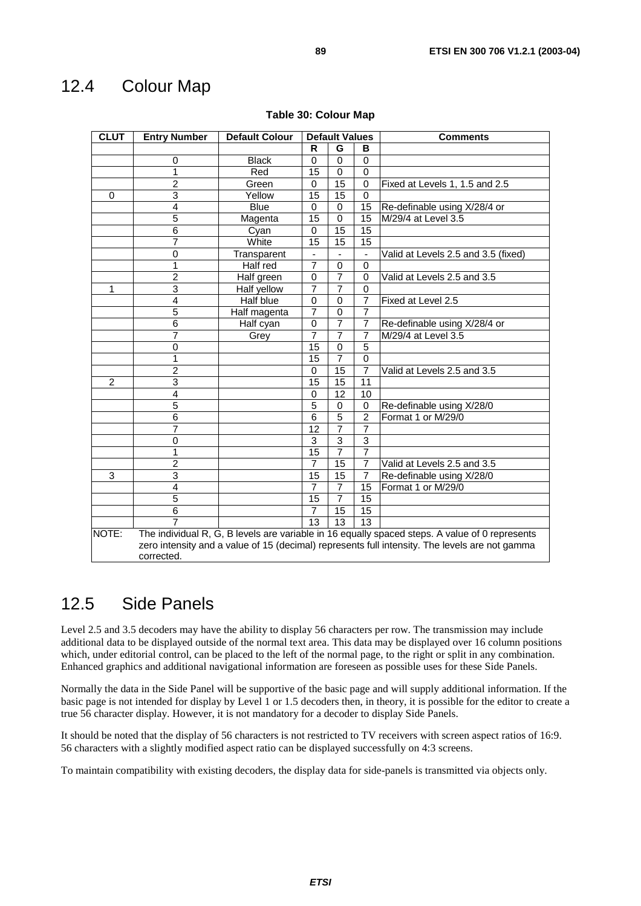## 12.4 Colour Map

| <b>CLUT</b>    | <b>Entry Number</b>     | <b>Default Colour</b> |                | <b>Default Values</b>    |                  | <b>Comments</b>                                                                                                                                                                                  |
|----------------|-------------------------|-----------------------|----------------|--------------------------|------------------|--------------------------------------------------------------------------------------------------------------------------------------------------------------------------------------------------|
|                |                         |                       | R              | G                        | в                |                                                                                                                                                                                                  |
|                | 0                       | <b>Black</b>          | $\Omega$       | 0                        | $\mathbf 0$      |                                                                                                                                                                                                  |
|                | $\overline{1}$          | Red                   | 15             | $\mathbf 0$              | $\boldsymbol{0}$ |                                                                                                                                                                                                  |
|                | $\overline{2}$          | Green                 | $\Omega$       | 15                       | $\mathbf 0$      | Fixed at Levels 1, 1.5 and 2.5                                                                                                                                                                   |
| 0              | 3                       | Yellow                | 15             | 15                       | $\mathbf 0$      |                                                                                                                                                                                                  |
|                | 4                       | <b>Blue</b>           | 0              | 0                        | 15               | Re-definable using X/28/4 or                                                                                                                                                                     |
|                | 5                       | Magenta               | 15             | $\Omega$                 | 15               | M/29/4 at Level 3.5                                                                                                                                                                              |
|                | $\overline{6}$          | Cyan                  | $\Omega$       | $\overline{15}$          | $\overline{15}$  |                                                                                                                                                                                                  |
|                | 7                       | White                 | 15             | 15                       | 15               |                                                                                                                                                                                                  |
|                | 0                       | Transparent           | ٠              | $\overline{\phantom{0}}$ | $\blacksquare$   | Valid at Levels 2.5 and 3.5 (fixed)                                                                                                                                                              |
|                | 1                       | Half red              | $\overline{7}$ | $\mathbf 0$              | $\mathbf 0$      |                                                                                                                                                                                                  |
|                | $\overline{2}$          | Half green            | 0              | $\overline{7}$           | $\overline{0}$   | Valid at Levels 2.5 and 3.5                                                                                                                                                                      |
| 1              | 3                       | Half yellow           | $\overline{7}$ | $\overline{7}$           | $\mathbf 0$      |                                                                                                                                                                                                  |
|                | 4                       | Half blue             | $\Omega$       | 0                        | $\overline{7}$   | Fixed at Level 2.5                                                                                                                                                                               |
|                | 5                       | Half magenta          | $\overline{7}$ | 0                        | $\overline{7}$   |                                                                                                                                                                                                  |
|                | 6                       | Half cyan             | $\Omega$       | $\overline{7}$           | $\overline{7}$   | Re-definable using X/28/4 or                                                                                                                                                                     |
|                | $\overline{7}$          | Grey                  | $\overline{7}$ | $\overline{7}$           | $\overline{7}$   | M/29/4 at Level 3.5                                                                                                                                                                              |
|                | 0                       |                       | 15             | 0                        | $\overline{5}$   |                                                                                                                                                                                                  |
|                | 1                       |                       | 15             | $\overline{7}$           | $\overline{0}$   |                                                                                                                                                                                                  |
|                | $\overline{2}$          |                       | $\Omega$       | 15                       | $\overline{7}$   | Valid at Levels 2.5 and 3.5                                                                                                                                                                      |
| $\overline{2}$ | 3                       |                       | 15             | 15                       | 11               |                                                                                                                                                                                                  |
|                | 4                       |                       | $\mathbf 0$    | 12                       | 10               |                                                                                                                                                                                                  |
|                | 5                       |                       | 5              | $\mathbf 0$              | $\mathbf 0$      | Re-definable using X/28/0                                                                                                                                                                        |
|                | $\overline{6}$          |                       | 6              | $\overline{5}$           | $\overline{2}$   | Format 1 or M/29/0                                                                                                                                                                               |
|                | $\overline{7}$          |                       | 12             | $\overline{7}$           | $\overline{7}$   |                                                                                                                                                                                                  |
|                | 0                       |                       | 3              | 3                        | 3                |                                                                                                                                                                                                  |
|                | 1                       |                       | 15             | 7                        | 7                |                                                                                                                                                                                                  |
|                | $\overline{2}$          |                       | 7              | 15                       | $\overline{7}$   | Valid at Levels 2.5 and 3.5                                                                                                                                                                      |
| 3              | $\overline{\mathbf{3}}$ |                       | 15             | 15                       | $\overline{7}$   | Re-definable using X/28/0                                                                                                                                                                        |
|                | $\overline{4}$          |                       | $\overline{7}$ | 7                        | 15               | Format 1 or M/29/0                                                                                                                                                                               |
|                | $\overline{5}$          |                       | 15             | 7                        | $\overline{15}$  |                                                                                                                                                                                                  |
|                | $\overline{6}$          |                       | 7              | 15                       | 15               |                                                                                                                                                                                                  |
|                |                         |                       | 13             | 13                       | $\overline{13}$  |                                                                                                                                                                                                  |
| NOTE:          | corrected.              |                       |                |                          |                  | The individual R, G, B levels are variable in 16 equally spaced steps. A value of 0 represents<br>zero intensity and a value of 15 (decimal) represents full intensity. The levels are not gamma |

#### **Table 30: Colour Map**

## 12.5 Side Panels

Level 2.5 and 3.5 decoders may have the ability to display 56 characters per row. The transmission may include additional data to be displayed outside of the normal text area. This data may be displayed over 16 column positions which, under editorial control, can be placed to the left of the normal page, to the right or split in any combination. Enhanced graphics and additional navigational information are foreseen as possible uses for these Side Panels.

Normally the data in the Side Panel will be supportive of the basic page and will supply additional information. If the basic page is not intended for display by Level 1 or 1.5 decoders then, in theory, it is possible for the editor to create a true 56 character display. However, it is not mandatory for a decoder to display Side Panels.

It should be noted that the display of 56 characters is not restricted to TV receivers with screen aspect ratios of 16:9. 56 characters with a slightly modified aspect ratio can be displayed successfully on 4:3 screens.

To maintain compatibility with existing decoders, the display data for side-panels is transmitted via objects only.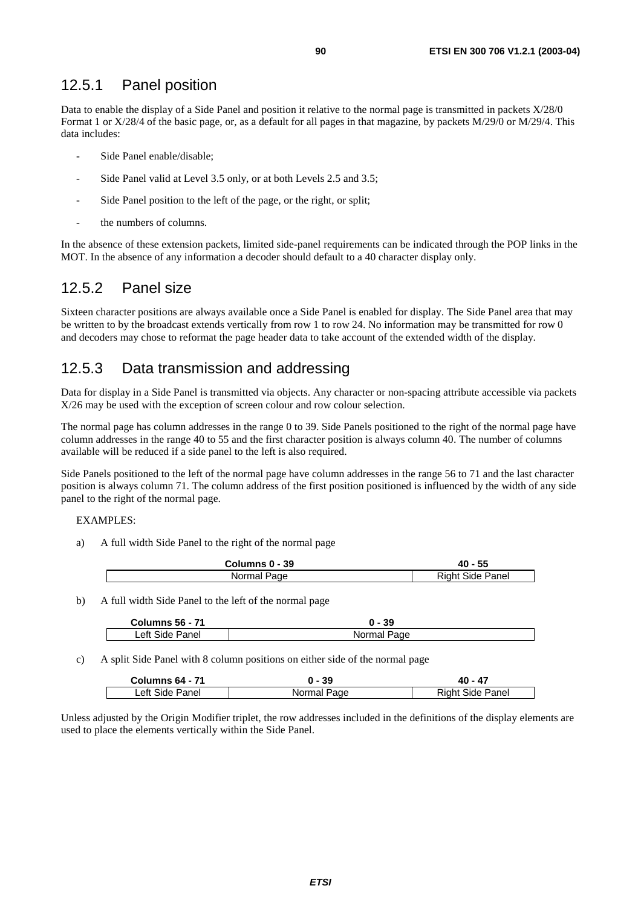### 12.5.1 Panel position

Data to enable the display of a Side Panel and position it relative to the normal page is transmitted in packets X/28/0 Format 1 or X/28/4 of the basic page, or, as a default for all pages in that magazine, by packets M/29/0 or M/29/4. This data includes:

- Side Panel enable/disable;
- Side Panel valid at Level 3.5 only, or at both Levels 2.5 and 3.5;
- Side Panel position to the left of the page, or the right, or split;
- the numbers of columns.

In the absence of these extension packets, limited side-panel requirements can be indicated through the POP links in the MOT. In the absence of any information a decoder should default to a 40 character display only.

## 12.5.2 Panel size

Sixteen character positions are always available once a Side Panel is enabled for display. The Side Panel area that may be written to by the broadcast extends vertically from row 1 to row 24. No information may be transmitted for row 0 and decoders may chose to reformat the page header data to take account of the extended width of the display.

## 12.5.3 Data transmission and addressing

Data for display in a Side Panel is transmitted via objects. Any character or non-spacing attribute accessible via packets X/26 may be used with the exception of screen colour and row colour selection.

The normal page has column addresses in the range 0 to 39. Side Panels positioned to the right of the normal page have column addresses in the range 40 to 55 and the first character position is always column 40. The number of columns available will be reduced if a side panel to the left is also required.

Side Panels positioned to the left of the normal page have column addresses in the range 56 to 71 and the last character position is always column 71. The column address of the first position positioned is influenced by the width of any side panel to the right of the normal page.

#### EXAMPLES:

a) A full width Side Panel to the right of the normal page

| Columns 0 - 39 | 40 - 55                 |
|----------------|-------------------------|
| Normal Page    | <b>Right Side Panel</b> |

b) A full width Side Panel to the left of the normal page

| <b>Columns 56 - 71</b> | <br>კყ<br>U        |
|------------------------|--------------------|
| _eft Side '            | Norma <sub>i</sub> |
| ⊵anel                  | Page               |

c) A split Side Panel with 8 column positions on either side of the normal page

| <b>Columns 64 - 71</b> | $0 - 39$    | 40 - 47          |
|------------------------|-------------|------------------|
| Left Side Panel        | Normal Page | Right Side Panel |

Unless adjusted by the Origin Modifier triplet, the row addresses included in the definitions of the display elements are used to place the elements vertically within the Side Panel.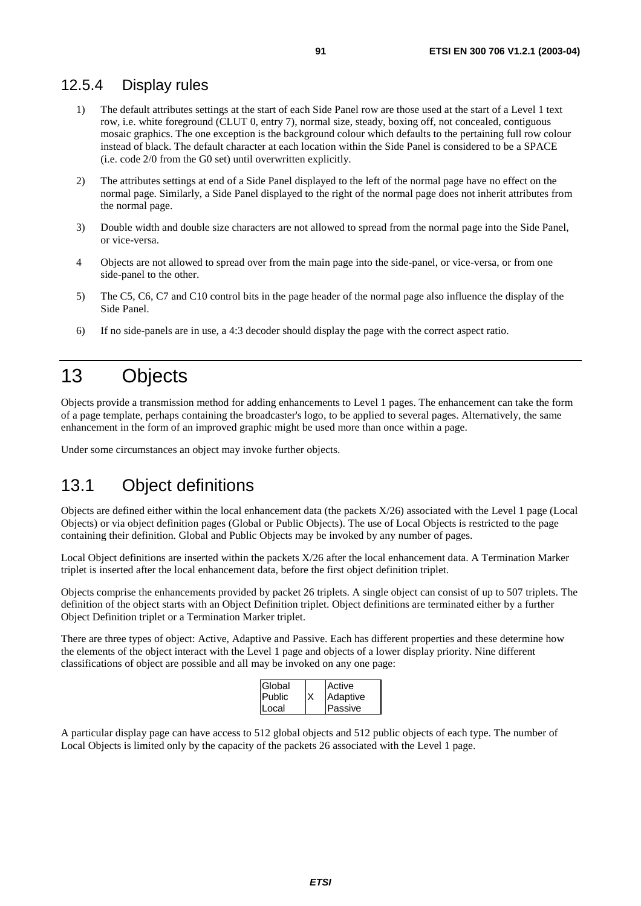### 12.5.4 Display rules

- 1) The default attributes settings at the start of each Side Panel row are those used at the start of a Level 1 text row, i.e. white foreground (CLUT 0, entry 7), normal size, steady, boxing off, not concealed, contiguous mosaic graphics. The one exception is the background colour which defaults to the pertaining full row colour instead of black. The default character at each location within the Side Panel is considered to be a SPACE (i.e. code 2/0 from the G0 set) until overwritten explicitly.
- 2) The attributes settings at end of a Side Panel displayed to the left of the normal page have no effect on the normal page. Similarly, a Side Panel displayed to the right of the normal page does not inherit attributes from the normal page.
- 3) Double width and double size characters are not allowed to spread from the normal page into the Side Panel, or vice-versa.
- 4 Objects are not allowed to spread over from the main page into the side-panel, or vice-versa, or from one side-panel to the other.
- 5) The C5, C6, C7 and C10 control bits in the page header of the normal page also influence the display of the Side Panel.
- 6) If no side-panels are in use, a 4:3 decoder should display the page with the correct aspect ratio.

# 13 Objects

Objects provide a transmission method for adding enhancements to Level 1 pages. The enhancement can take the form of a page template, perhaps containing the broadcaster's logo, to be applied to several pages. Alternatively, the same enhancement in the form of an improved graphic might be used more than once within a page.

Under some circumstances an object may invoke further objects.

# 13.1 Object definitions

Objects are defined either within the local enhancement data (the packets X/26) associated with the Level 1 page (Local Objects) or via object definition pages (Global or Public Objects). The use of Local Objects is restricted to the page containing their definition. Global and Public Objects may be invoked by any number of pages.

Local Object definitions are inserted within the packets X/26 after the local enhancement data. A Termination Marker triplet is inserted after the local enhancement data, before the first object definition triplet.

Objects comprise the enhancements provided by packet 26 triplets. A single object can consist of up to 507 triplets. The definition of the object starts with an Object Definition triplet. Object definitions are terminated either by a further Object Definition triplet or a Termination Marker triplet.

There are three types of object: Active, Adaptive and Passive. Each has different properties and these determine how the elements of the object interact with the Level 1 page and objects of a lower display priority. Nine different classifications of object are possible and all may be invoked on any one page:

| Global        |    | Active         |
|---------------|----|----------------|
| <b>Public</b> | lχ | Adaptive       |
| Local         |    | <b>Passive</b> |

A particular display page can have access to 512 global objects and 512 public objects of each type. The number of Local Objects is limited only by the capacity of the packets 26 associated with the Level 1 page.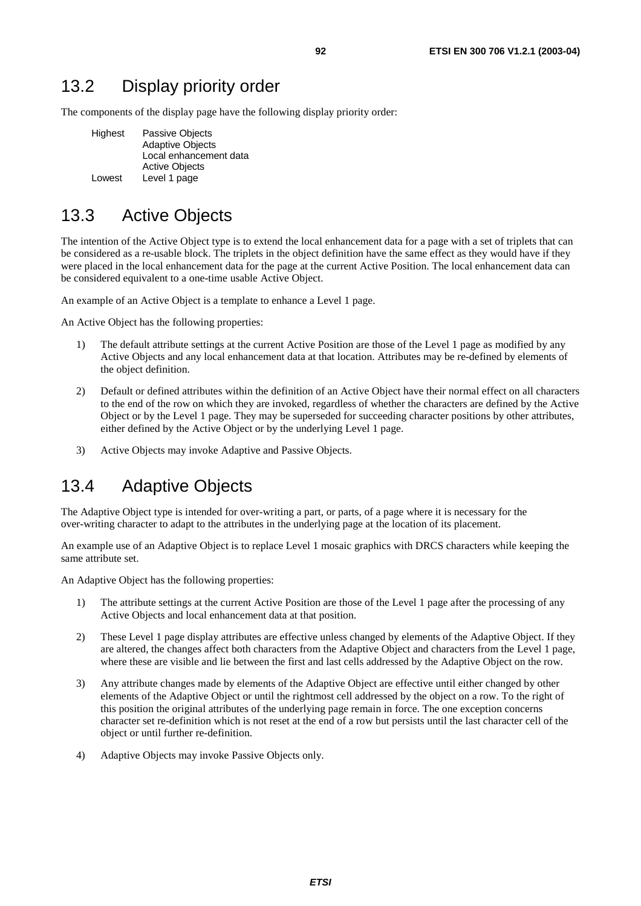## 13.2 Display priority order

The components of the display page have the following display priority order:

| Highest | <b>Passive Objects</b>  |
|---------|-------------------------|
|         | <b>Adaptive Objects</b> |
|         | Local enhancement data  |
|         | <b>Active Objects</b>   |
| Lowest  | Level 1 page            |

## 13.3 Active Objects

The intention of the Active Object type is to extend the local enhancement data for a page with a set of triplets that can be considered as a re-usable block. The triplets in the object definition have the same effect as they would have if they were placed in the local enhancement data for the page at the current Active Position. The local enhancement data can be considered equivalent to a one-time usable Active Object.

An example of an Active Object is a template to enhance a Level 1 page.

An Active Object has the following properties:

- 1) The default attribute settings at the current Active Position are those of the Level 1 page as modified by any Active Objects and any local enhancement data at that location. Attributes may be re-defined by elements of the object definition.
- 2) Default or defined attributes within the definition of an Active Object have their normal effect on all characters to the end of the row on which they are invoked, regardless of whether the characters are defined by the Active Object or by the Level 1 page. They may be superseded for succeeding character positions by other attributes, either defined by the Active Object or by the underlying Level 1 page.
- 3) Active Objects may invoke Adaptive and Passive Objects.

## 13.4 Adaptive Objects

The Adaptive Object type is intended for over-writing a part, or parts, of a page where it is necessary for the over-writing character to adapt to the attributes in the underlying page at the location of its placement.

An example use of an Adaptive Object is to replace Level 1 mosaic graphics with DRCS characters while keeping the same attribute set.

An Adaptive Object has the following properties:

- 1) The attribute settings at the current Active Position are those of the Level 1 page after the processing of any Active Objects and local enhancement data at that position.
- 2) These Level 1 page display attributes are effective unless changed by elements of the Adaptive Object. If they are altered, the changes affect both characters from the Adaptive Object and characters from the Level 1 page, where these are visible and lie between the first and last cells addressed by the Adaptive Object on the row.
- 3) Any attribute changes made by elements of the Adaptive Object are effective until either changed by other elements of the Adaptive Object or until the rightmost cell addressed by the object on a row. To the right of this position the original attributes of the underlying page remain in force. The one exception concerns character set re-definition which is not reset at the end of a row but persists until the last character cell of the object or until further re-definition.
- 4) Adaptive Objects may invoke Passive Objects only.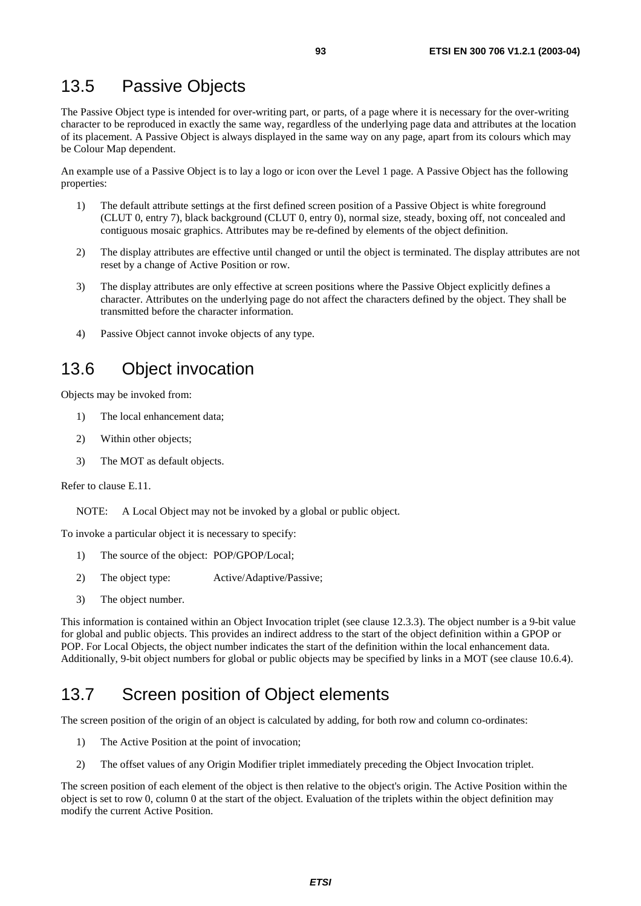## 13.5 Passive Objects

The Passive Object type is intended for over-writing part, or parts, of a page where it is necessary for the over-writing character to be reproduced in exactly the same way, regardless of the underlying page data and attributes at the location of its placement. A Passive Object is always displayed in the same way on any page, apart from its colours which may be Colour Map dependent.

An example use of a Passive Object is to lay a logo or icon over the Level 1 page. A Passive Object has the following properties:

- 1) The default attribute settings at the first defined screen position of a Passive Object is white foreground (CLUT 0, entry 7), black background (CLUT 0, entry 0), normal size, steady, boxing off, not concealed and contiguous mosaic graphics. Attributes may be re-defined by elements of the object definition.
- 2) The display attributes are effective until changed or until the object is terminated. The display attributes are not reset by a change of Active Position or row.
- 3) The display attributes are only effective at screen positions where the Passive Object explicitly defines a character. Attributes on the underlying page do not affect the characters defined by the object. They shall be transmitted before the character information.
- 4) Passive Object cannot invoke objects of any type.

## 13.6 Object invocation

Objects may be invoked from:

- 1) The local enhancement data;
- 2) Within other objects;
- 3) The MOT as default objects.

Refer to clause E.11.

NOTE: A Local Object may not be invoked by a global or public object.

To invoke a particular object it is necessary to specify:

- 1) The source of the object: POP/GPOP/Local;
- 2) The object type: Active/Adaptive/Passive;
- 3) The object number.

This information is contained within an Object Invocation triplet (see clause 12.3.3). The object number is a 9-bit value for global and public objects. This provides an indirect address to the start of the object definition within a GPOP or POP. For Local Objects, the object number indicates the start of the definition within the local enhancement data. Additionally, 9-bit object numbers for global or public objects may be specified by links in a MOT (see clause 10.6.4).

# 13.7 Screen position of Object elements

The screen position of the origin of an object is calculated by adding, for both row and column co-ordinates:

- 1) The Active Position at the point of invocation;
- 2) The offset values of any Origin Modifier triplet immediately preceding the Object Invocation triplet.

The screen position of each element of the object is then relative to the object's origin. The Active Position within the object is set to row 0, column 0 at the start of the object. Evaluation of the triplets within the object definition may modify the current Active Position.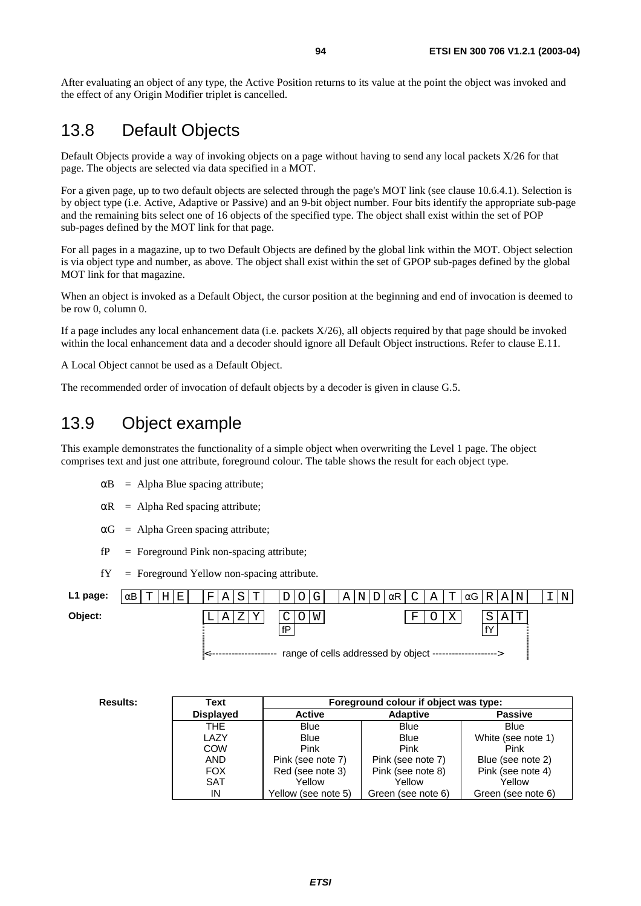After evaluating an object of any type, the Active Position returns to its value at the point the object was invoked and the effect of any Origin Modifier triplet is cancelled.

## 13.8 Default Objects

Default Objects provide a way of invoking objects on a page without having to send any local packets X/26 for that page. The objects are selected via data specified in a MOT.

For a given page, up to two default objects are selected through the page's MOT link (see clause 10.6.4.1). Selection is by object type (i.e. Active, Adaptive or Passive) and an 9-bit object number. Four bits identify the appropriate sub-page and the remaining bits select one of 16 objects of the specified type. The object shall exist within the set of POP sub-pages defined by the MOT link for that page.

For all pages in a magazine, up to two Default Objects are defined by the global link within the MOT. Object selection is via object type and number, as above. The object shall exist within the set of GPOP sub-pages defined by the global MOT link for that magazine.

When an object is invoked as a Default Object, the cursor position at the beginning and end of invocation is deemed to be row 0, column 0.

If a page includes any local enhancement data (i.e. packets X/26), all objects required by that page should be invoked within the local enhancement data and a decoder should ignore all Default Object instructions. Refer to clause E.11.

A Local Object cannot be used as a Default Object.

The recommended order of invocation of default objects by a decoder is given in clause G.5.

## 13.9 Object example

This example demonstrates the functionality of a simple object when overwriting the Level 1 page. The object comprises text and just one attribute, foreground colour. The table shows the result for each object type.

- $\alpha$ B = Alpha Blue spacing attribute;
- $\alpha$ R = Alpha Red spacing attribute;
- $\alpha G$  = Alpha Green spacing attribute;
- $fP =$  Foreground Pink non-spacing attribute;
- $fY =$  Foreground Yellow non-spacing attribute.

| L1 page: | Е<br>$\alpha$ B<br>m, | m<br>F<br>റ<br>ΑI | G<br>ٮ       | Α<br>$\alpha$ R  <br>N                                    | Α<br>$\sim$ $\sim$ $\sim$<br>◡ | Т<br>$\alpha G$ | N<br>Α<br>R I | N |
|----------|-----------------------|-------------------|--------------|-----------------------------------------------------------|--------------------------------|-----------------|---------------|---|
| Object:  |                       | A                 | M<br>〜<br>fD |                                                           | 묘                              |                 | Α<br>fY       |   |
|          |                       |                   |              | range of cells addressed by object ---------------------> |                                |                 |               |   |

| <b>Results:</b> | Text             | Foreground colour if object was type: |                    |                    |  |  |  |
|-----------------|------------------|---------------------------------------|--------------------|--------------------|--|--|--|
|                 | <b>Displayed</b> | <b>Active</b>                         | <b>Adaptive</b>    | <b>Passive</b>     |  |  |  |
|                 | THE.             | <b>Blue</b>                           | <b>Blue</b>        | <b>Blue</b>        |  |  |  |
|                 | LAZY             | <b>Blue</b>                           | <b>Blue</b>        | White (see note 1) |  |  |  |
|                 | COW              | Pink                                  | Pink               | Pink               |  |  |  |
|                 | <b>AND</b>       | Pink (see note 7)                     | Pink (see note 7)  | Blue (see note 2)  |  |  |  |
|                 | <b>FOX</b>       | Red (see note 3)                      | Pink (see note 8)  | Pink (see note 4)  |  |  |  |
|                 | <b>SAT</b>       | Yellow                                | Yellow             | Yellow             |  |  |  |
|                 | IN               | Yellow (see note 5)                   | Green (see note 6) | Green (see note 6) |  |  |  |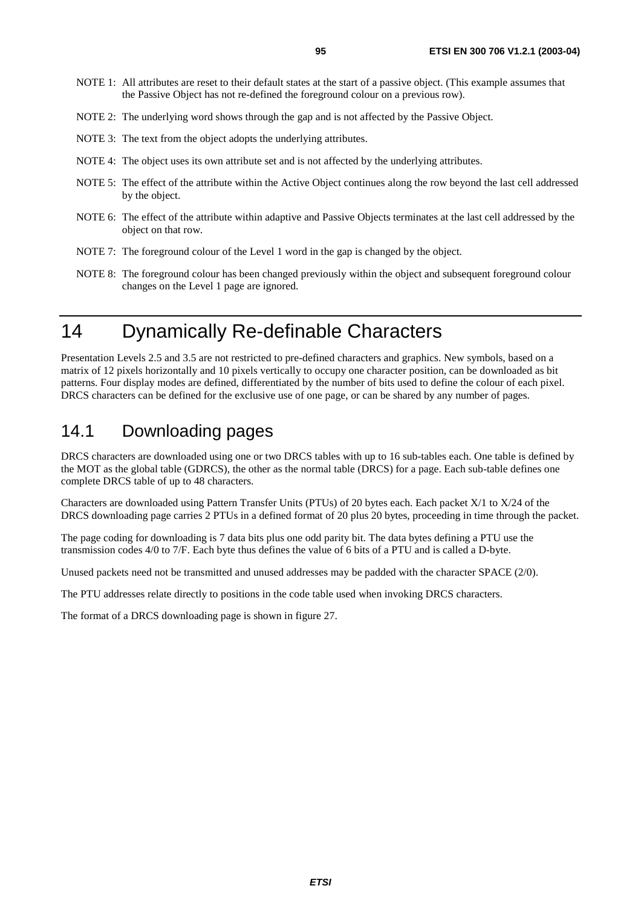- NOTE 1: All attributes are reset to their default states at the start of a passive object. (This example assumes that the Passive Object has not re-defined the foreground colour on a previous row).
- NOTE 2: The underlying word shows through the gap and is not affected by the Passive Object.
- NOTE 3: The text from the object adopts the underlying attributes.
- NOTE 4: The object uses its own attribute set and is not affected by the underlying attributes.
- NOTE 5: The effect of the attribute within the Active Object continues along the row beyond the last cell addressed by the object.
- NOTE 6: The effect of the attribute within adaptive and Passive Objects terminates at the last cell addressed by the object on that row.
- NOTE 7: The foreground colour of the Level 1 word in the gap is changed by the object.
- NOTE 8: The foreground colour has been changed previously within the object and subsequent foreground colour changes on the Level 1 page are ignored.

# 14 Dynamically Re-definable Characters

Presentation Levels 2.5 and 3.5 are not restricted to pre-defined characters and graphics. New symbols, based on a matrix of 12 pixels horizontally and 10 pixels vertically to occupy one character position, can be downloaded as bit patterns. Four display modes are defined, differentiated by the number of bits used to define the colour of each pixel. DRCS characters can be defined for the exclusive use of one page, or can be shared by any number of pages.

## 14.1 Downloading pages

DRCS characters are downloaded using one or two DRCS tables with up to 16 sub-tables each. One table is defined by the MOT as the global table (GDRCS), the other as the normal table (DRCS) for a page. Each sub-table defines one complete DRCS table of up to 48 characters.

Characters are downloaded using Pattern Transfer Units (PTUs) of 20 bytes each. Each packet X/1 to X/24 of the DRCS downloading page carries 2 PTUs in a defined format of 20 plus 20 bytes, proceeding in time through the packet.

The page coding for downloading is 7 data bits plus one odd parity bit. The data bytes defining a PTU use the transmission codes 4/0 to 7/F. Each byte thus defines the value of 6 bits of a PTU and is called a D-byte.

Unused packets need not be transmitted and unused addresses may be padded with the character SPACE (2/0).

The PTU addresses relate directly to positions in the code table used when invoking DRCS characters.

The format of a DRCS downloading page is shown in figure 27.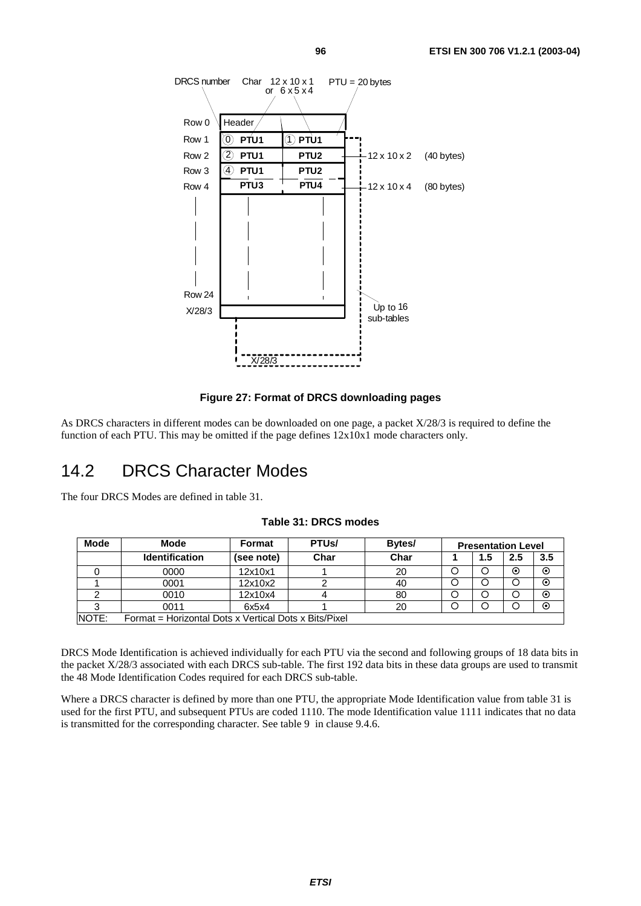



As DRCS characters in different modes can be downloaded on one page, a packet X/28/3 is required to define the function of each PTU. This may be omitted if the page defines 12x10x1 mode characters only.

## 14.2 DRCS Character Modes

The four DRCS Modes are defined in table 31.

| <b>Mode</b> | Mode                                                  | <b>Format</b> | PTU <sub>s</sub> / | Bytes/ | <b>Presentation Level</b> |         |     |         |
|-------------|-------------------------------------------------------|---------------|--------------------|--------|---------------------------|---------|-----|---------|
|             | <b>Identification</b>                                 | (see note)    | Char               | Char   |                           | $1.5\,$ | 2.5 | 3.5     |
|             | 0000                                                  | 12x10x1       |                    | 20     |                           |         | ⊙   | $\odot$ |
|             | 0001                                                  | 12x10x2       |                    | 40     |                           |         |     | $\odot$ |
|             | 0010                                                  | 12x10x4       |                    | 80     |                           |         |     | $\odot$ |
|             | 0011                                                  | 6x5x4         |                    | 20     |                           |         |     | $\odot$ |
| NOTE:       | Format = Horizontal Dots x Vertical Dots x Bits/Pixel |               |                    |        |                           |         |     |         |

#### **Table 31: DRCS modes**

DRCS Mode Identification is achieved individually for each PTU via the second and following groups of 18 data bits in the packet X/28/3 associated with each DRCS sub-table. The first 192 data bits in these data groups are used to transmit the 48 Mode Identification Codes required for each DRCS sub-table.

Where a DRCS character is defined by more than one PTU, the appropriate Mode Identification value from table 31 is used for the first PTU, and subsequent PTUs are coded 1110. The mode Identification value 1111 indicates that no data is transmitted for the corresponding character. See table 9 in clause 9.4.6.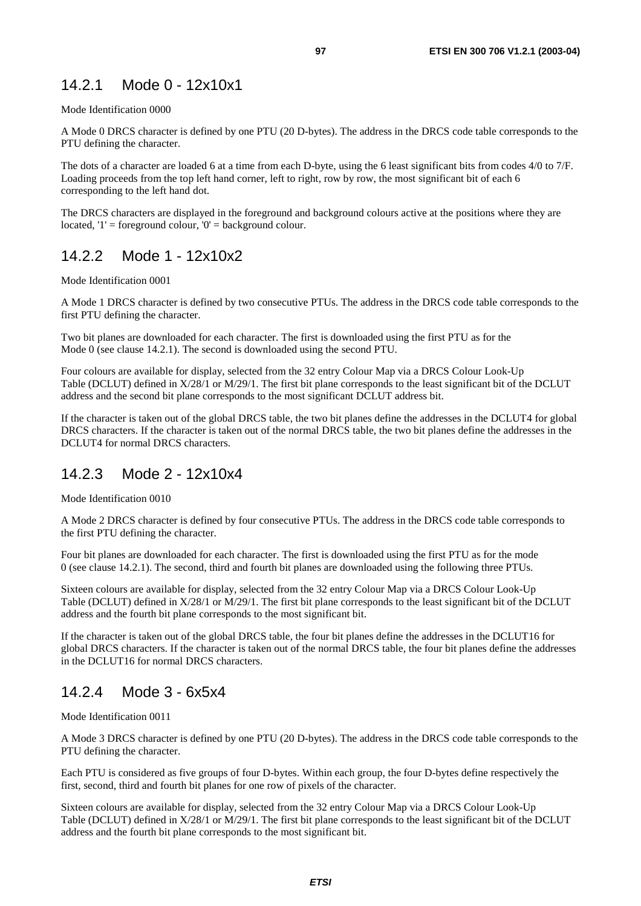## 14.2.1 Mode 0 - 12x10x1

#### Mode Identification 0000

A Mode 0 DRCS character is defined by one PTU (20 D-bytes). The address in the DRCS code table corresponds to the PTU defining the character.

The dots of a character are loaded 6 at a time from each D-byte, using the 6 least significant bits from codes 4/0 to 7/F. Loading proceeds from the top left hand corner, left to right, row by row, the most significant bit of each 6 corresponding to the left hand dot.

The DRCS characters are displayed in the foreground and background colours active at the positions where they are located,  $T =$  foreground colour,  $0' =$  background colour.

## 14.2.2 Mode 1 - 12x10x2

Mode Identification 0001

A Mode 1 DRCS character is defined by two consecutive PTUs. The address in the DRCS code table corresponds to the first PTU defining the character.

Two bit planes are downloaded for each character. The first is downloaded using the first PTU as for the Mode 0 (see clause 14.2.1). The second is downloaded using the second PTU.

Four colours are available for display, selected from the 32 entry Colour Map via a DRCS Colour Look-Up Table (DCLUT) defined in X/28/1 or M/29/1. The first bit plane corresponds to the least significant bit of the DCLUT address and the second bit plane corresponds to the most significant DCLUT address bit.

If the character is taken out of the global DRCS table, the two bit planes define the addresses in the DCLUT4 for global DRCS characters. If the character is taken out of the normal DRCS table, the two bit planes define the addresses in the DCLUT4 for normal DRCS characters.

## 14.2.3 Mode 2 - 12x10x4

Mode Identification 0010

A Mode 2 DRCS character is defined by four consecutive PTUs. The address in the DRCS code table corresponds to the first PTU defining the character.

Four bit planes are downloaded for each character. The first is downloaded using the first PTU as for the mode 0 (see clause 14.2.1). The second, third and fourth bit planes are downloaded using the following three PTUs.

Sixteen colours are available for display, selected from the 32 entry Colour Map via a DRCS Colour Look-Up Table (DCLUT) defined in X/28/1 or M/29/1. The first bit plane corresponds to the least significant bit of the DCLUT address and the fourth bit plane corresponds to the most significant bit.

If the character is taken out of the global DRCS table, the four bit planes define the addresses in the DCLUT16 for global DRCS characters. If the character is taken out of the normal DRCS table, the four bit planes define the addresses in the DCLUT16 for normal DRCS characters.

## 14.2.4 Mode 3 - 6x5x4

Mode Identification 0011

A Mode 3 DRCS character is defined by one PTU (20 D-bytes). The address in the DRCS code table corresponds to the PTU defining the character.

Each PTU is considered as five groups of four D-bytes. Within each group, the four D-bytes define respectively the first, second, third and fourth bit planes for one row of pixels of the character.

Sixteen colours are available for display, selected from the 32 entry Colour Map via a DRCS Colour Look-Up Table (DCLUT) defined in X/28/1 or M/29/1. The first bit plane corresponds to the least significant bit of the DCLUT address and the fourth bit plane corresponds to the most significant bit.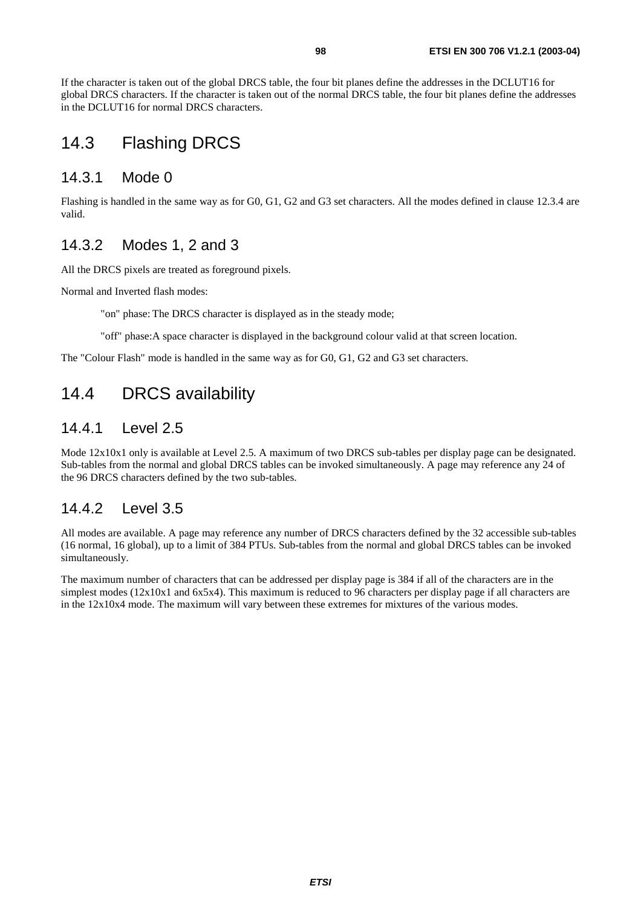If the character is taken out of the global DRCS table, the four bit planes define the addresses in the DCLUT16 for global DRCS characters. If the character is taken out of the normal DRCS table, the four bit planes define the addresses in the DCLUT16 for normal DRCS characters.

## 14.3 Flashing DRCS

#### 14.3.1 Mode 0

Flashing is handled in the same way as for G0, G1, G2 and G3 set characters. All the modes defined in clause 12.3.4 are valid.

### 14.3.2 Modes 1, 2 and 3

All the DRCS pixels are treated as foreground pixels.

Normal and Inverted flash modes:

"on" phase: The DRCS character is displayed as in the steady mode;

"off" phase: A space character is displayed in the background colour valid at that screen location.

The "Colour Flash" mode is handled in the same way as for G0, G1, G2 and G3 set characters.

# 14.4 DRCS availability

### 14.4.1 Level 2.5

Mode  $12x10x1$  only is available at Level 2.5. A maximum of two DRCS sub-tables per display page can be designated. Sub-tables from the normal and global DRCS tables can be invoked simultaneously. A page may reference any 24 of the 96 DRCS characters defined by the two sub-tables.

## 14.4.2 Level 3.5

All modes are available. A page may reference any number of DRCS characters defined by the 32 accessible sub-tables (16 normal, 16 global), up to a limit of 384 PTUs. Sub-tables from the normal and global DRCS tables can be invoked simultaneously.

The maximum number of characters that can be addressed per display page is 384 if all of the characters are in the simplest modes (12x10x1 and 6x5x4). This maximum is reduced to 96 characters per display page if all characters are in the 12x10x4 mode. The maximum will vary between these extremes for mixtures of the various modes.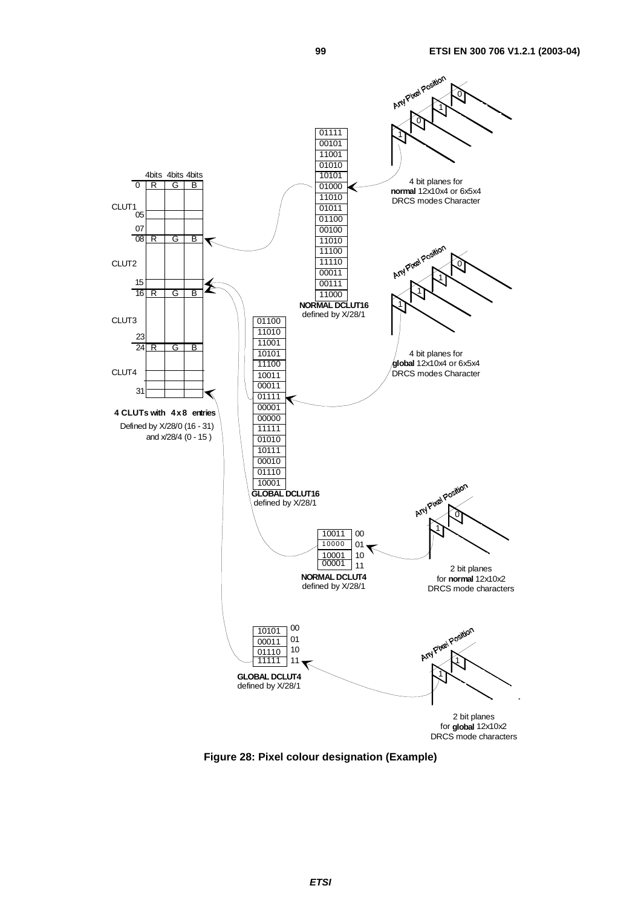

**Figure 28: Pixel colour designation (Example)**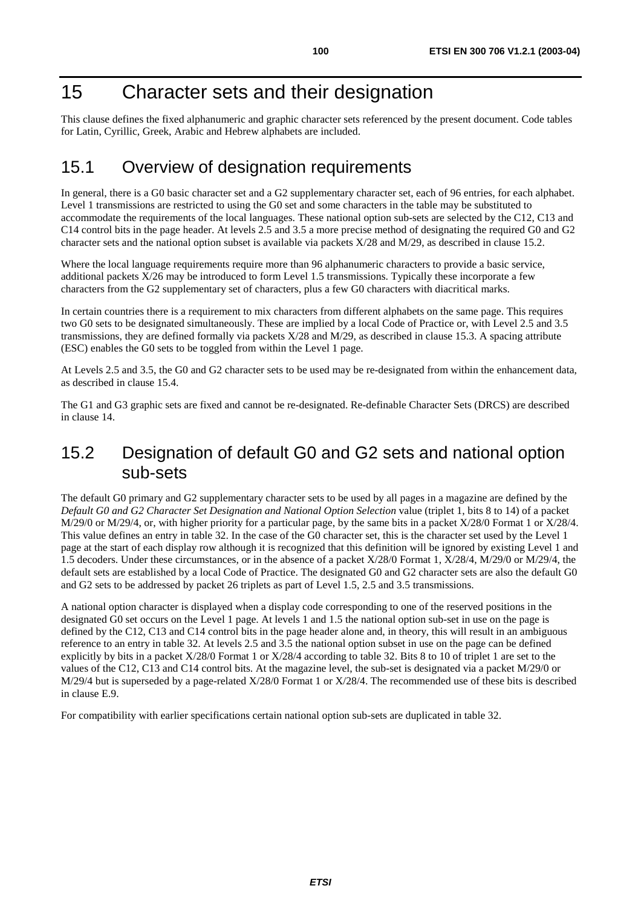# 15 Character sets and their designation

This clause defines the fixed alphanumeric and graphic character sets referenced by the present document. Code tables for Latin, Cyrillic, Greek, Arabic and Hebrew alphabets are included.

## 15.1 Overview of designation requirements

In general, there is a G0 basic character set and a G2 supplementary character set, each of 96 entries, for each alphabet. Level 1 transmissions are restricted to using the G0 set and some characters in the table may be substituted to accommodate the requirements of the local languages. These national option sub-sets are selected by the C12, C13 and C14 control bits in the page header. At levels 2.5 and 3.5 a more precise method of designating the required G0 and G2 character sets and the national option subset is available via packets X/28 and M/29, as described in clause 15.2.

Where the local language requirements require more than 96 alphanumeric characters to provide a basic service, additional packets X/26 may be introduced to form Level 1.5 transmissions. Typically these incorporate a few characters from the G2 supplementary set of characters, plus a few G0 characters with diacritical marks.

In certain countries there is a requirement to mix characters from different alphabets on the same page. This requires two G0 sets to be designated simultaneously. These are implied by a local Code of Practice or, with Level 2.5 and 3.5 transmissions, they are defined formally via packets X/28 and M/29, as described in clause 15.3. A spacing attribute (ESC) enables the G0 sets to be toggled from within the Level 1 page.

At Levels 2.5 and 3.5, the G0 and G2 character sets to be used may be re-designated from within the enhancement data, as described in clause 15.4.

The G1 and G3 graphic sets are fixed and cannot be re-designated. Re-definable Character Sets (DRCS) are described in clause 14.

## 15.2 Designation of default G0 and G2 sets and national option sub-sets

The default G0 primary and G2 supplementary character sets to be used by all pages in a magazine are defined by the *Default G0 and G2 Character Set Designation and National Option Selection* value (triplet 1, bits 8 to 14) of a packet M/29/0 or M/29/4, or, with higher priority for a particular page, by the same bits in a packet X/28/0 Format 1 or X/28/4. This value defines an entry in table 32. In the case of the G0 character set, this is the character set used by the Level 1 page at the start of each display row although it is recognized that this definition will be ignored by existing Level 1 and 1.5 decoders. Under these circumstances, or in the absence of a packet X/28/0 Format 1, X/28/4, M/29/0 or M/29/4, the default sets are established by a local Code of Practice. The designated G0 and G2 character sets are also the default G0 and G2 sets to be addressed by packet 26 triplets as part of Level 1.5, 2.5 and 3.5 transmissions.

A national option character is displayed when a display code corresponding to one of the reserved positions in the designated G0 set occurs on the Level 1 page. At levels 1 and 1.5 the national option sub-set in use on the page is defined by the C12, C13 and C14 control bits in the page header alone and, in theory, this will result in an ambiguous reference to an entry in table 32. At levels 2.5 and 3.5 the national option subset in use on the page can be defined explicitly by bits in a packet X/28/0 Format 1 or X/28/4 according to table 32. Bits 8 to 10 of triplet 1 are set to the values of the C12, C13 and C14 control bits. At the magazine level, the sub-set is designated via a packet M/29/0 or M/29/4 but is superseded by a page-related X/28/0 Format 1 or X/28/4. The recommended use of these bits is described in clause E.9.

For compatibility with earlier specifications certain national option sub-sets are duplicated in table 32.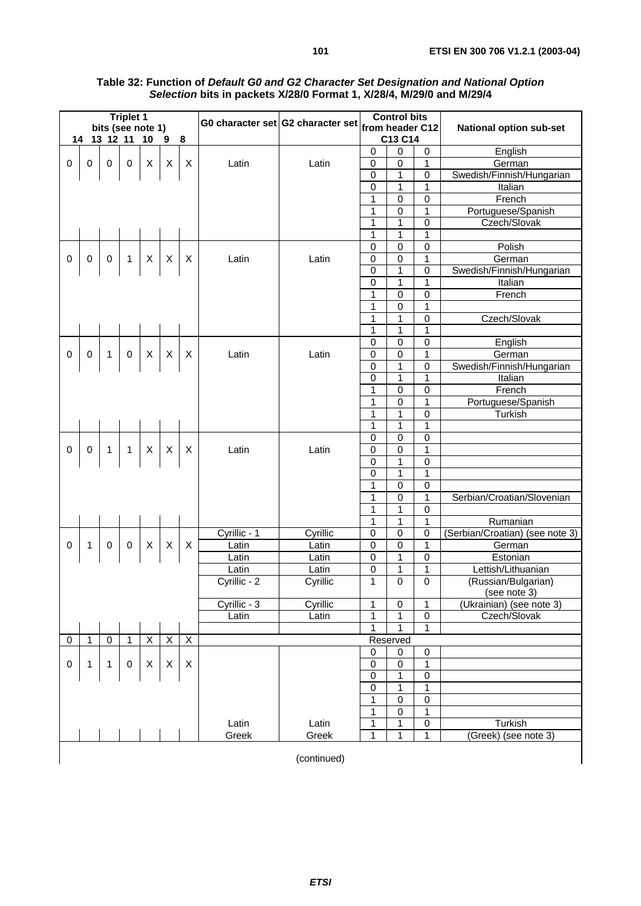| <b>Triplet 1</b> |              |                |                   |                |                         |                         |              |                                                   | <b>Control bits</b> |                  |                     |                                 |
|------------------|--------------|----------------|-------------------|----------------|-------------------------|-------------------------|--------------|---------------------------------------------------|---------------------|------------------|---------------------|---------------------------------|
|                  |              |                | bits (see note 1) |                |                         |                         |              | G0 character set G2 character set from header C12 |                     |                  |                     | <b>National option sub-set</b>  |
|                  |              | 14 13 12 11    |                   | 10             | $\overline{\mathbf{9}}$ | 8                       |              |                                                   |                     | C13 C14          |                     |                                 |
|                  |              |                |                   |                |                         |                         |              |                                                   | 0                   | $\mathbf 0$      | 0                   | English                         |
| 0                | $\mathbf 0$  | $\mathbf 0$    | $\pmb{0}$         | X              | X                       | X                       | Latin        | Latin                                             | 0                   | 0                | 1                   | German                          |
|                  |              |                |                   |                |                         |                         |              |                                                   | 0                   | $\mathbf{1}$     | $\mathbf 0$         | Swedish/Finnish/Hungarian       |
|                  |              |                |                   |                |                         |                         |              |                                                   | $\pmb{0}$           | $\mathbf{1}$     | 1                   | Italian                         |
|                  |              |                |                   |                |                         |                         |              |                                                   | 1                   | $\pmb{0}$        | 0                   | French                          |
|                  |              |                |                   |                |                         |                         |              |                                                   | 1                   | $\mathbf 0$      | 1                   | Portuguese/Spanish              |
|                  |              |                |                   |                |                         |                         |              |                                                   | 1                   | 1                | $\mathsf 0$         | Czech/Slovak                    |
|                  |              |                |                   |                |                         |                         |              |                                                   | 1                   | 1                | $\overline{1}$      |                                 |
|                  |              |                |                   |                |                         |                         |              |                                                   | 0                   | $\mathbf 0$      | $\mathbf 0$         | Polish                          |
| 0                | $\mathbf 0$  | 0              | 1                 | X              | X                       | X                       | Latin        | Latin                                             | $\pmb{0}$           | $\overline{0}$   | 1                   | German                          |
|                  |              |                |                   |                |                         |                         |              |                                                   | 0                   | 1                | 0                   | Swedish/Finnish/Hungarian       |
|                  |              |                |                   |                |                         |                         |              |                                                   | 0                   | 1                | 1                   | Italian                         |
|                  |              |                |                   |                |                         |                         |              |                                                   | 1                   | $\mathbf 0$      | 0                   | French                          |
|                  |              |                |                   |                |                         |                         |              |                                                   | $\mathbf 1$         | $\mathbf 0$      | $\overline{1}$      |                                 |
|                  |              |                |                   |                |                         |                         |              |                                                   | 1                   | 1                | $\overline{0}$      | Czech/Slovak                    |
|                  |              |                |                   |                |                         |                         |              |                                                   | $\mathbf 1$         | 1                | 1                   |                                 |
|                  |              |                |                   |                |                         |                         |              |                                                   | $\pmb{0}$           | $\pmb{0}$        | $\overline{0}$      | English                         |
| $\mathbf 0$      | 0            | 1              | 0                 | X              | X                       | X                       | Latin        | Latin                                             | 0                   | $\pmb{0}$        | $\mathbf 1$         | German                          |
|                  |              |                |                   |                |                         |                         |              |                                                   | 0                   | 1                | 0                   | Swedish/Finnish/Hungarian       |
|                  |              |                |                   |                |                         |                         |              |                                                   | 0                   | 1                | 1                   | Italian                         |
|                  |              |                |                   |                |                         |                         |              |                                                   | 1                   | $\mathbf 0$      | 0                   | French                          |
|                  |              |                |                   |                |                         |                         |              |                                                   | 1                   | $\mathbf 0$      | 1                   | Portuguese/Spanish              |
|                  |              |                |                   |                |                         |                         |              |                                                   | 1                   | 1                | 0                   | Turkish                         |
|                  |              |                |                   |                |                         |                         |              |                                                   | 1                   | 1                | 1                   |                                 |
|                  |              |                |                   |                |                         |                         |              |                                                   | 0                   | $\mathbf 0$      | $\mathbf 0$         |                                 |
| 0                | 0            | 1              | $\mathbf{1}$      | X              | X                       | X                       | Latin        | Latin                                             | 0                   | $\pmb{0}$        | 1                   |                                 |
|                  |              |                |                   |                |                         |                         |              |                                                   | $\pmb{0}$           | 1                | $\overline{0}$      |                                 |
|                  |              |                |                   |                |                         |                         |              |                                                   | 0                   | 1                | $\overline{1}$      |                                 |
|                  |              |                |                   |                |                         |                         |              |                                                   | $\mathbf{1}$        | $\mathbf 0$      | $\mathbf 0$         |                                 |
|                  |              |                |                   |                |                         |                         |              |                                                   | 1                   | $\overline{0}$   | 1                   | Serbian/Croatian/Slovenian      |
|                  |              |                |                   |                |                         |                         |              |                                                   | 1                   | 1                | 0                   |                                 |
|                  |              |                |                   |                |                         |                         |              |                                                   | 1                   | 1                | 1                   | Rumanian                        |
|                  |              |                |                   |                |                         |                         | Cyrillic - 1 | Cyrillic                                          | 0                   | $\mathbf 0$      | 0                   | (Serbian/Croatian) (see note 3) |
| 0                | 1            | $\mathbf 0$    | 0                 | X              | X                       | X                       | Latin        | Latin                                             | $\pmb{0}$           | $\pmb{0}$        | $\mathbf 1$         | German                          |
|                  |              |                |                   |                |                         |                         | Latin        | Latin                                             | 0                   | 1                | $\overline{0}$      | Estonian                        |
|                  |              |                |                   |                |                         |                         | Latin        | Latin                                             | 0                   | 1                | 1                   | Lettish/Lithuanian              |
|                  |              |                |                   |                |                         |                         | Cyrillic - 2 | Cyrillic                                          | 1                   | $\pmb{0}$        | $\overline{0}$      | (Russian/Bulgarian)             |
|                  |              |                |                   |                |                         |                         |              |                                                   |                     |                  |                     | (see note 3)                    |
|                  |              |                |                   |                |                         |                         | Cyrillic - 3 | Cyrillic                                          | 1                   | $\pmb{0}$        | 1                   | (Ukrainian) (see note 3)        |
|                  |              |                |                   |                |                         |                         | Latin        | Latin                                             | $\mathbf{1}$        | 1                | $\pmb{0}$           | Czech/Slovak                    |
|                  |              |                |                   |                |                         |                         |              |                                                   | 1                   | 1                | $\mathbf{1}$        |                                 |
| 0                | $\mathbf{1}$ | $\overline{0}$ | $\mathbf{1}$      | $\overline{X}$ | X                       | $\overline{\mathsf{x}}$ |              |                                                   |                     | Reserved         |                     |                                 |
|                  |              |                |                   |                |                         |                         |              |                                                   | 0                   | 0                | 0                   |                                 |
| 0                | 1            | 1              | 0                 | X              | X                       | X                       |              |                                                   | 0                   | $\pmb{0}$        | 1                   |                                 |
|                  |              |                |                   |                |                         |                         |              |                                                   | $\pmb{0}$           | 1                | 0                   |                                 |
|                  |              |                |                   |                |                         |                         |              |                                                   | $\overline{0}$      | 1                | 1                   |                                 |
|                  |              |                |                   |                |                         |                         |              |                                                   | 1                   | $\mathbf 0$      | 0                   |                                 |
|                  |              |                |                   |                |                         |                         |              |                                                   | 1                   | $\boldsymbol{0}$ | $\mathbf{1}$        |                                 |
|                  |              |                |                   |                |                         |                         | Latin        | Latin                                             | $\mathbf 1$         | 1                | $\mathsf{O}\xspace$ | Turkish                         |
|                  |              |                |                   |                |                         |                         | Greek        | Greek                                             | $\mathbf{1}$        | 1                | 1                   | (Greek) (see note 3)            |

#### **Table 32: Function of Default G0 and G2 Character Set Designation and National Option Selection bits in packets X/28/0 Format 1, X/28/4, M/29/0 and M/29/4**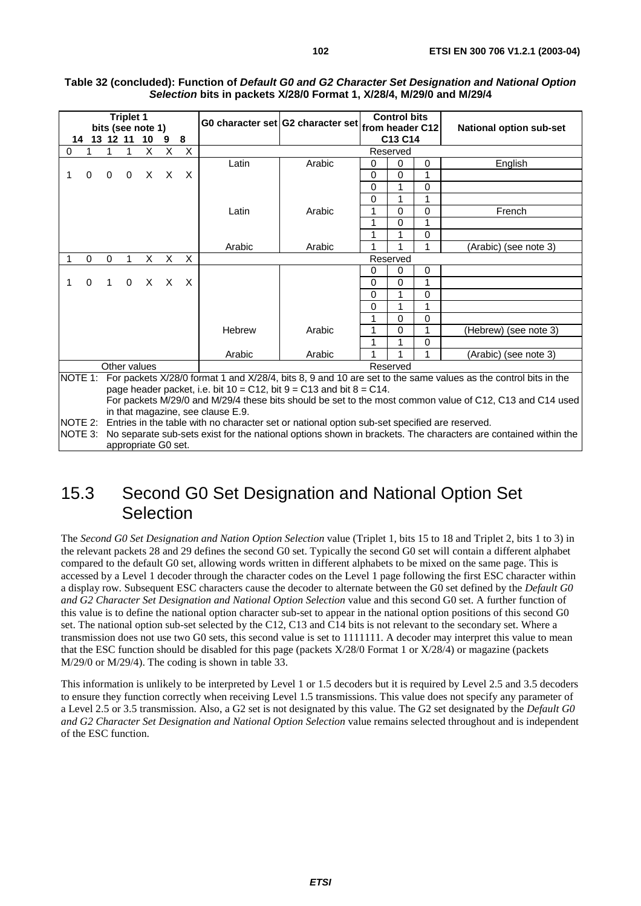|         |             |          | <b>Triplet 1</b> | bits (see note 1) |   |          |                                   | G0 character set G2 character set from header C12                           |          | <b>Control bits</b> |          | <b>National option sub-set</b>                                                                                                                                                                                             |  |  |  |  |
|---------|-------------|----------|------------------|-------------------|---|----------|-----------------------------------|-----------------------------------------------------------------------------|----------|---------------------|----------|----------------------------------------------------------------------------------------------------------------------------------------------------------------------------------------------------------------------------|--|--|--|--|
| 14      | 13          | 12 11    |                  | 10                | 9 | 8        |                                   |                                                                             |          |                     |          |                                                                                                                                                                                                                            |  |  |  |  |
| 0       |             |          |                  | X                 | X | X        |                                   | C13 C14<br>Reserved                                                         |          |                     |          |                                                                                                                                                                                                                            |  |  |  |  |
|         |             |          |                  |                   |   |          | Latin                             | Arabic                                                                      | 0        | $\Omega$            | $\Omega$ | English                                                                                                                                                                                                                    |  |  |  |  |
| 1       | $\Omega$    | 0        | 0                | X                 | X | X        |                                   |                                                                             | $\Omega$ | $\Omega$            | 1        |                                                                                                                                                                                                                            |  |  |  |  |
|         |             |          |                  |                   |   |          |                                   |                                                                             | $\Omega$ | 1                   | 0        |                                                                                                                                                                                                                            |  |  |  |  |
|         |             |          |                  |                   |   |          |                                   |                                                                             | $\Omega$ |                     | 1        |                                                                                                                                                                                                                            |  |  |  |  |
|         |             |          |                  |                   |   |          | Latin                             | Arabic                                                                      |          | $\Omega$            | 0        | French                                                                                                                                                                                                                     |  |  |  |  |
|         |             |          |                  |                   |   |          |                                   |                                                                             |          | 0                   | 1        |                                                                                                                                                                                                                            |  |  |  |  |
|         |             |          |                  |                   |   |          |                                   |                                                                             |          |                     | 0        |                                                                                                                                                                                                                            |  |  |  |  |
|         |             |          |                  |                   |   |          | Arabic                            | Arabic                                                                      |          |                     | 1        | (Arabic) (see note 3)                                                                                                                                                                                                      |  |  |  |  |
|         | $\Omega$    | $\Omega$ | 1                | X                 | X | X        |                                   |                                                                             |          | Reserved            |          |                                                                                                                                                                                                                            |  |  |  |  |
|         |             |          |                  |                   |   |          |                                   |                                                                             | 0        | 0                   | $\Omega$ |                                                                                                                                                                                                                            |  |  |  |  |
| 1       | $\mathbf 0$ | 1        | $\mathbf 0$      | X                 | X | $\times$ |                                   |                                                                             | $\Omega$ | $\Omega$            | 1        |                                                                                                                                                                                                                            |  |  |  |  |
|         |             |          |                  |                   |   |          |                                   |                                                                             | $\Omega$ | 1                   | 0        |                                                                                                                                                                                                                            |  |  |  |  |
|         |             |          |                  |                   |   |          |                                   |                                                                             | 0        | 1                   | 1        |                                                                                                                                                                                                                            |  |  |  |  |
|         |             |          |                  |                   |   |          |                                   |                                                                             |          | $\Omega$            | 0        |                                                                                                                                                                                                                            |  |  |  |  |
|         |             |          |                  |                   |   |          | Hebrew                            | Arabic                                                                      |          | 0                   | 1        | (Hebrew) (see note 3)                                                                                                                                                                                                      |  |  |  |  |
|         |             |          |                  |                   |   |          |                                   |                                                                             |          |                     | 0        |                                                                                                                                                                                                                            |  |  |  |  |
|         |             |          |                  |                   |   |          | Arabic                            | Arabic                                                                      |          |                     | 1        | (Arabic) (see note 3)                                                                                                                                                                                                      |  |  |  |  |
|         |             |          |                  | Other values      |   |          |                                   |                                                                             |          | Reserved            |          |                                                                                                                                                                                                                            |  |  |  |  |
| NOTE 1: |             |          |                  |                   |   |          |                                   | page header packet, i.e. bit $10 = C12$ , bit $9 = C13$ and bit $8 = C14$ . |          |                     |          | For packets X/28/0 format 1 and X/28/4, bits 8, 9 and 10 are set to the same values as the control bits in the<br>For packets M/29/0 and M/29/4 these bits should be set to the most common value of C12, C13 and C14 used |  |  |  |  |
|         |             |          |                  |                   |   |          | in that magazine, see clause E.9. |                                                                             |          |                     |          |                                                                                                                                                                                                                            |  |  |  |  |

#### **Table 32 (concluded): Function of Default G0 and G2 Character Set Designation and National Option Selection bits in packets X/28/0 Format 1, X/28/4, M/29/0 and M/29/4**

NOTE 2: Entries in the table with no character set or national option sub-set specified are reserved.

NOTE 3: No separate sub-sets exist for the national options shown in brackets. The characters are contained within the appropriate G0 set.

# 15.3 Second G0 Set Designation and National Option Set **Selection**

The *Second G0 Set Designation and Nation Option Selection* value (Triplet 1, bits 15 to 18 and Triplet 2, bits 1 to 3) in the relevant packets 28 and 29 defines the second G0 set. Typically the second G0 set will contain a different alphabet compared to the default G0 set, allowing words written in different alphabets to be mixed on the same page. This is accessed by a Level 1 decoder through the character codes on the Level 1 page following the first ESC character within a display row. Subsequent ESC characters cause the decoder to alternate between the G0 set defined by the *Default G0 and G2 Character Set Designation and National Option Selection* value and this second G0 set. A further function of this value is to define the national option character sub-set to appear in the national option positions of this second G0 set. The national option sub-set selected by the C12, C13 and C14 bits is not relevant to the secondary set. Where a transmission does not use two G0 sets, this second value is set to 1111111. A decoder may interpret this value to mean that the ESC function should be disabled for this page (packets X/28/0 Format 1 or X/28/4) or magazine (packets M/29/0 or M/29/4). The coding is shown in table 33.

This information is unlikely to be interpreted by Level 1 or 1.5 decoders but it is required by Level 2.5 and 3.5 decoders to ensure they function correctly when receiving Level 1.5 transmissions. This value does not specify any parameter of a Level 2.5 or 3.5 transmission. Also, a G2 set is not designated by this value. The G2 set designated by the *Default G0 and G2 Character Set Designation and National Option Selection* value remains selected throughout and is independent of the ESC function.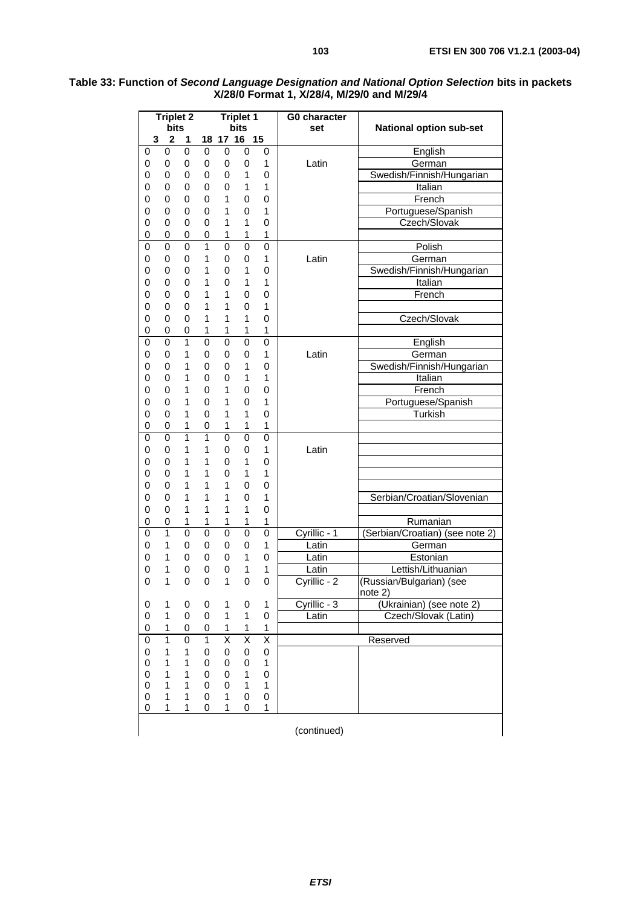| <b>Triplet 2</b> |                |             |                | <b>Triplet 1</b>        |                         | G0 character            |              |                                     |  |  |
|------------------|----------------|-------------|----------------|-------------------------|-------------------------|-------------------------|--------------|-------------------------------------|--|--|
|                  | bits           |             |                |                         | bits                    |                         | set          | <b>National option sub-set</b>      |  |  |
| 3                | 2              | 1           | 18             | 17 16                   |                         | 15                      |              |                                     |  |  |
| 0                | 0              | 0           | $\mathbf 0$    | 0                       | 0                       | 0                       |              | English                             |  |  |
| 0                | 0              | 0           | 0              | 0                       | 0                       | 1                       | Latin        | German                              |  |  |
| 0                | 0              | 0           | 0              | 0                       | 1                       | 0                       |              | Swedish/Finnish/Hungarian           |  |  |
| 0                | 0              | 0           | 0              | 0                       | 1                       | 1                       |              | Italian                             |  |  |
| 0                | 0              | 0           | 0              | 1                       | 0                       | 0                       |              | French                              |  |  |
| 0                | 0              | 0           | 0              | 1                       | 0                       | 1                       |              | Portuguese/Spanish                  |  |  |
| 0                | $\mathbf 0$    | 0           | 0              | 1                       | 1                       | 0                       |              | Czech/Slovak                        |  |  |
| 0                | 0              | 0           | 0              | 1                       | 1                       | 1                       |              |                                     |  |  |
| 0                | $\mathbf 0$    | 0           | $\overline{1}$ | 0                       | 0                       | 0                       |              | Polish                              |  |  |
| 0                | 0              | 0           | 1              | 0                       | 0                       | 1                       | Latin        | German                              |  |  |
| 0                | 0              | 0           | 1              | 0                       | 1                       | 0                       |              | Swedish/Finnish/Hungarian           |  |  |
| 0                | 0              | 0           | 1              | 0                       | 1                       | 1                       |              | Italian                             |  |  |
| 0                | 0              | 0           | 1              | 1                       | 0                       | 0                       |              | French                              |  |  |
| 0                | 0              | 0           | 1              | 1                       | 0                       | 1                       |              |                                     |  |  |
| 0                | $\mathbf 0$    | 0           | 1              | 1                       | 1                       | 0                       |              | Czech/Slovak                        |  |  |
| 0                | 0              | 0           | 1              | $\mathbf 1$             | 1                       | $\mathbf 1$             |              |                                     |  |  |
| 0                | 0              | 1           | $\mathbf 0$    | 0                       | 0                       | 0                       |              | English                             |  |  |
| 0                | 0              | 1           | 0              | 0                       | 0                       | 1                       | Latin        | German                              |  |  |
| 0                | $\mathbf 0$    | 1           | 0              | 0                       | $\mathbf{1}$            | 0                       |              | Swedish/Finnish/Hungarian           |  |  |
| 0                | 0              | 1           | 0              | 0                       | 1                       | 1                       |              | Italian                             |  |  |
| 0                | 0              | 1           | 0              | 1                       | 0                       | 0                       |              | French                              |  |  |
| 0                | 0              | 1           | 0              | 1                       | 0                       | 1                       |              | Portuguese/Spanish                  |  |  |
| 0                | 0              | 1           | 0              | 1                       | 1                       | 0                       |              | Turkish                             |  |  |
| 0                | 0              | 1           | 0              | 1                       | 1                       | 1                       |              |                                     |  |  |
| $\mathbf 0$      | $\mathbf 0$    | 1           | $\overline{1}$ | $\overline{0}$          | $\overline{0}$          | $\overline{0}$          |              |                                     |  |  |
| 0                | 0              | 1           | 1              | 0                       | 0                       | 1                       | Latin        |                                     |  |  |
| 0                | $\mathbf 0$    | 1           | 1              | 0                       | 1                       | 0                       |              |                                     |  |  |
| 0                | 0              | 1           | 1              | 0                       | 1                       | 1                       |              |                                     |  |  |
| 0                | 0              | 1           | 1              | 1                       | 0                       | 0                       |              |                                     |  |  |
| 0                | 0              | 1           | 1              | 1                       | 0                       | 1                       |              | Serbian/Croatian/Slovenian          |  |  |
| 0                | 0              | 1           | 1              | 1                       | 1                       | 0                       |              |                                     |  |  |
| 0                | $\pmb{0}$      | 1           | $\mathbf 1$    | $\mathbf 1$             | $\mathbf 1$             | 1                       |              | Rumanian                            |  |  |
| 0                | $\overline{1}$ | $\mathbf 0$ | $\mathbf 0$    | 0                       | $\mathbf 0$             | 0                       | Cyrillic - 1 | (Serbian/Croatian) (see note 2)     |  |  |
| 0                | 1              | 0           | 0              | 0                       | 0                       | 1                       | Latin        | German                              |  |  |
| 0                | 1              | 0           | 0              | 0                       | 1                       | 0                       | Latin        | Estonian                            |  |  |
| 0                | 1              | 0           | 0              | 0                       | 1                       | 1                       | Latin        | Lettish/Lithuanian                  |  |  |
| 0                | 1              | 0           | 0              | 1                       | $\mathbf 0$             | 0                       | Cyrillic - 2 | (Russian/Bulgarian) (see<br>note 2) |  |  |
| 0                | 1              | 0           | 0              | 1                       | 0                       | 1                       | Cyrillic - 3 | (Ukrainian) (see note 2)            |  |  |
| 0                | 1              | 0           | 0              | 1                       | 1                       | 0                       | Latin        | Czech/Slovak (Latin)                |  |  |
| 0                | 1              | 0           | 0              | 1                       | 1                       | 1                       |              |                                     |  |  |
| 0                | $\overline{1}$ | 0           | 1              | $\overline{\mathsf{x}}$ | $\overline{\mathsf{x}}$ | $\overline{\mathsf{x}}$ |              | Reserved                            |  |  |
| 0                | 1              | 1           | 0              | 0                       | 0                       | 0                       |              |                                     |  |  |
| 0                | $\mathbf 1$    | 1           | 0              | 0                       | 0                       | $\mathbf 1$             |              |                                     |  |  |
| 0                | 1              | 1           | 0              | 0                       | 1                       | $\pmb{0}$               |              |                                     |  |  |
| 0                | 1              | 1           | 0              | 0                       | 1                       | $\mathbf{1}$            |              |                                     |  |  |
| 0                | 1              | 1           | 0              | 1                       | 0                       | 0                       |              |                                     |  |  |
| 0                | 1              | 1           | 0              | 1                       | 0                       | 1                       |              |                                     |  |  |
|                  |                |             |                |                         |                         |                         | (continued)  |                                     |  |  |

#### **Table 33: Function of Second Language Designation and National Option Selection bits in packets X/28/0 Format 1, X/28/4, M/29/0 and M/29/4**

**ETSI**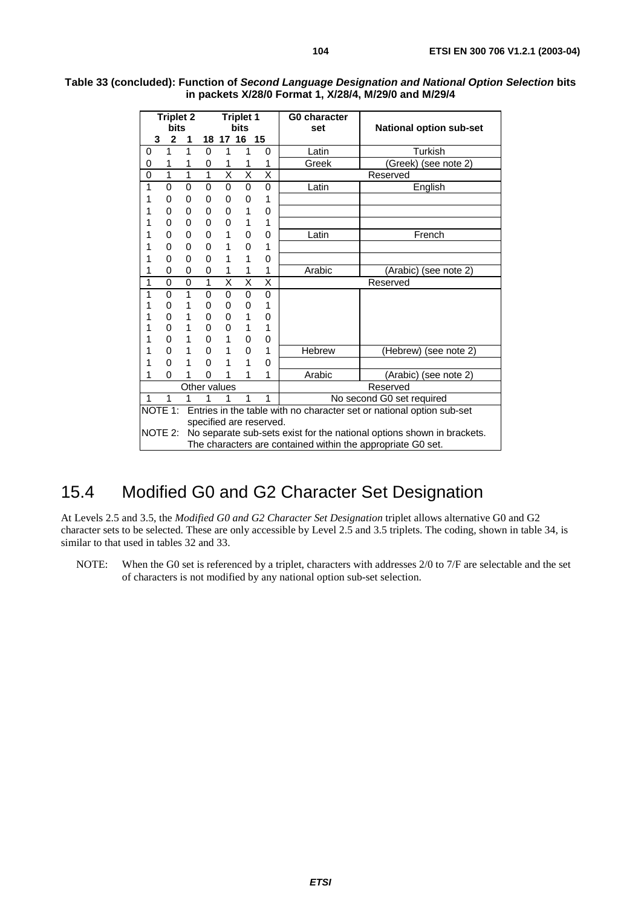|          | <b>Triplet 2</b><br><b>bits</b> |   |              |                         | <b>Triplet 1</b><br><b>bits</b> |                         | <b>G0 character</b><br>set | <b>National option sub-set</b>                                         |
|----------|---------------------------------|---|--------------|-------------------------|---------------------------------|-------------------------|----------------------------|------------------------------------------------------------------------|
|          | $\overline{2}$<br>3             | 1 | 18           | 17 16                   |                                 | 15                      |                            |                                                                        |
| 0        | 1                               | 1 | 0            | 1                       | 1                               | $\mathbf{0}$            | Latin                      | Turkish                                                                |
| 0        | 1                               | 1 | 0            | 1                       | 1                               | 1                       | Greek                      | (Greek) (see note 2)                                                   |
| $\Omega$ | 1                               | 1 | 1            | X                       | X                               | X                       |                            | Reserved                                                               |
| 1        | 0                               | 0 | 0            | 0                       | 0                               | $\mathbf{0}$            | Latin                      | English                                                                |
| 1        | 0                               | 0 | 0            | 0                       | 0                               | 1                       |                            |                                                                        |
|          | 0                               | 0 | 0            | 0                       | 1                               | 0                       |                            |                                                                        |
|          | 0                               | 0 | 0            | 0                       | 1                               | 1                       |                            |                                                                        |
|          | 0                               | 0 | 0            | 1                       | 0                               | 0                       | Latin                      | French                                                                 |
| 1        | 0                               | 0 | 0            | 1                       | 0                               | 1                       |                            |                                                                        |
|          | 0                               | 0 | $\Omega$     | 1                       | 1                               | 0                       |                            |                                                                        |
| 1        | 0                               | 0 | 0            | 1                       | 1                               | 1                       | Arabic                     | (Arabic) (see note 2)                                                  |
| 1        | 0                               | 0 | 1            | $\overline{\mathsf{x}}$ | $\overline{\mathsf{x}}$         | $\overline{\mathsf{x}}$ |                            | Reserved                                                               |
| 1        | 0                               | 1 | 0            | 0                       | 0                               | $\mathbf 0$             |                            |                                                                        |
| 1        | 0                               | 1 | 0            | 0                       | 0                               | 1                       |                            |                                                                        |
|          | 0                               | 1 | 0            | 0                       | 1                               | 0                       |                            |                                                                        |
|          | 0                               | 1 | 0            | 0                       | 1                               | 1                       |                            |                                                                        |
|          | 0                               | 1 | $\Omega$     | 1                       | $\Omega$                        | 0                       |                            |                                                                        |
|          | 0                               | 1 | 0            | 1                       | 0                               | 1                       | <b>Hebrew</b>              | (Hebrew) (see note 2)                                                  |
| 1        | 0                               | 1 | 0            | 1                       | 1                               | 0                       |                            |                                                                        |
| 1        | 0                               | 1 | 0            | 1                       | 1                               | 1                       | Arabic                     | (Arabic) (see note 2)                                                  |
|          |                                 |   | Other values |                         |                                 |                         |                            | Reserved                                                               |
| 1        | 1                               | 1 | 1            | 1                       | 1                               | 1                       |                            | No second G0 set required                                              |
|          | NOTE 1:                         |   |              |                         |                                 |                         |                            | Entries in the table with no character set or national option sub-set  |
|          |                                 |   |              |                         |                                 | specified are reserved. |                            |                                                                        |
|          | NOTE 2:                         |   |              |                         |                                 |                         |                            | No separate sub-sets exist for the national options shown in brackets. |
|          |                                 |   |              |                         |                                 |                         |                            | The characters are contained within the appropriate G0 set.            |

#### **Table 33 (concluded): Function of Second Language Designation and National Option Selection bits in packets X/28/0 Format 1, X/28/4, M/29/0 and M/29/4**

# 15.4 Modified G0 and G2 Character Set Designation

At Levels 2.5 and 3.5, the *Modified G0 and G2 Character Set Designation* triplet allows alternative G0 and G2 character sets to be selected. These are only accessible by Level 2.5 and 3.5 triplets. The coding, shown in table 34, is similar to that used in tables 32 and 33.

NOTE: When the G0 set is referenced by a triplet, characters with addresses 2/0 to 7/F are selectable and the set of characters is not modified by any national option sub-set selection.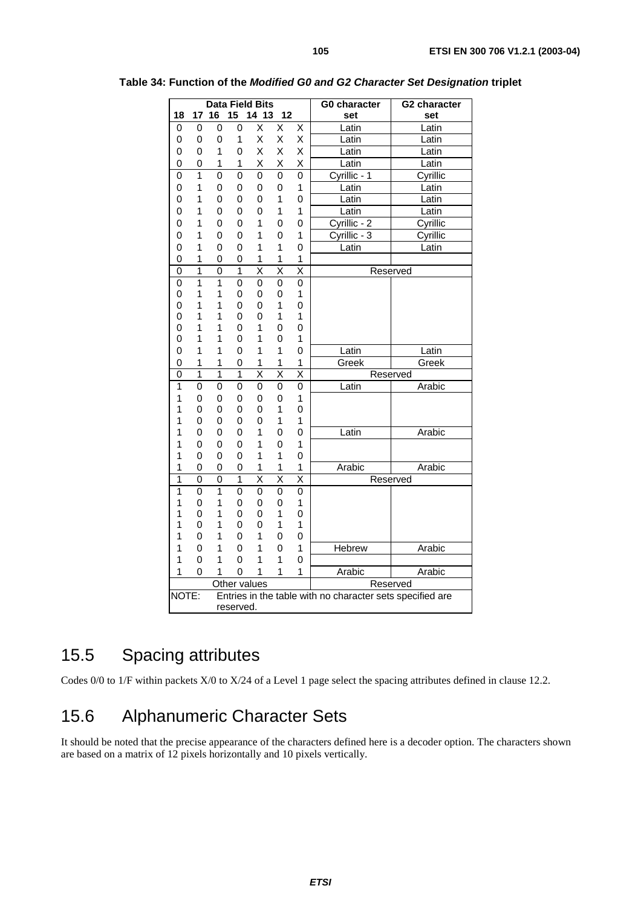|                |                     |                     |                     | <b>Data Field Bits</b>       |                              |                              | <b>G0 character</b>                                       | G2 character |
|----------------|---------------------|---------------------|---------------------|------------------------------|------------------------------|------------------------------|-----------------------------------------------------------|--------------|
| 18             | 17                  | 16                  | 15                  | 14 13                        | 12                           |                              | set                                                       | set          |
| 0              | $\mathbf 0$         | 0                   | 0                   | Χ                            | X                            | $\overline{\mathsf{x}}$      | Latin                                                     | Latin        |
| 0              | 0                   | 0                   | 1                   | X                            | X                            | X                            | Latin                                                     | Latin        |
| 0              | 0                   | 1                   | 0                   | Χ                            | X                            | Χ                            | Latin                                                     | Latin        |
| 0              | 0                   | 1                   | 1                   | X                            | X                            | Χ                            | Latin                                                     | Latin        |
| $\mathbf 0$    | $\overline{1}$      | $\overline{0}$      | $\overline{0}$      | $\mathbf 0$                  | $\overline{0}$               | $\mathbf 0$                  | Cyrillic - 1                                              | Cyrillic     |
| 0              | 1                   | 0                   | 0                   | $\mathbf 0$                  | $\mathbf 0$                  | 1                            | Latin                                                     | Latin        |
| 0              | 1                   | 0                   | 0                   | $\mathbf 0$                  | 1                            | 0                            | Latin                                                     | Latin        |
| 0              | 1                   | 0                   | 0                   | 0                            | 1                            | 1                            | Latin                                                     | Latin        |
| 0              | 1                   | 0                   | 0                   | 1                            | 0                            | 0                            | Cyrillic - 2                                              | Cyrillic     |
| 0              | 1                   | 0                   | 0                   | 1                            | 0                            | 1                            | Cyrillic - 3                                              | Cyrillic     |
| 0              | 1                   | 0                   | 0                   | 1                            | 1                            | 0                            | Latin                                                     | Latin        |
| 0              | 1                   | 0                   | 0                   | 1                            | 1                            | 1                            |                                                           |              |
| $\overline{0}$ | $\overline{1}$      | 0                   | $\mathbf{1}$        | $\overline{\mathsf{x}}$      | $\overline{\mathsf{x}}$      | $\overline{\mathsf{x}}$      | Reserved                                                  |              |
| 0              | $\overline{1}$      | $\overline{1}$      | 0                   | 0                            | 0                            | 0                            |                                                           |              |
| 0              | 1                   | 1                   | 0                   | 0                            | 0                            | 1                            |                                                           |              |
| 0              | 1                   | 1                   | 0                   | 0                            | 1                            | 0                            |                                                           |              |
| 0              | 1                   | 1                   | 0                   | 0                            | 1                            | 1                            |                                                           |              |
| 0              | 1                   | 1                   | 0                   | 1                            | 0                            | 0                            |                                                           |              |
| 0              | 1<br>1              | 1                   | 0                   | 1                            | 0<br>1                       | 1                            |                                                           |              |
| 0              |                     | 1                   | 0                   | 1                            |                              | 0                            | Latin                                                     | Latin        |
| 0<br>0         | 1<br>$\overline{1}$ | 1<br>$\overline{1}$ | 0<br>$\overline{1}$ | 1<br>$\overline{\mathsf{x}}$ | 1<br>$\overline{\mathsf{x}}$ | 1<br>$\overline{\mathsf{x}}$ | Greek                                                     | Greek        |
| 1              | 0                   | 0                   |                     | $\mathbf 0$                  | $\mathbf 0$                  | 0                            | Reserved<br>Latin                                         | Arabic       |
| 1              | 0                   | 0                   | 0<br>0              | 0                            | 0                            | 1                            |                                                           |              |
| 1              | 0                   | 0                   | 0                   | 0                            | 1                            | 0                            |                                                           |              |
| 1              | 0                   | 0                   | 0                   | 0                            | 1                            | 1                            |                                                           |              |
| 1              | 0                   | 0                   | 0                   | 1                            | 0                            | 0                            | Latin                                                     | Arabic       |
| 1              | 0                   | 0                   | 0                   | 1                            | 0                            | 1                            |                                                           |              |
| 1              | 0                   | 0                   | 0                   | 1                            | 1                            | 0                            |                                                           |              |
| 1              | 0                   | 0                   | 0                   | 1                            | 1                            | 1                            | Arabic                                                    | Arabic       |
| $\mathbf{1}$   | $\overline{0}$      | 0                   | 1                   | $\overline{\mathsf{x}}$      | $\overline{\mathsf{x}}$      | $\overline{\mathsf{x}}$      | Reserved                                                  |              |
| $\overline{1}$ | 0                   | $\overline{1}$      | 0                   | $\overline{0}$               | $\overline{0}$               | 0                            |                                                           |              |
| 1              | 0                   | 1                   | 0                   | 0                            | 0                            | $\mathbf 1$                  |                                                           |              |
| 1              | 0                   | 1                   | 0                   | 0                            | 1                            | 0                            |                                                           |              |
| 1              | 0                   | 1                   | 0                   | 0                            | 1                            | 1                            |                                                           |              |
| 1              | 0                   | 1                   | 0                   | 1                            | 0                            | 0                            |                                                           |              |
| 1              | 0                   | 1                   | 0                   | 1                            | 0                            | 1                            | Hebrew                                                    | Arabic       |
| 1              | 0                   | 1                   | 0                   | 1                            | 1                            | 0                            |                                                           |              |
| 1              | 0                   | 1                   | 0                   | 1                            | 1                            | 1                            | Arabic                                                    | Arabic       |
|                |                     |                     | Other values        |                              |                              |                              | Reserved                                                  |              |
| NOTE:          |                     |                     |                     |                              |                              |                              | Entries in the table with no character sets specified are |              |
| reserved.      |                     |                     |                     |                              |                              |                              |                                                           |              |

**Table 34: Function of the Modified G0 and G2 Character Set Designation triplet** 

# 15.5 Spacing attributes

Codes 0/0 to 1/F within packets X/0 to X/24 of a Level 1 page select the spacing attributes defined in clause 12.2.

# 15.6 Alphanumeric Character Sets

It should be noted that the precise appearance of the characters defined here is a decoder option. The characters shown are based on a matrix of 12 pixels horizontally and 10 pixels vertically.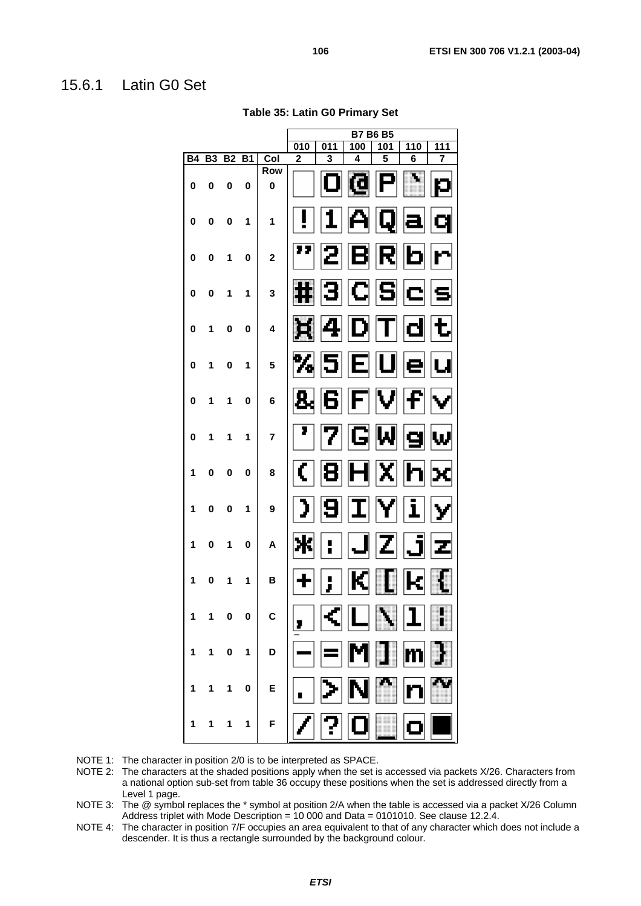#### 15.6.1 Latin G0 Set

|           |           |           |           |                           |                |     |     | <b>B7 B6 B5</b> |     |                         |
|-----------|-----------|-----------|-----------|---------------------------|----------------|-----|-----|-----------------|-----|-------------------------|
|           |           |           |           |                           | 010            | 011 | 100 | 101             | 110 | 111                     |
| <b>B4</b> | <b>B3</b> | <b>B2</b> | <b>B1</b> | Col                       | $\overline{2}$ | 3   | 4   | 5               | 6   | $\overline{\mathbf{z}}$ |
| 0         | 0         | 0         | 0         | <b>Row</b><br>$\mathbf 0$ |                |     | li: |                 |     |                         |
| 0         | 0         | 0         | 1         | 1                         |                |     |     |                 |     |                         |
| 0         | 0         | 1         | 0         | $\overline{\mathbf{2}}$   | ,,             |     |     | V               | г   |                         |
| 0         | 0         | 1         | 1         | 3                         | $\cdots$       |     | C   | 15              |     |                         |
| 0         | 1         | 0         | 0         | 4                         | E              |     |     |                 |     |                         |
| 0         | 1         | 0         | 1         | 5                         | n,             |     | Г   |                 |     |                         |
| 0         | 1         | 1         | 0         | 6                         | 2              |     |     |                 |     |                         |
| 0         | 1         | 1         | 1         | $\overline{\mathbf{r}}$   | 7              |     | E   |                 |     |                         |
| 1         | 0         | 0         | 0         | 8                         |                |     |     |                 |     |                         |
| 1         | 0         | 0         | 1         | 9                         |                |     |     |                 | 1   |                         |
| 1         | 0         | 1         | 0         | A                         |                |     |     |                 |     |                         |
| 1         | 0         | 1         | 1         | B                         |                |     |     |                 |     |                         |
| 1         |           | 0         | 0         | C                         |                |     |     |                 |     |                         |
| 1         | 1         | 0         | 1         | D                         |                |     |     |                 |     |                         |
| 1         | 1         | 1         | 0         | E                         |                |     |     |                 |     |                         |
| 1         | 1         | 1         | 1         | F                         |                |     |     |                 |     |                         |

**Table 35: Latin G0 Primary Set** 

NOTE 1: The character in position 2/0 is to be interpreted as SPACE.

NOTE 2: The characters at the shaded positions apply when the set is accessed via packets X/26. Characters from a national option sub-set from table 36 occupy these positions when the set is addressed directly from a Level 1 page.

NOTE 3: The @ symbol replaces the \* symbol at position 2/A when the table is accessed via a packet X/26 Column Address triplet with Mode Description = 10 000 and Data = 0101010. See clause 12.2.4.

NOTE 4: The character in position 7/F occupies an area equivalent to that of any character which does not include a descender. It is thus a rectangle surrounded by the background colour.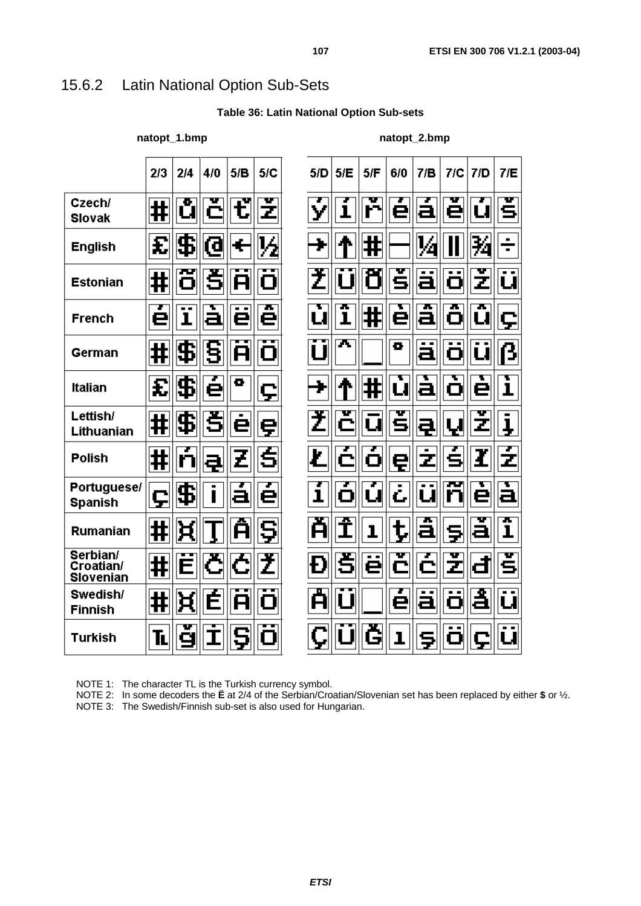# 15.6.2 Latin National Option Sub-Sets

**Table 36: Latin National Option Sub-sets** 

natopt\_1.bmp **natopt\_2.bmp** natopt\_2.bmp

|                                    | 2/3 | 2/4            | 4/0                 | 5/B          | 5/C         | 5/D    | 5/E          | 5/F        | 6/0    | 7/B      | 7/C      | 7/D    | 7/E               |
|------------------------------------|-----|----------------|---------------------|--------------|-------------|--------|--------------|------------|--------|----------|----------|--------|-------------------|
| Czech/<br><b>Slovak</b>            | ⋕   | ů              | č                   | ť            | z           | ý      | ı            | ř          | е      | а        | v<br>е   | u      | š                 |
| <b>English</b>                     | £   | $ \mathbf{F} $ | <b>@</b>            | ÷            | ½           | ¥      | 1            | #          |        | 1⁄4      |          | 豞      | ÷                 |
| <b>Estonian</b>                    | ⋕   | õ              | š                   | A            | $\mathbf 0$ | Ž      | U            |            | Ś      | ä        | . .<br>Ó | v<br>Z | u                 |
| <b>French</b>                      | e   | $\mathbf{I}$   | à                   | . .<br>е     | ж<br>е      | Т<br>u | ж<br>ï       | $\ddagger$ | ē      | á        | ж<br>Ö   | ж<br>u | ç                 |
| German                             | ⋕   | \$             | 5                   | $\mathsf{H}$ | Ο           | U      | π            |            | o      | ä        | . .<br>ö | u      | ß                 |
| <b>Italian</b>                     | £   | \$             | Ŧ<br>è              | o            | ç           | Ł      | μ            | #          | ъ<br>Ú | à        | ъ<br>Ó   | ъ<br>ė | Т<br>i            |
| Lettish/<br>Lithuanian             | ⋕   | \$             | š                   | ė            | ę           | Ž      | Č            | u          | Ś      | 쿠        | Ų        | Z      | ļ                 |
| <b>Polish</b>                      | ⋕   | n              | ą                   | Z            | Ś           | Ł      |              | O          | ę      | ż        | s        | ł      | ź                 |
| Portuguese/<br><b>Spanish</b>      | ç   | \$             | $\blacksquare$<br>Ī | а            | 7<br>е      | ī      | o            | u          | č      | . .<br>u | ш<br>n   | è      | à                 |
| <b>Rumanian</b>                    | ⋕   | ਖ਼             |                     | ж<br>A       | Ş           | Å      | Î            | ı          | ţ      | á        | Ş        | а      | ж<br>$\mathbf{I}$ |
| Serbian/<br>Croatian/<br>Slovenian | ⋕   | Е              | Č                   | Ĉ            | Ž           | Đ      | š            | .,<br>ë    | v      | Z<br>È   | v<br>Z   | Ġ      | š                 |
| Swedish/<br><b>Finnish</b>         | #   | ዟ              | É                   | A            | Ο           | Å      | $\mathbf{I}$ |            | е      | ä        | O        | Ã      | u                 |
| <b>Turkish</b>                     | ĪL  | ġ              | $\mathbf I$         |              | П           |        |              | Ğ          | ı      | Ş        | Ó        | ç      | . .               |

NOTE 1: The character TL is the Turkish currency symbol.

NOTE 2: In some decoders the **Ë** at 2/4 of the Serbian/Croatian/Slovenian set has been replaced by either **\$** or ½.

NOTE 3: The Swedish/Finnish sub-set is also used for Hungarian.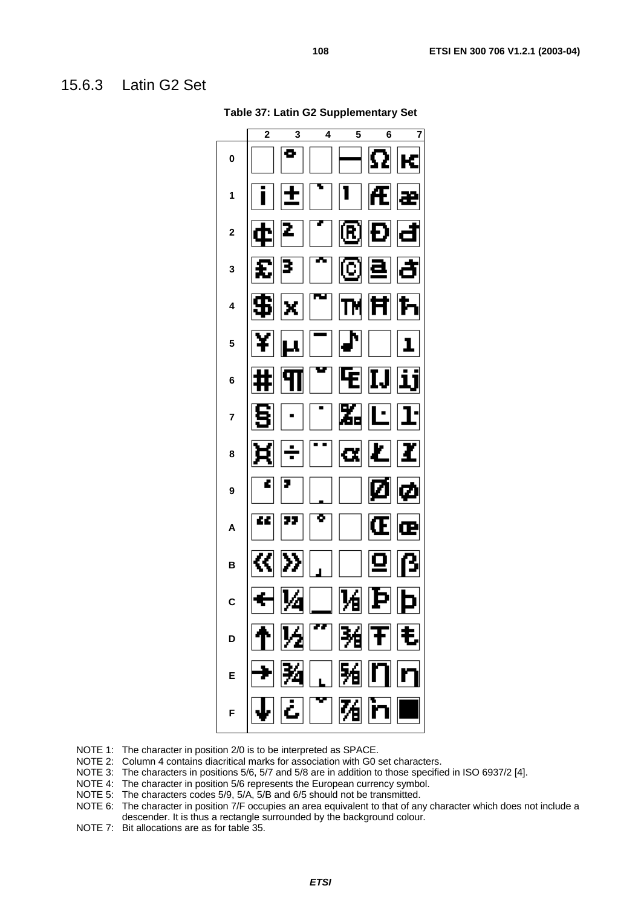#### 15.6.3 Latin G2 Set

**Table 37: Latin G2 Supplementary Set** 

NOTE 1: The character in position 2/0 is to be interpreted as SPACE.

NOTE 2: Column 4 contains diacritical marks for association with G0 set characters.

- NOTE 3: The characters in positions 5/6, 5/7 and 5/8 are in addition to those specified in ISO 6937/2 [4].
- NOTE 4: The character in position 5/6 represents the European currency symbol.
- NOTE 5: The characters codes 5/9, 5/A, 5/B and 6/5 should not be transmitted.
- NOTE 6: The character in position 7/F occupies an area equivalent to that of any character which does not include a descender. It is thus a rectangle surrounded by the background colour.
- NOTE 7: Bit allocations are as for table 35.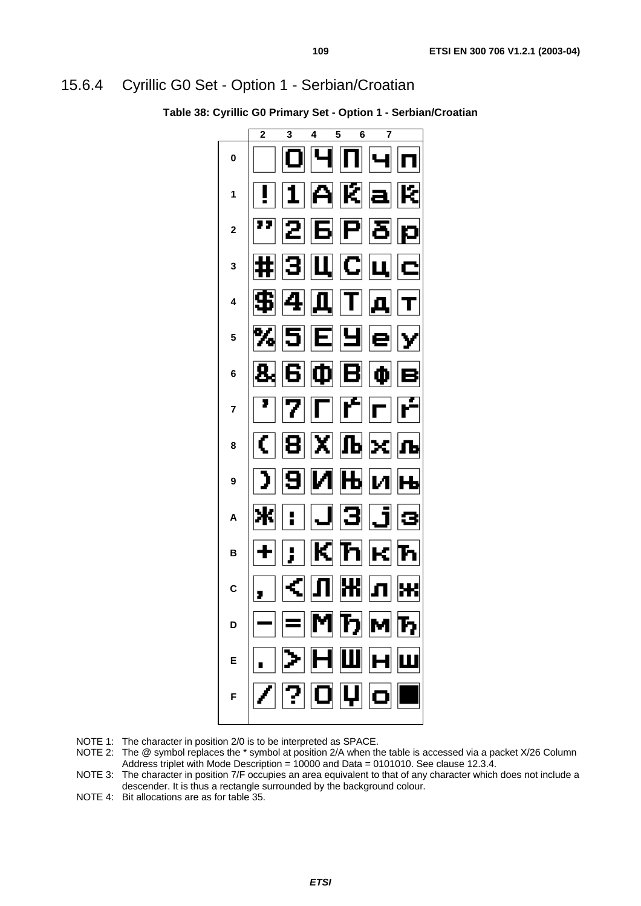#### 15.6.4 Cyrillic G0 Set - Option 1 - Serbian/Croatian

**Table 38: Cyrillic G0 Primary Set - Option 1 - Serbian/Croatian** 

NOTE 1: The character in position 2/0 is to be interpreted as SPACE.

- NOTE 2: The @ symbol replaces the \* symbol at position 2/A when the table is accessed via a packet X/26 Column Address triplet with Mode Description = 10000 and Data = 0101010. See clause 12.3.4.
- NOTE 3: The character in position 7/F occupies an area equivalent to that of any character which does not include a descender. It is thus a rectangle surrounded by the background colour.
- NOTE 4: Bit allocations are as for table 35.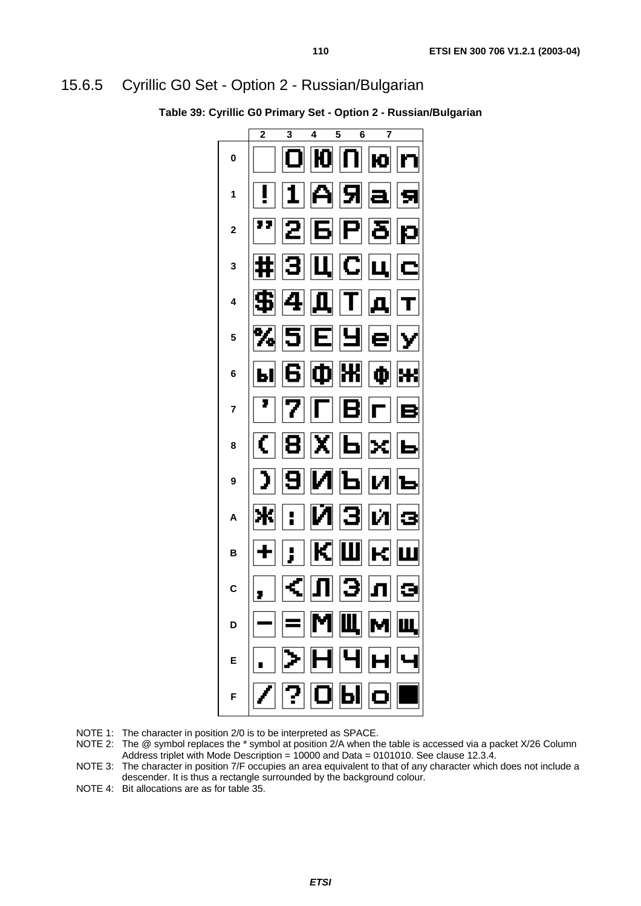#### 15.6.5 Cyrillic G0 Set - Option 2 - Russian/Bulgarian

**Table 39: Cyrillic G0 Primary Set - Option 2 - Russian/Bulgarian** 



NOTE 1: The character in position 2/0 is to be interpreted as SPACE.

- NOTE 2: The @ symbol replaces the \* symbol at position 2/A when the table is accessed via a packet X/26 Column Address triplet with Mode Description = 10000 and Data = 0101010. See clause 12.3.4.
- NOTE 3: The character in position 7/F occupies an area equivalent to that of any character which does not include a descender. It is thus a rectangle surrounded by the background colour.

NOTE 4: Bit allocations are as for table 35.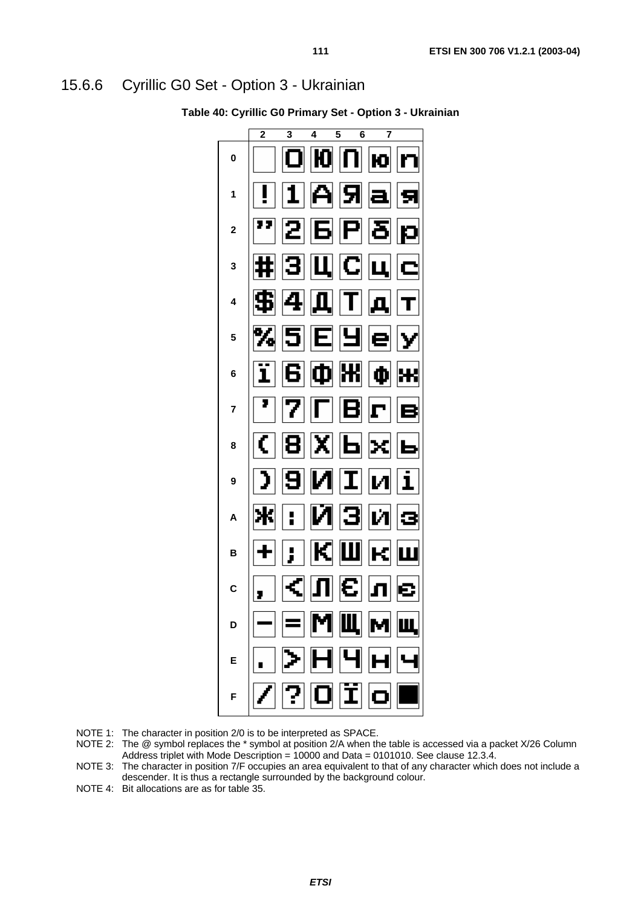#### 15.6.6 Cyrillic G0 Set - Option 3 - Ukrainian

**Table 40: Cyrillic G0 Primary Set - Option 3 - Ukrainian** 



NOTE 1: The character in position 2/0 is to be interpreted as SPACE.

- NOTE 2: The @ symbol replaces the \* symbol at position 2/A when the table is accessed via a packet X/26 Column Address triplet with Mode Description = 10000 and Data = 0101010. See clause 12.3.4.
- NOTE 3: The character in position 7/F occupies an area equivalent to that of any character which does not include a descender. It is thus a rectangle surrounded by the background colour.

NOTE 4: Bit allocations are as for table 35.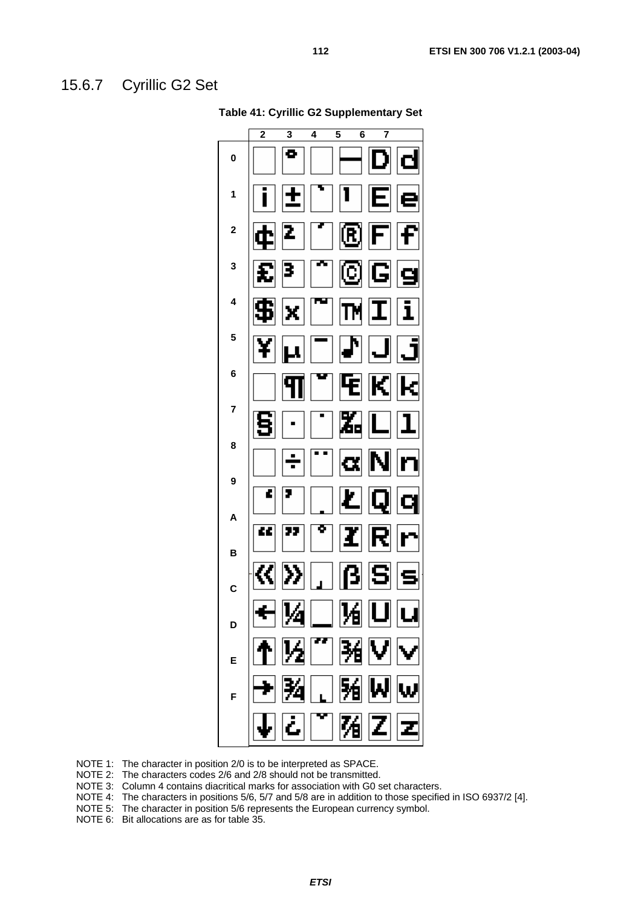#### 15.6.7 Cyrillic G2 Set

**Table 41: Cyrillic G2 Supplementary Set** 

NOTE 1: The character in position 2/0 is to be interpreted as SPACE.

NOTE 2: The characters codes 2/6 and 2/8 should not be transmitted.

NOTE 3: Column 4 contains diacritical marks for association with G0 set characters.<br>NOTE 4: The characters in positions 5/6, 5/7 and 5/8 are in addition to those specifie

The characters in positions 5/6, 5/7 and 5/8 are in addition to those specified in ISO 6937/2 [4].

NOTE 5: The character in position 5/6 represents the European currency symbol.

NOTE 6: Bit allocations are as for table 35.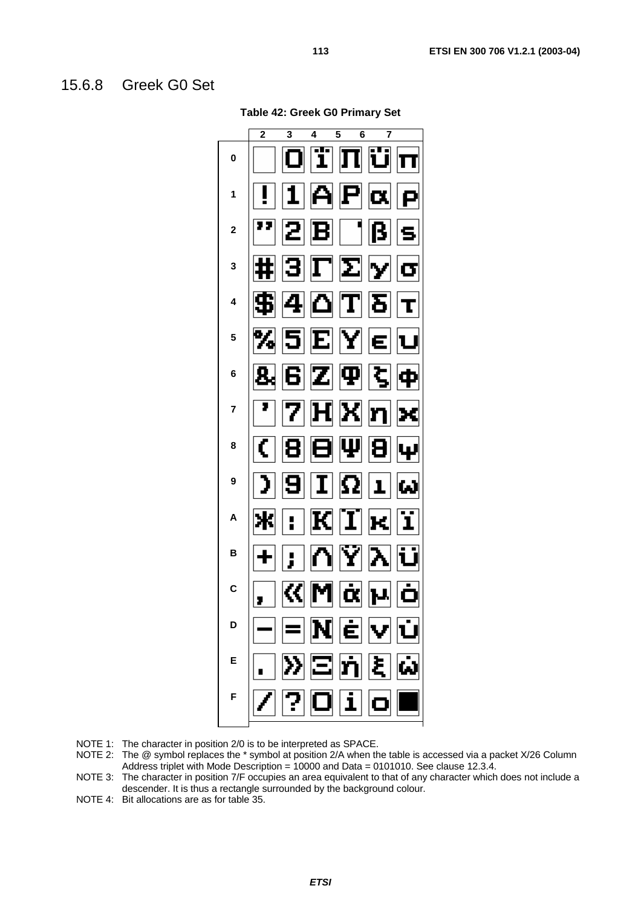#### 15.6.8 Greek G0 Set

**Table 42: Greek G0 Primary Set** 



NOTE 1: The character in position 2/0 is to be interpreted as SPACE.

- NOTE 2: The @ symbol replaces the \* symbol at position 2/A when the table is accessed via a packet X/26 Column Address triplet with Mode Description =  $10000$  and Data = 0101010. See clause 12.3.4.
- NOTE 3: The character in position 7/F occupies an area equivalent to that of any character which does not include a descender. It is thus a rectangle surrounded by the background colour.
- NOTE 4: Bit allocations are as for table 35.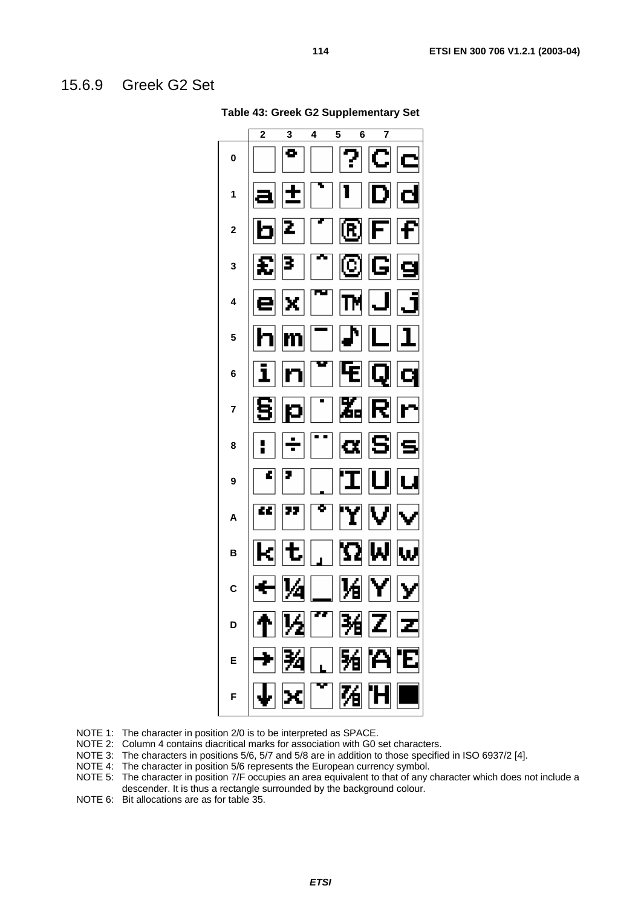#### 15.6.9 Greek G2 Set

**Table 43: Greek G2 Supplementary Set** 

- NOTE 1: The character in position 2/0 is to be interpreted as SPACE.
- NOTE 2: Column 4 contains diacritical marks for association with G0 set characters.
- NOTE 3: The characters in positions 5/6, 5/7 and 5/8 are in addition to those specified in ISO 6937/2 [4].
- NOTE 4: The character in position 5/6 represents the European currency symbol.
- NOTE 5: The character in position 7/F occupies an area equivalent to that of any character which does not include a descender. It is thus a rectangle surrounded by the background colour.
- NOTE 6: Bit allocations are as for table 35.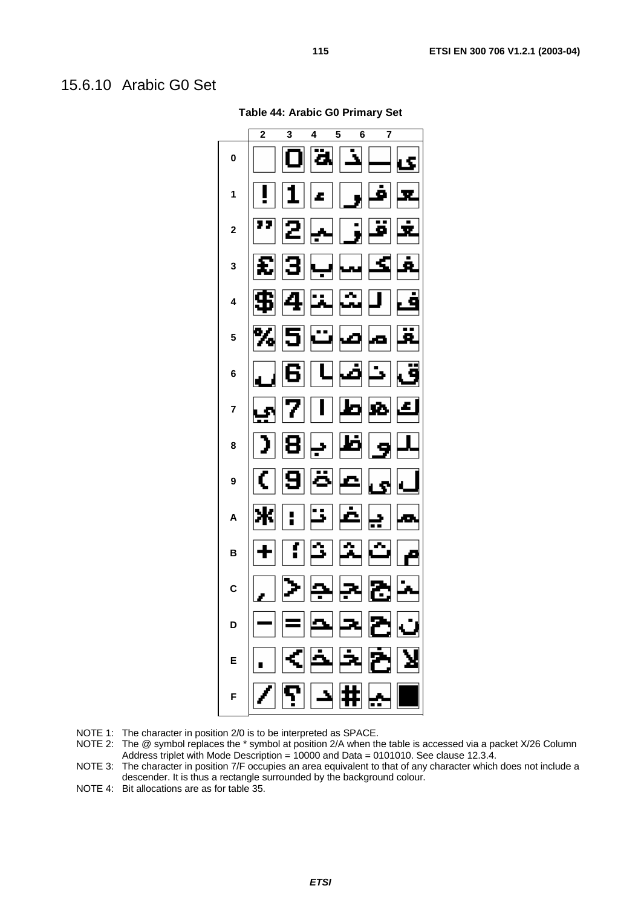#### 15.6.10 Arabic G0 Set

**Table 44: Arabic G0 Primary Set** 

NOTE 1: The character in position 2/0 is to be interpreted as SPACE.

- NOTE 2: The @ symbol replaces the \* symbol at position 2/A when the table is accessed via a packet X/26 Column Address triplet with Mode Description =  $10000$  and Data = 0101010. See clause 12.3.4.
- NOTE 3: The character in position 7/F occupies an area equivalent to that of any character which does not include a descender. It is thus a rectangle surrounded by the background colour.

NOTE 4: Bit allocations are as for table 35.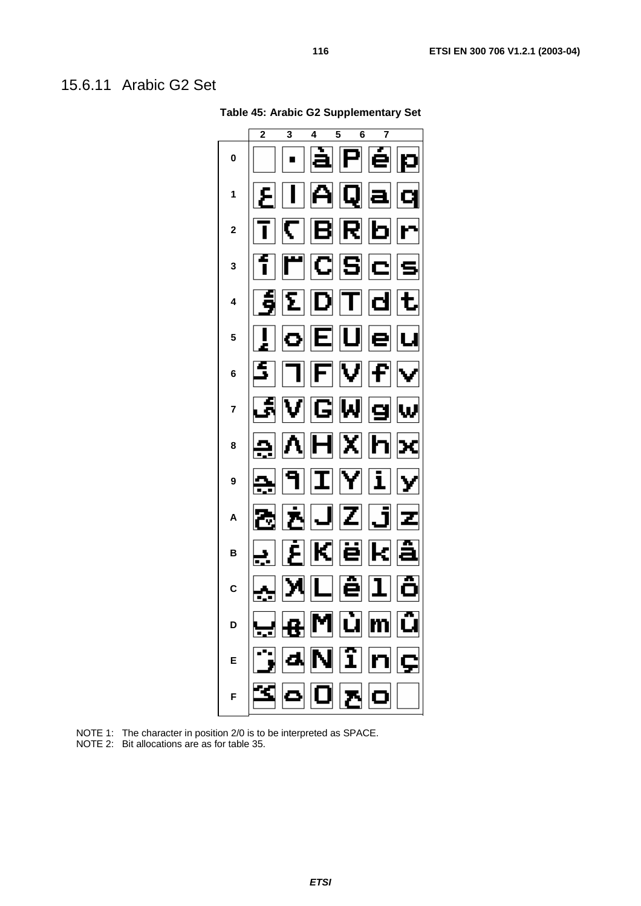#### 15.6.11 Arabic G2 Set



**Table 45: Arabic G2 Supplementary Set** 

NOTE 1: The character in position 2/0 is to be interpreted as SPACE.

NOTE 2: Bit allocations are as for table 35.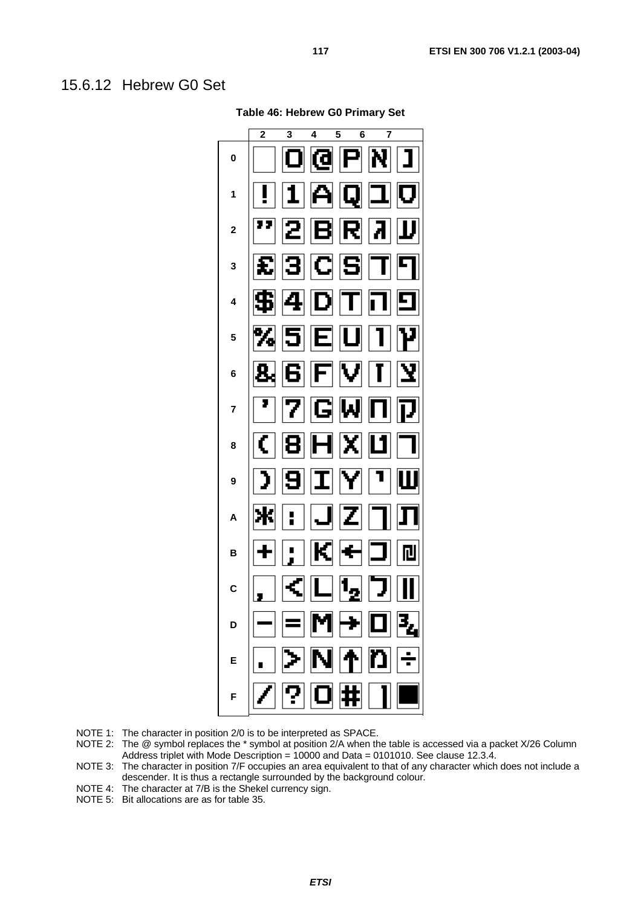#### 15.6.12 Hebrew G0 Set

**Table 46: Hebrew G0 Primary Set** 



NOTE 1: The character in position 2/0 is to be interpreted as SPACE.

- NOTE 2: The @ symbol replaces the \* symbol at position 2/A when the table is accessed via a packet X/26 Column Address triplet with Mode Description = 10000 and Data = 0101010. See clause 12.3.4.
- NOTE 3: The character in position 7/F occupies an area equivalent to that of any character which does not include a descender. It is thus a rectangle surrounded by the background colour.
- NOTE 4: The character at 7/B is the Shekel currency sign.
- NOTE 5: Bit allocations are as for table 35.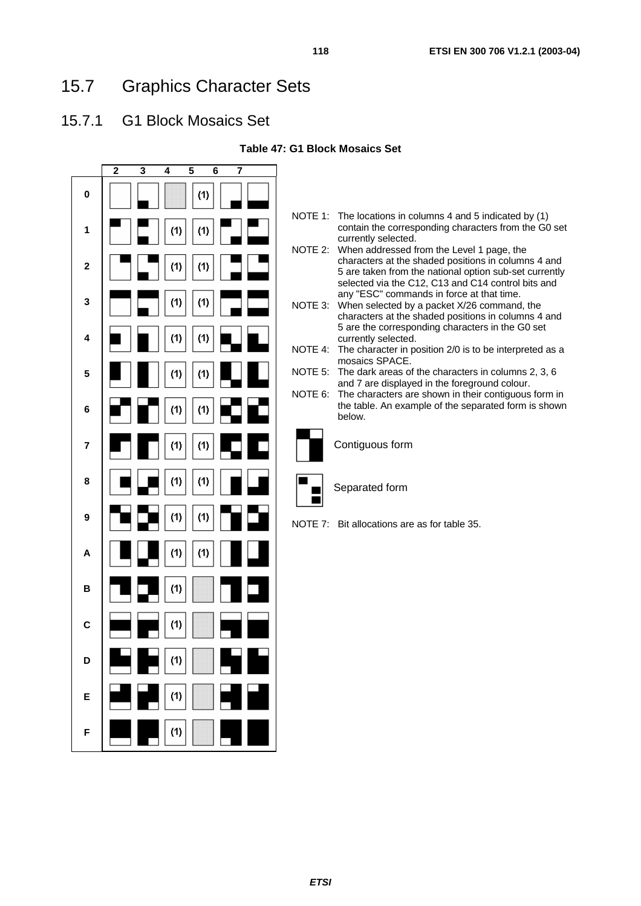#### 15.7.1 G1 Block Mosaics Set

**Table 47: G1 Block Mosaics Set** 

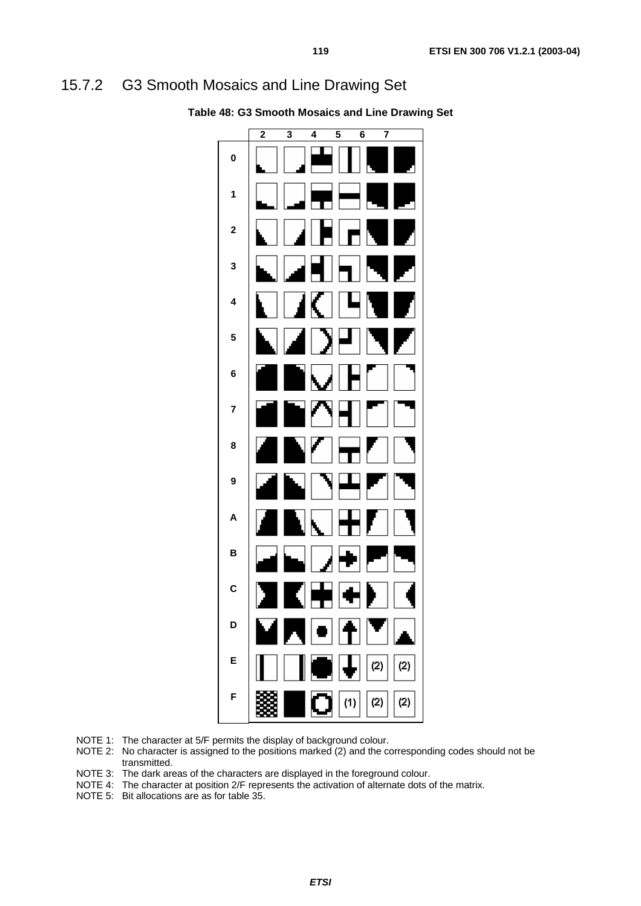#### 15.7.2 G3 Smooth Mosaics and Line Drawing Set



**Table 48: G3 Smooth Mosaics and Line Drawing Set** 

- NOTE 1: The character at 5/F permits the display of background colour.
- NOTE 2: No character is assigned to the positions marked (2) and the corresponding codes should not be transmitted.
- NOTE 3: The dark areas of the characters are displayed in the foreground colour.
- NOTE 4: The character at position 2/F represents the activation of alternate dots of the matrix.
- NOTE 5: Bit allocations are as for table 35.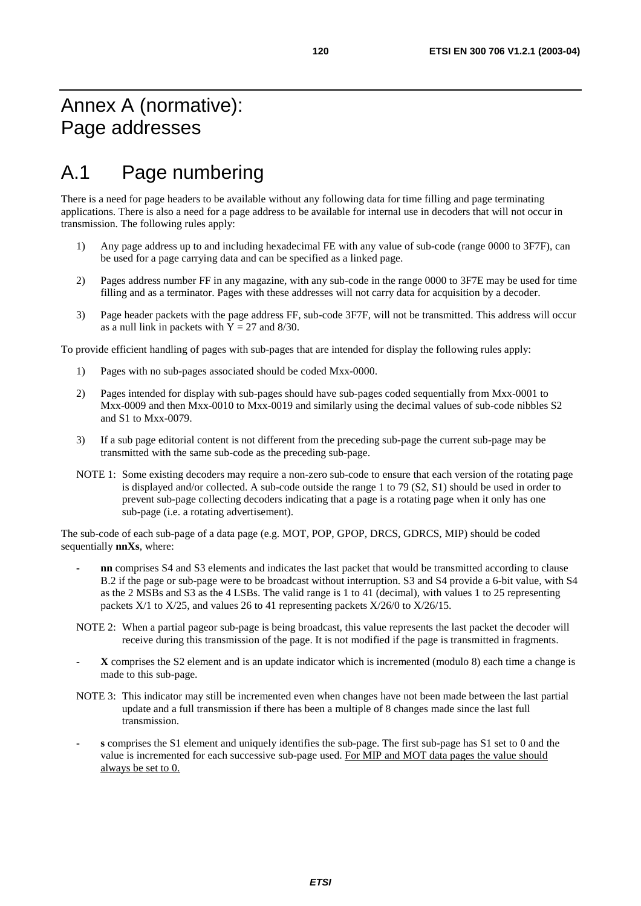# A.1 Page numbering

There is a need for page headers to be available without any following data for time filling and page terminating applications. There is also a need for a page address to be available for internal use in decoders that will not occur in transmission. The following rules apply:

- 1) Any page address up to and including hexadecimal FE with any value of sub-code (range 0000 to 3F7F), can be used for a page carrying data and can be specified as a linked page.
- 2) Pages address number FF in any magazine, with any sub-code in the range 0000 to 3F7E may be used for time filling and as a terminator. Pages with these addresses will not carry data for acquisition by a decoder.
- 3) Page header packets with the page address FF, sub-code 3F7F, will not be transmitted. This address will occur as a null link in packets with  $\bar{Y} = 27$  and 8/30.

To provide efficient handling of pages with sub-pages that are intended for display the following rules apply:

- 1) Pages with no sub-pages associated should be coded Mxx-0000.
- 2) Pages intended for display with sub-pages should have sub-pages coded sequentially from Mxx-0001 to Mxx-0009 and then Mxx-0010 to Mxx-0019 and similarly using the decimal values of sub-code nibbles S2 and S1 to Mxx-0079.
- 3) If a sub page editorial content is not different from the preceding sub-page the current sub-page may be transmitted with the same sub-code as the preceding sub-page.
- NOTE 1: Some existing decoders may require a non-zero sub-code to ensure that each version of the rotating page is displayed and/or collected. A sub-code outside the range 1 to 79 (S2, S1) should be used in order to prevent sub-page collecting decoders indicating that a page is a rotating page when it only has one sub-page (i.e. a rotating advertisement).

The sub-code of each sub-page of a data page (e.g. MOT, POP, GPOP, DRCS, GDRCS, MIP) should be coded sequentially **nnXs**, where:

- **nn** comprises S4 and S3 elements and indicates the last packet that would be transmitted according to clause B.2 if the page or sub-page were to be broadcast without interruption. S3 and S4 provide a 6-bit value, with S4 as the 2 MSBs and S3 as the 4 LSBs. The valid range is 1 to 41 (decimal), with values 1 to 25 representing packets X/1 to X/25, and values 26 to 41 representing packets X/26/0 to X/26/15.
- NOTE 2: When a partial pageor sub-page is being broadcast, this value represents the last packet the decoder will receive during this transmission of the page. It is not modified if the page is transmitted in fragments.
- **X** comprises the S2 element and is an update indicator which is incremented (modulo 8) each time a change is made to this sub-page.
- NOTE 3: This indicator may still be incremented even when changes have not been made between the last partial update and a full transmission if there has been a multiple of 8 changes made since the last full transmission.
- **s** comprises the S1 element and uniquely identifies the sub-page. The first sub-page has S1 set to 0 and the value is incremented for each successive sub-page used. For MIP and MOT data pages the value should always be set to 0.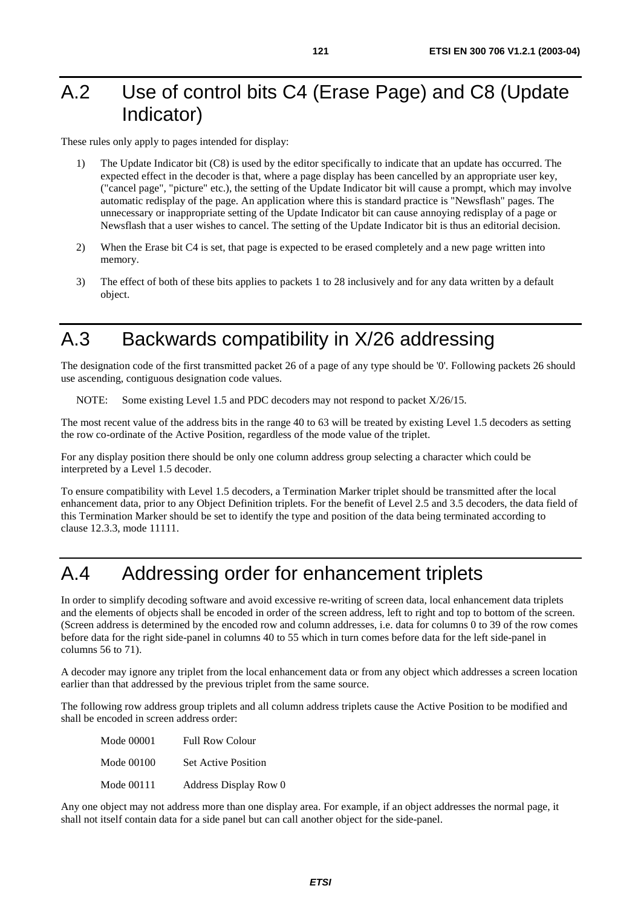## A.2 Use of control bits C4 (Erase Page) and C8 (Update Indicator)

These rules only apply to pages intended for display:

- 1) The Update Indicator bit (C8) is used by the editor specifically to indicate that an update has occurred. The expected effect in the decoder is that, where a page display has been cancelled by an appropriate user key, ("cancel page", "picture" etc.), the setting of the Update Indicator bit will cause a prompt, which may involve automatic redisplay of the page. An application where this is standard practice is "Newsflash" pages. The unnecessary or inappropriate setting of the Update Indicator bit can cause annoying redisplay of a page or Newsflash that a user wishes to cancel. The setting of the Update Indicator bit is thus an editorial decision.
- 2) When the Erase bit C4 is set, that page is expected to be erased completely and a new page written into memory.
- 3) The effect of both of these bits applies to packets 1 to 28 inclusively and for any data written by a default object.

## A.3 Backwards compatibility in X/26 addressing

The designation code of the first transmitted packet 26 of a page of any type should be '0'. Following packets 26 should use ascending, contiguous designation code values.

NOTE: Some existing Level 1.5 and PDC decoders may not respond to packet X/26/15.

The most recent value of the address bits in the range 40 to 63 will be treated by existing Level 1.5 decoders as setting the row co-ordinate of the Active Position, regardless of the mode value of the triplet.

For any display position there should be only one column address group selecting a character which could be interpreted by a Level 1.5 decoder.

To ensure compatibility with Level 1.5 decoders, a Termination Marker triplet should be transmitted after the local enhancement data, prior to any Object Definition triplets. For the benefit of Level 2.5 and 3.5 decoders, the data field of this Termination Marker should be set to identify the type and position of the data being terminated according to clause 12.3.3, mode 11111.

## A.4 Addressing order for enhancement triplets

In order to simplify decoding software and avoid excessive re-writing of screen data, local enhancement data triplets and the elements of objects shall be encoded in order of the screen address, left to right and top to bottom of the screen. (Screen address is determined by the encoded row and column addresses, i.e. data for columns 0 to 39 of the row comes before data for the right side-panel in columns 40 to 55 which in turn comes before data for the left side-panel in columns 56 to 71).

A decoder may ignore any triplet from the local enhancement data or from any object which addresses a screen location earlier than that addressed by the previous triplet from the same source.

The following row address group triplets and all column address triplets cause the Active Position to be modified and shall be encoded in screen address order:

| <b>Mode 00001</b> | <b>Full Row Colour</b>     |
|-------------------|----------------------------|
| <b>Mode 00100</b> | <b>Set Active Position</b> |
| Mode 00111        | Address Display Row 0      |

Any one object may not address more than one display area. For example, if an object addresses the normal page, it shall not itself contain data for a side panel but can call another object for the side-panel.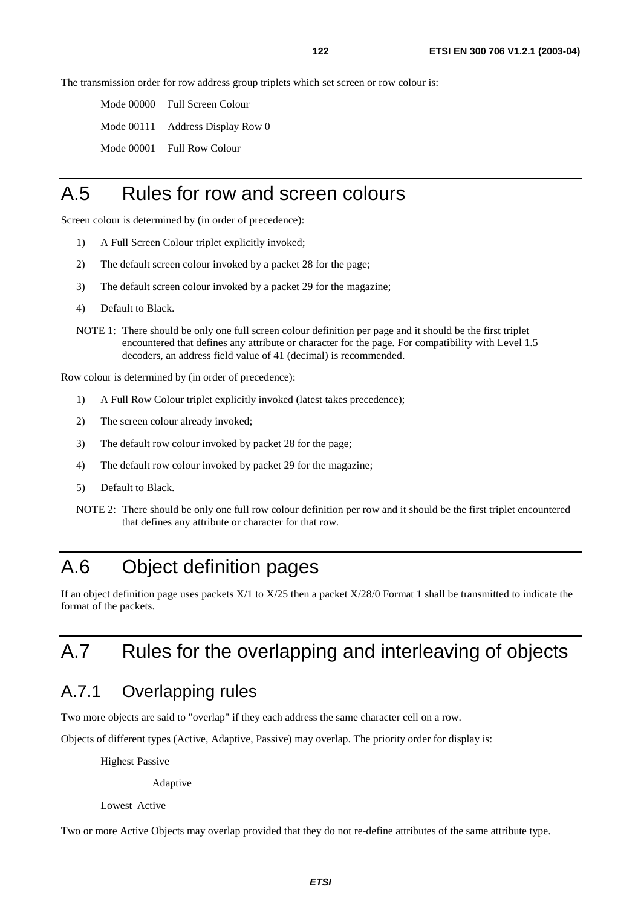The transmission order for row address group triplets which set screen or row colour is:

Mode 00000 Full Screen Colour

Mode 00111 Address Display Row 0

Mode 00001 Full Row Colour

#### A.5 Rules for row and screen colours

Screen colour is determined by (in order of precedence):

- 1) A Full Screen Colour triplet explicitly invoked;
- 2) The default screen colour invoked by a packet 28 for the page;
- 3) The default screen colour invoked by a packet 29 for the magazine;
- 4) Default to Black.
- NOTE 1: There should be only one full screen colour definition per page and it should be the first triplet encountered that defines any attribute or character for the page. For compatibility with Level 1.5 decoders, an address field value of 41 (decimal) is recommended.

Row colour is determined by (in order of precedence):

- 1) A Full Row Colour triplet explicitly invoked (latest takes precedence);
- 2) The screen colour already invoked;
- 3) The default row colour invoked by packet 28 for the page;
- 4) The default row colour invoked by packet 29 for the magazine;
- 5) Default to Black.
- NOTE 2: There should be only one full row colour definition per row and it should be the first triplet encountered that defines any attribute or character for that row.

## A.6 Object definition pages

If an object definition page uses packets  $X/1$  to  $X/25$  then a packet  $X/28/0$  Format 1 shall be transmitted to indicate the format of the packets.

# A.7 Rules for the overlapping and interleaving of objects

#### A.7.1 Overlapping rules

Two more objects are said to "overlap" if they each address the same character cell on a row.

Objects of different types (Active, Adaptive, Passive) may overlap. The priority order for display is:

Highest Passive

Adaptive

Lowest Active

Two or more Active Objects may overlap provided that they do not re-define attributes of the same attribute type.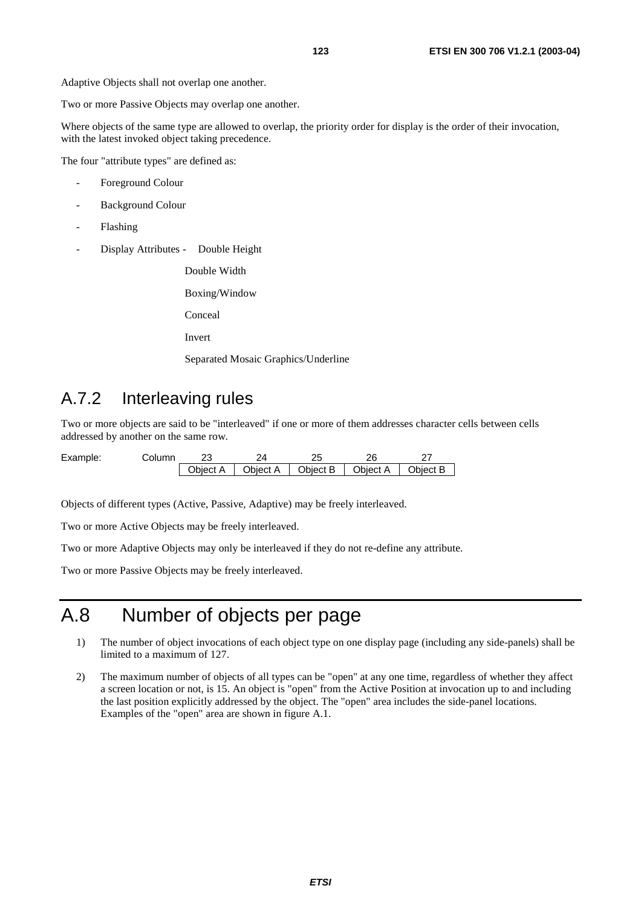Adaptive Objects shall not overlap one another.

Two or more Passive Objects may overlap one another.

Where objects of the same type are allowed to overlap, the priority order for display is the order of their invocation, with the latest invoked object taking precedence.

The four "attribute types" are defined as:

- Foreground Colour
- Background Colour
- Flashing
- Display Attributes Double Height

Double Width

Boxing/Window

Conceal

Invert

Separated Mosaic Graphics/Underline

#### A.7.2 Interleaving rules

Two or more objects are said to be "interleaved" if one or more of them addresses character cells between cells addressed by another on the same row.

| Example: | ڪolumn |          |          |                     | ገር |          |
|----------|--------|----------|----------|---------------------|----|----------|
|          |        | Object A | Object A | Object B   Object A |    | Object B |

Objects of different types (Active, Passive, Adaptive) may be freely interleaved.

Two or more Active Objects may be freely interleaved.

Two or more Adaptive Objects may only be interleaved if they do not re-define any attribute.

Two or more Passive Objects may be freely interleaved.

# A.8 Number of objects per page

- 1) The number of object invocations of each object type on one display page (including any side-panels) shall be limited to a maximum of 127.
- 2) The maximum number of objects of all types can be "open" at any one time, regardless of whether they affect a screen location or not, is 15. An object is "open" from the Active Position at invocation up to and including the last position explicitly addressed by the object. The "open" area includes the side-panel locations. Examples of the "open" area are shown in figure A.1.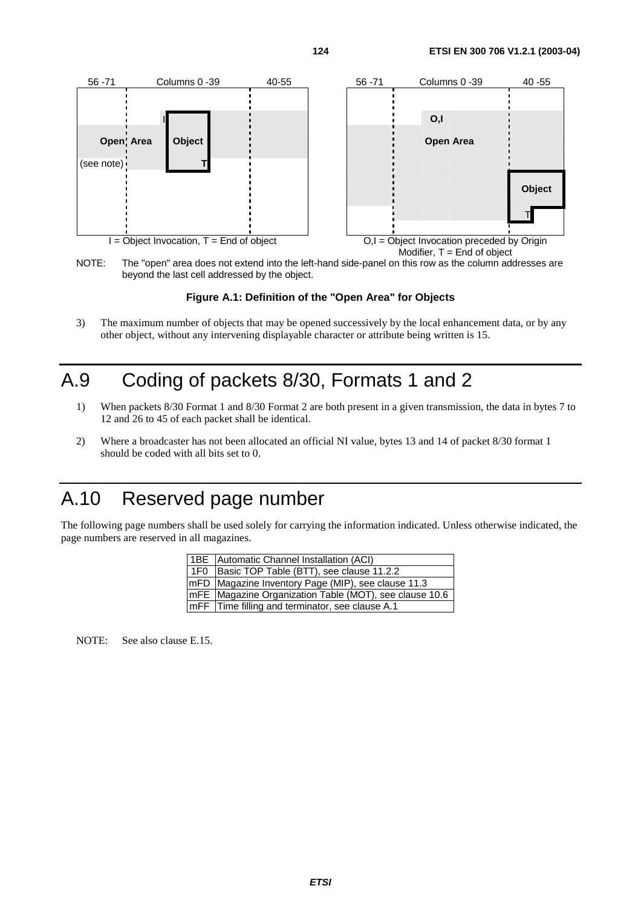

NOTE: The "open" area does not extend into the left-hand side-panel on this row as the column addresses are beyond the last cell addressed by the object.

#### **Figure A.1: Definition of the "Open Area" for Objects**

3) The maximum number of objects that may be opened successively by the local enhancement data, or by any other object, without any intervening displayable character or attribute being written is 15.

## A.9 Coding of packets 8/30, Formats 1 and 2

- 1) When packets 8/30 Format 1 and 8/30 Format 2 are both present in a given transmission, the data in bytes 7 to 12 and 26 to 45 of each packet shall be identical.
- 2) Where a broadcaster has not been allocated an official NI value, bytes 13 and 14 of packet 8/30 format 1 should be coded with all bits set to 0.

# A.10 Reserved page number

The following page numbers shall be used solely for carrying the information indicated. Unless otherwise indicated, the page numbers are reserved in all magazines.

| <b>1BE</b> Automatic Channel Installation (ACI)         |
|---------------------------------------------------------|
| 1F0 Basic TOP Table (BTT), see clause 11.2.2            |
| mFD Magazine Inventory Page (MIP), see clause 11.3      |
| ImFE Magazine Organization Table (MOT), see clause 10.6 |
| ImFF Time filling and terminator, see clause A.1        |

NOTE: See also clause E.15.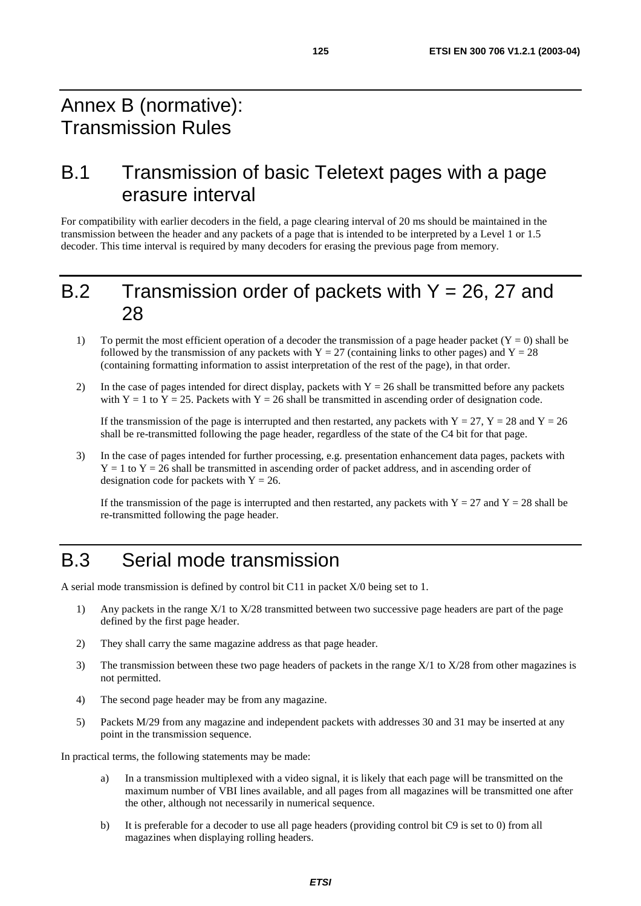#### Annex B (normative): Transmission Rules

#### B.1 Transmission of basic Teletext pages with a page erasure interval

For compatibility with earlier decoders in the field, a page clearing interval of 20 ms should be maintained in the transmission between the header and any packets of a page that is intended to be interpreted by a Level 1 or 1.5 decoder. This time interval is required by many decoders for erasing the previous page from memory.

#### B.2 Transmission order of packets with  $Y = 26$ , 27 and 28

- 1) To permit the most efficient operation of a decoder the transmission of a page header packet  $(Y = 0)$  shall be followed by the transmission of any packets with  $Y = 27$  (containing links to other pages) and  $Y = 28$ (containing formatting information to assist interpretation of the rest of the page), in that order.
- 2) In the case of pages intended for direct display, packets with  $Y = 26$  shall be transmitted before any packets with Y = 1 to Y = 25. Packets with Y = 26 shall be transmitted in ascending order of designation code.

If the transmission of the page is interrupted and then restarted, any packets with  $Y = 27$ ,  $Y = 28$  and  $Y = 26$ shall be re-transmitted following the page header, regardless of the state of the C4 bit for that page.

3) In the case of pages intended for further processing, e.g. presentation enhancement data pages, packets with  $Y = 1$  to  $Y = 26$  shall be transmitted in ascending order of packet address, and in ascending order of designation code for packets with  $Y = 26$ .

If the transmission of the page is interrupted and then restarted, any packets with  $Y = 27$  and  $Y = 28$  shall be re-transmitted following the page header.

## B.3 Serial mode transmission

A serial mode transmission is defined by control bit C11 in packet X/0 being set to 1.

- 1) Any packets in the range X/1 to X/28 transmitted between two successive page headers are part of the page defined by the first page header.
- 2) They shall carry the same magazine address as that page header.
- 3) The transmission between these two page headers of packets in the range X/1 to X/28 from other magazines is not permitted.
- 4) The second page header may be from any magazine.
- 5) Packets M/29 from any magazine and independent packets with addresses 30 and 31 may be inserted at any point in the transmission sequence.

In practical terms, the following statements may be made:

- a) In a transmission multiplexed with a video signal, it is likely that each page will be transmitted on the maximum number of VBI lines available, and all pages from all magazines will be transmitted one after the other, although not necessarily in numerical sequence.
- b) It is preferable for a decoder to use all page headers (providing control bit C9 is set to 0) from all magazines when displaying rolling headers.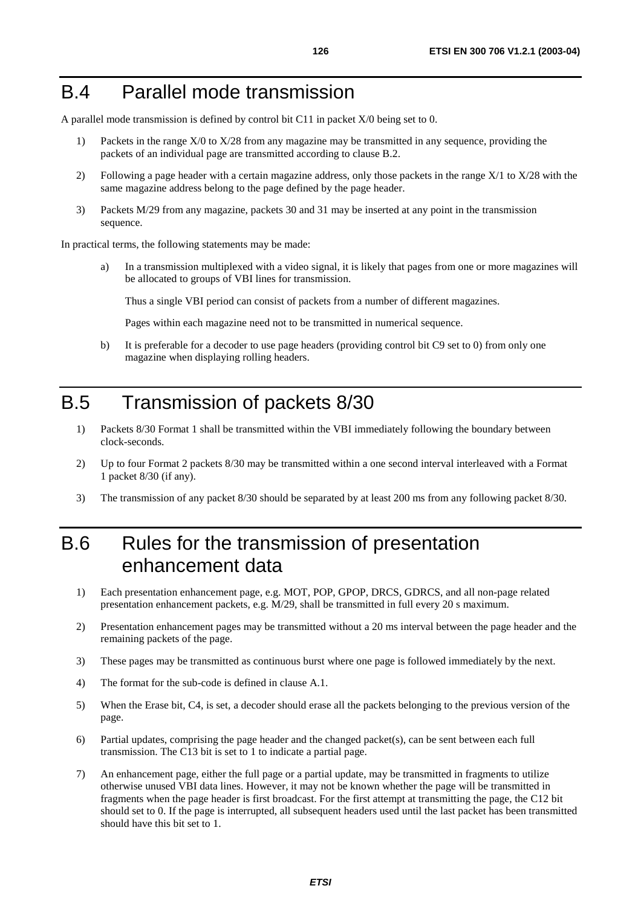#### B.4 Parallel mode transmission

A parallel mode transmission is defined by control bit C11 in packet X/0 being set to 0.

- 1) Packets in the range X/0 to X/28 from any magazine may be transmitted in any sequence, providing the packets of an individual page are transmitted according to clause B.2.
- 2) Following a page header with a certain magazine address, only those packets in the range X/1 to X/28 with the same magazine address belong to the page defined by the page header.
- 3) Packets M/29 from any magazine, packets 30 and 31 may be inserted at any point in the transmission sequence.

In practical terms, the following statements may be made:

a) In a transmission multiplexed with a video signal, it is likely that pages from one or more magazines will be allocated to groups of VBI lines for transmission.

Thus a single VBI period can consist of packets from a number of different magazines.

Pages within each magazine need not to be transmitted in numerical sequence.

b) It is preferable for a decoder to use page headers (providing control bit C9 set to 0) from only one magazine when displaying rolling headers.

## B.5 Transmission of packets 8/30

- 1) Packets 8/30 Format 1 shall be transmitted within the VBI immediately following the boundary between clock-seconds.
- 2) Up to four Format 2 packets 8/30 may be transmitted within a one second interval interleaved with a Format 1 packet 8/30 (if any).
- 3) The transmission of any packet 8/30 should be separated by at least 200 ms from any following packet 8/30.

## B.6 Rules for the transmission of presentation enhancement data

- 1) Each presentation enhancement page, e.g. MOT, POP, GPOP, DRCS, GDRCS, and all non-page related presentation enhancement packets, e.g. M/29, shall be transmitted in full every 20 s maximum.
- 2) Presentation enhancement pages may be transmitted without a 20 ms interval between the page header and the remaining packets of the page.
- 3) These pages may be transmitted as continuous burst where one page is followed immediately by the next.
- 4) The format for the sub-code is defined in clause A.1.
- 5) When the Erase bit, C4, is set, a decoder should erase all the packets belonging to the previous version of the page.
- 6) Partial updates, comprising the page header and the changed packet(s), can be sent between each full transmission. The C13 bit is set to 1 to indicate a partial page.
- 7) An enhancement page, either the full page or a partial update, may be transmitted in fragments to utilize otherwise unused VBI data lines. However, it may not be known whether the page will be transmitted in fragments when the page header is first broadcast. For the first attempt at transmitting the page, the C12 bit should set to 0. If the page is interrupted, all subsequent headers used until the last packet has been transmitted should have this bit set to 1.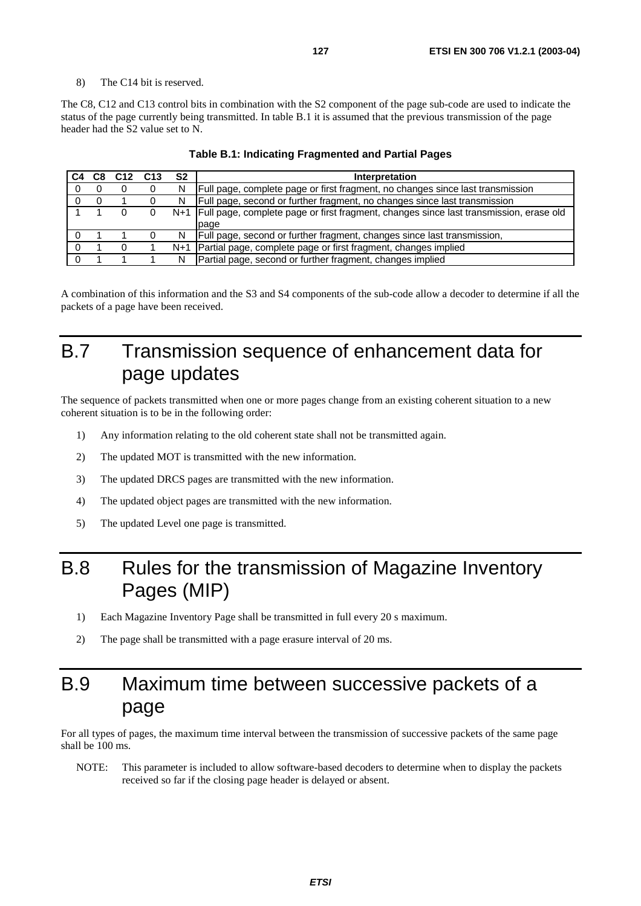#### 8) The C14 bit is reserved.

The C8, C12 and C13 control bits in combination with the S2 component of the page sub-code are used to indicate the status of the page currently being transmitted. In table B.1 it is assumed that the previous transmission of the page header had the S2 value set to N.

| C8 | C <sub>12</sub> | C <sub>13</sub> | S <sub>2</sub> | Interpretation                                                                               |
|----|-----------------|-----------------|----------------|----------------------------------------------------------------------------------------------|
|    | U               | 0               | N              | Full page, complete page or first fragment, no changes since last transmission               |
|    |                 | O               | N.             | Full page, second or further fragment, no changes since last transmission                    |
|    |                 |                 |                | N+1   Full page, complete page or first fragment, changes since last transmission, erase old |
|    |                 |                 |                | page                                                                                         |
|    |                 |                 | N              | Full page, second or further fragment, changes since last transmission,                      |
|    |                 |                 | N+1            | Partial page, complete page or first fragment, changes implied                               |
|    |                 |                 | N              | Partial page, second or further fragment, changes implied                                    |

#### **Table B.1: Indicating Fragmented and Partial Pages**

A combination of this information and the S3 and S4 components of the sub-code allow a decoder to determine if all the packets of a page have been received.

## B.7 Transmission sequence of enhancement data for page updates

The sequence of packets transmitted when one or more pages change from an existing coherent situation to a new coherent situation is to be in the following order:

- 1) Any information relating to the old coherent state shall not be transmitted again.
- 2) The updated MOT is transmitted with the new information.
- 3) The updated DRCS pages are transmitted with the new information.
- 4) The updated object pages are transmitted with the new information.
- 5) The updated Level one page is transmitted.

## B.8 Rules for the transmission of Magazine Inventory Pages (MIP)

- 1) Each Magazine Inventory Page shall be transmitted in full every 20 s maximum.
- 2) The page shall be transmitted with a page erasure interval of 20 ms.

## B.9 Maximum time between successive packets of a page

For all types of pages, the maximum time interval between the transmission of successive packets of the same page shall be 100 ms.

NOTE: This parameter is included to allow software-based decoders to determine when to display the packets received so far if the closing page header is delayed or absent.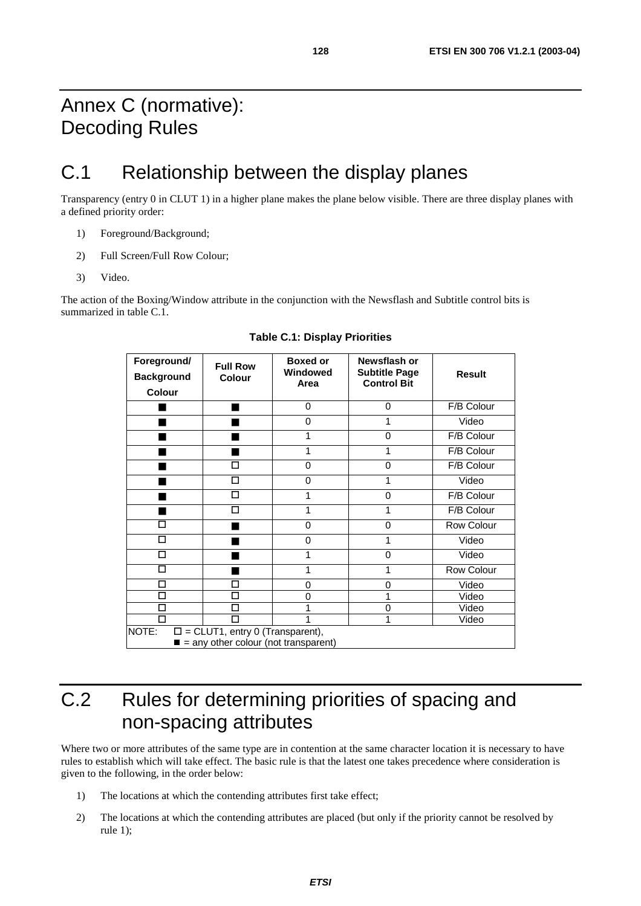## Annex C (normative): Decoding Rules

# C.1 Relationship between the display planes

Transparency (entry 0 in CLUT 1) in a higher plane makes the plane below visible. There are three display planes with a defined priority order:

- 1) Foreground/Background;
- 2) Full Screen/Full Row Colour;
- 3) Video.

The action of the Boxing/Window attribute in the conjunction with the Newsflash and Subtitle control bits is summarized in table C.1.

| Foreground/<br><b>Background</b><br>Colour | <b>Full Row</b><br><b>Colour</b>                                                                 | <b>Boxed or</b><br>Windowed<br>Area | Newsflash or<br><b>Subtitle Page</b><br><b>Control Bit</b> | <b>Result</b> |
|--------------------------------------------|--------------------------------------------------------------------------------------------------|-------------------------------------|------------------------------------------------------------|---------------|
|                                            |                                                                                                  | 0                                   | 0                                                          | F/B Colour    |
|                                            |                                                                                                  | $\Omega$                            | 1                                                          | Video         |
|                                            |                                                                                                  |                                     | 0                                                          | F/B Colour    |
|                                            |                                                                                                  | 1                                   | 1                                                          | F/B Colour    |
|                                            | П                                                                                                | 0                                   | $\mathbf 0$                                                | F/B Colour    |
|                                            | П                                                                                                | 0                                   | 1                                                          | Video         |
|                                            | П                                                                                                |                                     | 0                                                          | F/B Colour    |
|                                            | П                                                                                                |                                     | 1                                                          | F/B Colour    |
| П                                          |                                                                                                  | 0                                   | 0                                                          | Row Colour    |
| П                                          |                                                                                                  | 0                                   | 1                                                          | Video         |
| $\Box$                                     |                                                                                                  | 1                                   | $\mathbf 0$                                                | Video         |
| П                                          |                                                                                                  | 1                                   | 1                                                          | Row Colour    |
| П                                          | <b>TI</b>                                                                                        | 0                                   | 0                                                          | Video         |
| П                                          | П                                                                                                | 0                                   | 1                                                          | Video         |
| П                                          | П                                                                                                |                                     | $\mathbf 0$                                                | Video         |
| П                                          |                                                                                                  |                                     | 1                                                          | Video         |
| NOTE:                                      | $\square$ = CLUT1, entry 0 (Transparent),<br>$\blacksquare$ = any other colour (not transparent) |                                     |                                                            |               |

**Table C.1: Display Priorities** 

# C.2 Rules for determining priorities of spacing and non-spacing attributes

Where two or more attributes of the same type are in contention at the same character location it is necessary to have rules to establish which will take effect. The basic rule is that the latest one takes precedence where consideration is given to the following, in the order below:

- 1) The locations at which the contending attributes first take effect;
- 2) The locations at which the contending attributes are placed (but only if the priority cannot be resolved by rule 1);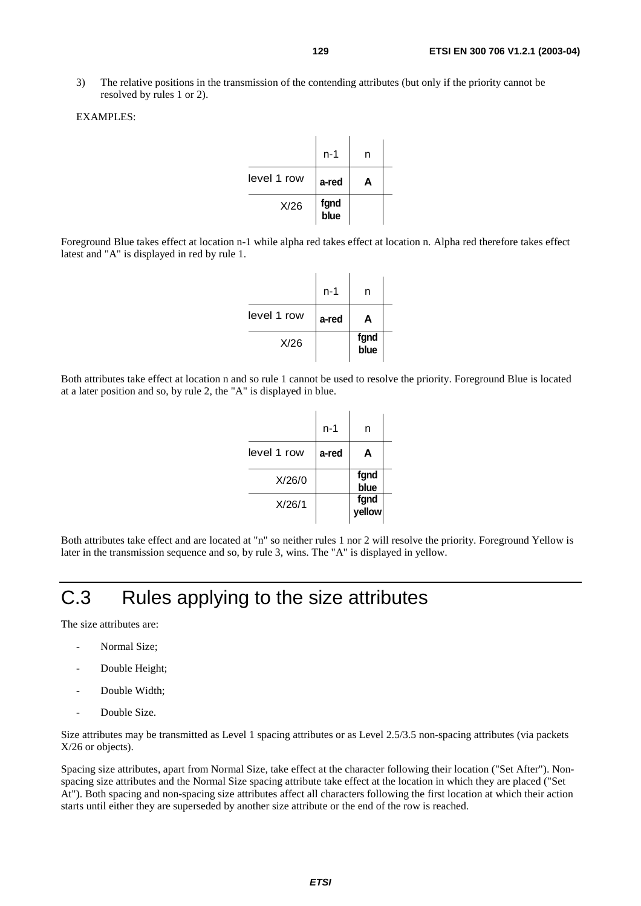3) The relative positions in the transmission of the contending attributes (but only if the priority cannot be resolved by rules 1 or 2).

#### EXAMPLES:

|             | n-1          | n |  |
|-------------|--------------|---|--|
| level 1 row | a-red        | А |  |
| X/26        | fgnd<br>blue |   |  |

Foreground Blue takes effect at location n-1 while alpha red takes effect at location n. Alpha red therefore takes effect latest and "A" is displayed in red by rule 1.

|             | n-1   | n            |  |
|-------------|-------|--------------|--|
| level 1 row | a-red | А            |  |
| X/26        |       | fgnd<br>blue |  |

Both attributes take effect at location n and so rule 1 cannot be used to resolve the priority. Foreground Blue is located at a later position and so, by rule 2, the "A" is displayed in blue.

|             | n-1   | n              |  |
|-------------|-------|----------------|--|
| level 1 row | a-red | A              |  |
| X/26/0      |       | fgnd<br>blue   |  |
| X/26/1      |       | fgnd<br>yellow |  |

Both attributes take effect and are located at "n" so neither rules 1 nor 2 will resolve the priority. Foreground Yellow is later in the transmission sequence and so, by rule 3, wins. The "A" is displayed in yellow.

## C.3 Rules applying to the size attributes

The size attributes are:

- Normal Size:
- Double Height;
- Double Width:
- Double Size.

Size attributes may be transmitted as Level 1 spacing attributes or as Level 2.5/3.5 non-spacing attributes (via packets X/26 or objects).

Spacing size attributes, apart from Normal Size, take effect at the character following their location ("Set After"). Nonspacing size attributes and the Normal Size spacing attribute take effect at the location in which they are placed ("Set At"). Both spacing and non-spacing size attributes affect all characters following the first location at which their action starts until either they are superseded by another size attribute or the end of the row is reached.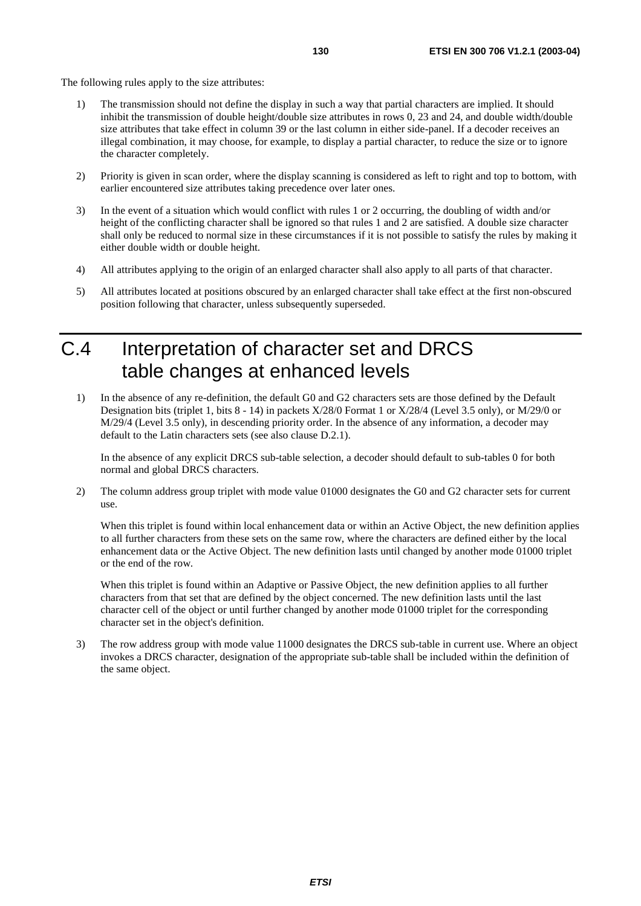The following rules apply to the size attributes:

- 1) The transmission should not define the display in such a way that partial characters are implied. It should inhibit the transmission of double height/double size attributes in rows 0, 23 and 24, and double width/double size attributes that take effect in column 39 or the last column in either side-panel. If a decoder receives an illegal combination, it may choose, for example, to display a partial character, to reduce the size or to ignore the character completely.
- 2) Priority is given in scan order, where the display scanning is considered as left to right and top to bottom, with earlier encountered size attributes taking precedence over later ones.
- 3) In the event of a situation which would conflict with rules 1 or 2 occurring, the doubling of width and/or height of the conflicting character shall be ignored so that rules 1 and 2 are satisfied. A double size character shall only be reduced to normal size in these circumstances if it is not possible to satisfy the rules by making it either double width or double height.
- 4) All attributes applying to the origin of an enlarged character shall also apply to all parts of that character.
- 5) All attributes located at positions obscured by an enlarged character shall take effect at the first non-obscured position following that character, unless subsequently superseded.

## C.4 Interpretation of character set and DRCS table changes at enhanced levels

1) In the absence of any re-definition, the default G0 and G2 characters sets are those defined by the Default Designation bits (triplet 1, bits 8 - 14) in packets X/28/0 Format 1 or X/28/4 (Level 3.5 only), or M/29/0 or M/29/4 (Level 3.5 only), in descending priority order. In the absence of any information, a decoder may default to the Latin characters sets (see also clause D.2.1).

 In the absence of any explicit DRCS sub-table selection, a decoder should default to sub-tables 0 for both normal and global DRCS characters.

2) The column address group triplet with mode value 01000 designates the G0 and G2 character sets for current use.

When this triplet is found within local enhancement data or within an Active Object, the new definition applies to all further characters from these sets on the same row, where the characters are defined either by the local enhancement data or the Active Object. The new definition lasts until changed by another mode 01000 triplet or the end of the row.

 When this triplet is found within an Adaptive or Passive Object, the new definition applies to all further characters from that set that are defined by the object concerned. The new definition lasts until the last character cell of the object or until further changed by another mode 01000 triplet for the corresponding character set in the object's definition.

3) The row address group with mode value 11000 designates the DRCS sub-table in current use. Where an object invokes a DRCS character, designation of the appropriate sub-table shall be included within the definition of the same object.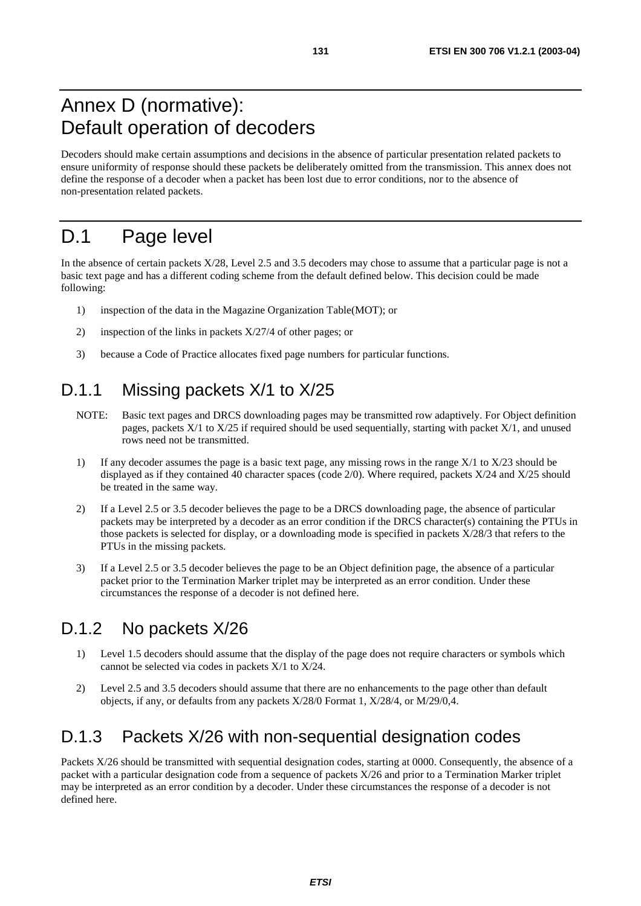## Annex D (normative): Default operation of decoders

Decoders should make certain assumptions and decisions in the absence of particular presentation related packets to ensure uniformity of response should these packets be deliberately omitted from the transmission. This annex does not define the response of a decoder when a packet has been lost due to error conditions, nor to the absence of non-presentation related packets.

## D.1 Page level

In the absence of certain packets X/28, Level 2.5 and 3.5 decoders may chose to assume that a particular page is not a basic text page and has a different coding scheme from the default defined below. This decision could be made following:

- 1) inspection of the data in the Magazine Organization Table(MOT); or
- 2) inspection of the links in packets X/27/4 of other pages; or
- 3) because a Code of Practice allocates fixed page numbers for particular functions.

#### D.1.1 Missing packets X/1 to X/25

- NOTE: Basic text pages and DRCS downloading pages may be transmitted row adaptively. For Object definition pages, packets X/1 to X/25 if required should be used sequentially, starting with packet X/1, and unused rows need not be transmitted.
- 1) If any decoder assumes the page is a basic text page, any missing rows in the range  $X/1$  to  $X/23$  should be displayed as if they contained 40 character spaces (code 2/0). Where required, packets X/24 and X/25 should be treated in the same way.
- 2) If a Level 2.5 or 3.5 decoder believes the page to be a DRCS downloading page, the absence of particular packets may be interpreted by a decoder as an error condition if the DRCS character(s) containing the PTUs in those packets is selected for display, or a downloading mode is specified in packets X/28/3 that refers to the PTUs in the missing packets.
- 3) If a Level 2.5 or 3.5 decoder believes the page to be an Object definition page, the absence of a particular packet prior to the Termination Marker triplet may be interpreted as an error condition. Under these circumstances the response of a decoder is not defined here.

#### D.1.2 No packets X/26

- 1) Level 1.5 decoders should assume that the display of the page does not require characters or symbols which cannot be selected via codes in packets X/1 to X/24.
- 2) Level 2.5 and 3.5 decoders should assume that there are no enhancements to the page other than default objects, if any, or defaults from any packets X/28/0 Format 1, X/28/4, or M/29/0,4.

#### D.1.3 Packets X/26 with non-sequential designation codes

Packets X/26 should be transmitted with sequential designation codes, starting at 0000. Consequently, the absence of a packet with a particular designation code from a sequence of packets X/26 and prior to a Termination Marker triplet may be interpreted as an error condition by a decoder. Under these circumstances the response of a decoder is not defined here.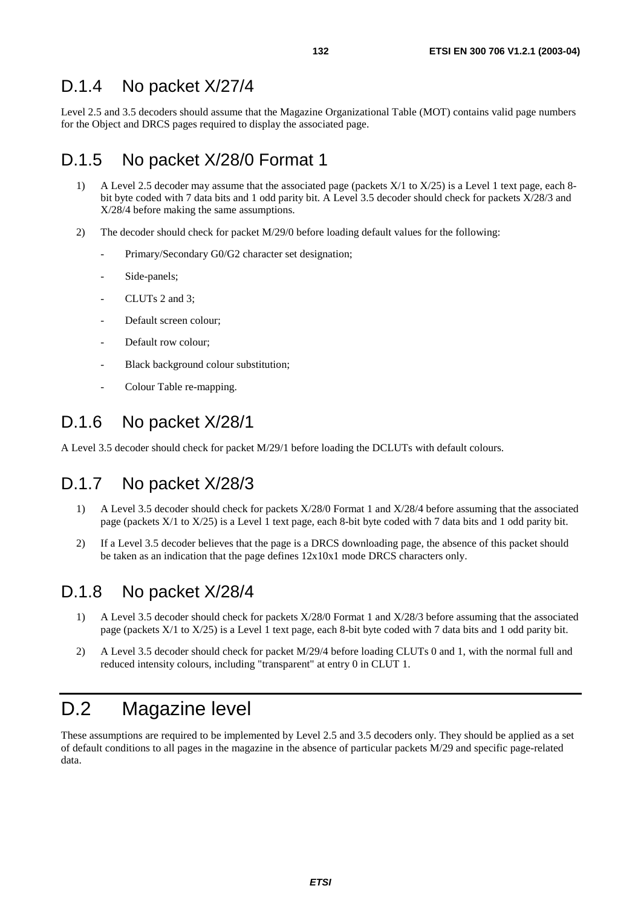#### D.1.4 No packet X/27/4

Level 2.5 and 3.5 decoders should assume that the Magazine Organizational Table (MOT) contains valid page numbers for the Object and DRCS pages required to display the associated page.

#### D.1.5 No packet X/28/0 Format 1

- 1) A Level 2.5 decoder may assume that the associated page (packets X/1 to X/25) is a Level 1 text page, each 8 bit byte coded with 7 data bits and 1 odd parity bit. A Level 3.5 decoder should check for packets X/28/3 and X/28/4 before making the same assumptions.
- 2) The decoder should check for packet M/29/0 before loading default values for the following:
	- Primary/Secondary G0/G2 character set designation;
	- Side-panels;
	- CLUTs 2 and 3;
	- Default screen colour;
	- Default row colour;
	- Black background colour substitution;
	- Colour Table re-mapping.

#### D.1.6 No packet X/28/1

A Level 3.5 decoder should check for packet M/29/1 before loading the DCLUTs with default colours.

#### D.1.7 No packet X/28/3

- 1) A Level 3.5 decoder should check for packets X/28/0 Format 1 and X/28/4 before assuming that the associated page (packets X/1 to X/25) is a Level 1 text page, each 8-bit byte coded with 7 data bits and 1 odd parity bit.
- 2) If a Level 3.5 decoder believes that the page is a DRCS downloading page, the absence of this packet should be taken as an indication that the page defines 12x10x1 mode DRCS characters only.

#### D.1.8 No packet X/28/4

- 1) A Level 3.5 decoder should check for packets X/28/0 Format 1 and X/28/3 before assuming that the associated page (packets X/1 to X/25) is a Level 1 text page, each 8-bit byte coded with 7 data bits and 1 odd parity bit.
- 2) A Level 3.5 decoder should check for packet M/29/4 before loading CLUTs 0 and 1, with the normal full and reduced intensity colours, including "transparent" at entry 0 in CLUT 1.

# D.2 Magazine level

These assumptions are required to be implemented by Level 2.5 and 3.5 decoders only. They should be applied as a set of default conditions to all pages in the magazine in the absence of particular packets M/29 and specific page-related data.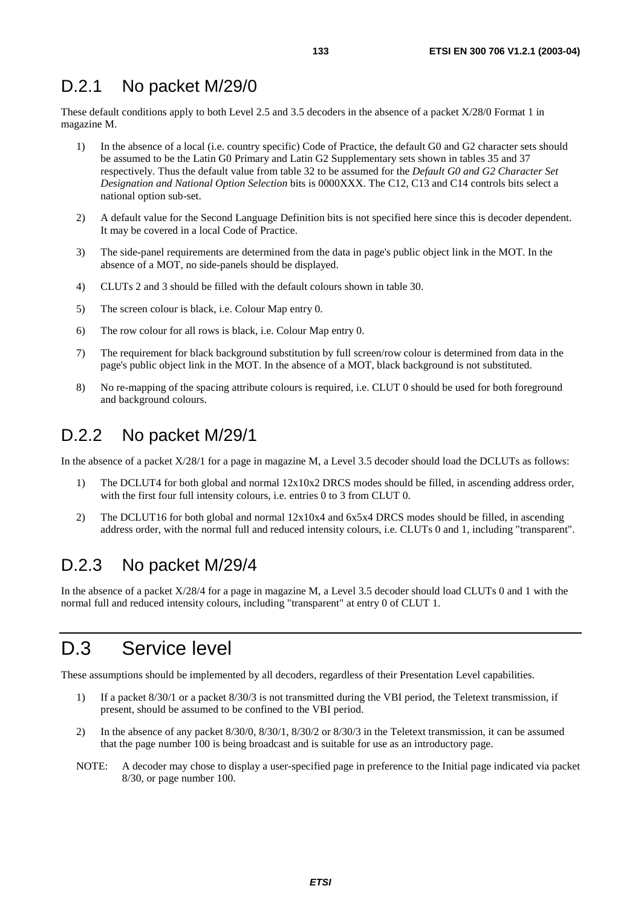#### D.2.1 No packet M/29/0

These default conditions apply to both Level 2.5 and 3.5 decoders in the absence of a packet X/28/0 Format 1 in magazine M.

- 1) In the absence of a local (i.e. country specific) Code of Practice, the default G0 and G2 character sets should be assumed to be the Latin G0 Primary and Latin G2 Supplementary sets shown in tables 35 and 37 respectively. Thus the default value from table 32 to be assumed for the *Default G0 and G2 Character Set Designation and National Option Selection* bits is 0000XXX. The C12, C13 and C14 controls bits select a national option sub-set.
- 2) A default value for the Second Language Definition bits is not specified here since this is decoder dependent. It may be covered in a local Code of Practice.
- 3) The side-panel requirements are determined from the data in page's public object link in the MOT. In the absence of a MOT, no side-panels should be displayed.
- 4) CLUTs 2 and 3 should be filled with the default colours shown in table 30.
- 5) The screen colour is black, i.e. Colour Map entry 0.
- 6) The row colour for all rows is black, i.e. Colour Map entry 0.
- 7) The requirement for black background substitution by full screen/row colour is determined from data in the page's public object link in the MOT. In the absence of a MOT, black background is not substituted.
- 8) No re-mapping of the spacing attribute colours is required, i.e. CLUT 0 should be used for both foreground and background colours.

#### D.2.2 No packet M/29/1

In the absence of a packet X/28/1 for a page in magazine M, a Level 3.5 decoder should load the DCLUTs as follows:

- 1) The DCLUT4 for both global and normal 12x10x2 DRCS modes should be filled, in ascending address order, with the first four full intensity colours, i.e. entries 0 to 3 from CLUT 0.
- 2) The DCLUT16 for both global and normal 12x10x4 and 6x5x4 DRCS modes should be filled, in ascending address order, with the normal full and reduced intensity colours, i.e. CLUTs 0 and 1, including "transparent".

#### D.2.3 No packet M/29/4

In the absence of a packet X/28/4 for a page in magazine M, a Level 3.5 decoder should load CLUTs 0 and 1 with the normal full and reduced intensity colours, including "transparent" at entry 0 of CLUT 1.

#### D.3 Service level

These assumptions should be implemented by all decoders, regardless of their Presentation Level capabilities.

- 1) If a packet 8/30/1 or a packet 8/30/3 is not transmitted during the VBI period, the Teletext transmission, if present, should be assumed to be confined to the VBI period.
- 2) In the absence of any packet 8/30/0, 8/30/1, 8/30/2 or 8/30/3 in the Teletext transmission, it can be assumed that the page number 100 is being broadcast and is suitable for use as an introductory page.
- NOTE: A decoder may chose to display a user-specified page in preference to the Initial page indicated via packet 8/30, or page number 100.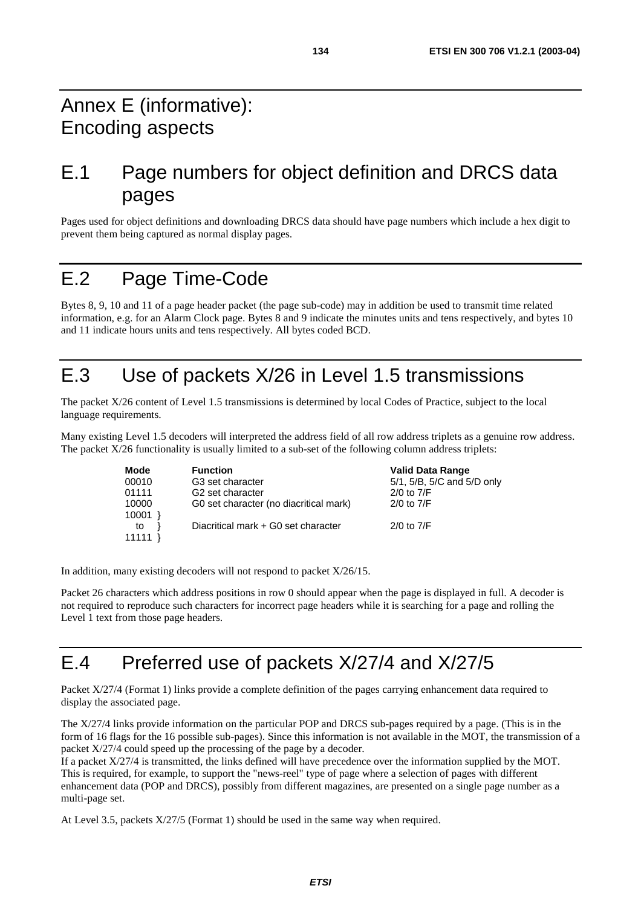# Annex E (informative): Encoding aspects

# E.1 Page numbers for object definition and DRCS data pages

Pages used for object definitions and downloading DRCS data should have page numbers which include a hex digit to prevent them being captured as normal display pages.

## E.2 Page Time-Code

Bytes 8, 9, 10 and 11 of a page header packet (the page sub-code) may in addition be used to transmit time related information, e.g. for an Alarm Clock page. Bytes 8 and 9 indicate the minutes units and tens respectively, and bytes 10 and 11 indicate hours units and tens respectively. All bytes coded BCD.

# E.3 Use of packets X/26 in Level 1.5 transmissions

The packet X/26 content of Level 1.5 transmissions is determined by local Codes of Practice, subject to the local language requirements.

Many existing Level 1.5 decoders will interpreted the address field of all row address triplets as a genuine row address. The packet X/26 functionality is usually limited to a sub-set of the following column address triplets:

| Mode                 | <b>Function</b>                        | <b>Valid Data Range</b>    |
|----------------------|----------------------------------------|----------------------------|
| 00010                | G <sub>3</sub> set character           | 5/1, 5/B, 5/C and 5/D only |
| 01111                | G <sub>2</sub> set character           | $2/0$ to $7/F$             |
| 10000                | G0 set character (no diacritical mark) | $2/0$ to $7/F$             |
| 10001<br>to<br>11111 | Diacritical mark + G0 set character    | $2/0$ to $7/F$             |

In addition, many existing decoders will not respond to packet X/26/15.

Packet 26 characters which address positions in row 0 should appear when the page is displayed in full. A decoder is not required to reproduce such characters for incorrect page headers while it is searching for a page and rolling the Level 1 text from those page headers.

# E.4 Preferred use of packets X/27/4 and X/27/5

Packet X/27/4 (Format 1) links provide a complete definition of the pages carrying enhancement data required to display the associated page.

The X/27/4 links provide information on the particular POP and DRCS sub-pages required by a page. (This is in the form of 16 flags for the 16 possible sub-pages). Since this information is not available in the MOT, the transmission of a packet X/27/4 could speed up the processing of the page by a decoder.

If a packet X/27/4 is transmitted, the links defined will have precedence over the information supplied by the MOT. This is required, for example, to support the "news-reel" type of page where a selection of pages with different enhancement data (POP and DRCS), possibly from different magazines, are presented on a single page number as a multi-page set.

At Level 3.5, packets X/27/5 (Format 1) should be used in the same way when required.

**ETSI**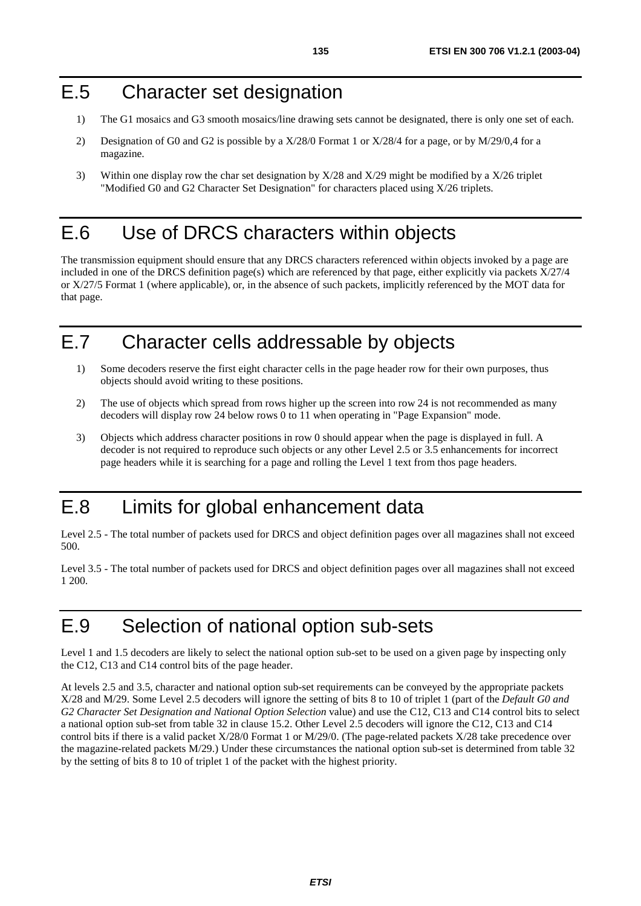#### E.5 Character set designation

- 1) The G1 mosaics and G3 smooth mosaics/line drawing sets cannot be designated, there is only one set of each.
- 2) Designation of G0 and G2 is possible by a X/28/0 Format 1 or X/28/4 for a page, or by M/29/0,4 for a magazine.
- 3) Within one display row the char set designation by X/28 and X/29 might be modified by a X/26 triplet "Modified G0 and G2 Character Set Designation" for characters placed using X/26 triplets.

#### E.6 Use of DRCS characters within objects

The transmission equipment should ensure that any DRCS characters referenced within objects invoked by a page are included in one of the DRCS definition page(s) which are referenced by that page, either explicitly via packets X/27/4 or X/27/5 Format 1 (where applicable), or, in the absence of such packets, implicitly referenced by the MOT data for that page.

## E.7 Character cells addressable by objects

- 1) Some decoders reserve the first eight character cells in the page header row for their own purposes, thus objects should avoid writing to these positions.
- 2) The use of objects which spread from rows higher up the screen into row 24 is not recommended as many decoders will display row 24 below rows 0 to 11 when operating in "Page Expansion" mode.
- 3) Objects which address character positions in row 0 should appear when the page is displayed in full. A decoder is not required to reproduce such objects or any other Level 2.5 or 3.5 enhancements for incorrect page headers while it is searching for a page and rolling the Level 1 text from thos page headers.

#### E.8 Limits for global enhancement data

Level 2.5 - The total number of packets used for DRCS and object definition pages over all magazines shall not exceed 500.

Level 3.5 - The total number of packets used for DRCS and object definition pages over all magazines shall not exceed 1 200.

## E.9 Selection of national option sub-sets

Level 1 and 1.5 decoders are likely to select the national option sub-set to be used on a given page by inspecting only the C12, C13 and C14 control bits of the page header.

At levels 2.5 and 3.5, character and national option sub-set requirements can be conveyed by the appropriate packets X/28 and M/29. Some Level 2.5 decoders will ignore the setting of bits 8 to 10 of triplet 1 (part of the *Default G0 and G2 Character Set Designation and National Option Selection* value) and use the C12, C13 and C14 control bits to select a national option sub-set from table 32 in clause 15.2. Other Level 2.5 decoders will ignore the C12, C13 and C14 control bits if there is a valid packet X/28/0 Format 1 or M/29/0. (The page-related packets X/28 take precedence over the magazine-related packets M/29.) Under these circumstances the national option sub-set is determined from table 32 by the setting of bits 8 to 10 of triplet 1 of the packet with the highest priority.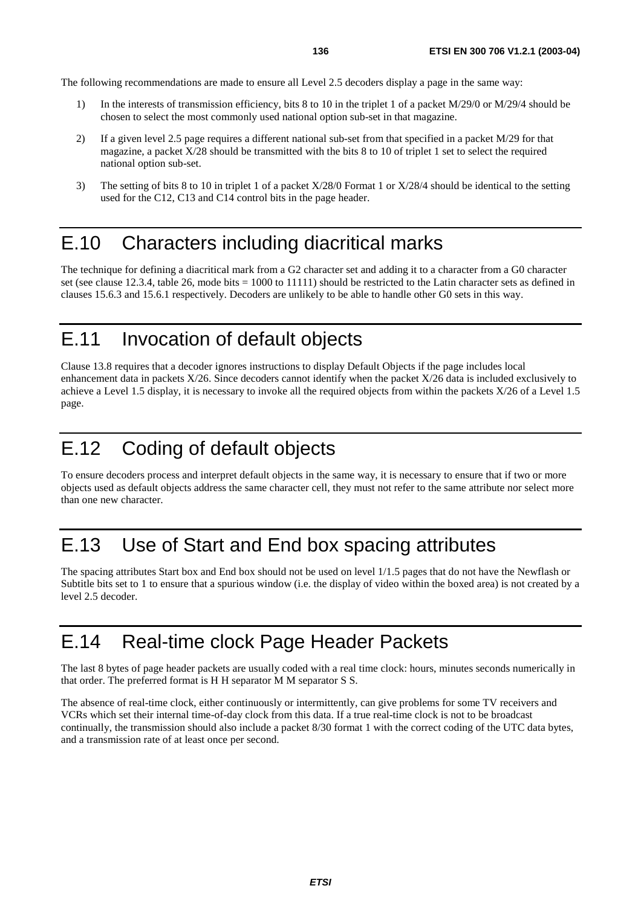The following recommendations are made to ensure all Level 2.5 decoders display a page in the same way:

- 1) In the interests of transmission efficiency, bits 8 to 10 in the triplet 1 of a packet M/29/0 or M/29/4 should be chosen to select the most commonly used national option sub-set in that magazine.
- 2) If a given level 2.5 page requires a different national sub-set from that specified in a packet M/29 for that magazine, a packet X/28 should be transmitted with the bits 8 to 10 of triplet 1 set to select the required national option sub-set.
- 3) The setting of bits 8 to 10 in triplet 1 of a packet X/28/0 Format 1 or X/28/4 should be identical to the setting used for the C12, C13 and C14 control bits in the page header.

#### E.10 Characters including diacritical marks

The technique for defining a diacritical mark from a G2 character set and adding it to a character from a G0 character set (see clause 12.3.4, table 26, mode bits = 1000 to 11111) should be restricted to the Latin character sets as defined in clauses 15.6.3 and 15.6.1 respectively. Decoders are unlikely to be able to handle other G0 sets in this way.

## E.11 Invocation of default objects

Clause 13.8 requires that a decoder ignores instructions to display Default Objects if the page includes local enhancement data in packets X/26. Since decoders cannot identify when the packet X/26 data is included exclusively to achieve a Level 1.5 display, it is necessary to invoke all the required objects from within the packets X/26 of a Level 1.5 page.

# E.12 Coding of default objects

To ensure decoders process and interpret default objects in the same way, it is necessary to ensure that if two or more objects used as default objects address the same character cell, they must not refer to the same attribute nor select more than one new character.

## E.13 Use of Start and End box spacing attributes

The spacing attributes Start box and End box should not be used on level 1/1.5 pages that do not have the Newflash or Subtitle bits set to 1 to ensure that a spurious window (i.e. the display of video within the boxed area) is not created by a level 2.5 decoder.

## E.14 Real-time clock Page Header Packets

The last 8 bytes of page header packets are usually coded with a real time clock: hours, minutes seconds numerically in that order. The preferred format is H H separator M M separator S S.

The absence of real-time clock, either continuously or intermittently, can give problems for some TV receivers and VCRs which set their internal time-of-day clock from this data. If a true real-time clock is not to be broadcast continually, the transmission should also include a packet 8/30 format 1 with the correct coding of the UTC data bytes, and a transmission rate of at least once per second.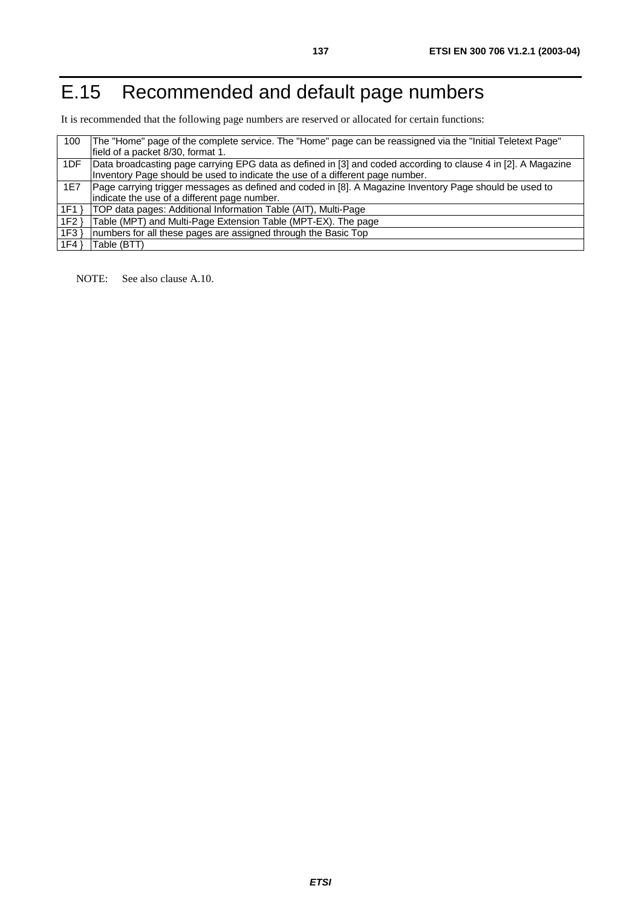# E.15 Recommended and default page numbers

It is recommended that the following page numbers are reserved or allocated for certain functions:

| 100 | The "Home" page of the complete service. The "Home" page can be reassigned via the "Initial Teletext Page"    |
|-----|---------------------------------------------------------------------------------------------------------------|
|     | field of a packet 8/30, format 1.                                                                             |
| 1DF | Data broadcasting page carrying EPG data as defined in [3] and coded according to clause 4 in [2]. A Magazine |
|     | Inventory Page should be used to indicate the use of a different page number.                                 |
| 1E7 | Page carrying trigger messages as defined and coded in [8]. A Magazine Inventory Page should be used to       |
|     | indicate the use of a different page number.                                                                  |
| 1F1 | TOP data pages: Additional Information Table (AIT), Multi-Page                                                |
| 1F2 | Table (MPT) and Multi-Page Extension Table (MPT-EX). The page                                                 |
| 1F3 | numbers for all these pages are assigned through the Basic Top                                                |
| 1F4 | Table (BTT)                                                                                                   |

NOTE: See also clause A.10.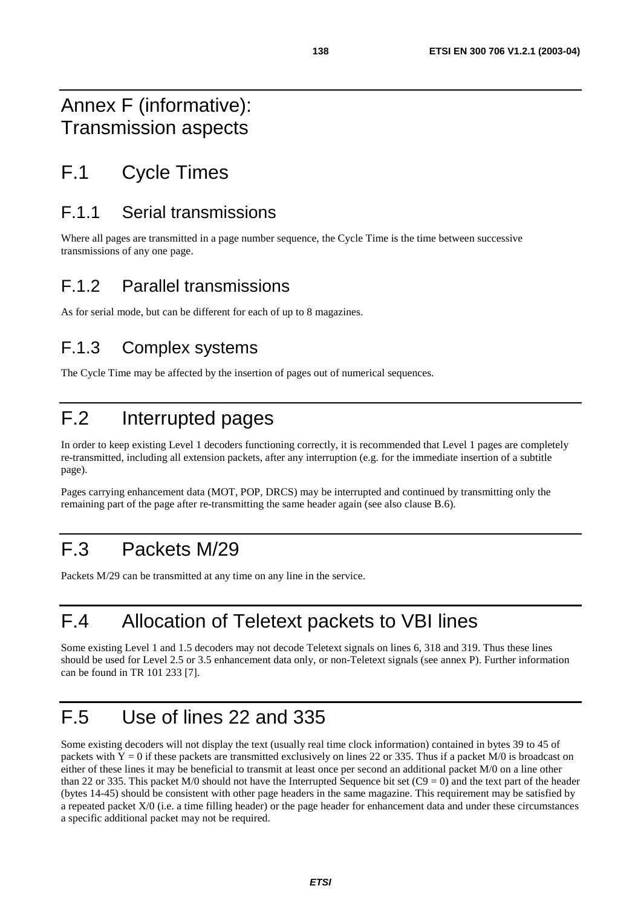## Annex F (informative): Transmission aspects

# F.1 Cycle Times

#### F.1.1 Serial transmissions

Where all pages are transmitted in a page number sequence, the Cycle Time is the time between successive transmissions of any one page.

#### F.1.2 Parallel transmissions

As for serial mode, but can be different for each of up to 8 magazines.

## F.1.3 Complex systems

The Cycle Time may be affected by the insertion of pages out of numerical sequences.

# F.2 Interrupted pages

In order to keep existing Level 1 decoders functioning correctly, it is recommended that Level 1 pages are completely re-transmitted, including all extension packets, after any interruption (e.g. for the immediate insertion of a subtitle page).

Pages carrying enhancement data (MOT, POP, DRCS) may be interrupted and continued by transmitting only the remaining part of the page after re-transmitting the same header again (see also clause B.6).

## F.3 Packets M/29

Packets M/29 can be transmitted at any time on any line in the service.

## F.4 Allocation of Teletext packets to VBI lines

Some existing Level 1 and 1.5 decoders may not decode Teletext signals on lines 6, 318 and 319. Thus these lines should be used for Level 2.5 or 3.5 enhancement data only, or non-Teletext signals (see annex P). Further information can be found in TR 101 233 [7].

## F.5 Use of lines 22 and 335

Some existing decoders will not display the text (usually real time clock information) contained in bytes 39 to 45 of packets with  $Y = 0$  if these packets are transmitted exclusively on lines 22 or 335. Thus if a packet M/0 is broadcast on either of these lines it may be beneficial to transmit at least once per second an additional packet M/0 on a line other than 22 or 335. This packet M/0 should not have the Interrupted Sequence bit set  $(C9 = 0)$  and the text part of the header (bytes 14-45) should be consistent with other page headers in the same magazine. This requirement may be satisfied by a repeated packet X/0 (i.e. a time filling header) or the page header for enhancement data and under these circumstances a specific additional packet may not be required.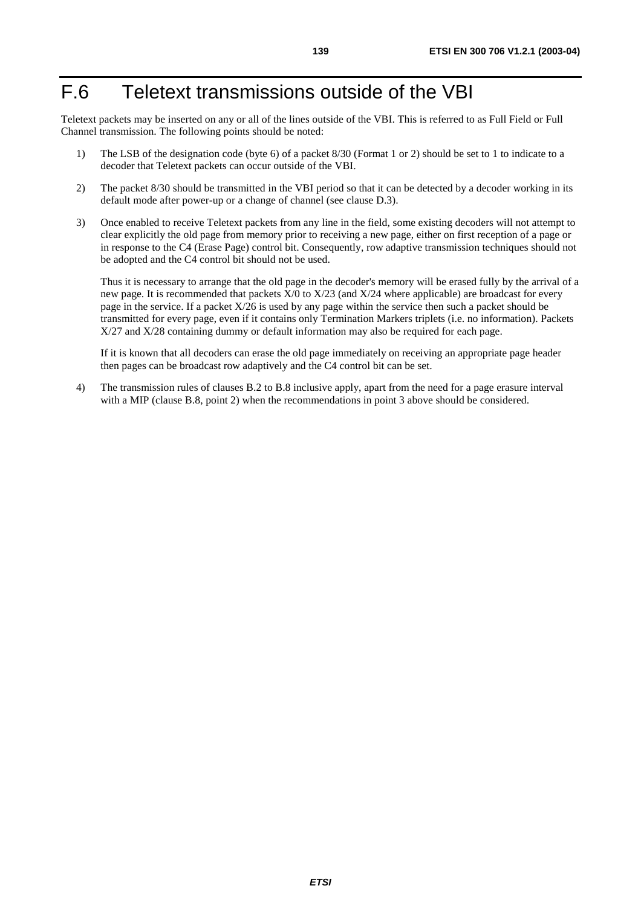## F.6 Teletext transmissions outside of the VBI

Teletext packets may be inserted on any or all of the lines outside of the VBI. This is referred to as Full Field or Full Channel transmission. The following points should be noted:

- 1) The LSB of the designation code (byte 6) of a packet 8/30 (Format 1 or 2) should be set to 1 to indicate to a decoder that Teletext packets can occur outside of the VBI.
- 2) The packet 8/30 should be transmitted in the VBI period so that it can be detected by a decoder working in its default mode after power-up or a change of channel (see clause D.3).
- 3) Once enabled to receive Teletext packets from any line in the field, some existing decoders will not attempt to clear explicitly the old page from memory prior to receiving a new page, either on first reception of a page or in response to the C4 (Erase Page) control bit. Consequently, row adaptive transmission techniques should not be adopted and the C4 control bit should not be used.

 Thus it is necessary to arrange that the old page in the decoder's memory will be erased fully by the arrival of a new page. It is recommended that packets X/0 to X/23 (and X/24 where applicable) are broadcast for every page in the service. If a packet X/26 is used by any page within the service then such a packet should be transmitted for every page, even if it contains only Termination Markers triplets (i.e. no information). Packets X/27 and X/28 containing dummy or default information may also be required for each page.

 If it is known that all decoders can erase the old page immediately on receiving an appropriate page header then pages can be broadcast row adaptively and the C4 control bit can be set.

4) The transmission rules of clauses B.2 to B.8 inclusive apply, apart from the need for a page erasure interval with a MIP (clause B.8, point 2) when the recommendations in point 3 above should be considered.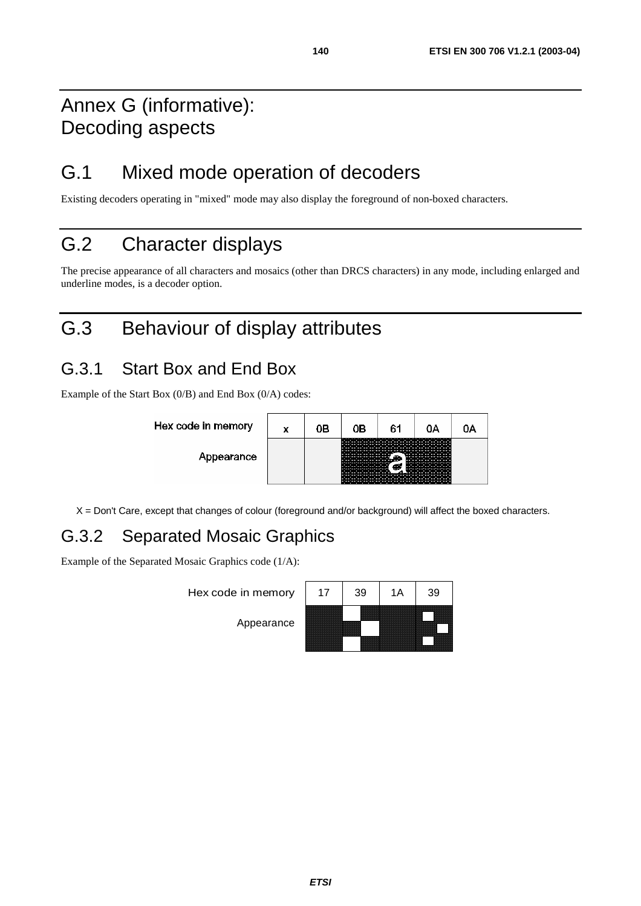## Annex G (informative): Decoding aspects

## G.1 Mixed mode operation of decoders

Existing decoders operating in "mixed" mode may also display the foreground of non-boxed characters.

# G.2 Character displays

The precise appearance of all characters and mosaics (other than DRCS characters) in any mode, including enlarged and underline modes, is a decoder option.

# G.3 Behaviour of display attributes

#### G.3.1 Start Box and End Box

Example of the Start Box (0/B) and End Box (0/A) codes:



X = Don't Care, except that changes of colour (foreground and/or background) will affect the boxed characters.

## G.3.2 Separated Mosaic Graphics

Example of the Separated Mosaic Graphics code (1/A):

Hex code in memory

Appearance

| 17 | 39 | 1A | 39 |
|----|----|----|----|
|    |    |    |    |
|    |    |    |    |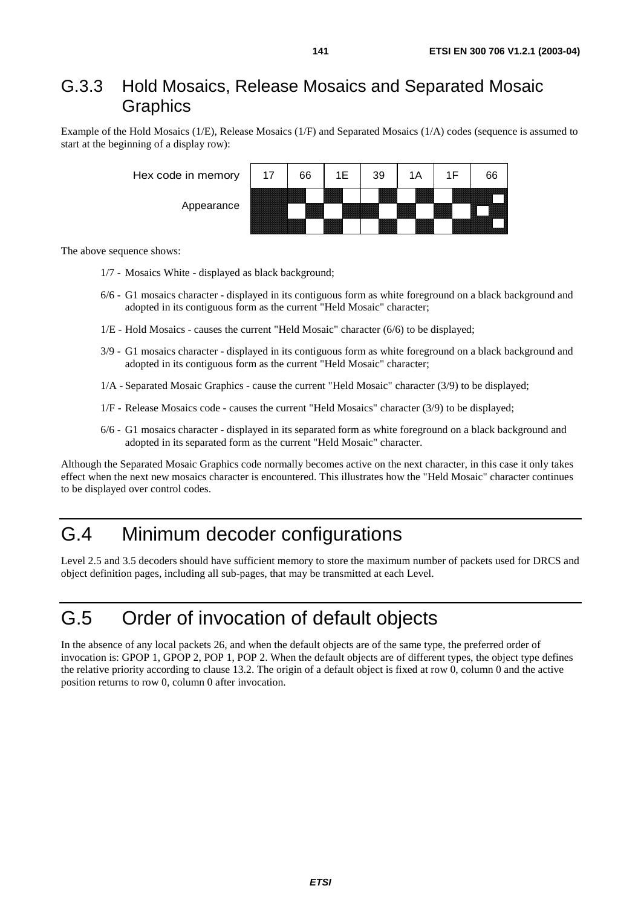#### G.3.3 Hold Mosaics, Release Mosaics and Separated Mosaic **Graphics**

Example of the Hold Mosaics (1/E), Release Mosaics (1/F) and Separated Mosaics (1/A) codes (sequence is assumed to start at the beginning of a display row):

| Hex code in memory | 17 | 66                  | 39                                        |  | 66             |
|--------------------|----|---------------------|-------------------------------------------|--|----------------|
| Appearance         | E  | ,,,,,,<br>555555555 | 222223<br>88888<br><b>Seconds</b><br>3333 |  | <u>e di se</u> |

The above sequence shows:

- 1/7 Mosaics White displayed as black background;
- 6/6 G1 mosaics character displayed in its contiguous form as white foreground on a black background and adopted in its contiguous form as the current "Held Mosaic" character;
- 1/E Hold Mosaics causes the current "Held Mosaic" character (6/6) to be displayed;
- 3/9 G1 mosaics character displayed in its contiguous form as white foreground on a black background and adopted in its contiguous form as the current "Held Mosaic" character;
- 1/A Separated Mosaic Graphics cause the current "Held Mosaic" character (3/9) to be displayed;
- 1/F Release Mosaics code causes the current "Held Mosaics" character (3/9) to be displayed;
- 6/6 G1 mosaics character displayed in its separated form as white foreground on a black background and adopted in its separated form as the current "Held Mosaic" character.

Although the Separated Mosaic Graphics code normally becomes active on the next character, in this case it only takes effect when the next new mosaics character is encountered. This illustrates how the "Held Mosaic" character continues to be displayed over control codes.

## G.4 Minimum decoder configurations

Level 2.5 and 3.5 decoders should have sufficient memory to store the maximum number of packets used for DRCS and object definition pages, including all sub-pages, that may be transmitted at each Level.

## G.5 Order of invocation of default objects

In the absence of any local packets 26, and when the default objects are of the same type, the preferred order of invocation is: GPOP 1, GPOP 2, POP 1, POP 2. When the default objects are of different types, the object type defines the relative priority according to clause 13.2. The origin of a default object is fixed at row 0, column 0 and the active position returns to row 0, column 0 after invocation.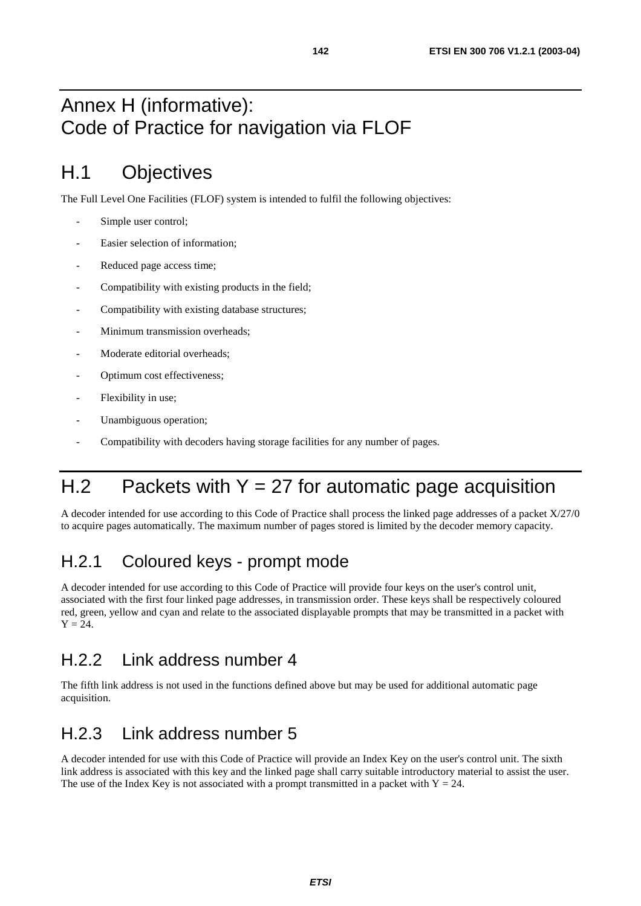## Annex H (informative): Code of Practice for navigation via FLOF

## H.1 Objectives

The Full Level One Facilities (FLOF) system is intended to fulfil the following objectives:

- Simple user control;
- Easier selection of information;
- Reduced page access time;
- Compatibility with existing products in the field;
- Compatibility with existing database structures;
- Minimum transmission overheads:
- Moderate editorial overheads;
- Optimum cost effectiveness;
- Flexibility in use;
- Unambiguous operation;
- Compatibility with decoders having storage facilities for any number of pages.

# H.2 Packets with  $Y = 27$  for automatic page acquisition

A decoder intended for use according to this Code of Practice shall process the linked page addresses of a packet X/27/0 to acquire pages automatically. The maximum number of pages stored is limited by the decoder memory capacity.

#### H.2.1 Coloured keys - prompt mode

A decoder intended for use according to this Code of Practice will provide four keys on the user's control unit, associated with the first four linked page addresses, in transmission order. These keys shall be respectively coloured red, green, yellow and cyan and relate to the associated displayable prompts that may be transmitted in a packet with  $Y = 24.$ 

#### H.2.2 Link address number 4

The fifth link address is not used in the functions defined above but may be used for additional automatic page acquisition.

#### H.2.3 Link address number 5

A decoder intended for use with this Code of Practice will provide an Index Key on the user's control unit. The sixth link address is associated with this key and the linked page shall carry suitable introductory material to assist the user. The use of the Index Key is not associated with a prompt transmitted in a packet with  $Y = 24$ .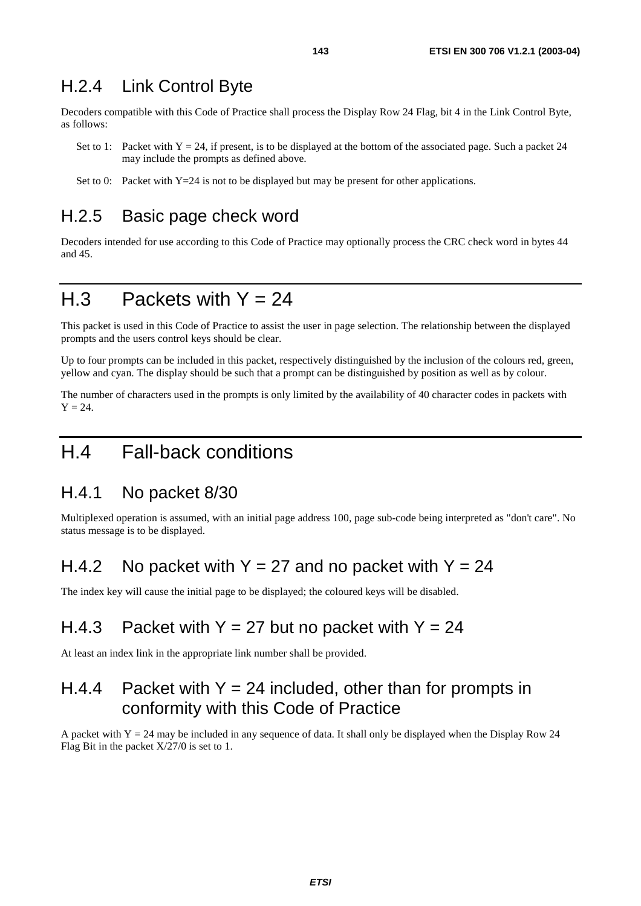#### H.2.4 Link Control Byte

Decoders compatible with this Code of Practice shall process the Display Row 24 Flag, bit 4 in the Link Control Byte, as follows:

- Set to 1: Packet with  $Y = 24$ , if present, is to be displayed at the bottom of the associated page. Such a packet 24 may include the prompts as defined above.
- Set to 0: Packet with  $Y=24$  is not to be displayed but may be present for other applications.

#### H.2.5 Basic page check word

Decoders intended for use according to this Code of Practice may optionally process the CRC check word in bytes 44 and 45.

#### $H.3$  Packets with  $Y = 24$

This packet is used in this Code of Practice to assist the user in page selection. The relationship between the displayed prompts and the users control keys should be clear.

Up to four prompts can be included in this packet, respectively distinguished by the inclusion of the colours red, green, yellow and cyan. The display should be such that a prompt can be distinguished by position as well as by colour.

The number of characters used in the prompts is only limited by the availability of 40 character codes in packets with  $Y = 24$ 

#### H.4 Fall-back conditions

#### H.4.1 No packet 8/30

Multiplexed operation is assumed, with an initial page address 100, page sub-code being interpreted as "don't care". No status message is to be displayed.

#### H.4.2 No packet with  $Y = 27$  and no packet with  $Y = 24$

The index key will cause the initial page to be displayed; the coloured keys will be disabled.

#### H.4.3 Packet with  $Y = 27$  but no packet with  $Y = 24$

At least an index link in the appropriate link number shall be provided.

#### H.4.4 Packet with  $Y = 24$  included, other than for prompts in conformity with this Code of Practice

A packet with  $Y = 24$  may be included in any sequence of data. It shall only be displayed when the Display Row 24 Flag Bit in the packet X/27/0 is set to 1.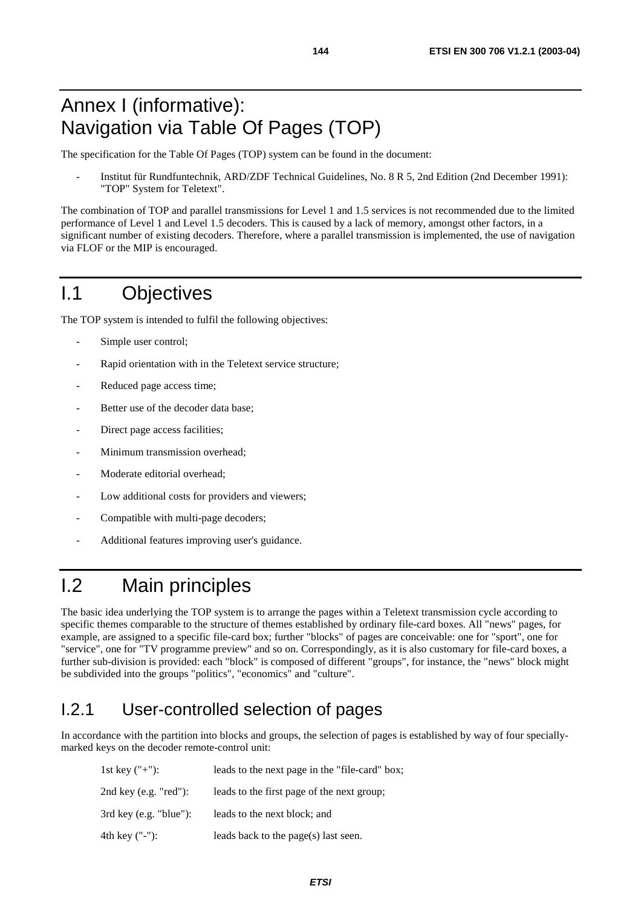The specification for the Table Of Pages (TOP) system can be found in the document:

- Institut für Rundfuntechnik, ARD/ZDF Technical Guidelines, No. 8 R 5, 2nd Edition (2nd December 1991): "TOP" System for Teletext".

The combination of TOP and parallel transmissions for Level 1 and 1.5 services is not recommended due to the limited performance of Level 1 and Level 1.5 decoders. This is caused by a lack of memory, amongst other factors, in a significant number of existing decoders. Therefore, where a parallel transmission is implemented, the use of navigation via FLOF or the MIP is encouraged.

## I.1 Objectives

The TOP system is intended to fulfil the following objectives:

- Simple user control;
- Rapid orientation with in the Teletext service structure;
- Reduced page access time;
- Better use of the decoder data base:
- Direct page access facilities;
- Minimum transmission overhead;
- Moderate editorial overhead;
- Low additional costs for providers and viewers;
- Compatible with multi-page decoders;
- Additional features improving user's guidance.

## I.2 Main principles

The basic idea underlying the TOP system is to arrange the pages within a Teletext transmission cycle according to specific themes comparable to the structure of themes established by ordinary file-card boxes. All "news" pages, for example, are assigned to a specific file-card box; further "blocks" of pages are conceivable: one for "sport", one for "service", one for "TV programme preview" and so on. Correspondingly, as it is also customary for file-card boxes, a further sub-division is provided: each "block" is composed of different "groups", for instance, the "news" block might be subdivided into the groups "politics", "economics" and "culture".

#### I.2.1 User-controlled selection of pages

In accordance with the partition into blocks and groups, the selection of pages is established by way of four speciallymarked keys on the decoder remote-control unit:

| 1st key $("+")$ :                | leads to the next page in the "file-card" box; |
|----------------------------------|------------------------------------------------|
| 2nd key $(e.g. "red")$ :         | leads to the first page of the next group;     |
| $3rd \text{ key (e.g. "blue")}:$ | leads to the next block; and                   |
| 4th key ("-"):                   | leads back to the page(s) last seen.           |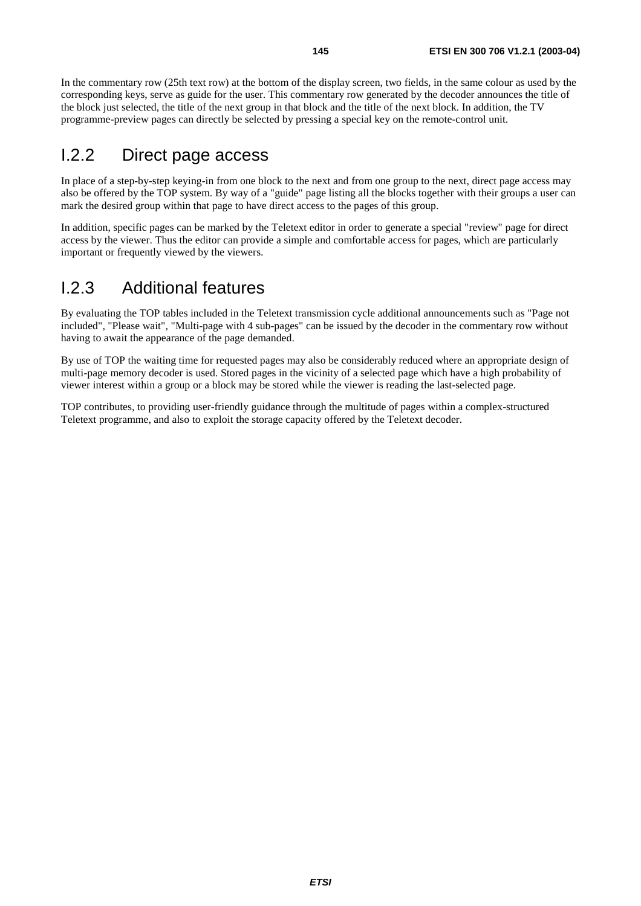In the commentary row (25th text row) at the bottom of the display screen, two fields, in the same colour as used by the corresponding keys, serve as guide for the user. This commentary row generated by the decoder announces the title of the block just selected, the title of the next group in that block and the title of the next block. In addition, the TV programme-preview pages can directly be selected by pressing a special key on the remote-control unit.

#### I.2.2 Direct page access

In place of a step-by-step keying-in from one block to the next and from one group to the next, direct page access may also be offered by the TOP system. By way of a "guide" page listing all the blocks together with their groups a user can mark the desired group within that page to have direct access to the pages of this group.

In addition, specific pages can be marked by the Teletext editor in order to generate a special "review" page for direct access by the viewer. Thus the editor can provide a simple and comfortable access for pages, which are particularly important or frequently viewed by the viewers.

#### I.2.3 Additional features

By evaluating the TOP tables included in the Teletext transmission cycle additional announcements such as "Page not included", "Please wait", "Multi-page with 4 sub-pages" can be issued by the decoder in the commentary row without having to await the appearance of the page demanded.

By use of TOP the waiting time for requested pages may also be considerably reduced where an appropriate design of multi-page memory decoder is used. Stored pages in the vicinity of a selected page which have a high probability of viewer interest within a group or a block may be stored while the viewer is reading the last-selected page.

TOP contributes, to providing user-friendly guidance through the multitude of pages within a complex-structured Teletext programme, and also to exploit the storage capacity offered by the Teletext decoder.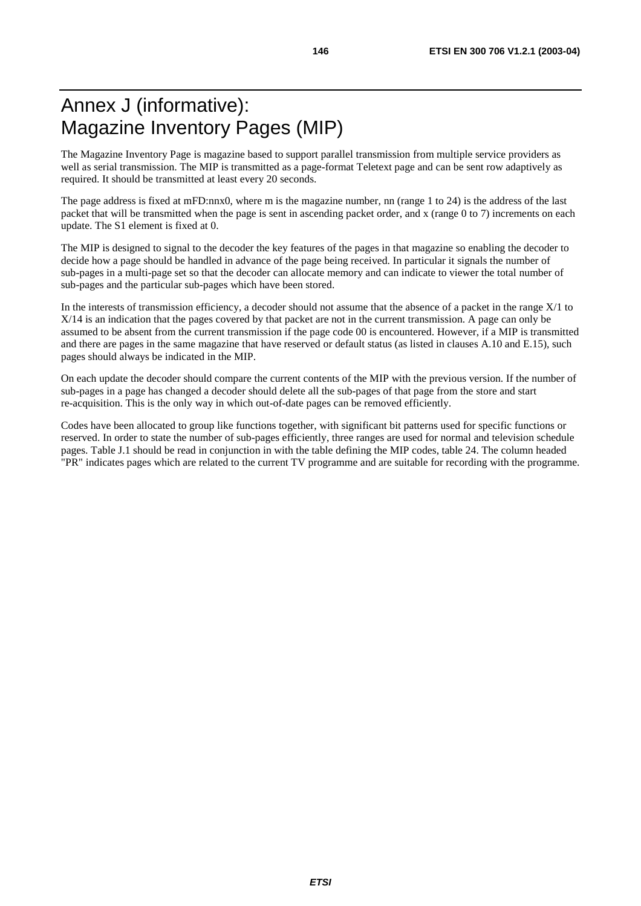### Annex J (informative): Magazine Inventory Pages (MIP)

The Magazine Inventory Page is magazine based to support parallel transmission from multiple service providers as well as serial transmission. The MIP is transmitted as a page-format Teletext page and can be sent row adaptively as required. It should be transmitted at least every 20 seconds.

The page address is fixed at mFD:nnx0, where m is the magazine number, nn (range 1 to 24) is the address of the last packet that will be transmitted when the page is sent in ascending packet order, and x (range 0 to 7) increments on each update. The S1 element is fixed at 0.

The MIP is designed to signal to the decoder the key features of the pages in that magazine so enabling the decoder to decide how a page should be handled in advance of the page being received. In particular it signals the number of sub-pages in a multi-page set so that the decoder can allocate memory and can indicate to viewer the total number of sub-pages and the particular sub-pages which have been stored.

In the interests of transmission efficiency, a decoder should not assume that the absence of a packet in the range X/1 to X/14 is an indication that the pages covered by that packet are not in the current transmission. A page can only be assumed to be absent from the current transmission if the page code 00 is encountered. However, if a MIP is transmitted and there are pages in the same magazine that have reserved or default status (as listed in clauses A.10 and E.15), such pages should always be indicated in the MIP.

On each update the decoder should compare the current contents of the MIP with the previous version. If the number of sub-pages in a page has changed a decoder should delete all the sub-pages of that page from the store and start re-acquisition. This is the only way in which out-of-date pages can be removed efficiently.

Codes have been allocated to group like functions together, with significant bit patterns used for specific functions or reserved. In order to state the number of sub-pages efficiently, three ranges are used for normal and television schedule pages. Table J.1 should be read in conjunction in with the table defining the MIP codes, table 24. The column headed "PR" indicates pages which are related to the current TV programme and are suitable for recording with the programme.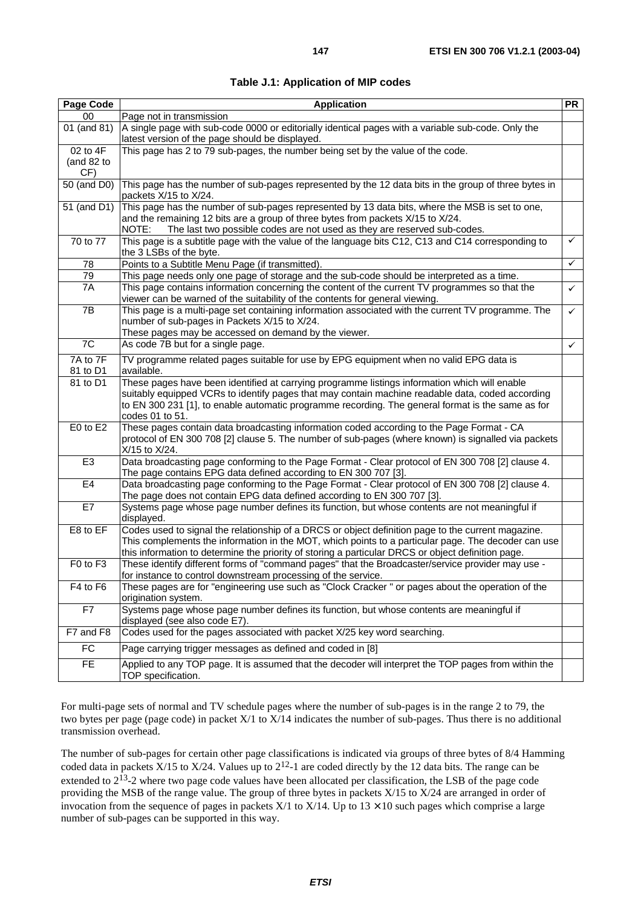| Page Code                     | <b>Application</b>                                                                                                                                                                                                                                                                                                        | <b>PR</b> |  |  |
|-------------------------------|---------------------------------------------------------------------------------------------------------------------------------------------------------------------------------------------------------------------------------------------------------------------------------------------------------------------------|-----------|--|--|
| $00\,$                        | Page not in transmission                                                                                                                                                                                                                                                                                                  |           |  |  |
| 01 (and 81)                   | A single page with sub-code 0000 or editorially identical pages with a variable sub-code. Only the<br>latest version of the page should be displayed.                                                                                                                                                                     |           |  |  |
| 02 to 4F<br>(and 82 to<br>CF) | This page has 2 to 79 sub-pages, the number being set by the value of the code.                                                                                                                                                                                                                                           |           |  |  |
| 50 (and D0)                   | This page has the number of sub-pages represented by the 12 data bits in the group of three bytes in<br>packets X/15 to X/24.                                                                                                                                                                                             |           |  |  |
| 51 (and D1)                   | This page has the number of sub-pages represented by 13 data bits, where the MSB is set to one,<br>and the remaining 12 bits are a group of three bytes from packets X/15 to X/24.<br>NOTE:<br>The last two possible codes are not used as they are reserved sub-codes.                                                   |           |  |  |
| 70 to 77                      | This page is a subtitle page with the value of the language bits C12, C13 and C14 corresponding to<br>the 3 LSBs of the byte.                                                                                                                                                                                             |           |  |  |
| 78                            | ✓<br>Points to a Subtitle Menu Page (if transmitted).                                                                                                                                                                                                                                                                     |           |  |  |
| 79                            | This page needs only one page of storage and the sub-code should be interpreted as a time.                                                                                                                                                                                                                                |           |  |  |
| 7A                            | This page contains information concerning the content of the current TV programmes so that the                                                                                                                                                                                                                            | ✓         |  |  |
| 7B                            | viewer can be warned of the suitability of the contents for general viewing.<br>This page is a multi-page set containing information associated with the current TV programme. The<br>✓<br>number of sub-pages in Packets X/15 to X/24.                                                                                   |           |  |  |
| 7C                            | These pages may be accessed on demand by the viewer.<br>As code 7B but for a single page.                                                                                                                                                                                                                                 | ✓         |  |  |
| 7A to 7F                      |                                                                                                                                                                                                                                                                                                                           |           |  |  |
| 81 to D1                      | TV programme related pages suitable for use by EPG equipment when no valid EPG data is<br>available.                                                                                                                                                                                                                      |           |  |  |
| 81 to D1                      | These pages have been identified at carrying programme listings information which will enable<br>suitably equipped VCRs to identify pages that may contain machine readable data, coded according<br>to EN 300 231 [1], to enable automatic programme recording. The general format is the same as for<br>codes 01 to 51. |           |  |  |
| E0 to E2                      | These pages contain data broadcasting information coded according to the Page Format - CA<br>protocol of EN 300 708 [2] clause 5. The number of sub-pages (where known) is signalled via packets<br>X/15 to X/24.                                                                                                         |           |  |  |
| E <sub>3</sub>                | Data broadcasting page conforming to the Page Format - Clear protocol of EN 300 708 [2] clause 4.<br>The page contains EPG data defined according to EN 300 707 [3].                                                                                                                                                      |           |  |  |
| E <sub>4</sub>                | Data broadcasting page conforming to the Page Format - Clear protocol of EN 300 708 [2] clause 4.<br>The page does not contain EPG data defined according to EN 300 707 [3].                                                                                                                                              |           |  |  |
| E7                            | Systems page whose page number defines its function, but whose contents are not meaningful if<br>displayed.                                                                                                                                                                                                               |           |  |  |
| E8 to EF                      | Codes used to signal the relationship of a DRCS or object definition page to the current magazine.<br>This complements the information in the MOT, which points to a particular page. The decoder can use<br>this information to determine the priority of storing a particular DRCS or object definition page.           |           |  |  |
| F0 to F3                      | These identify different forms of "command pages" that the Broadcaster/service provider may use -<br>for instance to control downstream processing of the service.                                                                                                                                                        |           |  |  |
| F4 to F6                      | These pages are for "engineering use such as "Clock Cracker" or pages about the operation of the<br>origination system.                                                                                                                                                                                                   |           |  |  |
| F7                            | Systems page whose page number defines its function, but whose contents are meaningful if<br>displayed (see also code E7).                                                                                                                                                                                                |           |  |  |
| F7 and F8                     | Codes used for the pages associated with packet X/25 key word searching.                                                                                                                                                                                                                                                  |           |  |  |
| <b>FC</b>                     | Page carrying trigger messages as defined and coded in [8]                                                                                                                                                                                                                                                                |           |  |  |
| FE.                           | Applied to any TOP page. It is assumed that the decoder will interpret the TOP pages from within the<br>TOP specification.                                                                                                                                                                                                |           |  |  |

For multi-page sets of normal and TV schedule pages where the number of sub-pages is in the range 2 to 79, the two bytes per page (page code) in packet X/1 to X/14 indicates the number of sub-pages. Thus there is no additional transmission overhead.

The number of sub-pages for certain other page classifications is indicated via groups of three bytes of 8/4 Hamming coded data in packets  $X/15$  to  $X/24$ . Values up to  $2^{12}$ -1 are coded directly by the 12 data bits. The range can be extended to 2<sup>13</sup>-2 where two page code values have been allocated per classification, the LSB of the page code providing the MSB of the range value. The group of three bytes in packets X/15 to X/24 are arranged in order of invocation from the sequence of pages in packets  $X/1$  to  $X/14$ . Up to  $13 \times 10$  such pages which comprise a large number of sub-pages can be supported in this way.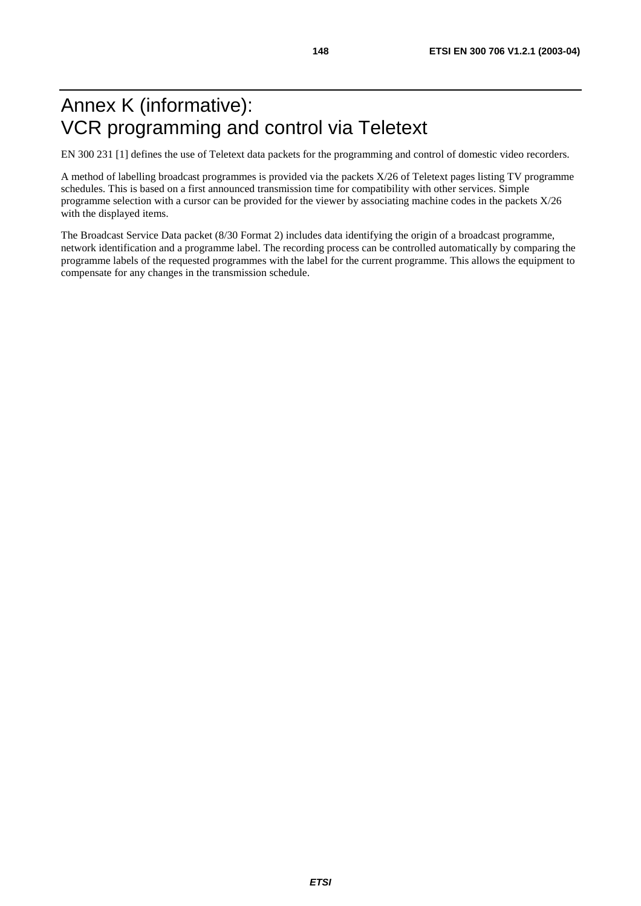## Annex K (informative): VCR programming and control via Teletext

EN 300 231 [1] defines the use of Teletext data packets for the programming and control of domestic video recorders.

A method of labelling broadcast programmes is provided via the packets X/26 of Teletext pages listing TV programme schedules. This is based on a first announced transmission time for compatibility with other services. Simple programme selection with a cursor can be provided for the viewer by associating machine codes in the packets X/26 with the displayed items.

The Broadcast Service Data packet (8/30 Format 2) includes data identifying the origin of a broadcast programme, network identification and a programme label. The recording process can be controlled automatically by comparing the programme labels of the requested programmes with the label for the current programme. This allows the equipment to compensate for any changes in the transmission schedule.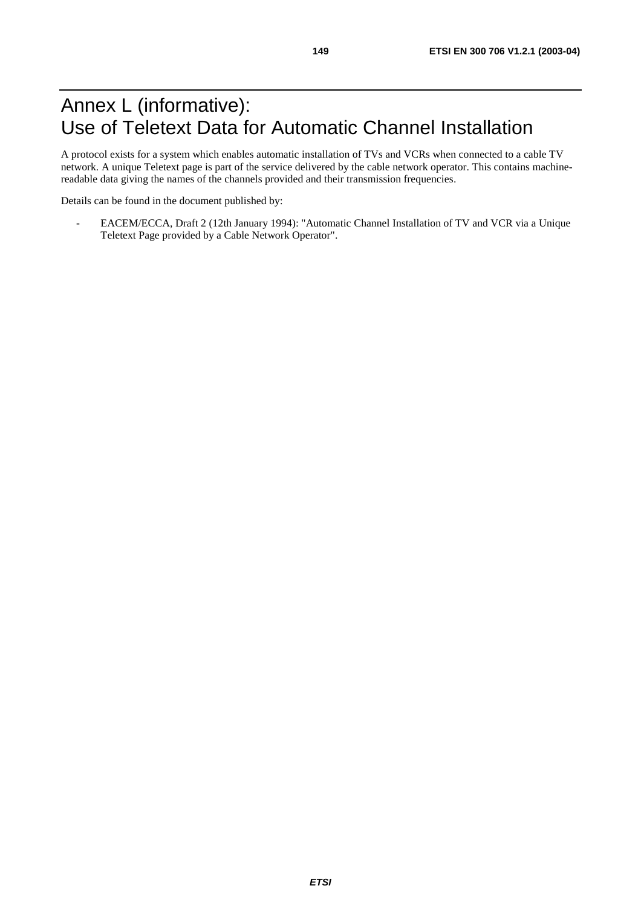### Annex L (informative): Use of Teletext Data for Automatic Channel Installation

A protocol exists for a system which enables automatic installation of TVs and VCRs when connected to a cable TV network. A unique Teletext page is part of the service delivered by the cable network operator. This contains machinereadable data giving the names of the channels provided and their transmission frequencies.

Details can be found in the document published by:

- EACEM/ECCA, Draft 2 (12th January 1994): "Automatic Channel Installation of TV and VCR via a Unique Teletext Page provided by a Cable Network Operator".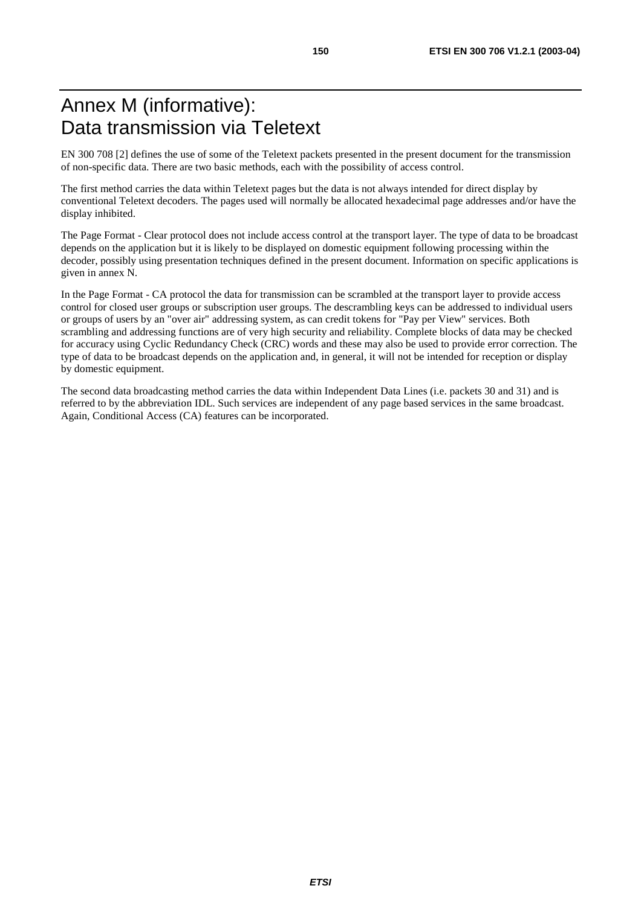### Annex M (informative): Data transmission via Teletext

EN 300 708 [2] defines the use of some of the Teletext packets presented in the present document for the transmission of non-specific data. There are two basic methods, each with the possibility of access control.

The first method carries the data within Teletext pages but the data is not always intended for direct display by conventional Teletext decoders. The pages used will normally be allocated hexadecimal page addresses and/or have the display inhibited.

The Page Format - Clear protocol does not include access control at the transport layer. The type of data to be broadcast depends on the application but it is likely to be displayed on domestic equipment following processing within the decoder, possibly using presentation techniques defined in the present document. Information on specific applications is given in annex N.

In the Page Format - CA protocol the data for transmission can be scrambled at the transport layer to provide access control for closed user groups or subscription user groups. The descrambling keys can be addressed to individual users or groups of users by an "over air" addressing system, as can credit tokens for "Pay per View" services. Both scrambling and addressing functions are of very high security and reliability. Complete blocks of data may be checked for accuracy using Cyclic Redundancy Check (CRC) words and these may also be used to provide error correction. The type of data to be broadcast depends on the application and, in general, it will not be intended for reception or display by domestic equipment.

The second data broadcasting method carries the data within Independent Data Lines (i.e. packets 30 and 31) and is referred to by the abbreviation IDL. Such services are independent of any page based services in the same broadcast. Again, Conditional Access (CA) features can be incorporated.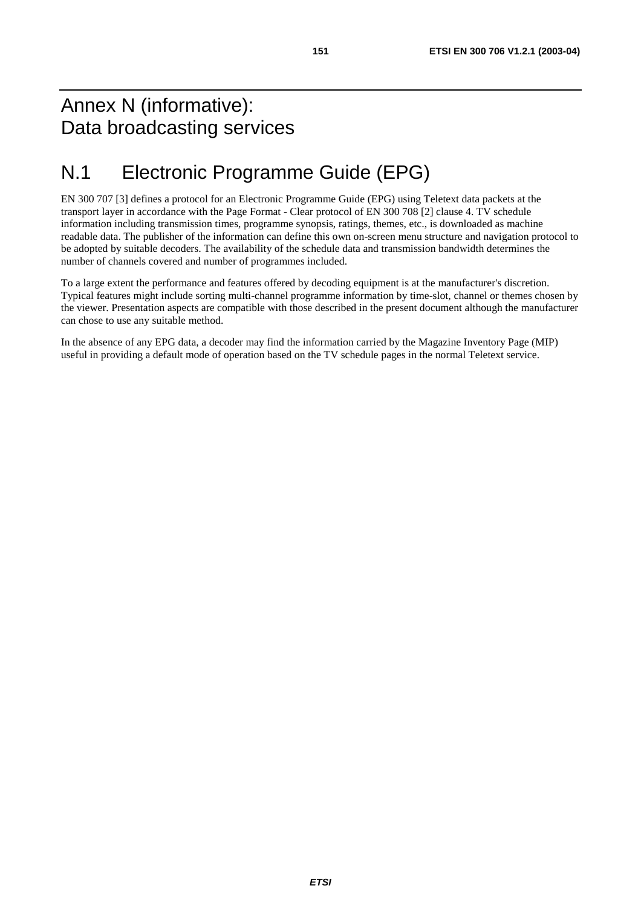#### Annex N (informative): Data broadcasting services

## N.1 Electronic Programme Guide (EPG)

EN 300 707 [3] defines a protocol for an Electronic Programme Guide (EPG) using Teletext data packets at the transport layer in accordance with the Page Format - Clear protocol of EN 300 708 [2] clause 4. TV schedule information including transmission times, programme synopsis, ratings, themes, etc., is downloaded as machine readable data. The publisher of the information can define this own on-screen menu structure and navigation protocol to be adopted by suitable decoders. The availability of the schedule data and transmission bandwidth determines the number of channels covered and number of programmes included.

To a large extent the performance and features offered by decoding equipment is at the manufacturer's discretion. Typical features might include sorting multi-channel programme information by time-slot, channel or themes chosen by the viewer. Presentation aspects are compatible with those described in the present document although the manufacturer can chose to use any suitable method.

In the absence of any EPG data, a decoder may find the information carried by the Magazine Inventory Page (MIP) useful in providing a default mode of operation based on the TV schedule pages in the normal Teletext service.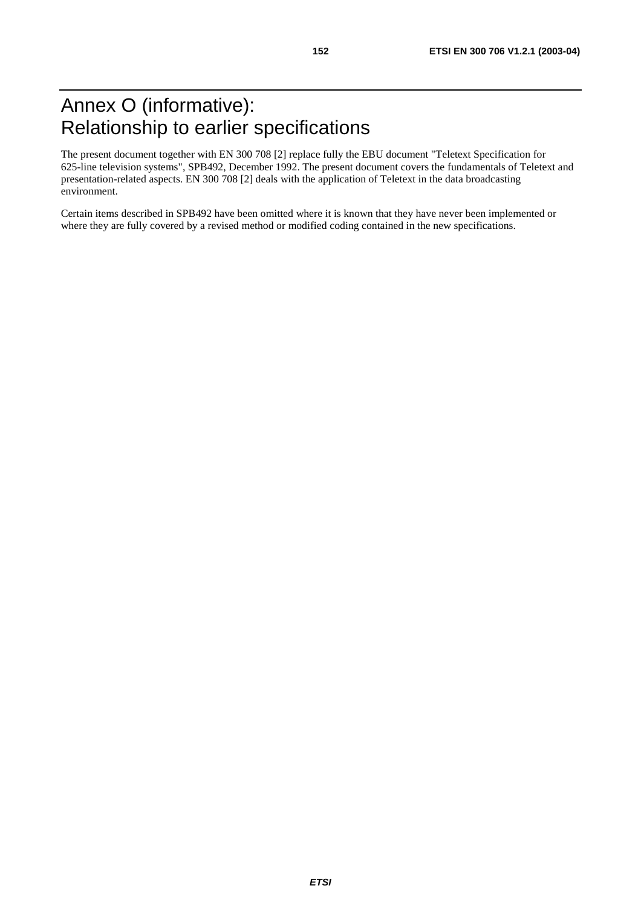The present document together with EN 300 708 [2] replace fully the EBU document "Teletext Specification for 625-line television systems", SPB492, December 1992. The present document covers the fundamentals of Teletext and presentation-related aspects. EN 300 708 [2] deals with the application of Teletext in the data broadcasting environment.

Certain items described in SPB492 have been omitted where it is known that they have never been implemented or where they are fully covered by a revised method or modified coding contained in the new specifications.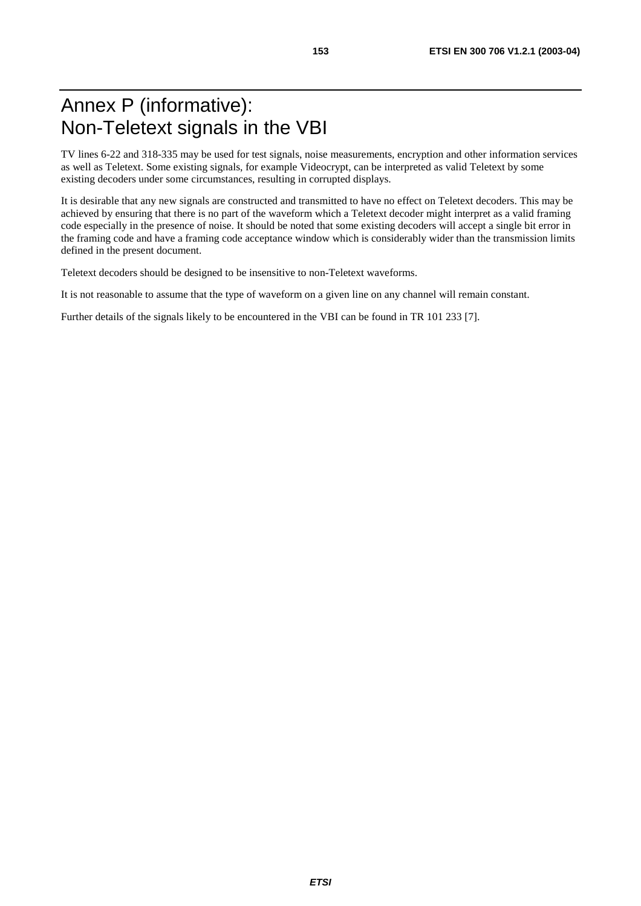### Annex P (informative): Non-Teletext signals in the VBI

TV lines 6-22 and 318-335 may be used for test signals, noise measurements, encryption and other information services as well as Teletext. Some existing signals, for example Videocrypt, can be interpreted as valid Teletext by some existing decoders under some circumstances, resulting in corrupted displays.

It is desirable that any new signals are constructed and transmitted to have no effect on Teletext decoders. This may be achieved by ensuring that there is no part of the waveform which a Teletext decoder might interpret as a valid framing code especially in the presence of noise. It should be noted that some existing decoders will accept a single bit error in the framing code and have a framing code acceptance window which is considerably wider than the transmission limits defined in the present document.

Teletext decoders should be designed to be insensitive to non-Teletext waveforms.

It is not reasonable to assume that the type of waveform on a given line on any channel will remain constant.

Further details of the signals likely to be encountered in the VBI can be found in TR 101 233 [7].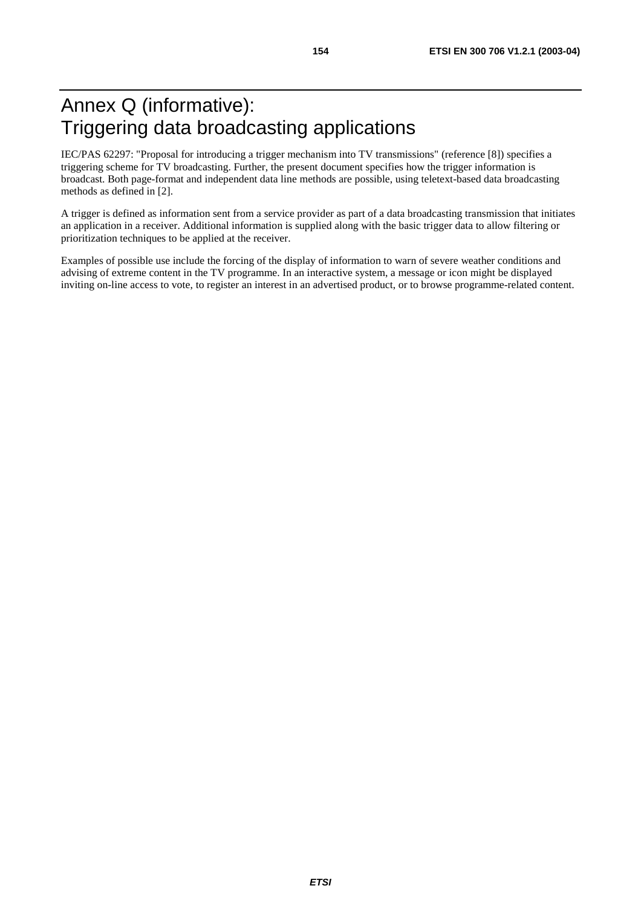## Annex Q (informative): Triggering data broadcasting applications

IEC/PAS 62297: "Proposal for introducing a trigger mechanism into TV transmissions" (reference [8]) specifies a triggering scheme for TV broadcasting. Further, the present document specifies how the trigger information is broadcast. Both page-format and independent data line methods are possible, using teletext-based data broadcasting methods as defined in [2].

A trigger is defined as information sent from a service provider as part of a data broadcasting transmission that initiates an application in a receiver. Additional information is supplied along with the basic trigger data to allow filtering or prioritization techniques to be applied at the receiver.

Examples of possible use include the forcing of the display of information to warn of severe weather conditions and advising of extreme content in the TV programme. In an interactive system, a message or icon might be displayed inviting on-line access to vote, to register an interest in an advertised product, or to browse programme-related content.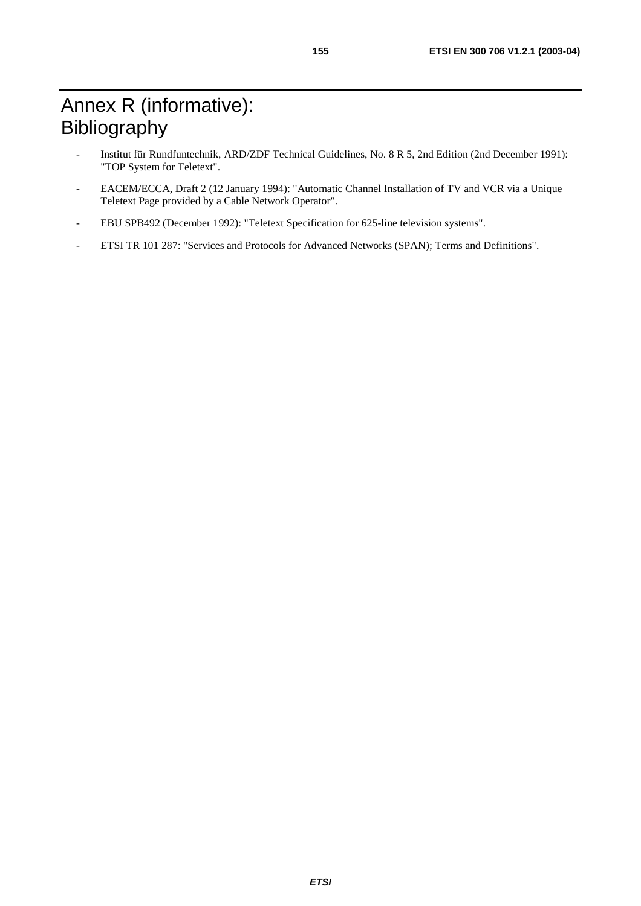# Annex R (informative): Bibliography

- Institut für Rundfuntechnik, ARD/ZDF Technical Guidelines, No. 8 R 5, 2nd Edition (2nd December 1991): "TOP System for Teletext".
- EACEM/ECCA, Draft 2 (12 January 1994): "Automatic Channel Installation of TV and VCR via a Unique Teletext Page provided by a Cable Network Operator".
- EBU SPB492 (December 1992): "Teletext Specification for 625-line television systems".
- ETSI TR 101 287: "Services and Protocols for Advanced Networks (SPAN); Terms and Definitions".